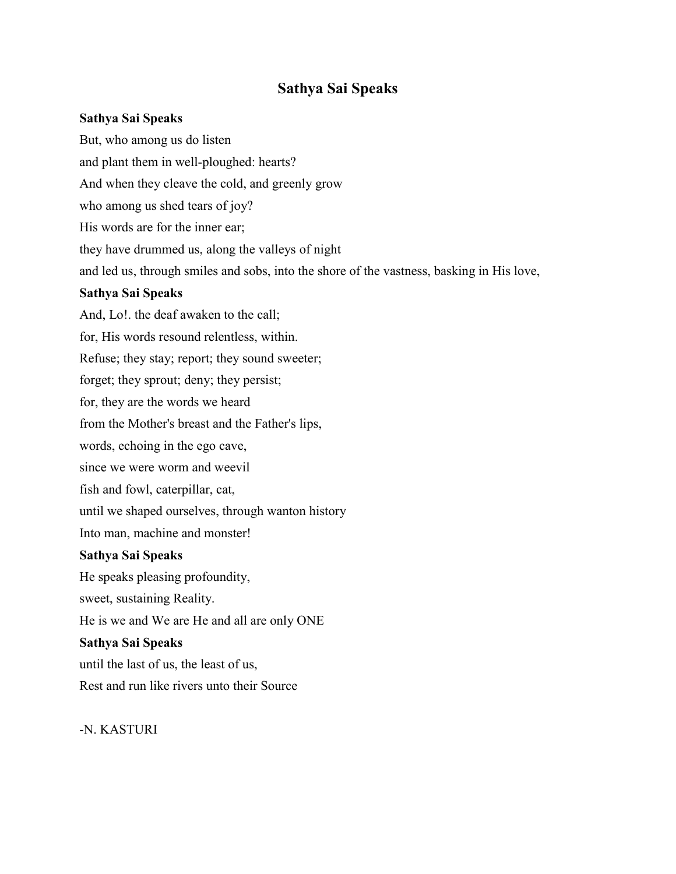# **Sathya Sai Speaks**

### **Sathya Sai Speaks**

But, who among us do listen and plant them in well-ploughed: hearts? And when they cleave the cold, and greenly grow who among us shed tears of joy? His words are for the inner ear; they have drummed us, along the valleys of night and led us, through smiles and sobs, into the shore of the vastness, basking in His love, **Sathya Sai Speaks** And, Lo!. the deaf awaken to the call; for, His words resound relentless, within. Refuse; they stay; report; they sound sweeter; forget; they sprout; deny; they persist; for, they are the words we heard from the Mother's breast and the Father's lips, words, echoing in the ego cave, since we were worm and weevil fish and fowl, caterpillar, cat, until we shaped ourselves, through wanton history Into man, machine and monster! **Sathya Sai Speaks** He speaks pleasing profoundity, sweet, sustaining Reality. He is we and We are He and all are only ONE **Sathya Sai Speaks** until the last of us, the least of us, Rest and run like rivers unto their Source

-N. KASTURI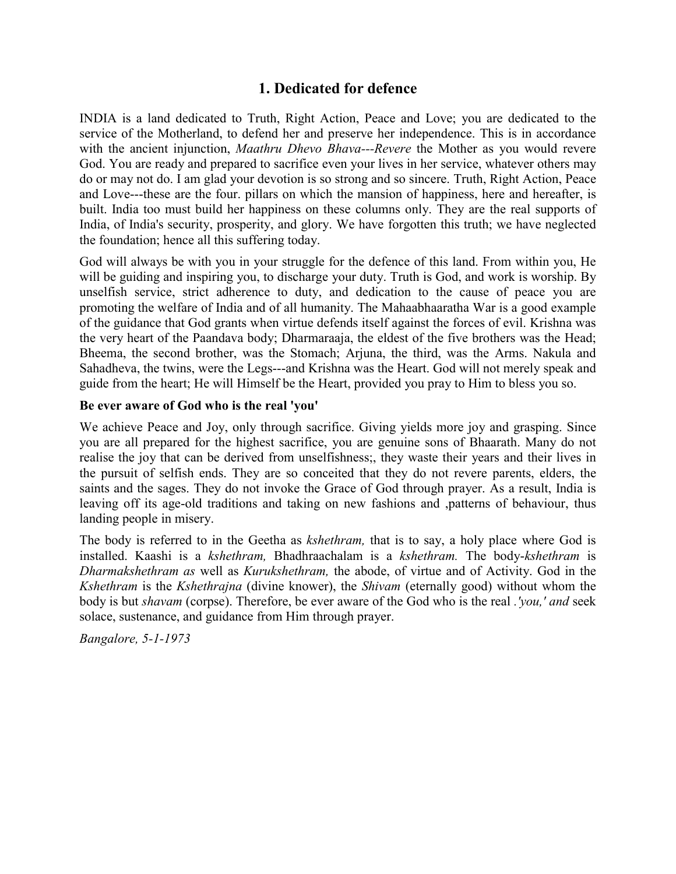# **1. Dedicated for defence**

INDIA is a land dedicated to Truth, Right Action, Peace and Love; you are dedicated to the service of the Motherland, to defend her and preserve her independence. This is in accordance with the ancient injunction, *Maathru Dhevo Bhava---Revere* the Mother as you would revere God. You are ready and prepared to sacrifice even your lives in her service, whatever others may do or may not do. I am glad your devotion is so strong and so sincere. Truth, Right Action, Peace and Love---these are the four. pillars on which the mansion of happiness, here and hereafter, is built. India too must build her happiness on these columns only. They are the real supports of India, of India's security, prosperity, and glory. We have forgotten this truth; we have neglected the foundation; hence all this suffering today.

God will always be with you in your struggle for the defence of this land. From within you, He will be guiding and inspiring you, to discharge your duty. Truth is God, and work is worship. By unselfish service, strict adherence to duty, and dedication to the cause of peace you are promoting the welfare of India and of all humanity. The Mahaabhaaratha War is a good example of the guidance that God grants when virtue defends itself against the forces of evil. Krishna was the very heart of the Paandava body; Dharmaraaja, the eldest of the five brothers was the Head; Bheema, the second brother, was the Stomach; Arjuna, the third, was the Arms. Nakula and Sahadheva, the twins, were the Legs---and Krishna was the Heart. God will not merely speak and guide from the heart; He will Himself be the Heart, provided you pray to Him to bless you so.

### **Be ever aware of God who is the real 'you'**

We achieve Peace and Joy, only through sacrifice. Giving yields more joy and grasping. Since you are all prepared for the highest sacrifice, you are genuine sons of Bhaarath. Many do not realise the joy that can be derived from unselfishness;, they waste their years and their lives in the pursuit of selfish ends. They are so conceited that they do not revere parents, elders, the saints and the sages. They do not invoke the Grace of God through prayer. As a result, India is leaving off its age-old traditions and taking on new fashions and ,patterns of behaviour, thus landing people in misery.

The body is referred to in the Geetha as *kshethram,* that is to say, a holy place where God is installed. Kaashi is a *kshethram,* Bhadhraachalam is a *kshethram.* The body-*kshethram* is *Dharmakshethram as* well as *Kurukshethram,* the abode, of virtue and of Activity. God in the *Kshethram* is the *Kshethrajna* (divine knower), the *Shivam* (eternally good) without whom the body is but *shavam* (corpse). Therefore, be ever aware of the God who is the real *.'you,' and* seek solace, sustenance, and guidance from Him through prayer.

*Bangalore, 5-1-1973*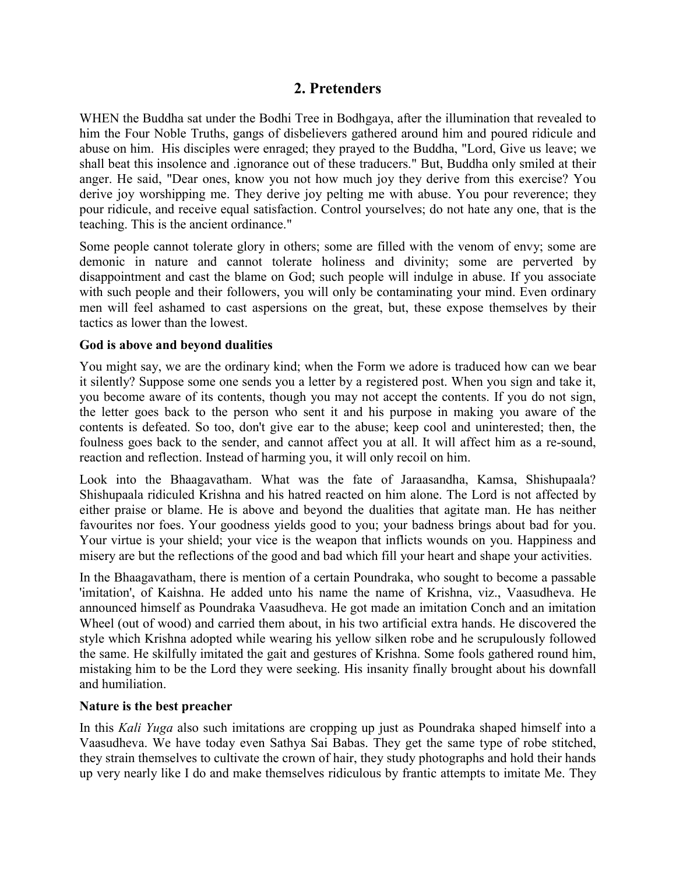# **2. Pretenders**

WHEN the Buddha sat under the Bodhi Tree in Bodhgaya, after the illumination that revealed to him the Four Noble Truths, gangs of disbelievers gathered around him and poured ridicule and abuse on him. His disciples were enraged; they prayed to the Buddha, "Lord, Give us leave; we shall beat this insolence and .ignorance out of these traducers." But, Buddha only smiled at their anger. He said, "Dear ones, know you not how much joy they derive from this exercise? You derive joy worshipping me. They derive joy pelting me with abuse. You pour reverence; they pour ridicule, and receive equal satisfaction. Control yourselves; do not hate any one, that is the teaching. This is the ancient ordinance."

Some people cannot tolerate glory in others; some are filled with the venom of envy; some are demonic in nature and cannot tolerate holiness and divinity; some are perverted by disappointment and cast the blame on God; such people will indulge in abuse. If you associate with such people and their followers, you will only be contaminating your mind. Even ordinary men will feel ashamed to cast aspersions on the great, but, these expose themselves by their tactics as lower than the lowest.

### **God is above and beyond dualities**

You might say, we are the ordinary kind; when the Form we adore is traduced how can we bear it silently? Suppose some one sends you a letter by a registered post. When you sign and take it, you become aware of its contents, though you may not accept the contents. If you do not sign, the letter goes back to the person who sent it and his purpose in making you aware of the contents is defeated. So too, don't give ear to the abuse; keep cool and uninterested; then, the foulness goes back to the sender, and cannot affect you at all. It will affect him as a re-sound, reaction and reflection. Instead of harming you, it will only recoil on him.

Look into the Bhaagavatham. What was the fate of Jaraasandha, Kamsa, Shishupaala? Shishupaala ridiculed Krishna and his hatred reacted on him alone. The Lord is not affected by either praise or blame. He is above and beyond the dualities that agitate man. He has neither favourites nor foes. Your goodness yields good to you; your badness brings about bad for you. Your virtue is your shield; your vice is the weapon that inflicts wounds on you. Happiness and misery are but the reflections of the good and bad which fill your heart and shape your activities.

In the Bhaagavatham, there is mention of a certain Poundraka, who sought to become a passable 'imitation', of Kaishna. He added unto his name the name of Krishna, viz., Vaasudheva. He announced himself as Poundraka Vaasudheva. He got made an imitation Conch and an imitation Wheel (out of wood) and carried them about, in his two artificial extra hands. He discovered the style which Krishna adopted while wearing his yellow silken robe and he scrupulously followed the same. He skilfully imitated the gait and gestures of Krishna. Some fools gathered round him, mistaking him to be the Lord they were seeking. His insanity finally brought about his downfall and humiliation.

#### **Nature is the best preacher**

In this *Kali Yuga* also such imitations are cropping up just as Poundraka shaped himself into a Vaasudheva. We have today even Sathya Sai Babas. They get the same type of robe stitched, they strain themselves to cultivate the crown of hair, they study photographs and hold their hands up very nearly like I do and make themselves ridiculous by frantic attempts to imitate Me. They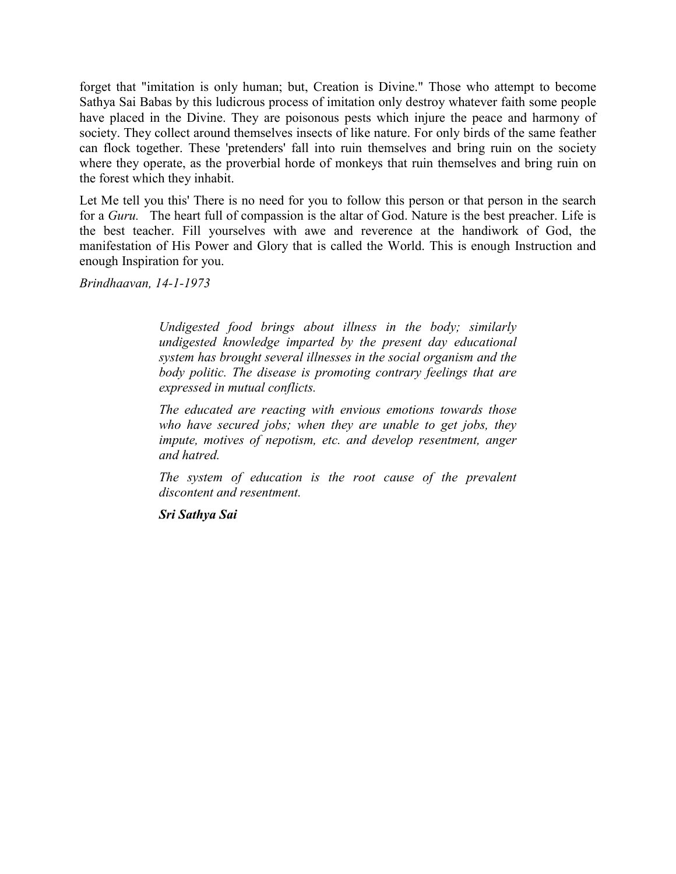forget that "imitation is only human; but, Creation is Divine." Those who attempt to become Sathya Sai Babas by this ludicrous process of imitation only destroy whatever faith some people have placed in the Divine. They are poisonous pests which injure the peace and harmony of society. They collect around themselves insects of like nature. For only birds of the same feather can flock together. These 'pretenders' fall into ruin themselves and bring ruin on the society where they operate, as the proverbial horde of monkeys that ruin themselves and bring ruin on the forest which they inhabit.

Let Me tell you this' There is no need for you to follow this person or that person in the search for a *Guru.* The heart full of compassion is the altar of God. Nature is the best preacher. Life is the best teacher. Fill yourselves with awe and reverence at the handiwork of God, the manifestation of His Power and Glory that is called the World. This is enough Instruction and enough Inspiration for you.

*Brindhaavan, 14-1-1973*

*Undigested food brings about illness in the body; similarly undigested knowledge imparted by the present day educational system has brought several illnesses in the social organism and the body politic. The disease is promoting contrary feelings that are expressed in mutual conflicts.*

*The educated are reacting with envious emotions towards those who have secured jobs; when they are unable to get jobs, they impute, motives of nepotism, etc. and develop resentment, anger and hatred.*

*The system of education is the root cause of the prevalent discontent and resentment.*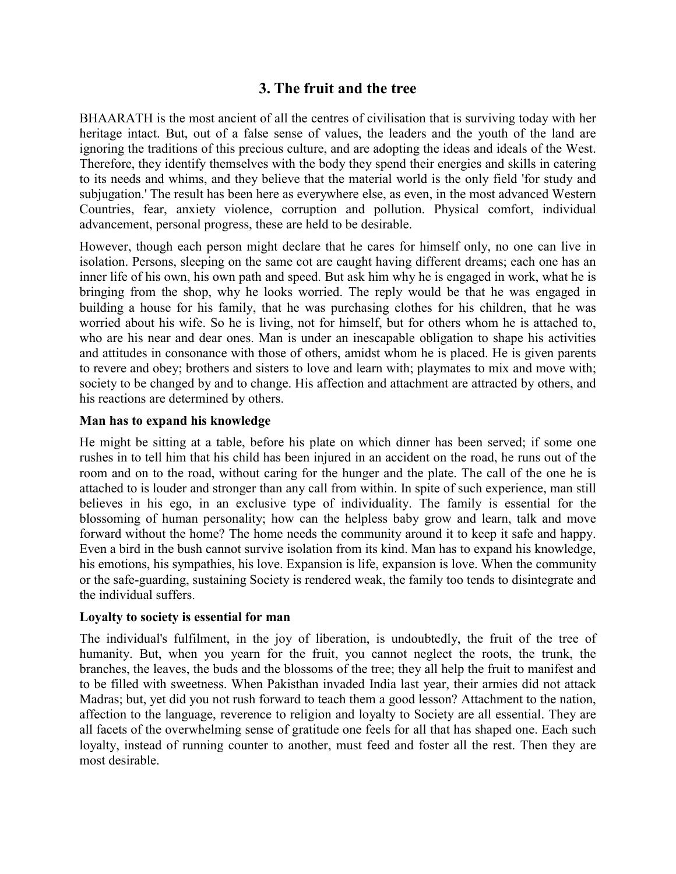# **3. The fruit and the tree**

BHAARATH is the most ancient of all the centres of civilisation that is surviving today with her heritage intact. But, out of a false sense of values, the leaders and the youth of the land are ignoring the traditions of this precious culture, and are adopting the ideas and ideals of the West. Therefore, they identify themselves with the body they spend their energies and skills in catering to its needs and whims, and they believe that the material world is the only field 'for study and subjugation.' The result has been here as everywhere else, as even, in the most advanced Western Countries, fear, anxiety violence, corruption and pollution. Physical comfort, individual advancement, personal progress, these are held to be desirable.

However, though each person might declare that he cares for himself only, no one can live in isolation. Persons, sleeping on the same cot are caught having different dreams; each one has an inner life of his own, his own path and speed. But ask him why he is engaged in work, what he is bringing from the shop, why he looks worried. The reply would be that he was engaged in building a house for his family, that he was purchasing clothes for his children, that he was worried about his wife. So he is living, not for himself, but for others whom he is attached to, who are his near and dear ones. Man is under an inescapable obligation to shape his activities and attitudes in consonance with those of others, amidst whom he is placed. He is given parents to revere and obey; brothers and sisters to love and learn with; playmates to mix and move with; society to be changed by and to change. His affection and attachment are attracted by others, and his reactions are determined by others.

### **Man has to expand his knowledge**

He might be sitting at a table, before his plate on which dinner has been served; if some one rushes in to tell him that his child has been injured in an accident on the road, he runs out of the room and on to the road, without caring for the hunger and the plate. The call of the one he is attached to is louder and stronger than any call from within. In spite of such experience, man still believes in his ego, in an exclusive type of individuality. The family is essential for the blossoming of human personality; how can the helpless baby grow and learn, talk and move forward without the home? The home needs the community around it to keep it safe and happy. Even a bird in the bush cannot survive isolation from its kind. Man has to expand his knowledge, his emotions, his sympathies, his love. Expansion is life, expansion is love. When the community or the safe-guarding, sustaining Society is rendered weak, the family too tends to disintegrate and the individual suffers.

#### **Loyalty to society is essential for man**

The individual's fulfilment, in the joy of liberation, is undoubtedly, the fruit of the tree of humanity. But, when you yearn for the fruit, you cannot neglect the roots, the trunk, the branches, the leaves, the buds and the blossoms of the tree; they all help the fruit to manifest and to be filled with sweetness. When Pakisthan invaded India last year, their armies did not attack Madras; but, yet did you not rush forward to teach them a good lesson? Attachment to the nation, affection to the language, reverence to religion and loyalty to Society are all essential. They are all facets of the overwhelming sense of gratitude one feels for all that has shaped one. Each such loyalty, instead of running counter to another, must feed and foster all the rest. Then they are most desirable.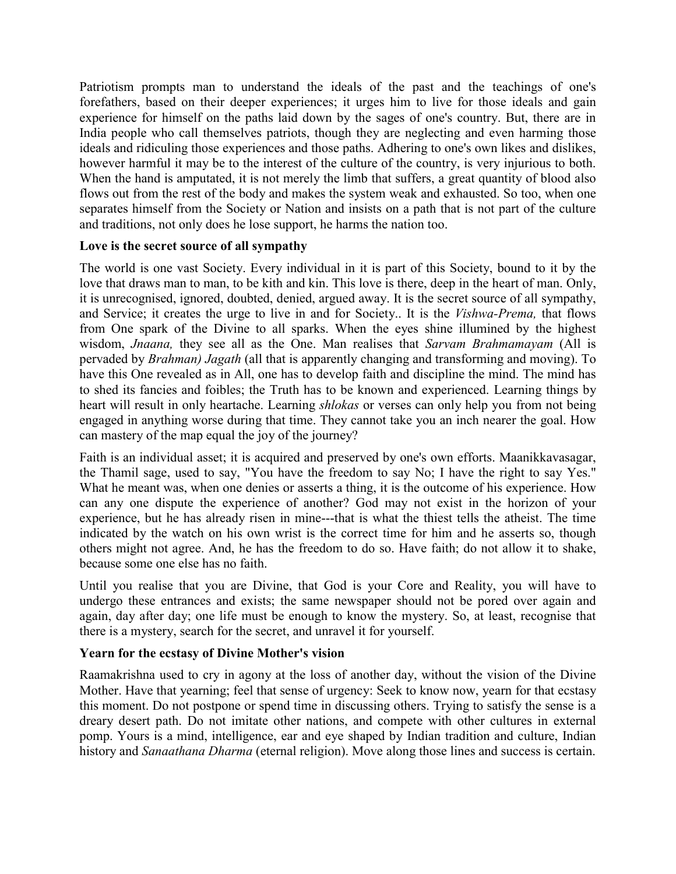Patriotism prompts man to understand the ideals of the past and the teachings of one's forefathers, based on their deeper experiences; it urges him to live for those ideals and gain experience for himself on the paths laid down by the sages of one's country. But, there are in India people who call themselves patriots, though they are neglecting and even harming those ideals and ridiculing those experiences and those paths. Adhering to one's own likes and dislikes, however harmful it may be to the interest of the culture of the country, is very injurious to both. When the hand is amputated, it is not merely the limb that suffers, a great quantity of blood also flows out from the rest of the body and makes the system weak and exhausted. So too, when one separates himself from the Society or Nation and insists on a path that is not part of the culture and traditions, not only does he lose support, he harms the nation too.

### **Love is the secret source of all sympathy**

The world is one vast Society. Every individual in it is part of this Society, bound to it by the love that draws man to man, to be kith and kin. This love is there, deep in the heart of man. Only, it is unrecognised, ignored, doubted, denied, argued away. It is the secret source of all sympathy, and Service; it creates the urge to live in and for Society.. It is the *Vishwa-Prema,* that flows from One spark of the Divine to all sparks. When the eyes shine illumined by the highest wisdom, *Jnaana,* they see all as the One. Man realises that *Sarvam Brahmamayam* (All is pervaded by *Brahman) Jagath* (all that is apparently changing and transforming and moving). To have this One revealed as in All, one has to develop faith and discipline the mind. The mind has to shed its fancies and foibles; the Truth has to be known and experienced. Learning things by heart will result in only heartache. Learning *shlokas* or verses can only help you from not being engaged in anything worse during that time. They cannot take you an inch nearer the goal. How can mastery of the map equal the joy of the journey?

Faith is an individual asset; it is acquired and preserved by one's own efforts. Maanikkavasagar, the Thamil sage, used to say, "You have the freedom to say No; I have the right to say Yes." What he meant was, when one denies or asserts a thing, it is the outcome of his experience. How can any one dispute the experience of another? God may not exist in the horizon of your experience, but he has already risen in mine---that is what the thiest tells the atheist. The time indicated by the watch on his own wrist is the correct time for him and he asserts so, though others might not agree. And, he has the freedom to do so. Have faith; do not allow it to shake, because some one else has no faith.

Until you realise that you are Divine, that God is your Core and Reality, you will have to undergo these entrances and exists; the same newspaper should not be pored over again and again, day after day; one life must be enough to know the mystery. So, at least, recognise that there is a mystery, search for the secret, and unravel it for yourself.

## **Yearn for the ecstasy of Divine Mother's vision**

Raamakrishna used to cry in agony at the loss of another day, without the vision of the Divine Mother. Have that yearning; feel that sense of urgency: Seek to know now, yearn for that ecstasy this moment. Do not postpone or spend time in discussing others. Trying to satisfy the sense is a dreary desert path. Do not imitate other nations, and compete with other cultures in external pomp. Yours is a mind, intelligence, ear and eye shaped by Indian tradition and culture, Indian history and *Sanaathana Dharma* (eternal religion). Move along those lines and success is certain.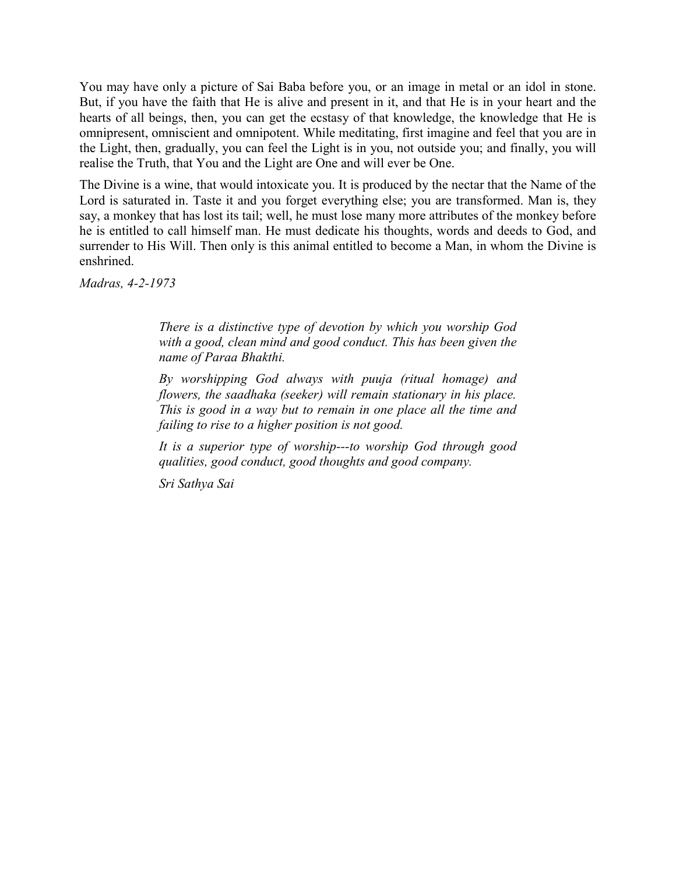You may have only a picture of Sai Baba before you, or an image in metal or an idol in stone. But, if you have the faith that He is alive and present in it, and that He is in your heart and the hearts of all beings, then, you can get the ecstasy of that knowledge, the knowledge that He is omnipresent, omniscient and omnipotent. While meditating, first imagine and feel that you are in the Light, then, gradually, you can feel the Light is in you, not outside you; and finally, you will realise the Truth, that You and the Light are One and will ever be One.

The Divine is a wine, that would intoxicate you. It is produced by the nectar that the Name of the Lord is saturated in. Taste it and you forget everything else; you are transformed. Man is, they say, a monkey that has lost its tail; well, he must lose many more attributes of the monkey before he is entitled to call himself man. He must dedicate his thoughts, words and deeds to God, and surrender to His Will. Then only is this animal entitled to become a Man, in whom the Divine is enshrined.

*Madras, 4-2-1973*

*There is a distinctive type of devotion by which you worship God with a good, clean mind and good conduct. This has been given the name of Paraa Bhakthi.*

*By worshipping God always with puuja (ritual homage) and flowers, the saadhaka (seeker) will remain stationary in his place. This is good in a way but to remain in one place all the time and failing to rise to a higher position is not good.*

*It is a superior type of worship---to worship God through good qualities, good conduct, good thoughts and good company.*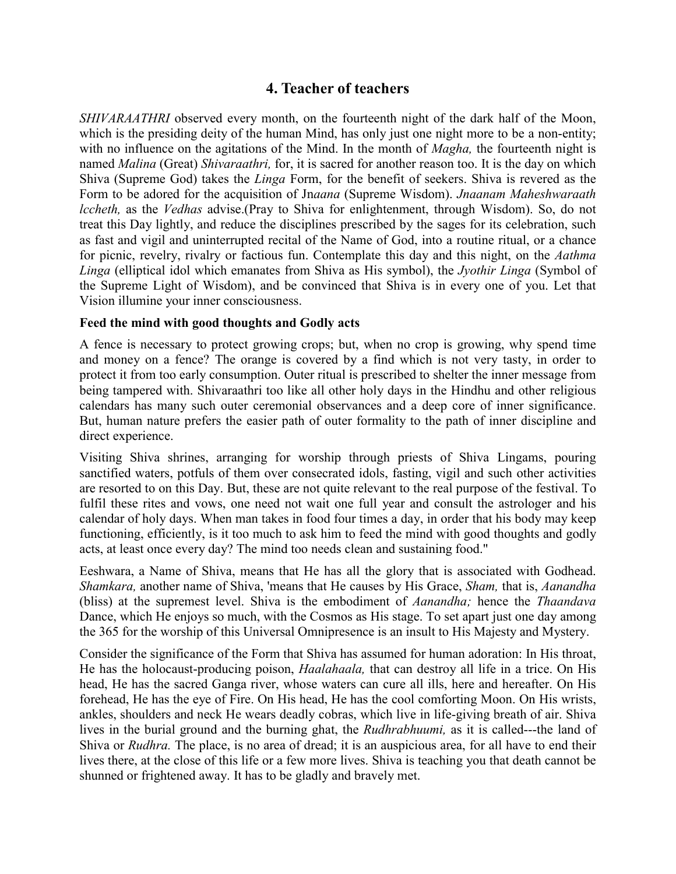# **4. Teacher of teachers**

*SHIVARAATHRI* observed every month, on the fourteenth night of the dark half of the Moon, which is the presiding deity of the human Mind, has only just one night more to be a non-entity; with no influence on the agitations of the Mind. In the month of *Magha,* the fourteenth night is named *Malina* (Great) *Shivaraathri,* for, it is sacred for another reason too. It is the day on which Shiva (Supreme God) takes the *Linga* Form, for the benefit of seekers. Shiva is revered as the Form to be adored for the acquisition of Jn*aana* (Supreme Wisdom). *Jnaanam Maheshwaraath lccheth,* as the *Vedhas* advise.(Pray to Shiva for enlightenment, through Wisdom). So, do not treat this Day lightly, and reduce the disciplines prescribed by the sages for its celebration, such as fast and vigil and uninterrupted recital of the Name of God, into a routine ritual, or a chance for picnic, revelry, rivalry or factious fun. Contemplate this day and this night, on the *Aathma Linga* (elliptical idol which emanates from Shiva as His symbol), the *Jyothir Linga* (Symbol of the Supreme Light of Wisdom), and be convinced that Shiva is in every one of you. Let that Vision illumine your inner consciousness.

### **Feed the mind with good thoughts and Godly acts**

A fence is necessary to protect growing crops; but, when no crop is growing, why spend time and money on a fence? The orange is covered by a find which is not very tasty, in order to protect it from too early consumption. Outer ritual is prescribed to shelter the inner message from being tampered with. Shivaraathri too like all other holy days in the Hindhu and other religious calendars has many such outer ceremonial observances and a deep core of inner significance. But, human nature prefers the easier path of outer formality to the path of inner discipline and direct experience.

Visiting Shiva shrines, arranging for worship through priests of Shiva Lingams, pouring sanctified waters, potfuls of them over consecrated idols, fasting, vigil and such other activities are resorted to on this Day. But, these are not quite relevant to the real purpose of the festival. To fulfil these rites and vows, one need not wait one full year and consult the astrologer and his calendar of holy days. When man takes in food four times a day, in order that his body may keep functioning, efficiently, is it too much to ask him to feed the mind with good thoughts and godly acts, at least once every day? The mind too needs clean and sustaining food."

Eeshwara, a Name of Shiva, means that He has all the glory that is associated with Godhead. *Shamkara,* another name of Shiva, 'means that He causes by His Grace, *Sham,* that is, *Aanandha* (bliss) at the supremest level. Shiva is the embodiment of *Aanandha;* hence the *Thaandava* Dance, which He enjoys so much, with the Cosmos as His stage. To set apart just one day among the 365 for the worship of this Universal Omnipresence is an insult to His Majesty and Mystery.

Consider the significance of the Form that Shiva has assumed for human adoration: In His throat, He has the holocaust-producing poison, *Haalahaala,* that can destroy all life in a trice. On His head, He has the sacred Ganga river, whose waters can cure all ills, here and hereafter. On His forehead, He has the eye of Fire. On His head, He has the cool comforting Moon. On His wrists, ankles, shoulders and neck He wears deadly cobras, which live in life-giving breath of air. Shiva lives in the burial ground and the burning ghat, the *Rudhrabhuumi,* as it is called---the land of Shiva or *Rudhra.* The place, is no area of dread; it is an auspicious area, for all have to end their lives there, at the close of this life or a few more lives. Shiva is teaching you that death cannot be shunned or frightened away. It has to be gladly and bravely met.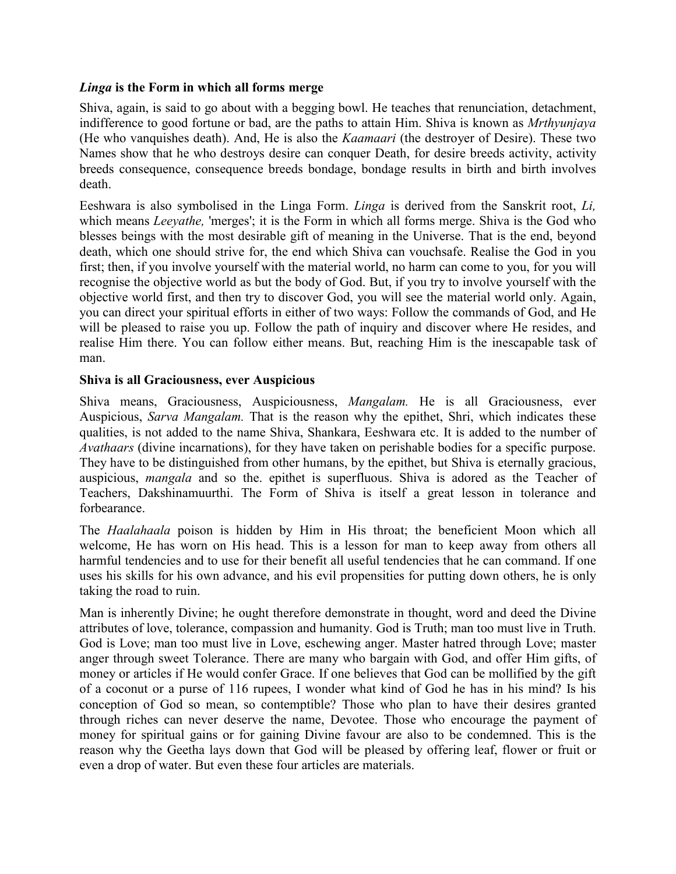### *Linga* **is the Form in which all forms merge**

Shiva, again, is said to go about with a begging bowl. He teaches that renunciation, detachment, indifference to good fortune or bad, are the paths to attain Him. Shiva is known as *Mrthyunjaya* (He who vanquishes death). And, He is also the *Kaamaari* (the destroyer of Desire). These two Names show that he who destroys desire can conquer Death, for desire breeds activity, activity breeds consequence, consequence breeds bondage, bondage results in birth and birth involves death.

Eeshwara is also symbolised in the Linga Form. *Linga* is derived from the Sanskrit root, *Li,* which means *Leeyathe*, 'merges'; it is the Form in which all forms merge. Shiva is the God who blesses beings with the most desirable gift of meaning in the Universe. That is the end, beyond death, which one should strive for, the end which Shiva can vouchsafe. Realise the God in you first; then, if you involve yourself with the material world, no harm can come to you, for you will recognise the objective world as but the body of God. But, if you try to involve yourself with the objective world first, and then try to discover God, you will see the material world only. Again, you can direct your spiritual efforts in either of two ways: Follow the commands of God, and He will be pleased to raise you up. Follow the path of inquiry and discover where He resides, and realise Him there. You can follow either means. But, reaching Him is the inescapable task of man.

### **Shiva is all Graciousness, ever Auspicious**

Shiva means, Graciousness, Auspiciousness, *Mangalam.* He is all Graciousness, ever Auspicious, *Sarva Mangalam.* That is the reason why the epithet, Shri, which indicates these qualities, is not added to the name Shiva, Shankara, Eeshwara etc. It is added to the number of *Avathaars* (divine incarnations), for they have taken on perishable bodies for a specific purpose. They have to be distinguished from other humans, by the epithet, but Shiva is eternally gracious, auspicious, *mangala* and so the. epithet is superfluous. Shiva is adored as the Teacher of Teachers, Dakshinamuurthi. The Form of Shiva is itself a great lesson in tolerance and forbearance.

The *Haalahaala* poison is hidden by Him in His throat; the beneficient Moon which all welcome, He has worn on His head. This is a lesson for man to keep away from others all harmful tendencies and to use for their benefit all useful tendencies that he can command. If one uses his skills for his own advance, and his evil propensities for putting down others, he is only taking the road to ruin.

Man is inherently Divine; he ought therefore demonstrate in thought, word and deed the Divine attributes of love, tolerance, compassion and humanity. God is Truth; man too must live in Truth. God is Love; man too must live in Love, eschewing anger. Master hatred through Love; master anger through sweet Tolerance. There are many who bargain with God, and offer Him gifts, of money or articles if He would confer Grace. If one believes that God can be mollified by the gift of a coconut or a purse of 116 rupees, I wonder what kind of God he has in his mind? Is his conception of God so mean, so contemptible? Those who plan to have their desires granted through riches can never deserve the name, Devotee. Those who encourage the payment of money for spiritual gains or for gaining Divine favour are also to be condemned. This is the reason why the Geetha lays down that God will be pleased by offering leaf, flower or fruit or even a drop of water. But even these four articles are materials.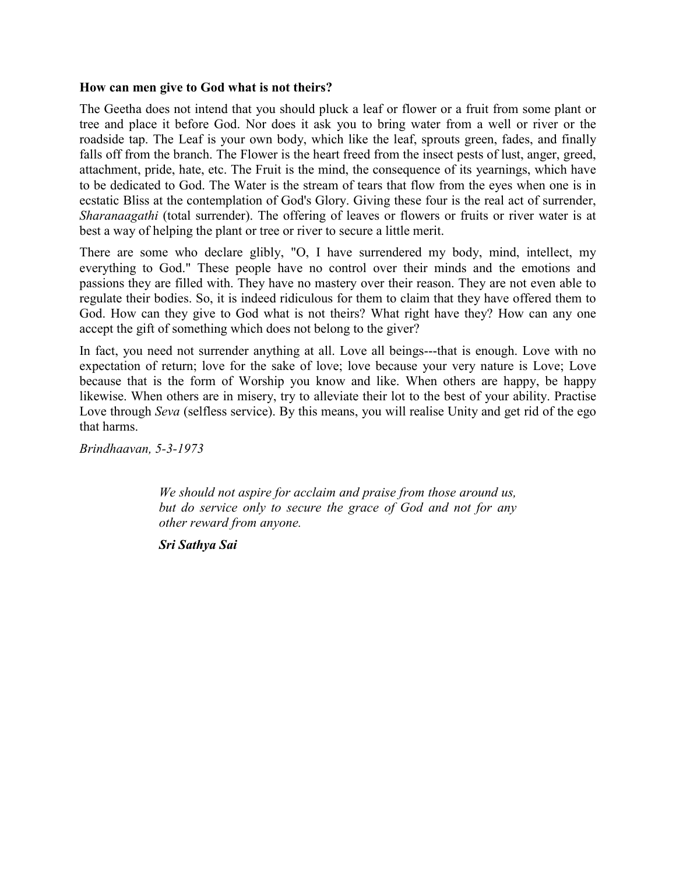#### **How can men give to God what is not theirs?**

The Geetha does not intend that you should pluck a leaf or flower or a fruit from some plant or tree and place it before God. Nor does it ask you to bring water from a well or river or the roadside tap. The Leaf is your own body, which like the leaf, sprouts green, fades, and finally falls off from the branch. The Flower is the heart freed from the insect pests of lust, anger, greed, attachment, pride, hate, etc. The Fruit is the mind, the consequence of its yearnings, which have to be dedicated to God. The Water is the stream of tears that flow from the eyes when one is in ecstatic Bliss at the contemplation of God's Glory. Giving these four is the real act of surrender, *Sharanaagathi* (total surrender). The offering of leaves or flowers or fruits or river water is at best a way of helping the plant or tree or river to secure a little merit.

There are some who declare glibly, "O, I have surrendered my body, mind, intellect, my everything to God." These people have no control over their minds and the emotions and passions they are filled with. They have no mastery over their reason. They are not even able to regulate their bodies. So, it is indeed ridiculous for them to claim that they have offered them to God. How can they give to God what is not theirs? What right have they? How can any one accept the gift of something which does not belong to the giver?

In fact, you need not surrender anything at all. Love all beings---that is enough. Love with no expectation of return; love for the sake of love; love because your very nature is Love; Love because that is the form of Worship you know and like. When others are happy, be happy likewise. When others are in misery, try to alleviate their lot to the best of your ability. Practise Love through *Seva* (selfless service). By this means, you will realise Unity and get rid of the ego that harms.

*Brindhaavan, 5-3-1973*

*We should not aspire for acclaim and praise from those around us, but do service only to secure the grace of God and not for any other reward from anyone.*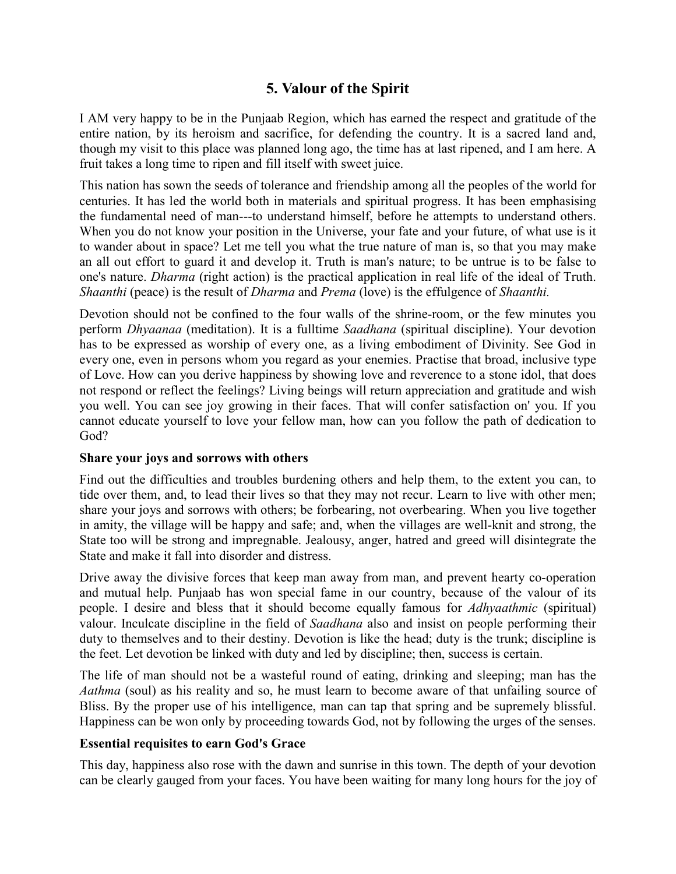# **5. Valour of the Spirit**

I AM very happy to be in the Punjaab Region, which has earned the respect and gratitude of the entire nation, by its heroism and sacrifice, for defending the country. It is a sacred land and, though my visit to this place was planned long ago, the time has at last ripened, and I am here. A fruit takes a long time to ripen and fill itself with sweet juice.

This nation has sown the seeds of tolerance and friendship among all the peoples of the world for centuries. It has led the world both in materials and spiritual progress. It has been emphasising the fundamental need of man---to understand himself, before he attempts to understand others. When you do not know your position in the Universe, your fate and your future, of what use is it to wander about in space? Let me tell you what the true nature of man is, so that you may make an all out effort to guard it and develop it. Truth is man's nature; to be untrue is to be false to one's nature. *Dharma* (right action) is the practical application in real life of the ideal of Truth. *Shaanthi* (peace) is the result of *Dharma* and *Prema* (love) is the effulgence of *Shaanthi.*

Devotion should not be confined to the four walls of the shrine-room, or the few minutes you perform *Dhyaanaa* (meditation). It is a fulltime *Saadhana* (spiritual discipline). Your devotion has to be expressed as worship of every one, as a living embodiment of Divinity. See God in every one, even in persons whom you regard as your enemies. Practise that broad, inclusive type of Love. How can you derive happiness by showing love and reverence to a stone idol, that does not respond or reflect the feelings? Living beings will return appreciation and gratitude and wish you well. You can see joy growing in their faces. That will confer satisfaction on' you. If you cannot educate yourself to love your fellow man, how can you follow the path of dedication to God?

## **Share your joys and sorrows with others**

Find out the difficulties and troubles burdening others and help them, to the extent you can, to tide over them, and, to lead their lives so that they may not recur. Learn to live with other men; share your joys and sorrows with others; be forbearing, not overbearing. When you live together in amity, the village will be happy and safe; and, when the villages are well-knit and strong, the State too will be strong and impregnable. Jealousy, anger, hatred and greed will disintegrate the State and make it fall into disorder and distress.

Drive away the divisive forces that keep man away from man, and prevent hearty co-operation and mutual help. Punjaab has won special fame in our country, because of the valour of its people. I desire and bless that it should become equally famous for *Adhyaathmic* (spiritual) valour. Inculcate discipline in the field of *Saadhana* also and insist on people performing their duty to themselves and to their destiny. Devotion is like the head; duty is the trunk; discipline is the feet. Let devotion be linked with duty and led by discipline; then, success is certain.

The life of man should not be a wasteful round of eating, drinking and sleeping; man has the *Aathma* (soul) as his reality and so, he must learn to become aware of that unfailing source of Bliss. By the proper use of his intelligence, man can tap that spring and be supremely blissful. Happiness can be won only by proceeding towards God, not by following the urges of the senses.

# **Essential requisites to earn God's Grace**

This day, happiness also rose with the dawn and sunrise in this town. The depth of your devotion can be clearly gauged from your faces. You have been waiting for many long hours for the joy of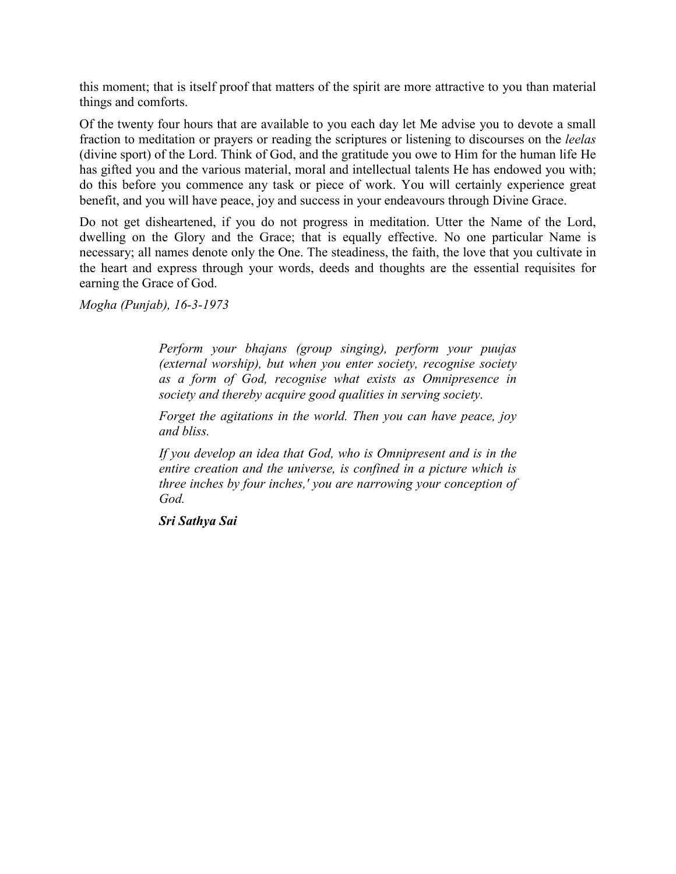this moment; that is itself proof that matters of the spirit are more attractive to you than material things and comforts.

Of the twenty four hours that are available to you each day let Me advise you to devote a small fraction to meditation or prayers or reading the scriptures or listening to discourses on the *leelas* (divine sport) of the Lord. Think of God, and the gratitude you owe to Him for the human life He has gifted you and the various material, moral and intellectual talents He has endowed you with; do this before you commence any task or piece of work. You will certainly experience great benefit, and you will have peace, joy and success in your endeavours through Divine Grace.

Do not get disheartened, if you do not progress in meditation. Utter the Name of the Lord, dwelling on the Glory and the Grace; that is equally effective. No one particular Name is necessary; all names denote only the One. The steadiness, the faith, the love that you cultivate in the heart and express through your words, deeds and thoughts are the essential requisites for earning the Grace of God.

*Mogha (Punjab), 16-3-1973*

*Perform your bhajans (group singing), perform your puujas (external worship), but when you enter society, recognise society as a form of God, recognise what exists as Omnipresence in society and thereby acquire good qualities in serving society.*

*Forget the agitations in the world. Then you can have peace, joy and bliss.*

*If you develop an idea that God, who is Omnipresent and is in the entire creation and the universe, is confined in a picture which is three inches by four inches,' you are narrowing your conception of God.*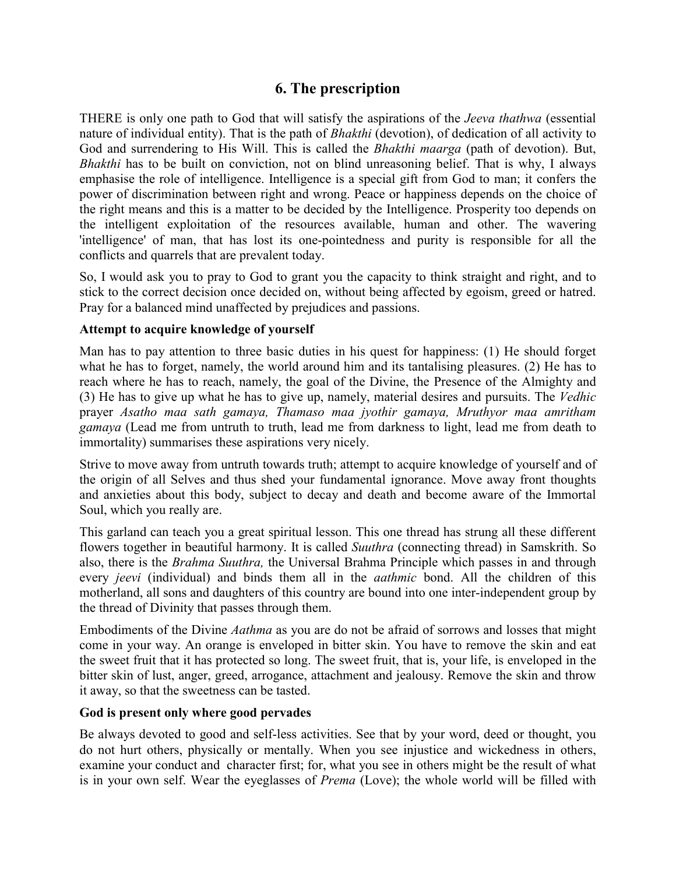# **6. The prescription**

THERE is only one path to God that will satisfy the aspirations of the *Jeeva thathwa* (essential nature of individual entity). That is the path of *Bhakthi* (devotion), of dedication of all activity to God and surrendering to His Will. This is called the *Bhakthi maarga* (path of devotion). But, *Bhakthi* has to be built on conviction, not on blind unreasoning belief. That is why, I always emphasise the role of intelligence. Intelligence is a special gift from God to man; it confers the power of discrimination between right and wrong. Peace or happiness depends on the choice of the right means and this is a matter to be decided by the Intelligence. Prosperity too depends on the intelligent exploitation of the resources available, human and other. The wavering 'intelligence' of man, that has lost its one-pointedness and purity is responsible for all the conflicts and quarrels that are prevalent today.

So, I would ask you to pray to God to grant you the capacity to think straight and right, and to stick to the correct decision once decided on, without being affected by egoism, greed or hatred. Pray for a balanced mind unaffected by prejudices and passions.

### **Attempt to acquire knowledge of yourself**

Man has to pay attention to three basic duties in his quest for happiness: (1) He should forget what he has to forget, namely, the world around him and its tantalising pleasures. (2) He has to reach where he has to reach, namely, the goal of the Divine, the Presence of the Almighty and (3) He has to give up what he has to give up, namely, material desires and pursuits. The *Vedhic* prayer *Asatho maa sath gamaya, Thamaso maa jyothir gamaya, Mruthyor maa amritham gamaya* (Lead me from untruth to truth, lead me from darkness to light, lead me from death to immortality) summarises these aspirations very nicely.

Strive to move away from untruth towards truth; attempt to acquire knowledge of yourself and of the origin of all Selves and thus shed your fundamental ignorance. Move away front thoughts and anxieties about this body, subject to decay and death and become aware of the Immortal Soul, which you really are.

This garland can teach you a great spiritual lesson. This one thread has strung all these different flowers together in beautiful harmony. It is called *Suuthra* (connecting thread) in Samskrith. So also, there is the *Brahma Suuthra,* the Universal Brahma Principle which passes in and through every *jeevi* (individual) and binds them all in the *aathmic* bond. All the children of this motherland, all sons and daughters of this country are bound into one inter-independent group by the thread of Divinity that passes through them.

Embodiments of the Divine *Aathma* as you are do not be afraid of sorrows and losses that might come in your way. An orange is enveloped in bitter skin. You have to remove the skin and eat the sweet fruit that it has protected so long. The sweet fruit, that is, your life, is enveloped in the bitter skin of lust, anger, greed, arrogance, attachment and jealousy. Remove the skin and throw it away, so that the sweetness can be tasted.

### **God is present only where good pervades**

Be always devoted to good and self-less activities. See that by your word, deed or thought, you do not hurt others, physically or mentally. When you see injustice and wickedness in others, examine your conduct and character first; for, what you see in others might be the result of what is in your own self. Wear the eyeglasses of *Prema* (Love); the whole world will be filled with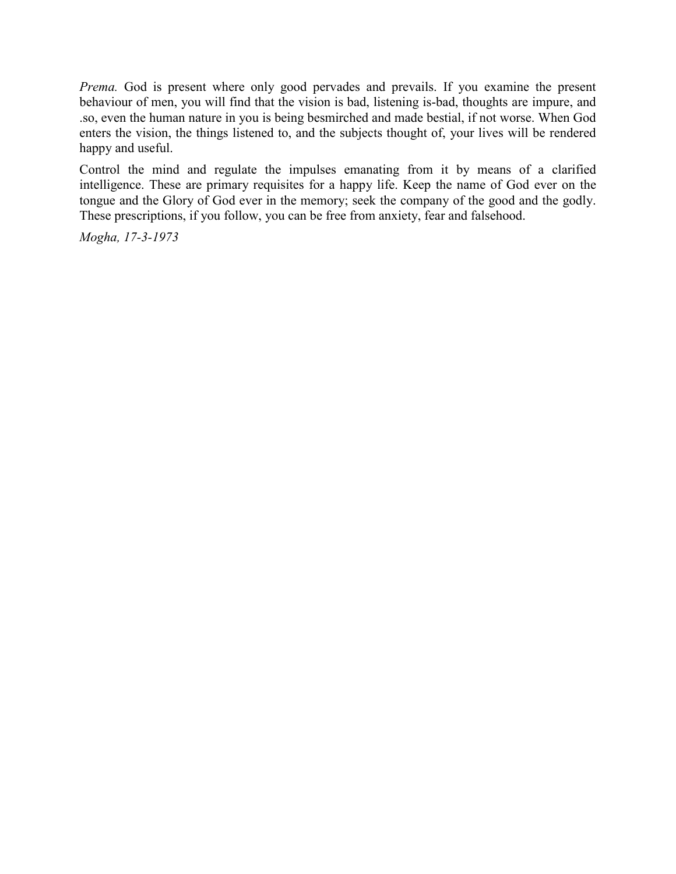*Prema.* God is present where only good pervades and prevails. If you examine the present behaviour of men, you will find that the vision is bad, listening is-bad, thoughts are impure, and .so, even the human nature in you is being besmirched and made bestial, if not worse. When God enters the vision, the things listened to, and the subjects thought of, your lives will be rendered happy and useful.

Control the mind and regulate the impulses emanating from it by means of a clarified intelligence. These are primary requisites for a happy life. Keep the name of God ever on the tongue and the Glory of God ever in the memory; seek the company of the good and the godly. These prescriptions, if you follow, you can be free from anxiety, fear and falsehood.

*Mogha, 17-3-1973*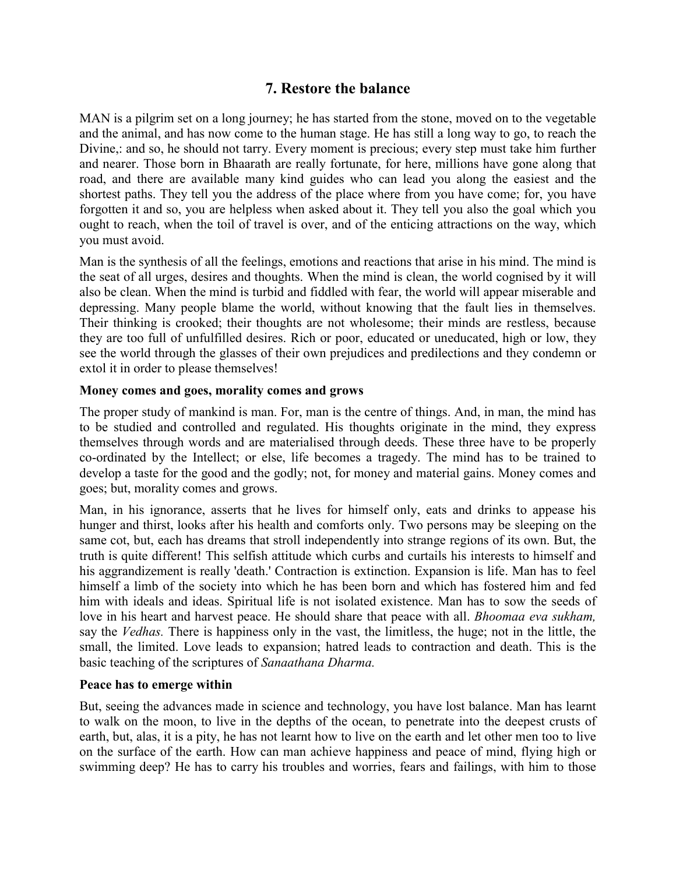# **7. Restore the balance**

MAN is a pilgrim set on a long journey; he has started from the stone, moved on to the vegetable and the animal, and has now come to the human stage. He has still a long way to go, to reach the Divine,: and so, he should not tarry. Every moment is precious; every step must take him further and nearer. Those born in Bhaarath are really fortunate, for here, millions have gone along that road, and there are available many kind guides who can lead you along the easiest and the shortest paths. They tell you the address of the place where from you have come; for, you have forgotten it and so, you are helpless when asked about it. They tell you also the goal which you ought to reach, when the toil of travel is over, and of the enticing attractions on the way, which you must avoid.

Man is the synthesis of all the feelings, emotions and reactions that arise in his mind. The mind is the seat of all urges, desires and thoughts. When the mind is clean, the world cognised by it will also be clean. When the mind is turbid and fiddled with fear, the world will appear miserable and depressing. Many people blame the world, without knowing that the fault lies in themselves. Their thinking is crooked; their thoughts are not wholesome; their minds are restless, because they are too full of unfulfilled desires. Rich or poor, educated or uneducated, high or low, they see the world through the glasses of their own prejudices and predilections and they condemn or extol it in order to please themselves!

### **Money comes and goes, morality comes and grows**

The proper study of mankind is man. For, man is the centre of things. And, in man, the mind has to be studied and controlled and regulated. His thoughts originate in the mind, they express themselves through words and are materialised through deeds. These three have to be properly co-ordinated by the Intellect; or else, life becomes a tragedy. The mind has to be trained to develop a taste for the good and the godly; not, for money and material gains. Money comes and goes; but, morality comes and grows.

Man, in his ignorance, asserts that he lives for himself only, eats and drinks to appease his hunger and thirst, looks after his health and comforts only. Two persons may be sleeping on the same cot, but, each has dreams that stroll independently into strange regions of its own. But, the truth is quite different! This selfish attitude which curbs and curtails his interests to himself and his aggrandizement is really 'death.' Contraction is extinction. Expansion is life. Man has to feel himself a limb of the society into which he has been born and which has fostered him and fed him with ideals and ideas. Spiritual life is not isolated existence. Man has to sow the seeds of love in his heart and harvest peace. He should share that peace with all. *Bhoomaa eva sukham,* say the *Vedhas.* There is happiness only in the vast, the limitless, the huge; not in the little, the small, the limited. Love leads to expansion; hatred leads to contraction and death. This is the basic teaching of the scriptures of *Sanaathana Dharma.*

#### **Peace has to emerge within**

But, seeing the advances made in science and technology, you have lost balance. Man has learnt to walk on the moon, to live in the depths of the ocean, to penetrate into the deepest crusts of earth, but, alas, it is a pity, he has not learnt how to live on the earth and let other men too to live on the surface of the earth. How can man achieve happiness and peace of mind, flying high or swimming deep? He has to carry his troubles and worries, fears and failings, with him to those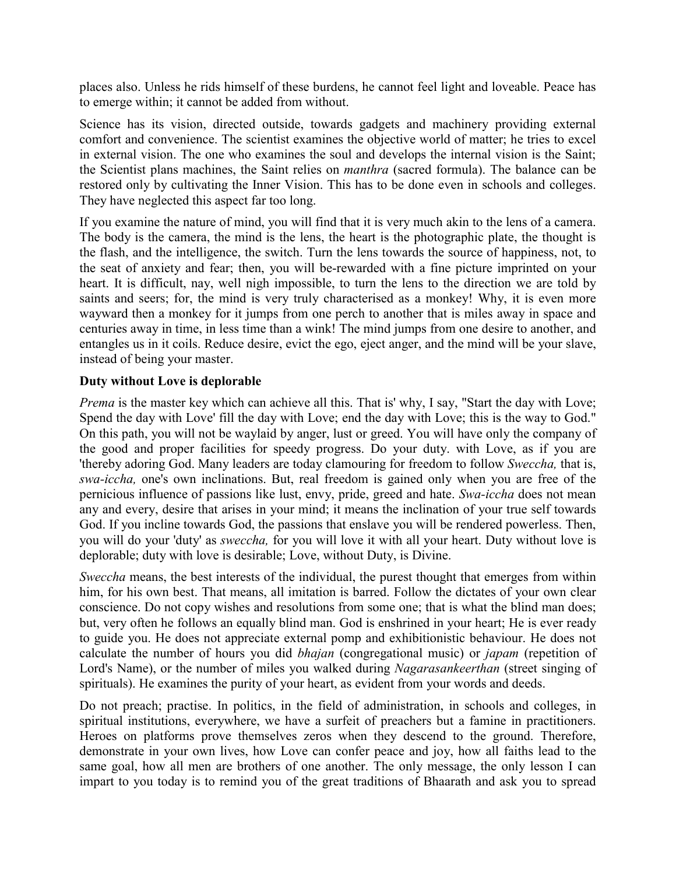places also. Unless he rids himself of these burdens, he cannot feel light and loveable. Peace has to emerge within; it cannot be added from without.

Science has its vision, directed outside, towards gadgets and machinery providing external comfort and convenience. The scientist examines the objective world of matter; he tries to excel in external vision. The one who examines the soul and develops the internal vision is the Saint; the Scientist plans machines, the Saint relies on *manthra* (sacred formula). The balance can be restored only by cultivating the Inner Vision. This has to be done even in schools and colleges. They have neglected this aspect far too long.

If you examine the nature of mind, you will find that it is very much akin to the lens of a camera. The body is the camera, the mind is the lens, the heart is the photographic plate, the thought is the flash, and the intelligence, the switch. Turn the lens towards the source of happiness, not, to the seat of anxiety and fear; then, you will be-rewarded with a fine picture imprinted on your heart. It is difficult, nay, well nigh impossible, to turn the lens to the direction we are told by saints and seers; for, the mind is very truly characterised as a monkey! Why, it is even more wayward then a monkey for it jumps from one perch to another that is miles away in space and centuries away in time, in less time than a wink! The mind jumps from one desire to another, and entangles us in it coils. Reduce desire, evict the ego, eject anger, and the mind will be your slave, instead of being your master.

### **Duty without Love is deplorable**

*Prema* is the master key which can achieve all this. That is' why, I say, "Start the day with Love; Spend the day with Love' fill the day with Love; end the day with Love; this is the way to God." On this path, you will not be waylaid by anger, lust or greed. You will have only the company of the good and proper facilities for speedy progress. Do your duty. with Love, as if you are 'thereby adoring God. Many leaders are today clamouring for freedom to follow *Sweccha,* that is, *swa-iccha,* one's own inclinations. But, real freedom is gained only when you are free of the pernicious influence of passions like lust, envy, pride, greed and hate. *Swa-iccha* does not mean any and every, desire that arises in your mind; it means the inclination of your true self towards God. If you incline towards God, the passions that enslave you will be rendered powerless. Then, you will do your 'duty' as *sweccha,* for you will love it with all your heart. Duty without love is deplorable; duty with love is desirable; Love, without Duty, is Divine.

*Sweccha* means, the best interests of the individual, the purest thought that emerges from within him, for his own best. That means, all imitation is barred. Follow the dictates of your own clear conscience. Do not copy wishes and resolutions from some one; that is what the blind man does; but, very often he follows an equally blind man. God is enshrined in your heart; He is ever ready to guide you. He does not appreciate external pomp and exhibitionistic behaviour. He does not calculate the number of hours you did *bhajan* (congregational music) or *japam* (repetition of Lord's Name), or the number of miles you walked during *Nagarasankeerthan* (street singing of spirituals). He examines the purity of your heart, as evident from your words and deeds.

Do not preach; practise. In politics, in the field of administration, in schools and colleges, in spiritual institutions, everywhere, we have a surfeit of preachers but a famine in practitioners. Heroes on platforms prove themselves zeros when they descend to the ground. Therefore, demonstrate in your own lives, how Love can confer peace and joy, how all faiths lead to the same goal, how all men are brothers of one another. The only message, the only lesson I can impart to you today is to remind you of the great traditions of Bhaarath and ask you to spread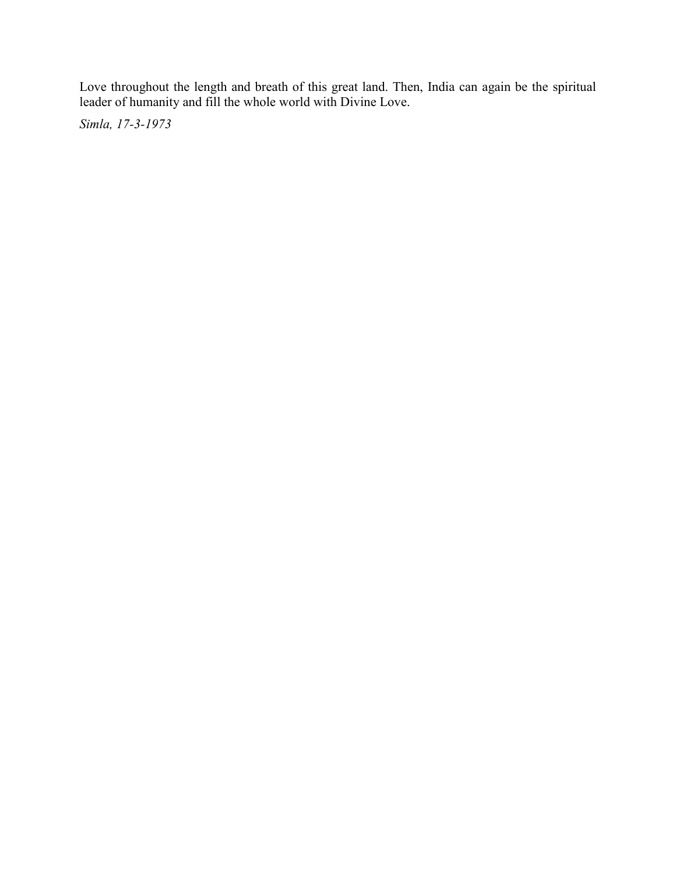Love throughout the length and breath of this great land. Then, India can again be the spiritual leader of humanity and fill the whole world with Divine Love.

*Simla, 17-3-1973*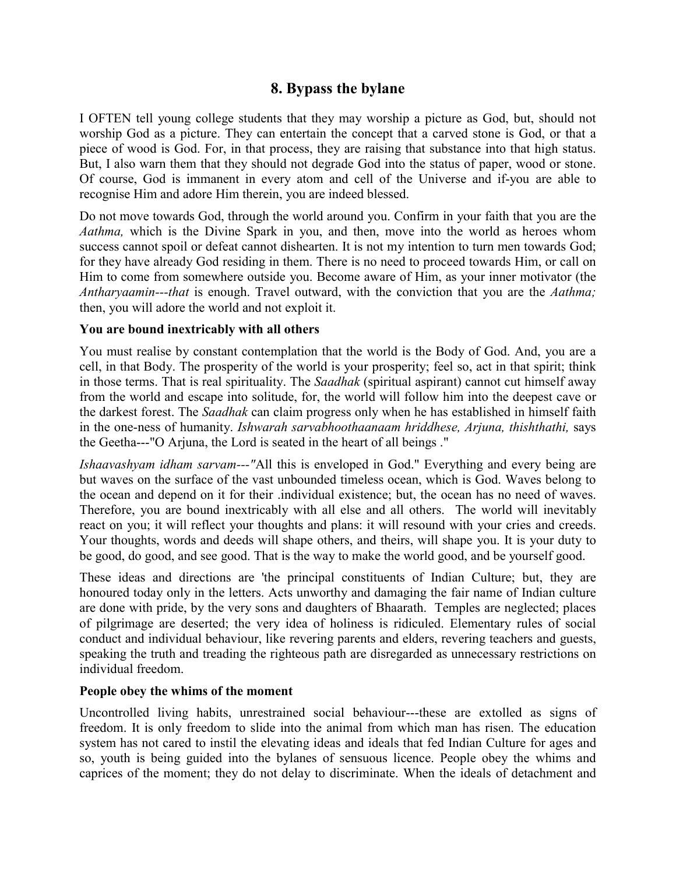# **8. Bypass the bylane**

I OFTEN tell young college students that they may worship a picture as God, but, should not worship God as a picture. They can entertain the concept that a carved stone is God, or that a piece of wood is God. For, in that process, they are raising that substance into that high status. But, I also warn them that they should not degrade God into the status of paper, wood or stone. Of course, God is immanent in every atom and cell of the Universe and if-you are able to recognise Him and adore Him therein, you are indeed blessed.

Do not move towards God, through the world around you. Confirm in your faith that you are the *Aathma,* which is the Divine Spark in you, and then, move into the world as heroes whom success cannot spoil or defeat cannot dishearten. It is not my intention to turn men towards God; for they have already God residing in them. There is no need to proceed towards Him, or call on Him to come from somewhere outside you. Become aware of Him, as your inner motivator (the *Antharyaamin---that* is enough. Travel outward, with the conviction that you are the *Aathma;* then, you will adore the world and not exploit it.

### **You are bound inextricably with all others**

You must realise by constant contemplation that the world is the Body of God. And, you are a cell, in that Body. The prosperity of the world is your prosperity; feel so, act in that spirit; think in those terms. That is real spirituality. The *Saadhak* (spiritual aspirant) cannot cut himself away from the world and escape into solitude, for, the world will follow him into the deepest cave or the darkest forest. The *Saadhak* can claim progress only when he has established in himself faith in the one-ness of humanity. *Ishwarah sarvabhoothaanaam hriddhese, Arjuna, thishthathi,* says the Geetha---"O Arjuna, the Lord is seated in the heart of all beings ."

*Ishaavashyam idham sarvam---"*All this is enveloped in God." Everything and every being are but waves on the surface of the vast unbounded timeless ocean, which is God. Waves belong to the ocean and depend on it for their .individual existence; but, the ocean has no need of waves. Therefore, you are bound inextricably with all else and all others. The world will inevitably react on you; it will reflect your thoughts and plans: it will resound with your cries and creeds. Your thoughts, words and deeds will shape others, and theirs, will shape you. It is your duty to be good, do good, and see good. That is the way to make the world good, and be yourself good.

These ideas and directions are 'the principal constituents of Indian Culture; but, they are honoured today only in the letters. Acts unworthy and damaging the fair name of Indian culture are done with pride, by the very sons and daughters of Bhaarath. Temples are neglected; places of pilgrimage are deserted; the very idea of holiness is ridiculed. Elementary rules of social conduct and individual behaviour, like revering parents and elders, revering teachers and guests, speaking the truth and treading the righteous path are disregarded as unnecessary restrictions on individual freedom.

## **People obey the whims of the moment**

Uncontrolled living habits, unrestrained social behaviour---these are extolled as signs of freedom. It is only freedom to slide into the animal from which man has risen. The education system has not cared to instil the elevating ideas and ideals that fed Indian Culture for ages and so, youth is being guided into the bylanes of sensuous licence. People obey the whims and caprices of the moment; they do not delay to discriminate. When the ideals of detachment and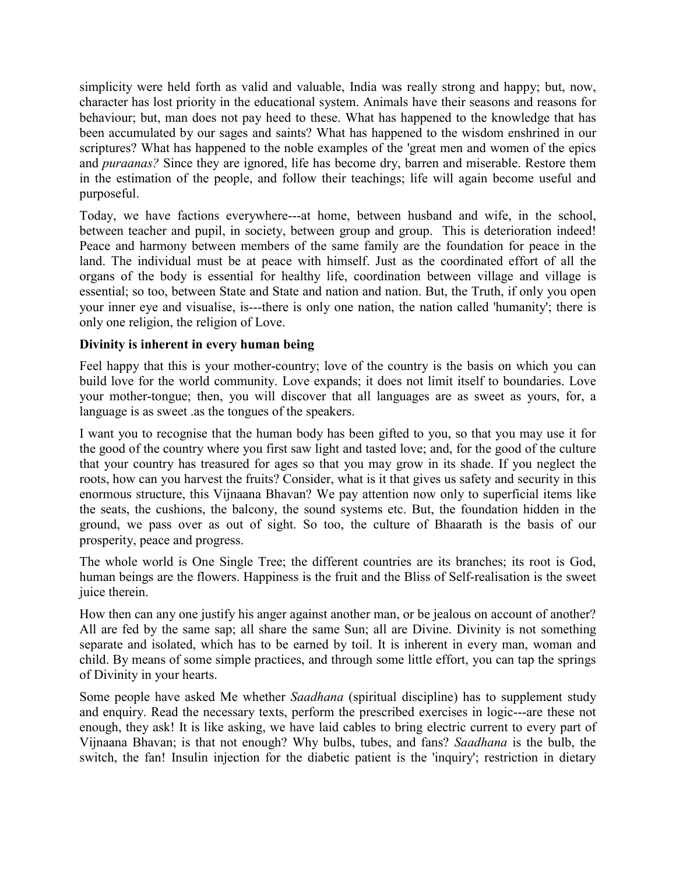simplicity were held forth as valid and valuable, India was really strong and happy; but, now, character has lost priority in the educational system. Animals have their seasons and reasons for behaviour; but, man does not pay heed to these. What has happened to the knowledge that has been accumulated by our sages and saints? What has happened to the wisdom enshrined in our scriptures? What has happened to the noble examples of the 'great men and women of the epics and *puraanas?* Since they are ignored, life has become dry, barren and miserable. Restore them in the estimation of the people, and follow their teachings; life will again become useful and purposeful.

Today, we have factions everywhere---at home, between husband and wife, in the school, between teacher and pupil, in society, between group and group. This is deterioration indeed! Peace and harmony between members of the same family are the foundation for peace in the land. The individual must be at peace with himself. Just as the coordinated effort of all the organs of the body is essential for healthy life, coordination between village and village is essential; so too, between State and State and nation and nation. But, the Truth, if only you open your inner eye and visualise, is---there is only one nation, the nation called 'humanity'; there is only one religion, the religion of Love.

## **Divinity is inherent in every human being**

Feel happy that this is your mother-country; love of the country is the basis on which you can build love for the world community. Love expands; it does not limit itself to boundaries. Love your mother-tongue; then, you will discover that all languages are as sweet as yours, for, a language is as sweet .as the tongues of the speakers.

I want you to recognise that the human body has been gifted to you, so that you may use it for the good of the country where you first saw light and tasted love; and, for the good of the culture that your country has treasured for ages so that you may grow in its shade. If you neglect the roots, how can you harvest the fruits? Consider, what is it that gives us safety and security in this enormous structure, this Vijnaana Bhavan? We pay attention now only to superficial items like the seats, the cushions, the balcony, the sound systems etc. But, the foundation hidden in the ground, we pass over as out of sight. So too, the culture of Bhaarath is the basis of our prosperity, peace and progress.

The whole world is One Single Tree; the different countries are its branches; its root is God, human beings are the flowers. Happiness is the fruit and the Bliss of Self-realisation is the sweet juice therein.

How then can any one justify his anger against another man, or be jealous on account of another? All are fed by the same sap; all share the same Sun; all are Divine. Divinity is not something separate and isolated, which has to be earned by toil. It is inherent in every man, woman and child. By means of some simple practices, and through some little effort, you can tap the springs of Divinity in your hearts.

Some people have asked Me whether *Saadhana* (spiritual discipline) has to supplement study and enquiry. Read the necessary texts, perform the prescribed exercises in logic---are these not enough, they ask! It is like asking, we have laid cables to bring electric current to every part of Vijnaana Bhavan; is that not enough? Why bulbs, tubes, and fans? *Saadhana* is the bulb, the switch, the fan! Insulin injection for the diabetic patient is the 'inquiry'; restriction in dietary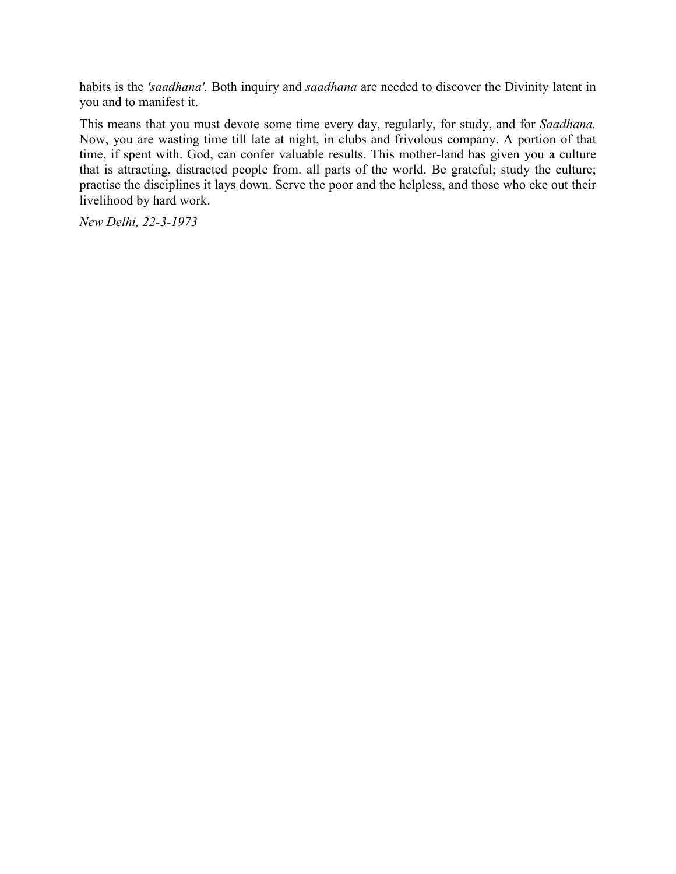habits is the *'saadhana'.* Both inquiry and *saadhana* are needed to discover the Divinity latent in you and to manifest it.

This means that you must devote some time every day, regularly, for study, and for *Saadhana.* Now, you are wasting time till late at night, in clubs and frivolous company. A portion of that time, if spent with. God, can confer valuable results. This mother-land has given you a culture that is attracting, distracted people from. all parts of the world. Be grateful; study the culture; practise the disciplines it lays down. Serve the poor and the helpless, and those who eke out their livelihood by hard work.

*New Delhi, 22-3-1973*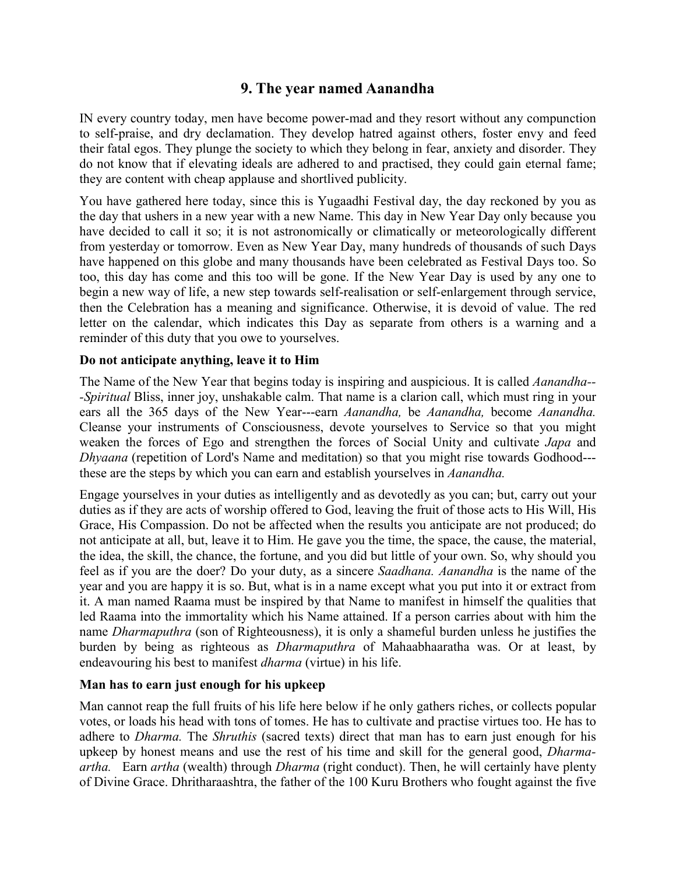# **9. The year named Aanandha**

IN every country today, men have become power-mad and they resort without any compunction to self-praise, and dry declamation. They develop hatred against others, foster envy and feed their fatal egos. They plunge the society to which they belong in fear, anxiety and disorder. They do not know that if elevating ideals are adhered to and practised, they could gain eternal fame; they are content with cheap applause and shortlived publicity.

You have gathered here today, since this is Yugaadhi Festival day, the day reckoned by you as the day that ushers in a new year with a new Name. This day in New Year Day only because you have decided to call it so; it is not astronomically or climatically or meteorologically different from yesterday or tomorrow. Even as New Year Day, many hundreds of thousands of such Days have happened on this globe and many thousands have been celebrated as Festival Days too. So too, this day has come and this too will be gone. If the New Year Day is used by any one to begin a new way of life, a new step towards self-realisation or self-enlargement through service, then the Celebration has a meaning and significance. Otherwise, it is devoid of value. The red letter on the calendar, which indicates this Day as separate from others is a warning and a reminder of this duty that you owe to yourselves.

#### **Do not anticipate anything, leave it to Him**

The Name of the New Year that begins today is inspiring and auspicious. It is called *Aanandha-- -Spiritual* Bliss, inner joy, unshakable calm. That name is a clarion call, which must ring in your ears all the 365 days of the New Year---earn *Aanandha,* be *Aanandha,* become *Aanandha.* Cleanse your instruments of Consciousness, devote yourselves to Service so that you might weaken the forces of Ego and strengthen the forces of Social Unity and cultivate *Japa* and *Dhyaana* (repetition of Lord's Name and meditation) so that you might rise towards Godhood-- these are the steps by which you can earn and establish yourselves in *Aanandha.*

Engage yourselves in your duties as intelligently and as devotedly as you can; but, carry out your duties as if they are acts of worship offered to God, leaving the fruit of those acts to His Will, His Grace, His Compassion. Do not be affected when the results you anticipate are not produced; do not anticipate at all, but, leave it to Him. He gave you the time, the space, the cause, the material, the idea, the skill, the chance, the fortune, and you did but little of your own. So, why should you feel as if you are the doer? Do your duty, as a sincere *Saadhana. Aanandha* is the name of the year and you are happy it is so. But, what is in a name except what you put into it or extract from it. A man named Raama must be inspired by that Name to manifest in himself the qualities that led Raama into the immortality which his Name attained. If a person carries about with him the name *Dharmaputhra* (son of Righteousness), it is only a shameful burden unless he justifies the burden by being as righteous as *Dharmaputhra* of Mahaabhaaratha was. Or at least, by endeavouring his best to manifest *dharma* (virtue) in his life.

## **Man has to earn just enough for his upkeep**

Man cannot reap the full fruits of his life here below if he only gathers riches, or collects popular votes, or loads his head with tons of tomes. He has to cultivate and practise virtues too. He has to adhere to *Dharma.* The *Shruthis* (sacred texts) direct that man has to earn just enough for his upkeep by honest means and use the rest of his time and skill for the general good, *Dharmaartha.* Earn *artha* (wealth) through *Dharma* (right conduct). Then, he will certainly have plenty of Divine Grace. Dhritharaashtra, the father of the 100 Kuru Brothers who fought against the five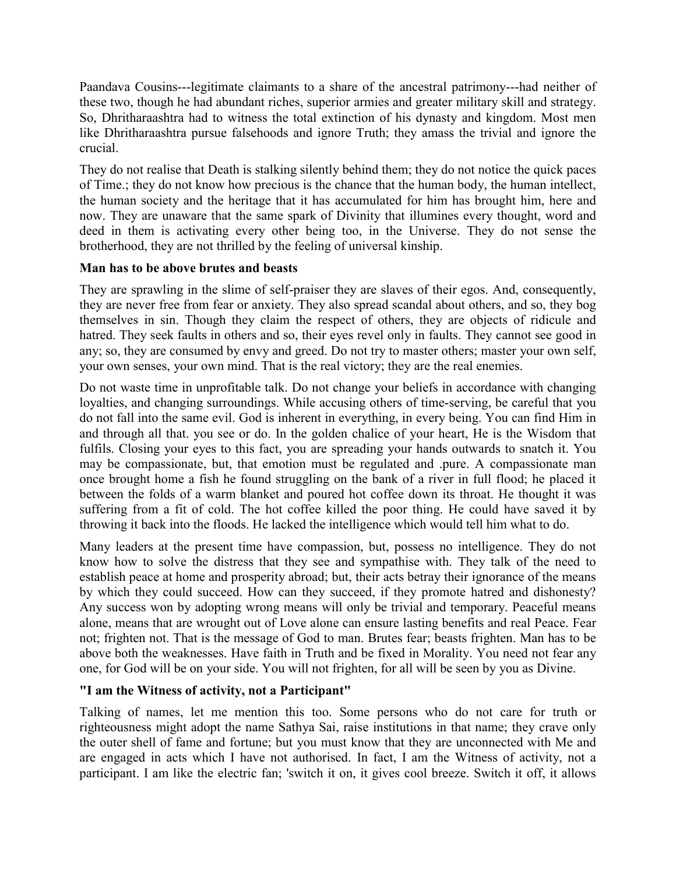Paandava Cousins---legitimate claimants to a share of the ancestral patrimony---had neither of these two, though he had abundant riches, superior armies and greater military skill and strategy. So, Dhritharaashtra had to witness the total extinction of his dynasty and kingdom. Most men like Dhritharaashtra pursue falsehoods and ignore Truth; they amass the trivial and ignore the crucial.

They do not realise that Death is stalking silently behind them; they do not notice the quick paces of Time.; they do not know how precious is the chance that the human body, the human intellect, the human society and the heritage that it has accumulated for him has brought him, here and now. They are unaware that the same spark of Divinity that illumines every thought, word and deed in them is activating every other being too, in the Universe. They do not sense the brotherhood, they are not thrilled by the feeling of universal kinship.

## **Man has to be above brutes and beasts**

They are sprawling in the slime of self-praiser they are slaves of their egos. And, consequently, they are never free from fear or anxiety. They also spread scandal about others, and so, they bog themselves in sin. Though they claim the respect of others, they are objects of ridicule and hatred. They seek faults in others and so, their eyes revel only in faults. They cannot see good in any; so, they are consumed by envy and greed. Do not try to master others; master your own self, your own senses, your own mind. That is the real victory; they are the real enemies.

Do not waste time in unprofitable talk. Do not change your beliefs in accordance with changing loyalties, and changing surroundings. While accusing others of time-serving, be careful that you do not fall into the same evil. God is inherent in everything, in every being. You can find Him in and through all that. you see or do. In the golden chalice of your heart, He is the Wisdom that fulfils. Closing your eyes to this fact, you are spreading your hands outwards to snatch it. You may be compassionate, but, that emotion must be regulated and .pure. A compassionate man once brought home a fish he found struggling on the bank of a river in full flood; he placed it between the folds of a warm blanket and poured hot coffee down its throat. He thought it was suffering from a fit of cold. The hot coffee killed the poor thing. He could have saved it by throwing it back into the floods. He lacked the intelligence which would tell him what to do.

Many leaders at the present time have compassion, but, possess no intelligence. They do not know how to solve the distress that they see and sympathise with. They talk of the need to establish peace at home and prosperity abroad; but, their acts betray their ignorance of the means by which they could succeed. How can they succeed, if they promote hatred and dishonesty? Any success won by adopting wrong means will only be trivial and temporary. Peaceful means alone, means that are wrought out of Love alone can ensure lasting benefits and real Peace. Fear not; frighten not. That is the message of God to man. Brutes fear; beasts frighten. Man has to be above both the weaknesses. Have faith in Truth and be fixed in Morality. You need not fear any one, for God will be on your side. You will not frighten, for all will be seen by you as Divine.

## **"I am the Witness of activity, not a Participant"**

Talking of names, let me mention this too. Some persons who do not care for truth or righteousness might adopt the name Sathya Sai, raise institutions in that name; they crave only the outer shell of fame and fortune; but you must know that they are unconnected with Me and are engaged in acts which I have not authorised. In fact, I am the Witness of activity, not a participant. I am like the electric fan; 'switch it on, it gives cool breeze. Switch it off, it allows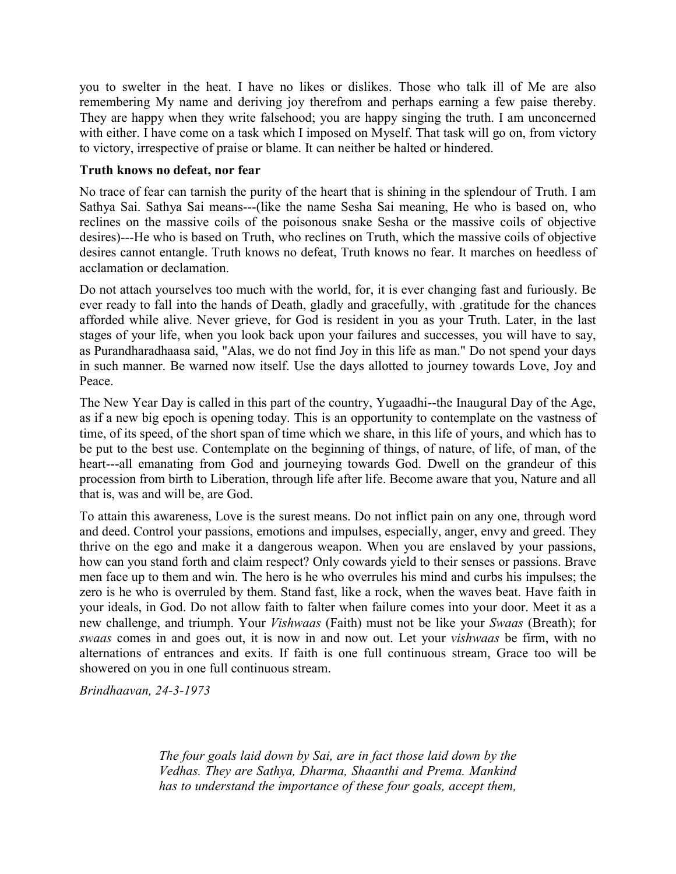you to swelter in the heat. I have no likes or dislikes. Those who talk ill of Me are also remembering My name and deriving joy therefrom and perhaps earning a few paise thereby. They are happy when they write falsehood; you are happy singing the truth. I am unconcerned with either. I have come on a task which I imposed on Myself. That task will go on, from victory to victory, irrespective of praise or blame. It can neither be halted or hindered.

### **Truth knows no defeat, nor fear**

No trace of fear can tarnish the purity of the heart that is shining in the splendour of Truth. I am Sathya Sai. Sathya Sai means---(like the name Sesha Sai meaning, He who is based on, who reclines on the massive coils of the poisonous snake Sesha or the massive coils of objective desires)---He who is based on Truth, who reclines on Truth, which the massive coils of objective desires cannot entangle. Truth knows no defeat, Truth knows no fear. It marches on heedless of acclamation or declamation.

Do not attach yourselves too much with the world, for, it is ever changing fast and furiously. Be ever ready to fall into the hands of Death, gladly and gracefully, with .gratitude for the chances afforded while alive. Never grieve, for God is resident in you as your Truth. Later, in the last stages of your life, when you look back upon your failures and successes, you will have to say, as Purandharadhaasa said, "Alas, we do not find Joy in this life as man." Do not spend your days in such manner. Be warned now itself. Use the days allotted to journey towards Love, Joy and Peace.

The New Year Day is called in this part of the country, Yugaadhi--the Inaugural Day of the Age, as if a new big epoch is opening today. This is an opportunity to contemplate on the vastness of time, of its speed, of the short span of time which we share, in this life of yours, and which has to be put to the best use. Contemplate on the beginning of things, of nature, of life, of man, of the heart---all emanating from God and journeying towards God. Dwell on the grandeur of this procession from birth to Liberation, through life after life. Become aware that you, Nature and all that is, was and will be, are God.

To attain this awareness, Love is the surest means. Do not inflict pain on any one, through word and deed. Control your passions, emotions and impulses, especially, anger, envy and greed. They thrive on the ego and make it a dangerous weapon. When you are enslaved by your passions, how can you stand forth and claim respect? Only cowards yield to their senses or passions. Brave men face up to them and win. The hero is he who overrules his mind and curbs his impulses; the zero is he who is overruled by them. Stand fast, like a rock, when the waves beat. Have faith in your ideals, in God. Do not allow faith to falter when failure comes into your door. Meet it as a new challenge, and triumph. Your *Vishwaas* (Faith) must not be like your *Swaas* (Breath); for *swaas* comes in and goes out, it is now in and now out. Let your *vishwaas* be firm, with no alternations of entrances and exits. If faith is one full continuous stream, Grace too will be showered on you in one full continuous stream.

*Brindhaavan, 24-3-1973*

*The four goals laid down by Sai, are in fact those laid down by the Vedhas. They are Sathya, Dharma, Shaanthi and Prema. Mankind has to understand the importance of these four goals, accept them,*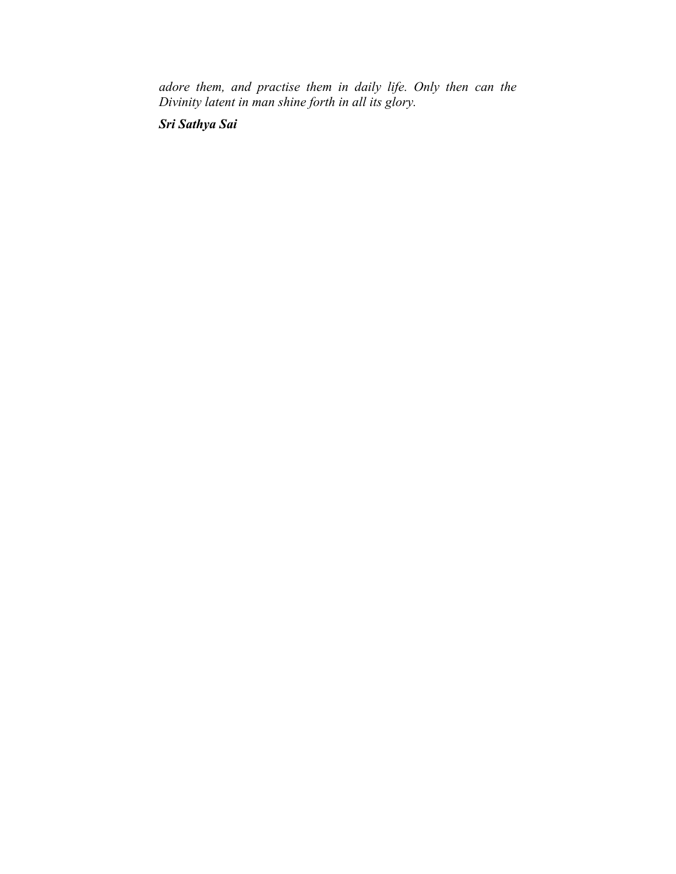*adore them, and practise them in daily life. Only then can the Divinity latent in man shine forth in all its glory.*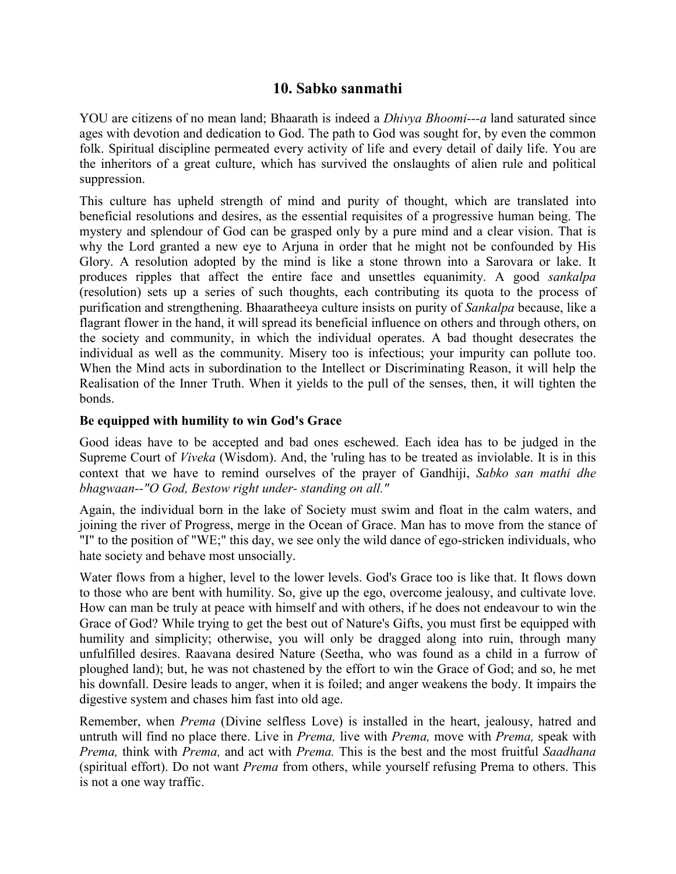# **10. Sabko sanmathi**

YOU are citizens of no mean land; Bhaarath is indeed a *Dhivya Bhoomi---a* land saturated since ages with devotion and dedication to God. The path to God was sought for, by even the common folk. Spiritual discipline permeated every activity of life and every detail of daily life. You are the inheritors of a great culture, which has survived the onslaughts of alien rule and political suppression.

This culture has upheld strength of mind and purity of thought, which are translated into beneficial resolutions and desires, as the essential requisites of a progressive human being. The mystery and splendour of God can be grasped only by a pure mind and a clear vision. That is why the Lord granted a new eye to Arjuna in order that he might not be confounded by His Glory. A resolution adopted by the mind is like a stone thrown into a Sarovara or lake. It produces ripples that affect the entire face and unsettles equanimity. A good *sankalpa* (resolution) sets up a series of such thoughts, each contributing its quota to the process of purification and strengthening. Bhaaratheeya culture insists on purity of *Sankalpa* because, like a flagrant flower in the hand, it will spread its beneficial influence on others and through others, on the society and community, in which the individual operates. A bad thought desecrates the individual as well as the community. Misery too is infectious; your impurity can pollute too. When the Mind acts in subordination to the Intellect or Discriminating Reason, it will help the Realisation of the Inner Truth. When it yields to the pull of the senses, then, it will tighten the bonds.

## **Be equipped with humility to win God's Grace**

Good ideas have to be accepted and bad ones eschewed. Each idea has to be judged in the Supreme Court of *Viveka* (Wisdom). And, the 'ruling has to be treated as inviolable. It is in this context that we have to remind ourselves of the prayer of Gandhiji, *Sabko san mathi dhe bhagwaan--"O God, Bestow right under- standing on all."*

Again, the individual born in the lake of Society must swim and float in the calm waters, and joining the river of Progress, merge in the Ocean of Grace. Man has to move from the stance of "I" to the position of "WE;" this day, we see only the wild dance of ego-stricken individuals, who hate society and behave most unsocially.

Water flows from a higher, level to the lower levels. God's Grace too is like that. It flows down to those who are bent with humility. So, give up the ego, overcome jealousy, and cultivate love. How can man be truly at peace with himself and with others, if he does not endeavour to win the Grace of God? While trying to get the best out of Nature's Gifts, you must first be equipped with humility and simplicity; otherwise, you will only be dragged along into ruin, through many unfulfilled desires. Raavana desired Nature (Seetha, who was found as a child in a furrow of ploughed land); but, he was not chastened by the effort to win the Grace of God; and so, he met his downfall. Desire leads to anger, when it is foiled; and anger weakens the body. It impairs the digestive system and chases him fast into old age.

Remember, when *Prema* (Divine selfless Love) is installed in the heart, jealousy, hatred and untruth will find no place there. Live in *Prema,* live with *Prema,* move with *Prema,* speak with *Prema,* think with *Prema,* and act with *Prema.* This is the best and the most fruitful *Saadhana* (spiritual effort). Do not want *Prema* from others, while yourself refusing Prema to others. This is not a one way traffic.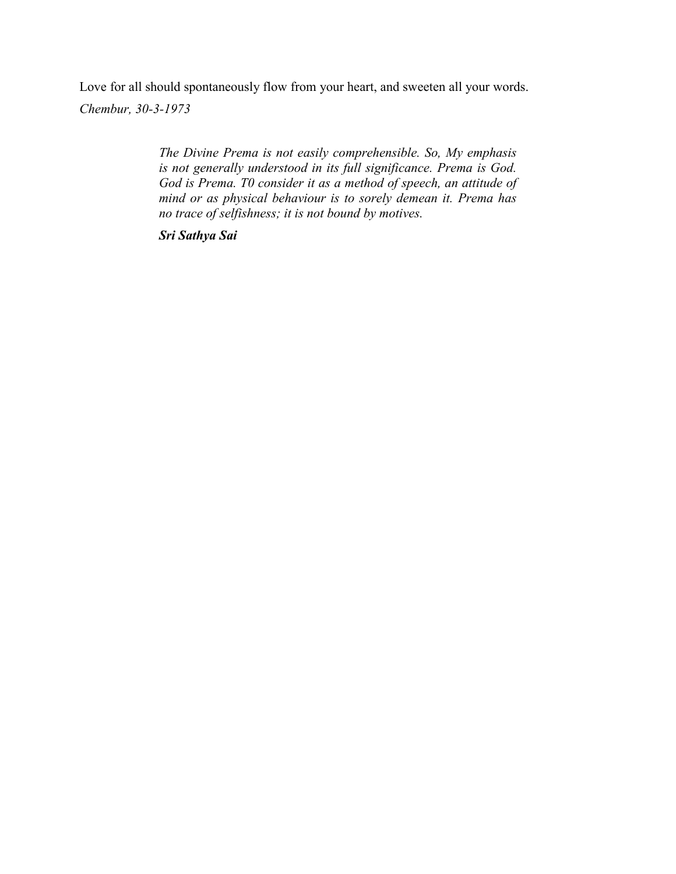Love for all should spontaneously flow from your heart, and sweeten all your words. *Chembur, 30-3-1973*

> *The Divine Prema is not easily comprehensible. So, My emphasis is not generally understood in its full significance. Prema is God. God is Prema. T0 consider it as a method of speech, an attitude of mind or as physical behaviour is to sorely demean it. Prema has no trace of selfishness; it is not bound by motives.*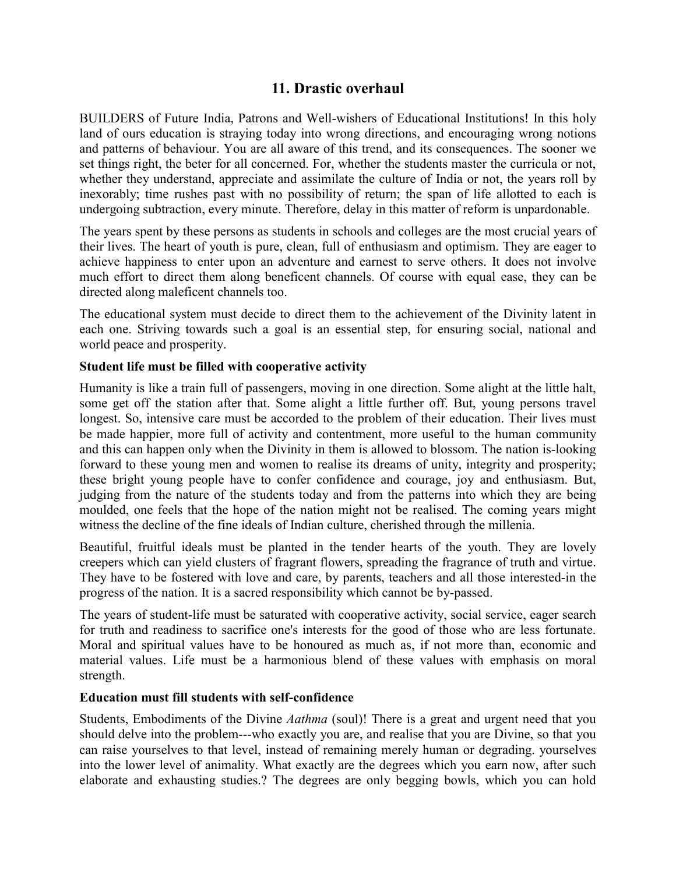# **11. Drastic overhaul**

BUILDERS of Future India, Patrons and Well-wishers of Educational Institutions! In this holy land of ours education is straying today into wrong directions, and encouraging wrong notions and patterns of behaviour. You are all aware of this trend, and its consequences. The sooner we set things right, the beter for all concerned. For, whether the students master the curricula or not, whether they understand, appreciate and assimilate the culture of India or not, the years roll by inexorably; time rushes past with no possibility of return; the span of life allotted to each is undergoing subtraction, every minute. Therefore, delay in this matter of reform is unpardonable.

The years spent by these persons as students in schools and colleges are the most crucial years of their lives. The heart of youth is pure, clean, full of enthusiasm and optimism. They are eager to achieve happiness to enter upon an adventure and earnest to serve others. It does not involve much effort to direct them along beneficent channels. Of course with equal ease, they can be directed along maleficent channels too.

The educational system must decide to direct them to the achievement of the Divinity latent in each one. Striving towards such a goal is an essential step, for ensuring social, national and world peace and prosperity.

## **Student life must be filled with cooperative activity**

Humanity is like a train full of passengers, moving in one direction. Some alight at the little halt, some get off the station after that. Some alight a little further off. But, young persons travel longest. So, intensive care must be accorded to the problem of their education. Their lives must be made happier, more full of activity and contentment, more useful to the human community and this can happen only when the Divinity in them is allowed to blossom. The nation is-looking forward to these young men and women to realise its dreams of unity, integrity and prosperity; these bright young people have to confer confidence and courage, joy and enthusiasm. But, judging from the nature of the students today and from the patterns into which they are being moulded, one feels that the hope of the nation might not be realised. The coming years might witness the decline of the fine ideals of Indian culture, cherished through the millenia.

Beautiful, fruitful ideals must be planted in the tender hearts of the youth. They are lovely creepers which can yield clusters of fragrant flowers, spreading the fragrance of truth and virtue. They have to be fostered with love and care, by parents, teachers and all those interested-in the progress of the nation. It is a sacred responsibility which cannot be by-passed.

The years of student-life must be saturated with cooperative activity, social service, eager search for truth and readiness to sacrifice one's interests for the good of those who are less fortunate. Moral and spiritual values have to be honoured as much as, if not more than, economic and material values. Life must be a harmonious blend of these values with emphasis on moral strength.

#### **Education must fill students with self-confidence**

Students, Embodiments of the Divine *Aathma* (soul)! There is a great and urgent need that you should delve into the problem---who exactly you are, and realise that you are Divine, so that you can raise yourselves to that level, instead of remaining merely human or degrading. yourselves into the lower level of animality. What exactly are the degrees which you earn now, after such elaborate and exhausting studies.? The degrees are only begging bowls, which you can hold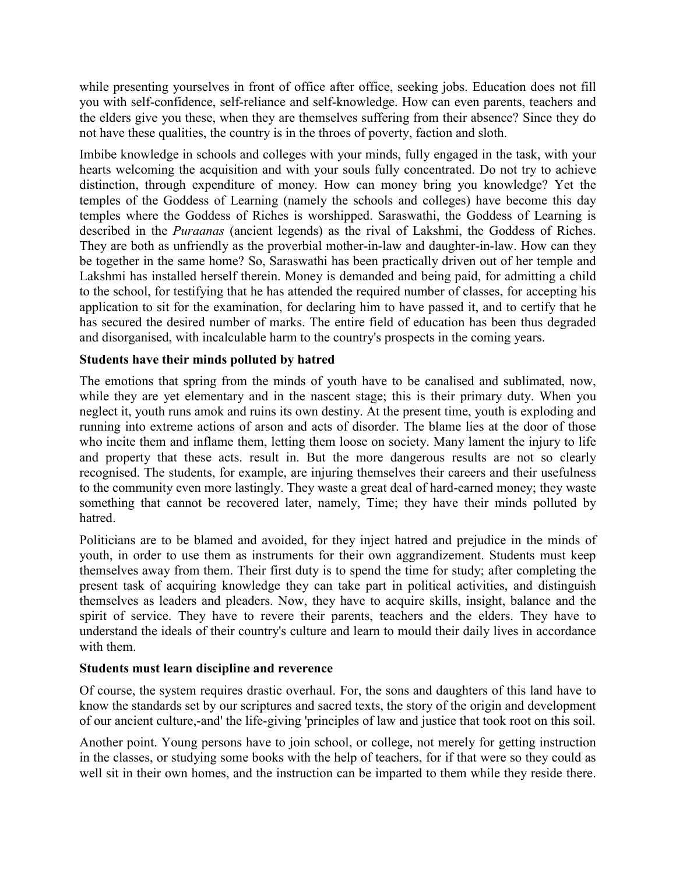while presenting yourselves in front of office after office, seeking jobs. Education does not fill you with self-confidence, self-reliance and self-knowledge. How can even parents, teachers and the elders give you these, when they are themselves suffering from their absence? Since they do not have these qualities, the country is in the throes of poverty, faction and sloth.

Imbibe knowledge in schools and colleges with your minds, fully engaged in the task, with your hearts welcoming the acquisition and with your souls fully concentrated. Do not try to achieve distinction, through expenditure of money. How can money bring you knowledge? Yet the temples of the Goddess of Learning (namely the schools and colleges) have become this day temples where the Goddess of Riches is worshipped. Saraswathi, the Goddess of Learning is described in the *Puraanas* (ancient legends) as the rival of Lakshmi, the Goddess of Riches. They are both as unfriendly as the proverbial mother-in-law and daughter-in-law. How can they be together in the same home? So, Saraswathi has been practically driven out of her temple and Lakshmi has installed herself therein. Money is demanded and being paid, for admitting a child to the school, for testifying that he has attended the required number of classes, for accepting his application to sit for the examination, for declaring him to have passed it, and to certify that he has secured the desired number of marks. The entire field of education has been thus degraded and disorganised, with incalculable harm to the country's prospects in the coming years.

## **Students have their minds polluted by hatred**

The emotions that spring from the minds of youth have to be canalised and sublimated, now, while they are yet elementary and in the nascent stage; this is their primary duty. When you neglect it, youth runs amok and ruins its own destiny. At the present time, youth is exploding and running into extreme actions of arson and acts of disorder. The blame lies at the door of those who incite them and inflame them, letting them loose on society. Many lament the injury to life and property that these acts. result in. But the more dangerous results are not so clearly recognised. The students, for example, are injuring themselves their careers and their usefulness to the community even more lastingly. They waste a great deal of hard-earned money; they waste something that cannot be recovered later, namely, Time; they have their minds polluted by hatred.

Politicians are to be blamed and avoided, for they inject hatred and prejudice in the minds of youth, in order to use them as instruments for their own aggrandizement. Students must keep themselves away from them. Their first duty is to spend the time for study; after completing the present task of acquiring knowledge they can take part in political activities, and distinguish themselves as leaders and pleaders. Now, they have to acquire skills, insight, balance and the spirit of service. They have to revere their parents, teachers and the elders. They have to understand the ideals of their country's culture and learn to mould their daily lives in accordance with them.

#### **Students must learn discipline and reverence**

Of course, the system requires drastic overhaul. For, the sons and daughters of this land have to know the standards set by our scriptures and sacred texts, the story of the origin and development of our ancient culture,-and' the life-giving 'principles of law and justice that took root on this soil.

Another point. Young persons have to join school, or college, not merely for getting instruction in the classes, or studying some books with the help of teachers, for if that were so they could as well sit in their own homes, and the instruction can be imparted to them while they reside there.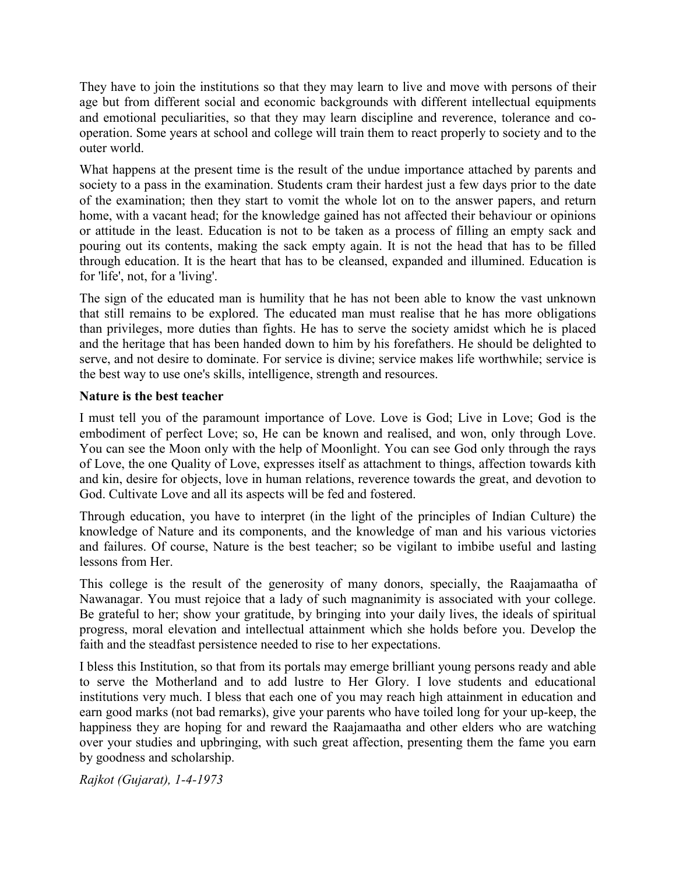They have to join the institutions so that they may learn to live and move with persons of their age but from different social and economic backgrounds with different intellectual equipments and emotional peculiarities, so that they may learn discipline and reverence, tolerance and cooperation. Some years at school and college will train them to react properly to society and to the outer world.

What happens at the present time is the result of the undue importance attached by parents and society to a pass in the examination. Students cram their hardest just a few days prior to the date of the examination; then they start to vomit the whole lot on to the answer papers, and return home, with a vacant head; for the knowledge gained has not affected their behaviour or opinions or attitude in the least. Education is not to be taken as a process of filling an empty sack and pouring out its contents, making the sack empty again. It is not the head that has to be filled through education. It is the heart that has to be cleansed, expanded and illumined. Education is for 'life', not, for a 'living'.

The sign of the educated man is humility that he has not been able to know the vast unknown that still remains to be explored. The educated man must realise that he has more obligations than privileges, more duties than fights. He has to serve the society amidst which he is placed and the heritage that has been handed down to him by his forefathers. He should be delighted to serve, and not desire to dominate. For service is divine; service makes life worthwhile; service is the best way to use one's skills, intelligence, strength and resources.

### **Nature is the best teacher**

I must tell you of the paramount importance of Love. Love is God; Live in Love; God is the embodiment of perfect Love; so, He can be known and realised, and won, only through Love. You can see the Moon only with the help of Moonlight. You can see God only through the rays of Love, the one Quality of Love, expresses itself as attachment to things, affection towards kith and kin, desire for objects, love in human relations, reverence towards the great, and devotion to God. Cultivate Love and all its aspects will be fed and fostered.

Through education, you have to interpret (in the light of the principles of Indian Culture) the knowledge of Nature and its components, and the knowledge of man and his various victories and failures. Of course, Nature is the best teacher; so be vigilant to imbibe useful and lasting lessons from Her.

This college is the result of the generosity of many donors, specially, the Raajamaatha of Nawanagar. You must rejoice that a lady of such magnanimity is associated with your college. Be grateful to her; show your gratitude, by bringing into your daily lives, the ideals of spiritual progress, moral elevation and intellectual attainment which she holds before you. Develop the faith and the steadfast persistence needed to rise to her expectations.

I bless this Institution, so that from its portals may emerge brilliant young persons ready and able to serve the Motherland and to add lustre to Her Glory. I love students and educational institutions very much. I bless that each one of you may reach high attainment in education and earn good marks (not bad remarks), give your parents who have toiled long for your up-keep, the happiness they are hoping for and reward the Raajamaatha and other elders who are watching over your studies and upbringing, with such great affection, presenting them the fame you earn by goodness and scholarship.

*Rajkot (Gujarat), 1-4-1973*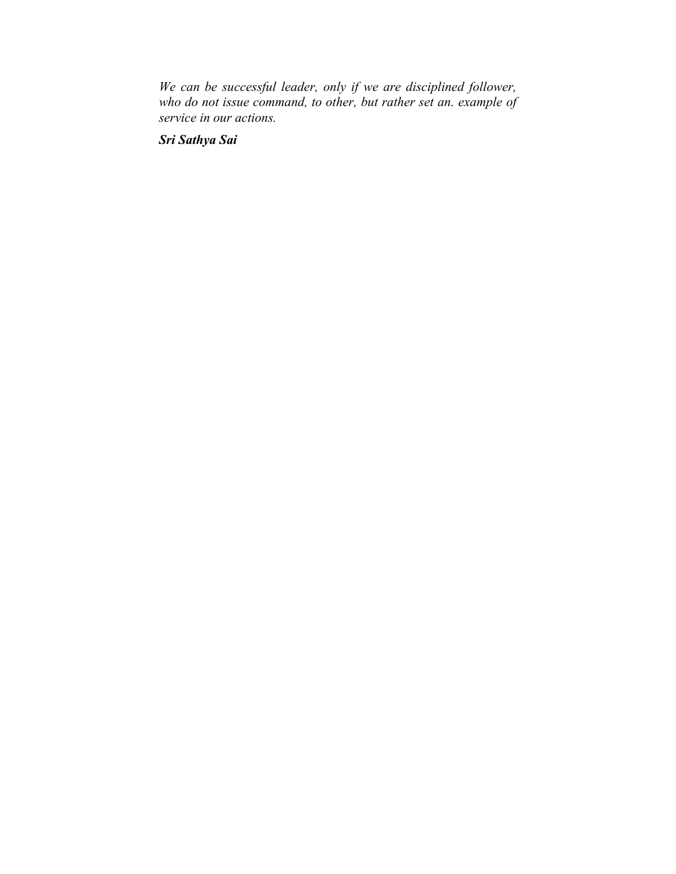*We can be successful leader, only if we are disciplined follower, who do not issue command, to other, but rather set an. example of service in our actions.*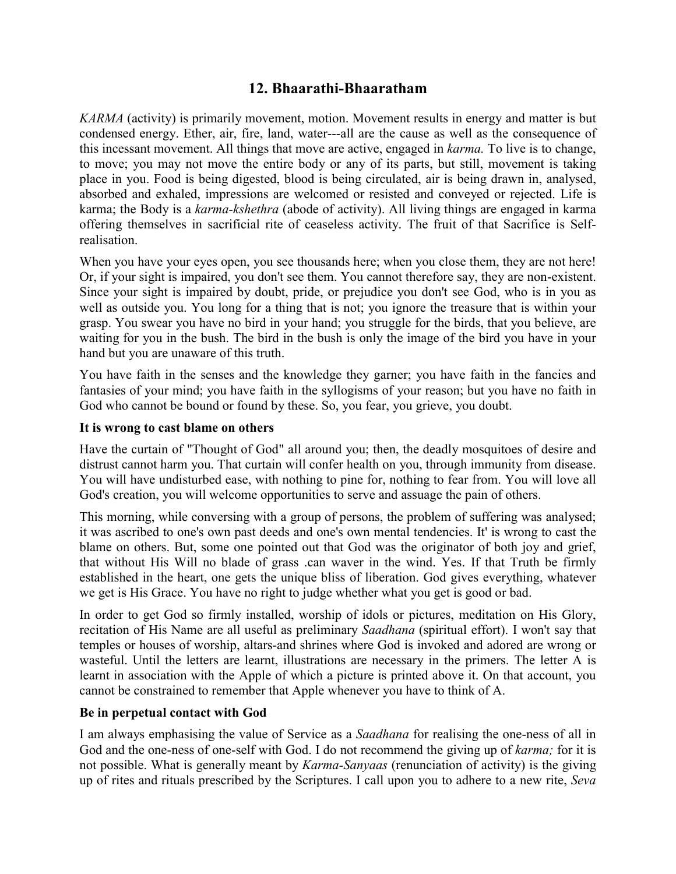# **12. Bhaarathi-Bhaaratham**

*KARMA* (activity) is primarily movement, motion. Movement results in energy and matter is but condensed energy. Ether, air, fire, land, water---all are the cause as well as the consequence of this incessant movement. All things that move are active, engaged in *karma.* To live is to change, to move; you may not move the entire body or any of its parts, but still, movement is taking place in you. Food is being digested, blood is being circulated, air is being drawn in, analysed, absorbed and exhaled, impressions are welcomed or resisted and conveyed or rejected. Life is karma; the Body is a *karma-kshethra* (abode of activity). All living things are engaged in karma offering themselves in sacrificial rite of ceaseless activity. The fruit of that Sacrifice is Selfrealisation.

When you have your eyes open, you see thousands here; when you close them, they are not here! Or, if your sight is impaired, you don't see them. You cannot therefore say, they are non-existent. Since your sight is impaired by doubt, pride, or prejudice you don't see God, who is in you as well as outside you. You long for a thing that is not; you ignore the treasure that is within your grasp. You swear you have no bird in your hand; you struggle for the birds, that you believe, are waiting for you in the bush. The bird in the bush is only the image of the bird you have in your hand but you are unaware of this truth.

You have faith in the senses and the knowledge they garner; you have faith in the fancies and fantasies of your mind; you have faith in the syllogisms of your reason; but you have no faith in God who cannot be bound or found by these. So, you fear, you grieve, you doubt.

### **It is wrong to cast blame on others**

Have the curtain of "Thought of God" all around you; then, the deadly mosquitoes of desire and distrust cannot harm you. That curtain will confer health on you, through immunity from disease. You will have undisturbed ease, with nothing to pine for, nothing to fear from. You will love all God's creation, you will welcome opportunities to serve and assuage the pain of others.

This morning, while conversing with a group of persons, the problem of suffering was analysed; it was ascribed to one's own past deeds and one's own mental tendencies. It' is wrong to cast the blame on others. But, some one pointed out that God was the originator of both joy and grief, that without His Will no blade of grass .can waver in the wind. Yes. If that Truth be firmly established in the heart, one gets the unique bliss of liberation. God gives everything, whatever we get is His Grace. You have no right to judge whether what you get is good or bad.

In order to get God so firmly installed, worship of idols or pictures, meditation on His Glory, recitation of His Name are all useful as preliminary *Saadhana* (spiritual effort). I won't say that temples or houses of worship, altars-and shrines where God is invoked and adored are wrong or wasteful. Until the letters are learnt, illustrations are necessary in the primers. The letter A is learnt in association with the Apple of which a picture is printed above it. On that account, you cannot be constrained to remember that Apple whenever you have to think of A.

#### **Be in perpetual contact with God**

I am always emphasising the value of Service as a *Saadhana* for realising the one-ness of all in God and the one-ness of one-self with God. I do not recommend the giving up of *karma;* for it is not possible. What is generally meant by *Karma-Sanyaas* (renunciation of activity) is the giving up of rites and rituals prescribed by the Scriptures. I call upon you to adhere to a new rite, *Seva*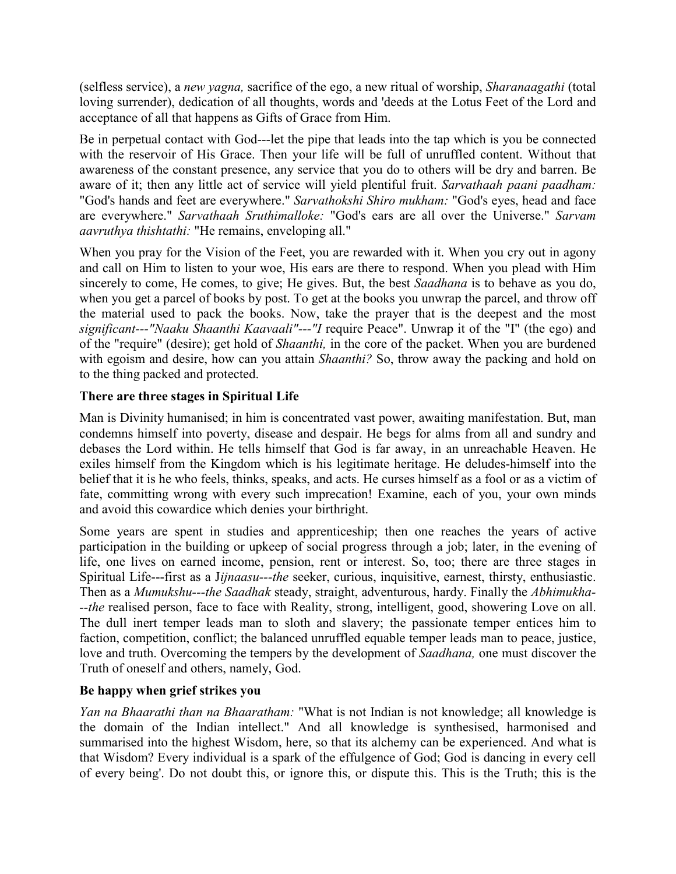(selfless service), a *new yagna,* sacrifice of the ego, a new ritual of worship, *Sharanaagathi* (total loving surrender), dedication of all thoughts, words and 'deeds at the Lotus Feet of the Lord and acceptance of all that happens as Gifts of Grace from Him.

Be in perpetual contact with God---let the pipe that leads into the tap which is you be connected with the reservoir of His Grace. Then your life will be full of unruffled content. Without that awareness of the constant presence, any service that you do to others will be dry and barren. Be aware of it; then any little act of service will yield plentiful fruit. *Sarvathaah paani paadham:* "God's hands and feet are everywhere." *Sarvathokshi Shiro mukham:* "God's eyes, head and face are everywhere." *Sarvathaah Sruthimalloke:* "God's ears are all over the Universe." *Sarvam aavruthya thishtathi:* "He remains, enveloping all."

When you pray for the Vision of the Feet, you are rewarded with it. When you cry out in agony and call on Him to listen to your woe, His ears are there to respond. When you plead with Him sincerely to come, He comes, to give; He gives. But, the best *Saadhana* is to behave as you do, when you get a parcel of books by post. To get at the books you unwrap the parcel, and throw off the material used to pack the books. Now, take the prayer that is the deepest and the most *significant---"Naaku Shaanthi Kaavaali"---"I* require Peace". Unwrap it of the "I" (the ego) and of the "require" (desire); get hold of *Shaanthi,* in the core of the packet. When you are burdened with egoism and desire, how can you attain *Shaanthi?* So, throw away the packing and hold on to the thing packed and protected.

## **There are three stages in Spiritual Life**

Man is Divinity humanised; in him is concentrated vast power, awaiting manifestation. But, man condemns himself into poverty, disease and despair. He begs for alms from all and sundry and debases the Lord within. He tells himself that God is far away, in an unreachable Heaven. He exiles himself from the Kingdom which is his legitimate heritage. He deludes-himself into the belief that it is he who feels, thinks, speaks, and acts. He curses himself as a fool or as a victim of fate, committing wrong with every such imprecation! Examine, each of you, your own minds and avoid this cowardice which denies your birthright.

Some years are spent in studies and apprenticeship; then one reaches the years of active participation in the building or upkeep of social progress through a job; later, in the evening of life, one lives on earned income, pension, rent or interest. So, too; there are three stages in Spiritual Life---first as a J*ijnaasu---the* seeker, curious, inquisitive, earnest, thirsty, enthusiastic. Then as a *Mumukshu---the Saadhak* steady, straight, adventurous, hardy. Finally the *Abhimukha- --the* realised person, face to face with Reality, strong, intelligent, good, showering Love on all. The dull inert temper leads man to sloth and slavery; the passionate temper entices him to faction, competition, conflict; the balanced unruffled equable temper leads man to peace, justice, love and truth. Overcoming the tempers by the development of *Saadhana,* one must discover the Truth of oneself and others, namely, God.

## **Be happy when grief strikes you**

*Yan na Bhaarathi than na Bhaaratham:* "What is not Indian is not knowledge; all knowledge is the domain of the Indian intellect." And all knowledge is synthesised, harmonised and summarised into the highest Wisdom, here, so that its alchemy can be experienced. And what is that Wisdom? Every individual is a spark of the effulgence of God; God is dancing in every cell of every being'. Do not doubt this, or ignore this, or dispute this. This is the Truth; this is the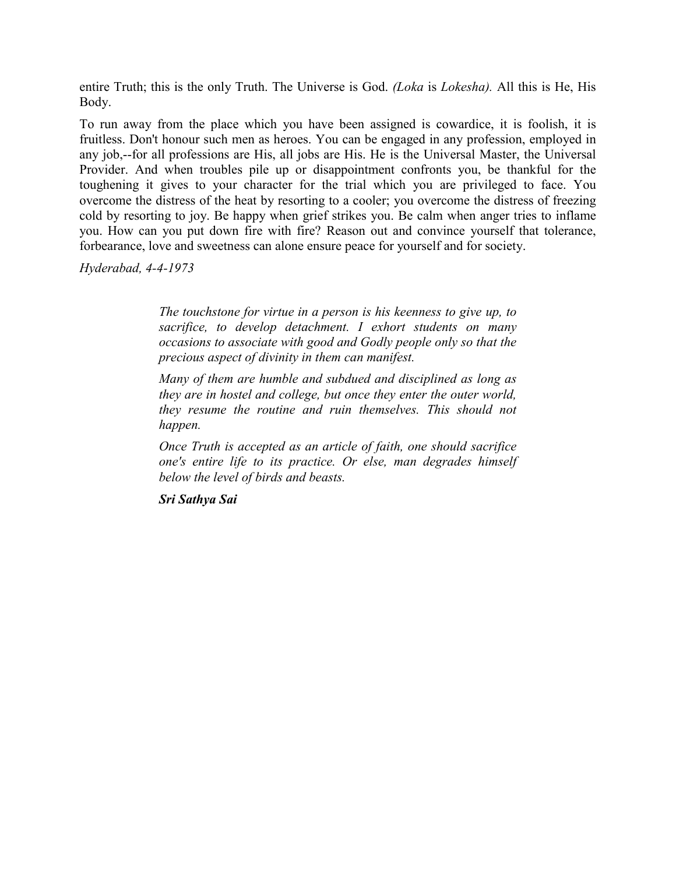entire Truth; this is the only Truth. The Universe is God. *(Loka* is *Lokesha).* All this is He, His Body.

To run away from the place which you have been assigned is cowardice, it is foolish, it is fruitless. Don't honour such men as heroes. You can be engaged in any profession, employed in any job,--for all professions are His, all jobs are His. He is the Universal Master, the Universal Provider. And when troubles pile up or disappointment confronts you, be thankful for the toughening it gives to your character for the trial which you are privileged to face. You overcome the distress of the heat by resorting to a cooler; you overcome the distress of freezing cold by resorting to joy. Be happy when grief strikes you. Be calm when anger tries to inflame you. How can you put down fire with fire? Reason out and convince yourself that tolerance, forbearance, love and sweetness can alone ensure peace for yourself and for society.

*Hyderabad, 4-4-1973*

*The touchstone for virtue in a person is his keenness to give up, to sacrifice, to develop detachment. I exhort students on many occasions to associate with good and Godly people only so that the precious aspect of divinity in them can manifest.*

*Many of them are humble and subdued and disciplined as long as they are in hostel and college, but once they enter the outer world, they resume the routine and ruin themselves. This should not happen.*

*Once Truth is accepted as an article of faith, one should sacrifice one's entire life to its practice. Or else, man degrades himself below the level of birds and beasts.*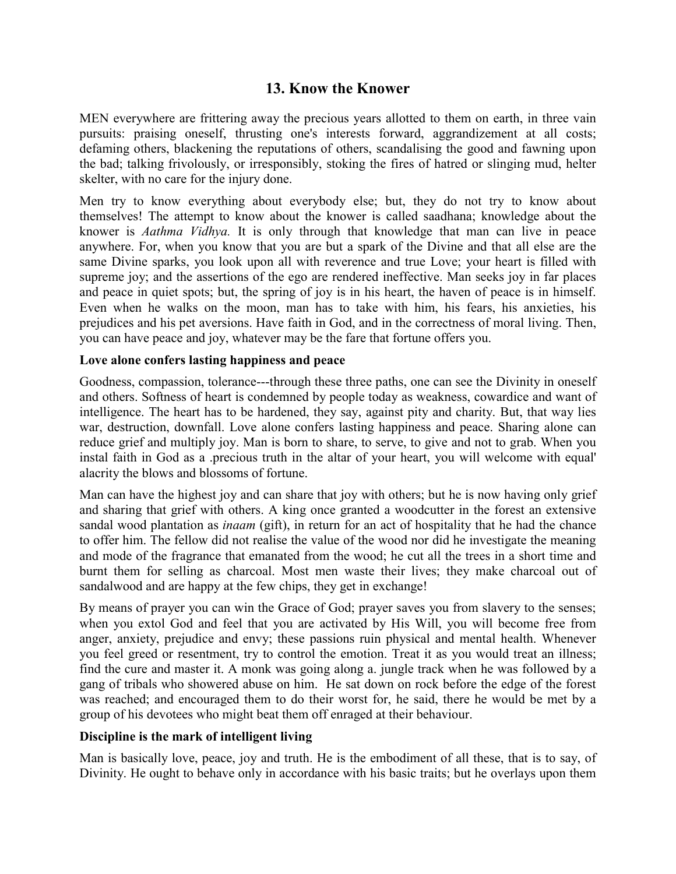# **13. Know the Knower**

MEN everywhere are frittering away the precious years allotted to them on earth, in three vain pursuits: praising oneself, thrusting one's interests forward, aggrandizement at all costs; defaming others, blackening the reputations of others, scandalising the good and fawning upon the bad; talking frivolously, or irresponsibly, stoking the fires of hatred or slinging mud, helter skelter, with no care for the injury done.

Men try to know everything about everybody else; but, they do not try to know about themselves! The attempt to know about the knower is called saadhana; knowledge about the knower is *Aathma Vidhya.* It is only through that knowledge that man can live in peace anywhere. For, when you know that you are but a spark of the Divine and that all else are the same Divine sparks, you look upon all with reverence and true Love; your heart is filled with supreme joy; and the assertions of the ego are rendered ineffective. Man seeks joy in far places and peace in quiet spots; but, the spring of joy is in his heart, the haven of peace is in himself. Even when he walks on the moon, man has to take with him, his fears, his anxieties, his prejudices and his pet aversions. Have faith in God, and in the correctness of moral living. Then, you can have peace and joy, whatever may be the fare that fortune offers you.

#### **Love alone confers lasting happiness and peace**

Goodness, compassion, tolerance---through these three paths, one can see the Divinity in oneself and others. Softness of heart is condemned by people today as weakness, cowardice and want of intelligence. The heart has to be hardened, they say, against pity and charity. But, that way lies war, destruction, downfall. Love alone confers lasting happiness and peace. Sharing alone can reduce grief and multiply joy. Man is born to share, to serve, to give and not to grab. When you instal faith in God as a .precious truth in the altar of your heart, you will welcome with equal' alacrity the blows and blossoms of fortune.

Man can have the highest joy and can share that joy with others; but he is now having only grief and sharing that grief with others. A king once granted a woodcutter in the forest an extensive sandal wood plantation as *inaam* (gift), in return for an act of hospitality that he had the chance to offer him. The fellow did not realise the value of the wood nor did he investigate the meaning and mode of the fragrance that emanated from the wood; he cut all the trees in a short time and burnt them for selling as charcoal. Most men waste their lives; they make charcoal out of sandalwood and are happy at the few chips, they get in exchange!

By means of prayer you can win the Grace of God; prayer saves you from slavery to the senses; when you extol God and feel that you are activated by His Will, you will become free from anger, anxiety, prejudice and envy; these passions ruin physical and mental health. Whenever you feel greed or resentment, try to control the emotion. Treat it as you would treat an illness; find the cure and master it. A monk was going along a. jungle track when he was followed by a gang of tribals who showered abuse on him. He sat down on rock before the edge of the forest was reached; and encouraged them to do their worst for, he said, there he would be met by a group of his devotees who might beat them off enraged at their behaviour.

### **Discipline is the mark of intelligent living**

Man is basically love, peace, joy and truth. He is the embodiment of all these, that is to say, of Divinity. He ought to behave only in accordance with his basic traits; but he overlays upon them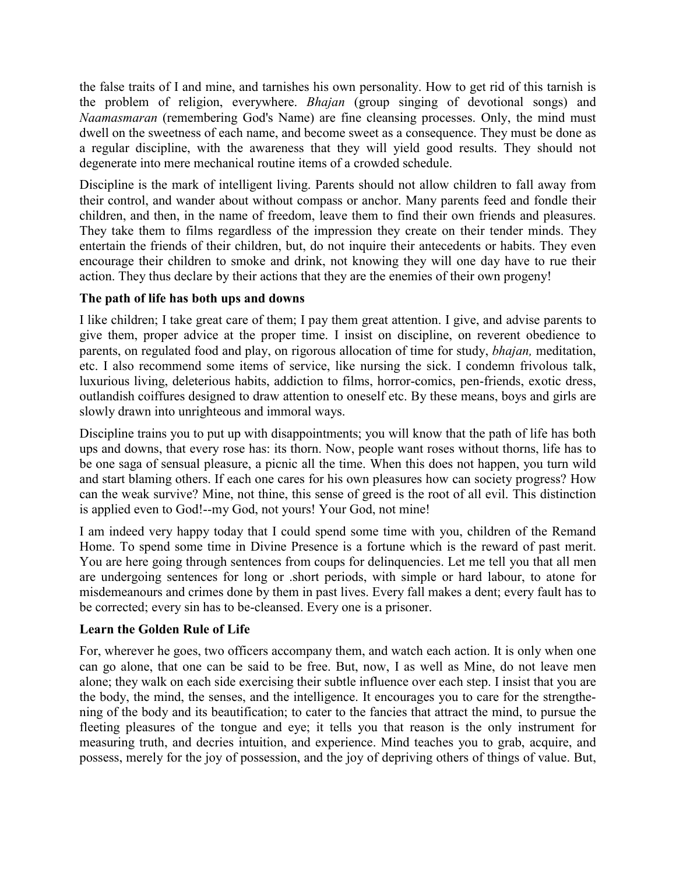the false traits of I and mine, and tarnishes his own personality. How to get rid of this tarnish is the problem of religion, everywhere. *Bhajan* (group singing of devotional songs) and *Naamasmaran* (remembering God's Name) are fine cleansing processes. Only, the mind must dwell on the sweetness of each name, and become sweet as a consequence. They must be done as a regular discipline, with the awareness that they will yield good results. They should not degenerate into mere mechanical routine items of a crowded schedule.

Discipline is the mark of intelligent living. Parents should not allow children to fall away from their control, and wander about without compass or anchor. Many parents feed and fondle their children, and then, in the name of freedom, leave them to find their own friends and pleasures. They take them to films regardless of the impression they create on their tender minds. They entertain the friends of their children, but, do not inquire their antecedents or habits. They even encourage their children to smoke and drink, not knowing they will one day have to rue their action. They thus declare by their actions that they are the enemies of their own progeny!

## **The path of life has both ups and downs**

I like children; I take great care of them; I pay them great attention. I give, and advise parents to give them, proper advice at the proper time. I insist on discipline, on reverent obedience to parents, on regulated food and play, on rigorous allocation of time for study, *bhajan,* meditation, etc. I also recommend some items of service, like nursing the sick. I condemn frivolous talk, luxurious living, deleterious habits, addiction to films, horror-comics, pen-friends, exotic dress, outlandish coiffures designed to draw attention to oneself etc. By these means, boys and girls are slowly drawn into unrighteous and immoral ways.

Discipline trains you to put up with disappointments; you will know that the path of life has both ups and downs, that every rose has: its thorn. Now, people want roses without thorns, life has to be one saga of sensual pleasure, a picnic all the time. When this does not happen, you turn wild and start blaming others. If each one cares for his own pleasures how can society progress? How can the weak survive? Mine, not thine, this sense of greed is the root of all evil. This distinction is applied even to God!--my God, not yours! Your God, not mine!

I am indeed very happy today that I could spend some time with you, children of the Remand Home. To spend some time in Divine Presence is a fortune which is the reward of past merit. You are here going through sentences from coups for delinquencies. Let me tell you that all men are undergoing sentences for long or .short periods, with simple or hard labour, to atone for misdemeanours and crimes done by them in past lives. Every fall makes a dent; every fault has to be corrected; every sin has to be-cleansed. Every one is a prisoner.

#### **Learn the Golden Rule of Life**

For, wherever he goes, two officers accompany them, and watch each action. It is only when one can go alone, that one can be said to be free. But, now, I as well as Mine, do not leave men alone; they walk on each side exercising their subtle influence over each step. I insist that you are the body, the mind, the senses, and the intelligence. It encourages you to care for the strengthening of the body and its beautification; to cater to the fancies that attract the mind, to pursue the fleeting pleasures of the tongue and eye; it tells you that reason is the only instrument for measuring truth, and decries intuition, and experience. Mind teaches you to grab, acquire, and possess, merely for the joy of possession, and the joy of depriving others of things of value. But,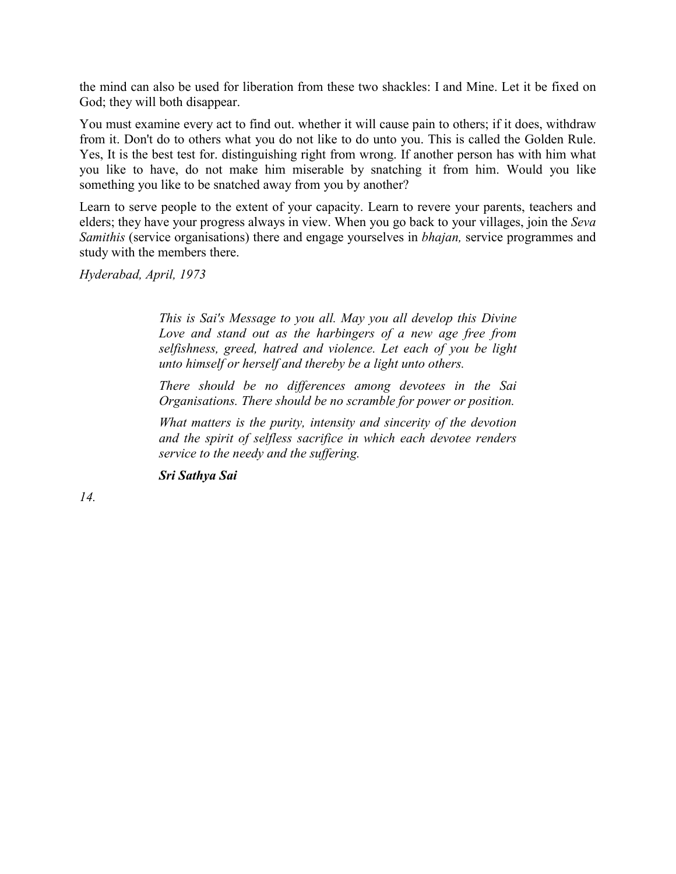the mind can also be used for liberation from these two shackles: I and Mine. Let it be fixed on God; they will both disappear.

You must examine every act to find out. whether it will cause pain to others; if it does, withdraw from it. Don't do to others what you do not like to do unto you. This is called the Golden Rule. Yes, It is the best test for. distinguishing right from wrong. If another person has with him what you like to have, do not make him miserable by snatching it from him. Would you like something you like to be snatched away from you by another?

Learn to serve people to the extent of your capacity. Learn to revere your parents, teachers and elders; they have your progress always in view. When you go back to your villages, join the *Seva Samithis* (service organisations) there and engage yourselves in *bhajan,* service programmes and study with the members there.

*Hyderabad, April, 1973*

*This is Sai's Message to you all. May you all develop this Divine Love and stand out as the harbingers of a new age free from selfishness, greed, hatred and violence. Let each of you be light unto himself or herself and thereby be a light unto others.*

*There should be no differences among devotees in the Sai Organisations. There should be no scramble for power or position.*

*What matters is the purity, intensity and sincerity of the devotion and the spirit of selfless sacrifice in which each devotee renders service to the needy and the suffering.*

*Sri Sathya Sai*

*14.*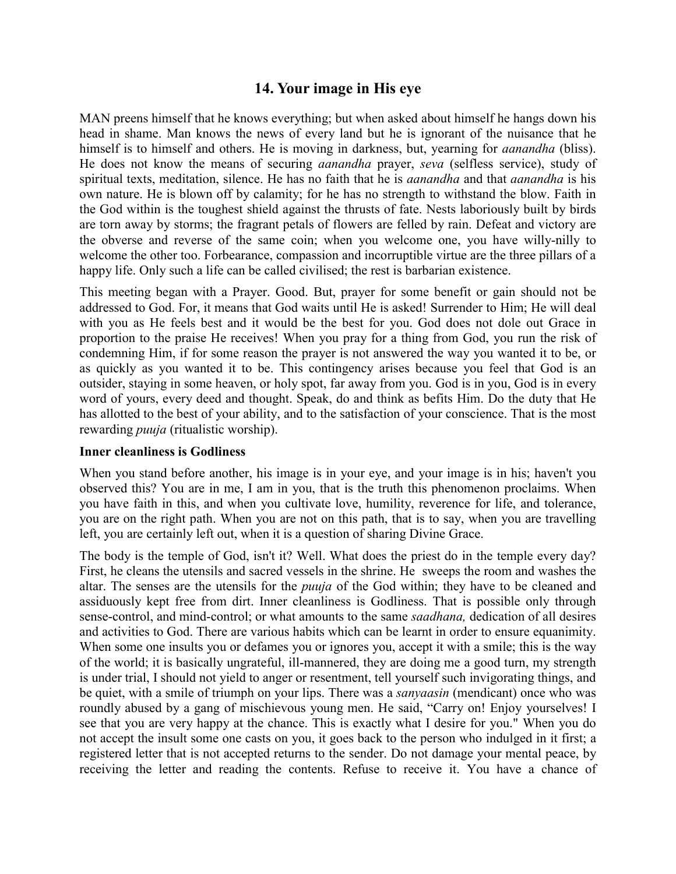# **14. Your image in His eye**

MAN preens himself that he knows everything; but when asked about himself he hangs down his head in shame. Man knows the news of every land but he is ignorant of the nuisance that he himself is to himself and others. He is moving in darkness, but, yearning for *aanandha* (bliss). He does not know the means of securing *aanandha* prayer, *seva* (selfless service), study of spiritual texts, meditation, silence. He has no faith that he is *aanandha* and that *aanandha* is his own nature. He is blown off by calamity; for he has no strength to withstand the blow. Faith in the God within is the toughest shield against the thrusts of fate. Nests laboriously built by birds are torn away by storms; the fragrant petals of flowers are felled by rain. Defeat and victory are the obverse and reverse of the same coin; when you welcome one, you have willy-nilly to welcome the other too. Forbearance, compassion and incorruptible virtue are the three pillars of a happy life. Only such a life can be called civilised; the rest is barbarian existence.

This meeting began with a Prayer. Good. But, prayer for some benefit or gain should not be addressed to God. For, it means that God waits until He is asked! Surrender to Him; He will deal with you as He feels best and it would be the best for you. God does not dole out Grace in proportion to the praise He receives! When you pray for a thing from God, you run the risk of condemning Him, if for some reason the prayer is not answered the way you wanted it to be, or as quickly as you wanted it to be. This contingency arises because you feel that God is an outsider, staying in some heaven, or holy spot, far away from you. God is in you, God is in every word of yours, every deed and thought. Speak, do and think as befits Him. Do the duty that He has allotted to the best of your ability, and to the satisfaction of your conscience. That is the most rewarding *puuja* (ritualistic worship).

### **Inner cleanliness is Godliness**

When you stand before another, his image is in your eye, and your image is in his; haven't you observed this? You are in me, I am in you, that is the truth this phenomenon proclaims. When you have faith in this, and when you cultivate love, humility, reverence for life, and tolerance, you are on the right path. When you are not on this path, that is to say, when you are travelling left, you are certainly left out, when it is a question of sharing Divine Grace.

The body is the temple of God, isn't it? Well. What does the priest do in the temple every day? First, he cleans the utensils and sacred vessels in the shrine. He sweeps the room and washes the altar. The senses are the utensils for the *puuja* of the God within; they have to be cleaned and assiduously kept free from dirt. Inner cleanliness is Godliness. That is possible only through sense-control, and mind-control; or what amounts to the same *saadhana,* dedication of all desires and activities to God. There are various habits which can be learnt in order to ensure equanimity. When some one insults you or defames you or ignores you, accept it with a smile; this is the way of the world; it is basically ungrateful, ill-mannered, they are doing me a good turn, my strength is under trial, I should not yield to anger or resentment, tell yourself such invigorating things, and be quiet, with a smile of triumph on your lips. There was a *sanyaasin* (mendicant) once who was roundly abused by a gang of mischievous young men. He said, "Carry on! Enjoy yourselves! I see that you are very happy at the chance. This is exactly what I desire for you." When you do not accept the insult some one casts on you, it goes back to the person who indulged in it first; a registered letter that is not accepted returns to the sender. Do not damage your mental peace, by receiving the letter and reading the contents. Refuse to receive it. You have a chance of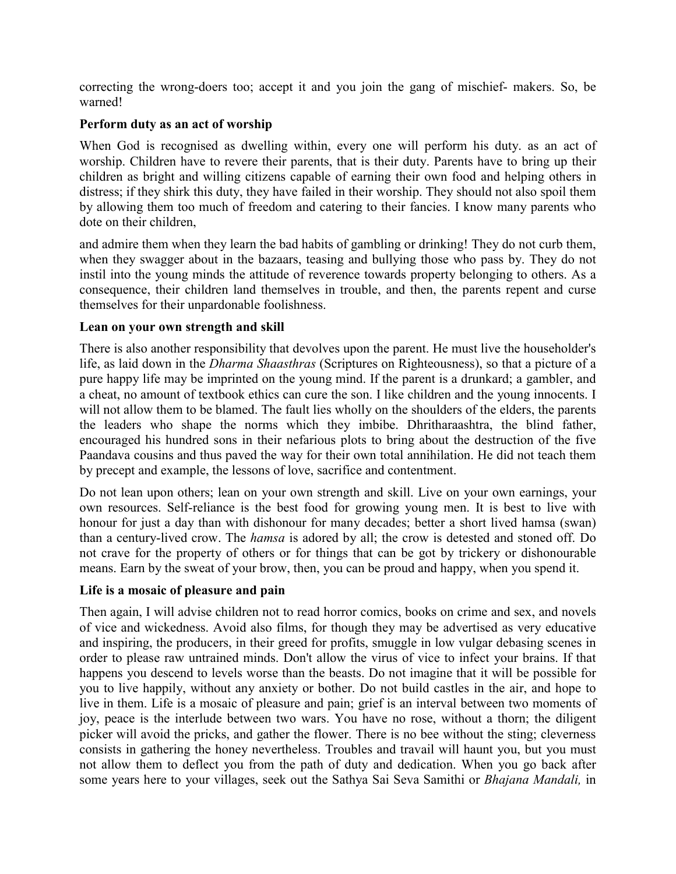correcting the wrong-doers too; accept it and you join the gang of mischief- makers. So, be warned!

### **Perform duty as an act of worship**

When God is recognised as dwelling within, every one will perform his duty. as an act of worship. Children have to revere their parents, that is their duty. Parents have to bring up their children as bright and willing citizens capable of earning their own food and helping others in distress; if they shirk this duty, they have failed in their worship. They should not also spoil them by allowing them too much of freedom and catering to their fancies. I know many parents who dote on their children,

and admire them when they learn the bad habits of gambling or drinking! They do not curb them, when they swagger about in the bazaars, teasing and bullying those who pass by. They do not instil into the young minds the attitude of reverence towards property belonging to others. As a consequence, their children land themselves in trouble, and then, the parents repent and curse themselves for their unpardonable foolishness.

### **Lean on your own strength and skill**

There is also another responsibility that devolves upon the parent. He must live the householder's life, as laid down in the *Dharma Shaasthras* (Scriptures on Righteousness), so that a picture of a pure happy life may be imprinted on the young mind. If the parent is a drunkard; a gambler, and a cheat, no amount of textbook ethics can cure the son. I like children and the young innocents. I will not allow them to be blamed. The fault lies wholly on the shoulders of the elders, the parents the leaders who shape the norms which they imbibe. Dhritharaashtra, the blind father, encouraged his hundred sons in their nefarious plots to bring about the destruction of the five Paandava cousins and thus paved the way for their own total annihilation. He did not teach them by precept and example, the lessons of love, sacrifice and contentment.

Do not lean upon others; lean on your own strength and skill. Live on your own earnings, your own resources. Self-reliance is the best food for growing young men. It is best to live with honour for just a day than with dishonour for many decades; better a short lived hamsa (swan) than a century-lived crow. The *hamsa* is adored by all; the crow is detested and stoned off. Do not crave for the property of others or for things that can be got by trickery or dishonourable means. Earn by the sweat of your brow, then, you can be proud and happy, when you spend it.

### **Life is a mosaic of pleasure and pain**

Then again, I will advise children not to read horror comics, books on crime and sex, and novels of vice and wickedness. Avoid also films, for though they may be advertised as very educative and inspiring, the producers, in their greed for profits, smuggle in low vulgar debasing scenes in order to please raw untrained minds. Don't allow the virus of vice to infect your brains. If that happens you descend to levels worse than the beasts. Do not imagine that it will be possible for you to live happily, without any anxiety or bother. Do not build castles in the air, and hope to live in them. Life is a mosaic of pleasure and pain; grief is an interval between two moments of joy, peace is the interlude between two wars. You have no rose, without a thorn; the diligent picker will avoid the pricks, and gather the flower. There is no bee without the sting; cleverness consists in gathering the honey nevertheless. Troubles and travail will haunt you, but you must not allow them to deflect you from the path of duty and dedication. When you go back after some years here to your villages, seek out the Sathya Sai Seva Samithi or *Bhajana Mandali,* in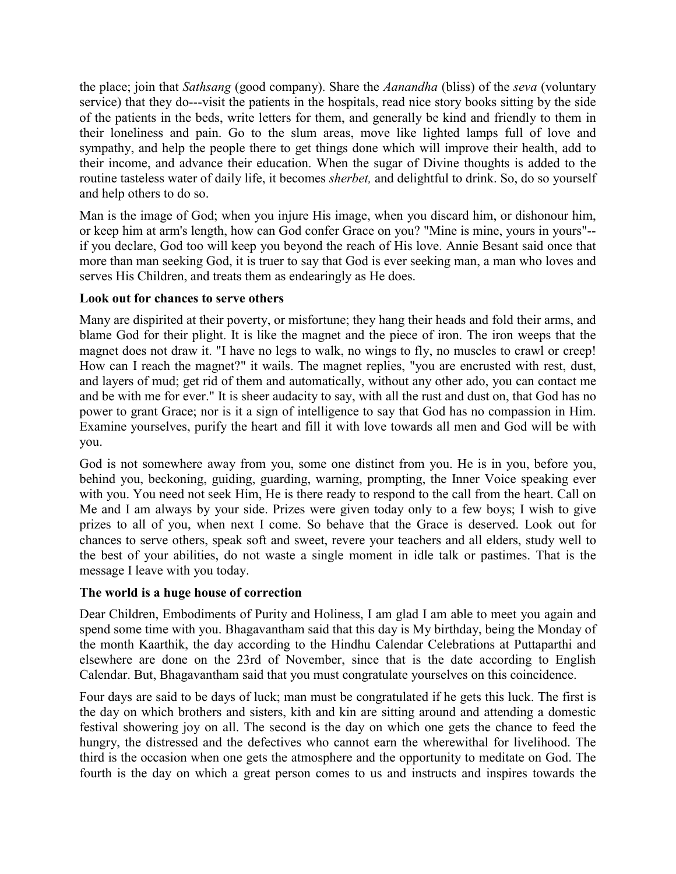the place; join that *Sathsang* (good company). Share the *Aanandha* (bliss) of the *seva* (voluntary service) that they do---visit the patients in the hospitals, read nice story books sitting by the side of the patients in the beds, write letters for them, and generally be kind and friendly to them in their loneliness and pain. Go to the slum areas, move like lighted lamps full of love and sympathy, and help the people there to get things done which will improve their health, add to their income, and advance their education. When the sugar of Divine thoughts is added to the routine tasteless water of daily life, it becomes *sherbet,* and delightful to drink. So, do so yourself and help others to do so.

Man is the image of God; when you injure His image, when you discard him, or dishonour him, or keep him at arm's length, how can God confer Grace on you? "Mine is mine, yours in yours"- if you declare, God too will keep you beyond the reach of His love. Annie Besant said once that more than man seeking God, it is truer to say that God is ever seeking man, a man who loves and serves His Children, and treats them as endearingly as He does.

### **Look out for chances to serve others**

Many are dispirited at their poverty, or misfortune; they hang their heads and fold their arms, and blame God for their plight. It is like the magnet and the piece of iron. The iron weeps that the magnet does not draw it. "I have no legs to walk, no wings to fly, no muscles to crawl or creep! How can I reach the magnet?" it wails. The magnet replies, "you are encrusted with rest, dust, and layers of mud; get rid of them and automatically, without any other ado, you can contact me and be with me for ever." It is sheer audacity to say, with all the rust and dust on, that God has no power to grant Grace; nor is it a sign of intelligence to say that God has no compassion in Him. Examine yourselves, purify the heart and fill it with love towards all men and God will be with you.

God is not somewhere away from you, some one distinct from you. He is in you, before you, behind you, beckoning, guiding, guarding, warning, prompting, the Inner Voice speaking ever with you. You need not seek Him, He is there ready to respond to the call from the heart. Call on Me and I am always by your side. Prizes were given today only to a few boys; I wish to give prizes to all of you, when next I come. So behave that the Grace is deserved. Look out for chances to serve others, speak soft and sweet, revere your teachers and all elders, study well to the best of your abilities, do not waste a single moment in idle talk or pastimes. That is the message I leave with you today.

## **The world is a huge house of correction**

Dear Children, Embodiments of Purity and Holiness, I am glad I am able to meet you again and spend some time with you. Bhagavantham said that this day is My birthday, being the Monday of the month Kaarthik, the day according to the Hindhu Calendar Celebrations at Puttaparthi and elsewhere are done on the 23rd of November, since that is the date according to English Calendar. But, Bhagavantham said that you must congratulate yourselves on this coincidence.

Four days are said to be days of luck; man must be congratulated if he gets this luck. The first is the day on which brothers and sisters, kith and kin are sitting around and attending a domestic festival showering joy on all. The second is the day on which one gets the chance to feed the hungry, the distressed and the defectives who cannot earn the wherewithal for livelihood. The third is the occasion when one gets the atmosphere and the opportunity to meditate on God. The fourth is the day on which a great person comes to us and instructs and inspires towards the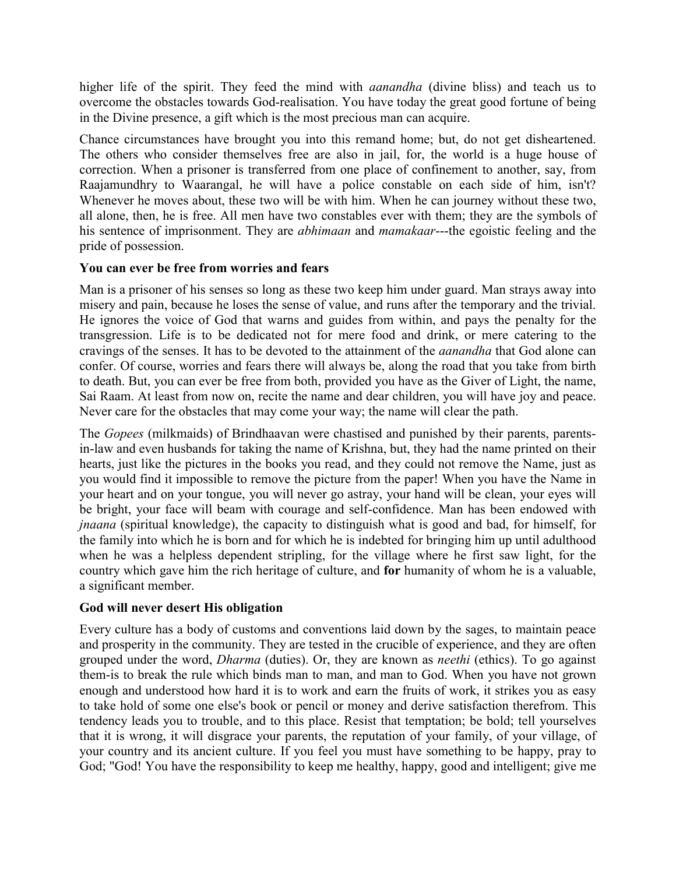higher life of the spirit. They feed the mind with *aanandha* (divine bliss) and teach us to overcome the obstacles towards God-realisation. You have today the great good fortune of being in the Divine presence, a gift which is the most precious man can acquire.

Chance circumstances have brought you into this remand home; but, do not get disheartened. The others who consider themselves free are also in jail, for, the world is a huge house of correction. When a prisoner is transferred from one place of confinement to another, say, from Raajamundhry to Waarangal, he will have a police constable on each side of him, isn't? Whenever he moves about, these two will be with him. When he can journey without these two, all alone, then, he is free. All men have two constables ever with them; they are the symbols of his sentence of imprisonment. They are *abhimaan* and *mamakaar*---the egoistic feeling and the pride of possession.

### **You can ever be free from worries and fears**

Man is a prisoner of his senses so long as these two keep him under guard. Man strays away into misery and pain, because he loses the sense of value, and runs after the temporary and the trivial. He ignores the voice of God that warns and guides from within, and pays the penalty for the transgression. Life is to be dedicated not for mere food and drink, or mere catering to the cravings of the senses. It has to be devoted to the attainment of the *aanandha* that God alone can confer. Of course, worries and fears there will always be, along the road that you take from birth to death. But, you can ever be free from both, provided you have as the Giver of Light, the name, Sai Raam. At least from now on, recite the name and dear children, you will have joy and peace. Never care for the obstacles that may come your way; the name will clear the path.

The *Gopees* (milkmaids) of Brindhaavan were chastised and punished by their parents, parentsin-law and even husbands for taking the name of Krishna, but, they had the name printed on their hearts, just like the pictures in the books you read, and they could not remove the Name, just as you would find it impossible to remove the picture from the paper! When you have the Name in your heart and on your tongue, you will never go astray, your hand will be clean, your eyes will be bright, your face will beam with courage and self-confidence. Man has been endowed with *jnaana* (spiritual knowledge), the capacity to distinguish what is good and bad, for himself, for the family into which he is born and for which he is indebted for bringing him up until adulthood when he was a helpless dependent stripling, for the village where he first saw light, for the country which gave him the rich heritage of culture, and **for** humanity of whom he is a valuable, a significant member.

## **God will never desert His obligation**

Every culture has a body of customs and conventions laid down by the sages, to maintain peace and prosperity in the community. They are tested in the crucible of experience, and they are often grouped under the word, *Dharma* (duties). Or, they are known as *neethi* (ethics). To go against them-is to break the rule which binds man to man, and man to God. When you have not grown enough and understood how hard it is to work and earn the fruits of work, it strikes you as easy to take hold of some one else's book or pencil or money and derive satisfaction therefrom. This tendency leads you to trouble, and to this place. Resist that temptation; be bold; tell yourselves that it is wrong, it will disgrace your parents, the reputation of your family, of your village, of your country and its ancient culture. If you feel you must have something to be happy, pray to God; "God! You have the responsibility to keep me healthy, happy, good and intelligent; give me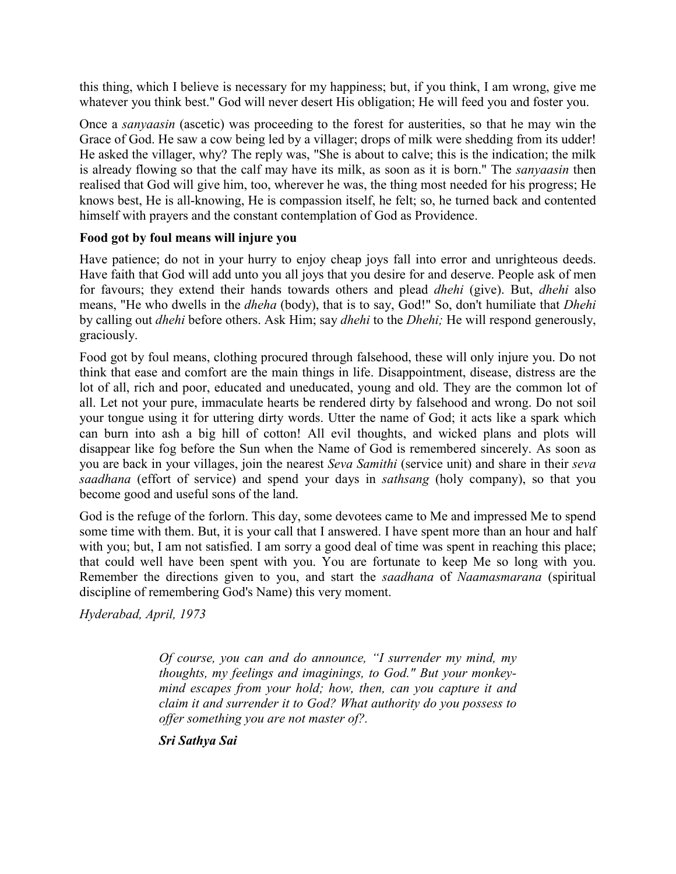this thing, which I believe is necessary for my happiness; but, if you think, I am wrong, give me whatever you think best." God will never desert His obligation; He will feed you and foster you.

Once a *sanyaasin* (ascetic) was proceeding to the forest for austerities, so that he may win the Grace of God. He saw a cow being led by a villager; drops of milk were shedding from its udder! He asked the villager, why? The reply was, "She is about to calve; this is the indication; the milk is already flowing so that the calf may have its milk, as soon as it is born." The *sanyaasin* then realised that God will give him, too, wherever he was, the thing most needed for his progress; He knows best, He is all-knowing, He is compassion itself, he felt; so, he turned back and contented himself with prayers and the constant contemplation of God as Providence.

### **Food got by foul means will injure you**

Have patience; do not in your hurry to enjoy cheap joys fall into error and unrighteous deeds. Have faith that God will add unto you all joys that you desire for and deserve. People ask of men for favours; they extend their hands towards others and plead *dhehi* (give). But, *dhehi* also means, "He who dwells in the *dheha* (body), that is to say, God!" So, don't humiliate that *Dhehi* by calling out *dhehi* before others. Ask Him; say *dhehi* to the *Dhehi;* He will respond generously, graciously.

Food got by foul means, clothing procured through falsehood, these will only injure you. Do not think that ease and comfort are the main things in life. Disappointment, disease, distress are the lot of all, rich and poor, educated and uneducated, young and old. They are the common lot of all. Let not your pure, immaculate hearts be rendered dirty by falsehood and wrong. Do not soil your tongue using it for uttering dirty words. Utter the name of God; it acts like a spark which can burn into ash a big hill of cotton! All evil thoughts, and wicked plans and plots will disappear like fog before the Sun when the Name of God is remembered sincerely. As soon as you are back in your villages, join the nearest *Seva Samithi* (service unit) and share in their *seva saadhana* (effort of service) and spend your days in *sathsang* (holy company), so that you become good and useful sons of the land.

God is the refuge of the forlorn. This day, some devotees came to Me and impressed Me to spend some time with them. But, it is your call that I answered. I have spent more than an hour and half with you; but, I am not satisfied. I am sorry a good deal of time was spent in reaching this place; that could well have been spent with you. You are fortunate to keep Me so long with you. Remember the directions given to you, and start the *saadhana* of *Naamasmarana* (spiritual discipline of remembering God's Name) this very moment.

*Hyderabad, April, 1973*

*Of course, you can and do announce, "I surrender my mind, my thoughts, my feelings and imaginings, to God." But your monkeymind escapes from your hold; how, then, can you capture it and claim it and surrender it to God? What authority do you possess to offer something you are not master of?.*

*Sri Sathya Sai*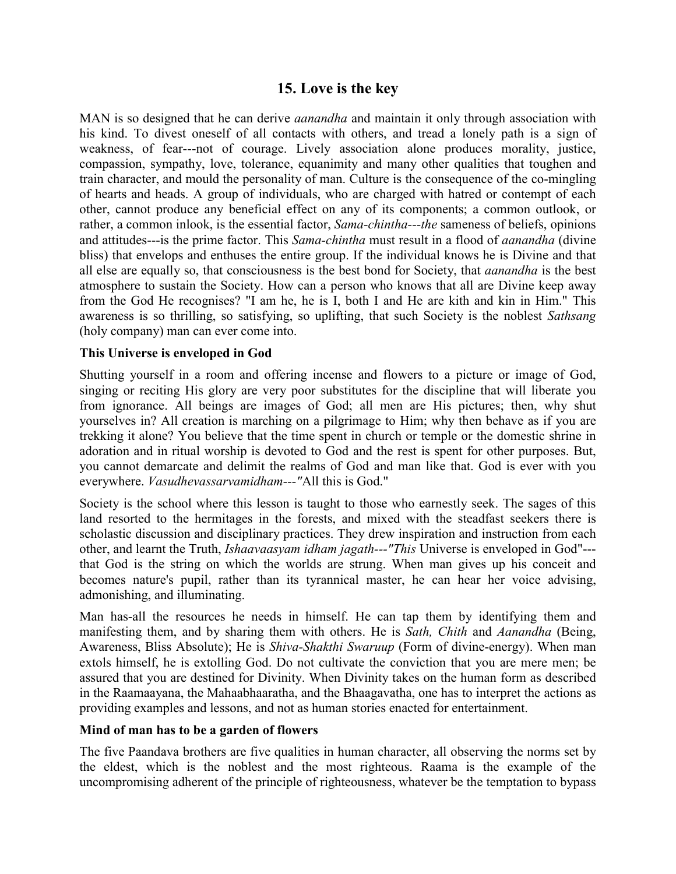## **15. Love is the key**

MAN is so designed that he can derive *aanandha* and maintain it only through association with his kind. To divest oneself of all contacts with others, and tread a lonely path is a sign of weakness, of fear---not of courage. Lively association alone produces morality, justice, compassion, sympathy, love, tolerance, equanimity and many other qualities that toughen and train character, and mould the personality of man. Culture is the consequence of the co-mingling of hearts and heads. A group of individuals, who are charged with hatred or contempt of each other, cannot produce any beneficial effect on any of its components; a common outlook, or rather, a common inlook, is the essential factor, *Sama-chintha---the* sameness of beliefs, opinions and attitudes---is the prime factor. This *Sama-chintha* must result in a flood of *aanandha* (divine bliss) that envelops and enthuses the entire group. If the individual knows he is Divine and that all else are equally so, that consciousness is the best bond for Society, that *aanandha* is the best atmosphere to sustain the Society. How can a person who knows that all are Divine keep away from the God He recognises? "I am he, he is I, both I and He are kith and kin in Him." This awareness is so thrilling, so satisfying, so uplifting, that such Society is the noblest *Sathsang* (holy company) man can ever come into.

### **This Universe is enveloped in God**

Shutting yourself in a room and offering incense and flowers to a picture or image of God, singing or reciting His glory are very poor substitutes for the discipline that will liberate you from ignorance. All beings are images of God; all men are His pictures; then, why shut yourselves in? All creation is marching on a pilgrimage to Him; why then behave as if you are trekking it alone? You believe that the time spent in church or temple or the domestic shrine in adoration and in ritual worship is devoted to God and the rest is spent for other purposes. But, you cannot demarcate and delimit the realms of God and man like that. God is ever with you everywhere. *Vasudhevassarvamidham---"*All this is God."

Society is the school where this lesson is taught to those who earnestly seek. The sages of this land resorted to the hermitages in the forests, and mixed with the steadfast seekers there is scholastic discussion and disciplinary practices. They drew inspiration and instruction from each other, and learnt the Truth, *Ishaavaasyam idham jagath---"This* Universe is enveloped in God"-- that God is the string on which the worlds are strung. When man gives up his conceit and becomes nature's pupil, rather than its tyrannical master, he can hear her voice advising, admonishing, and illuminating.

Man has-all the resources he needs in himself. He can tap them by identifying them and manifesting them, and by sharing them with others. He is *Sath, Chith* and *Aanandha* (Being, Awareness, Bliss Absolute); He is *Shiva-Shakthi Swaruup* (Form of divine-energy). When man extols himself, he is extolling God. Do not cultivate the conviction that you are mere men; be assured that you are destined for Divinity. When Divinity takes on the human form as described in the Raamaayana, the Mahaabhaaratha, and the Bhaagavatha, one has to interpret the actions as providing examples and lessons, and not as human stories enacted for entertainment.

#### **Mind of man has to be a garden of flowers**

The five Paandava brothers are five qualities in human character, all observing the norms set by the eldest, which is the noblest and the most righteous. Raama is the example of the uncompromising adherent of the principle of righteousness, whatever be the temptation to bypass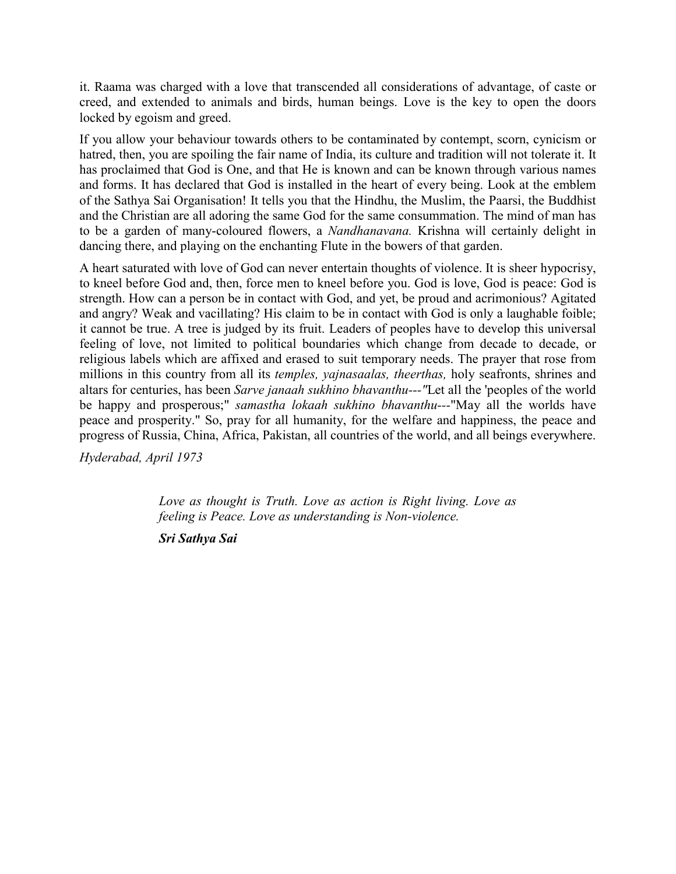it. Raama was charged with a love that transcended all considerations of advantage, of caste or creed, and extended to animals and birds, human beings. Love is the key to open the doors locked by egoism and greed.

If you allow your behaviour towards others to be contaminated by contempt, scorn, cynicism or hatred, then, you are spoiling the fair name of India, its culture and tradition will not tolerate it. It has proclaimed that God is One, and that He is known and can be known through various names and forms. It has declared that God is installed in the heart of every being. Look at the emblem of the Sathya Sai Organisation! It tells you that the Hindhu, the Muslim, the Paarsi, the Buddhist and the Christian are all adoring the same God for the same consummation. The mind of man has to be a garden of many-coloured flowers, a *Nandhanavana.* Krishna will certainly delight in dancing there, and playing on the enchanting Flute in the bowers of that garden.

A heart saturated with love of God can never entertain thoughts of violence. It is sheer hypocrisy, to kneel before God and, then, force men to kneel before you. God is love, God is peace: God is strength. How can a person be in contact with God, and yet, be proud and acrimonious? Agitated and angry? Weak and vacillating? His claim to be in contact with God is only a laughable foible; it cannot be true. A tree is judged by its fruit. Leaders of peoples have to develop this universal feeling of love, not limited to political boundaries which change from decade to decade, or religious labels which are affixed and erased to suit temporary needs. The prayer that rose from millions in this country from all its *temples, yajnasaalas, theerthas,* holy seafronts, shrines and altars for centuries, has been *Sarve janaah sukhino bhavanthu---"*Let all the 'peoples of the world be happy and prosperous;" *samastha lokaah sukhino bhavanthu---*"May all the worlds have peace and prosperity." So, pray for all humanity, for the welfare and happiness, the peace and progress of Russia, China, Africa, Pakistan, all countries of the world, and all beings everywhere.

*Hyderabad, April 1973*

*Love as thought is Truth. Love as action is Right living. Love as feeling is Peace. Love as understanding is Non-violence.*

*Sri Sathya Sai*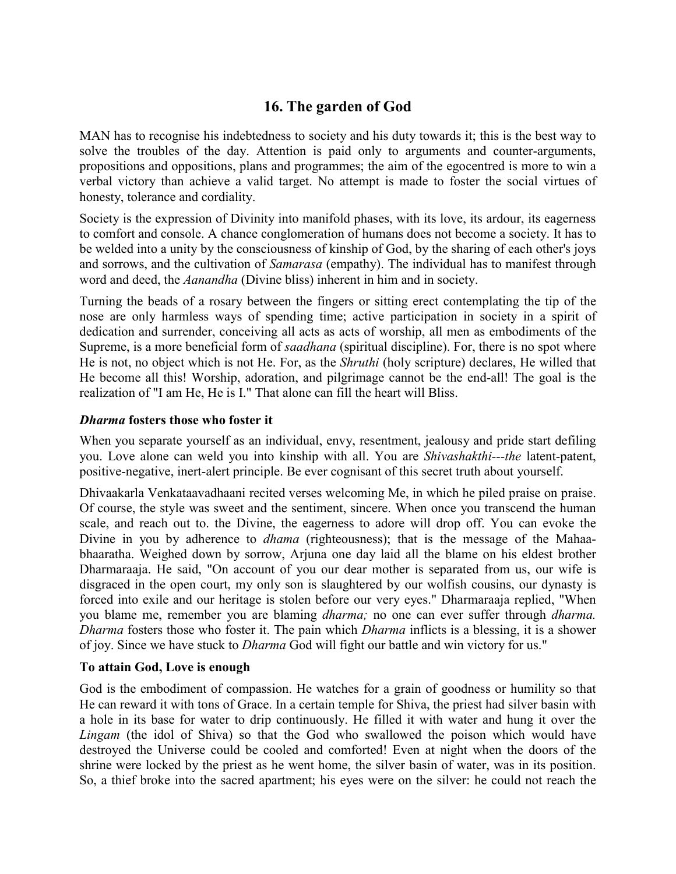# **16. The garden of God**

MAN has to recognise his indebtedness to society and his duty towards it; this is the best way to solve the troubles of the day. Attention is paid only to arguments and counter-arguments, propositions and oppositions, plans and programmes; the aim of the egocentred is more to win a verbal victory than achieve a valid target. No attempt is made to foster the social virtues of honesty, tolerance and cordiality.

Society is the expression of Divinity into manifold phases, with its love, its ardour, its eagerness to comfort and console. A chance conglomeration of humans does not become a society. It has to be welded into a unity by the consciousness of kinship of God, by the sharing of each other's joys and sorrows, and the cultivation of *Samarasa* (empathy). The individual has to manifest through word and deed, the *Aanandha* (Divine bliss) inherent in him and in society.

Turning the beads of a rosary between the fingers or sitting erect contemplating the tip of the nose are only harmless ways of spending time; active participation in society in a spirit of dedication and surrender, conceiving all acts as acts of worship, all men as embodiments of the Supreme, is a more beneficial form of *saadhana* (spiritual discipline). For, there is no spot where He is not, no object which is not He. For, as the *Shruthi* (holy scripture) declares, He willed that He become all this! Worship, adoration, and pilgrimage cannot be the end-all! The goal is the realization of "I am He, He is I." That alone can fill the heart will Bliss.

### *Dharma* **fosters those who foster it**

When you separate yourself as an individual, envy, resentment, jealousy and pride start defiling you. Love alone can weld you into kinship with all. You are *Shivashakthi---the* latent-patent, positive-negative, inert-alert principle. Be ever cognisant of this secret truth about yourself.

Dhivaakarla Venkataavadhaani recited verses welcoming Me, in which he piled praise on praise. Of course, the style was sweet and the sentiment, sincere. When once you transcend the human scale, and reach out to. the Divine, the eagerness to adore will drop off. You can evoke the Divine in you by adherence to *dhama* (righteousness); that is the message of the Mahaabhaaratha. Weighed down by sorrow, Arjuna one day laid all the blame on his eldest brother Dharmaraaja. He said, "On account of you our dear mother is separated from us, our wife is disgraced in the open court, my only son is slaughtered by our wolfish cousins, our dynasty is forced into exile and our heritage is stolen before our very eyes." Dharmaraaja replied, "When you blame me, remember you are blaming *dharma;* no one can ever suffer through *dharma. Dharma* fosters those who foster it. The pain which *Dharma* inflicts is a blessing, it is a shower of joy. Since we have stuck to *Dharma* God will fight our battle and win victory for us."

### **To attain God, Love is enough**

God is the embodiment of compassion. He watches for a grain of goodness or humility so that He can reward it with tons of Grace. In a certain temple for Shiva, the priest had silver basin with a hole in its base for water to drip continuously. He filled it with water and hung it over the *Lingam* (the idol of Shiva) so that the God who swallowed the poison which would have destroyed the Universe could be cooled and comforted! Even at night when the doors of the shrine were locked by the priest as he went home, the silver basin of water, was in its position. So, a thief broke into the sacred apartment; his eyes were on the silver: he could not reach the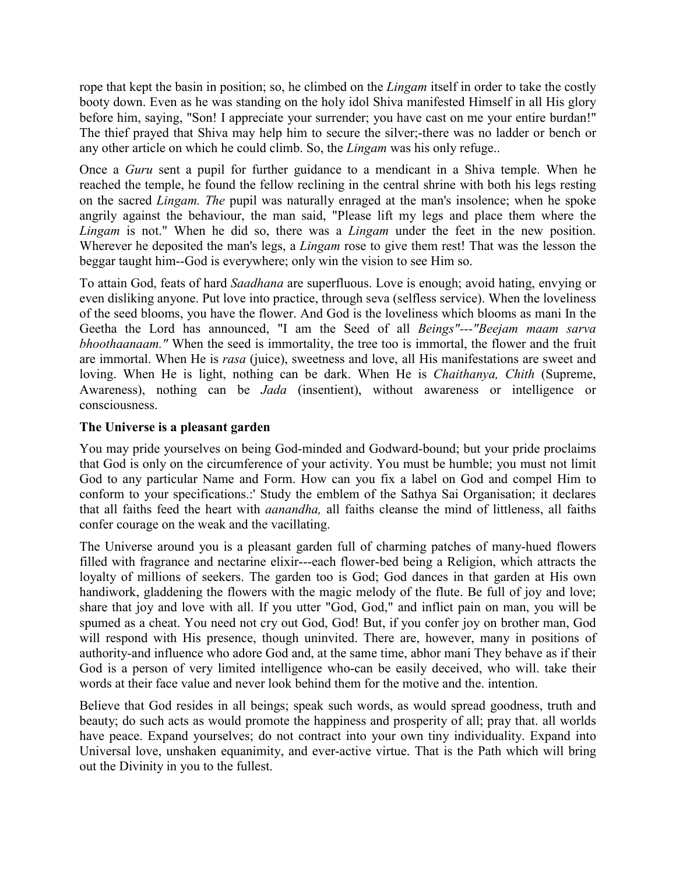rope that kept the basin in position; so, he climbed on the *Lingam* itself in order to take the costly booty down. Even as he was standing on the holy idol Shiva manifested Himself in all His glory before him, saying, "Son! I appreciate your surrender; you have cast on me your entire burdan!" The thief prayed that Shiva may help him to secure the silver;-there was no ladder or bench or any other article on which he could climb. So, the *Lingam* was his only refuge..

Once a *Guru* sent a pupil for further guidance to a mendicant in a Shiva temple. When he reached the temple, he found the fellow reclining in the central shrine with both his legs resting on the sacred *Lingam. The* pupil was naturally enraged at the man's insolence; when he spoke angrily against the behaviour, the man said, "Please lift my legs and place them where the *Lingam* is not." When he did so, there was a *Lingam* under the feet in the new position. Wherever he deposited the man's legs, a *Lingam* rose to give them rest! That was the lesson the beggar taught him--God is everywhere; only win the vision to see Him so.

To attain God, feats of hard *Saadhana* are superfluous. Love is enough; avoid hating, envying or even disliking anyone. Put love into practice, through seva (selfless service). When the loveliness of the seed blooms, you have the flower. And God is the loveliness which blooms as mani In the Geetha the Lord has announced, "I am the Seed of all *Beings"---"Beejam maam sarva bhoothaanaam."* When the seed is immortality, the tree too is immortal, the flower and the fruit are immortal. When He is *rasa* (juice), sweetness and love, all His manifestations are sweet and loving. When He is light, nothing can be dark. When He is *Chaithanya, Chith* (Supreme, Awareness), nothing can be *Jada* (insentient), without awareness or intelligence or consciousness.

## **The Universe is a pleasant garden**

You may pride yourselves on being God-minded and Godward-bound; but your pride proclaims that God is only on the circumference of your activity. You must be humble; you must not limit God to any particular Name and Form. How can you fix a label on God and compel Him to conform to your specifications.:' Study the emblem of the Sathya Sai Organisation; it declares that all faiths feed the heart with *aanandha,* all faiths cleanse the mind of littleness, all faiths confer courage on the weak and the vacillating.

The Universe around you is a pleasant garden full of charming patches of many-hued flowers filled with fragrance and nectarine elixir---each flower-bed being a Religion, which attracts the loyalty of millions of seekers. The garden too is God; God dances in that garden at His own handiwork, gladdening the flowers with the magic melody of the flute. Be full of joy and love; share that joy and love with all. If you utter "God, God," and inflict pain on man, you will be spumed as a cheat. You need not cry out God, God! But, if you confer joy on brother man, God will respond with His presence, though uninvited. There are, however, many in positions of authority-and influence who adore God and, at the same time, abhor mani They behave as if their God is a person of very limited intelligence who-can be easily deceived, who will. take their words at their face value and never look behind them for the motive and the. intention.

Believe that God resides in all beings; speak such words, as would spread goodness, truth and beauty; do such acts as would promote the happiness and prosperity of all; pray that. all worlds have peace. Expand yourselves; do not contract into your own tiny individuality. Expand into Universal love, unshaken equanimity, and ever-active virtue. That is the Path which will bring out the Divinity in you to the fullest.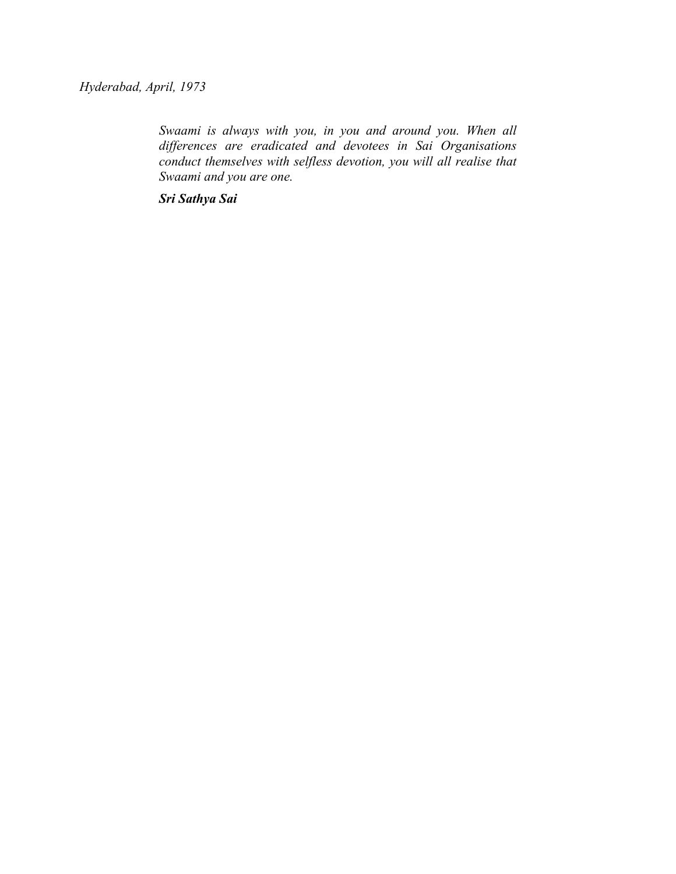*Hyderabad, April, 1973*

*Swaami is always with you, in you and around you. When all differences are eradicated and devotees in Sai Organisations conduct themselves with selfless devotion, you will all realise that Swaami and you are one.*

*Sri Sathya Sai*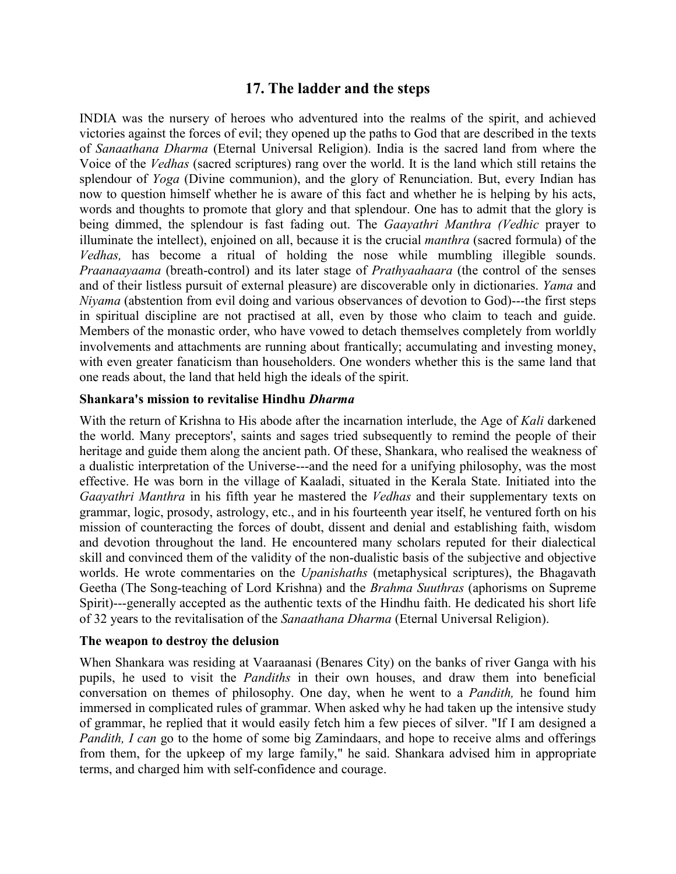## **17. The ladder and the steps**

INDIA was the nursery of heroes who adventured into the realms of the spirit, and achieved victories against the forces of evil; they opened up the paths to God that are described in the texts of *Sanaathana Dharma* (Eternal Universal Religion). India is the sacred land from where the Voice of the *Vedhas* (sacred scriptures) rang over the world. It is the land which still retains the splendour of *Yoga* (Divine communion), and the glory of Renunciation. But, every Indian has now to question himself whether he is aware of this fact and whether he is helping by his acts, words and thoughts to promote that glory and that splendour. One has to admit that the glory is being dimmed, the splendour is fast fading out. The *Gaayathri Manthra (Vedhic* prayer to illuminate the intellect), enjoined on all, because it is the crucial *manthra* (sacred formula) of the *Vedhas,* has become a ritual of holding the nose while mumbling illegible sounds. *Praanaayaama* (breath-control) and its later stage of *Prathyaahaara* (the control of the senses and of their listless pursuit of external pleasure) are discoverable only in dictionaries. *Yama* and *Niyama* (abstention from evil doing and various observances of devotion to God)---the first steps in spiritual discipline are not practised at all, even by those who claim to teach and guide. Members of the monastic order, who have vowed to detach themselves completely from worldly involvements and attachments are running about frantically; accumulating and investing money, with even greater fanaticism than householders. One wonders whether this is the same land that one reads about, the land that held high the ideals of the spirit.

### **Shankara's mission to revitalise Hindhu** *Dharma*

With the return of Krishna to His abode after the incarnation interlude, the Age of *Kali* darkened the world. Many preceptors', saints and sages tried subsequently to remind the people of their heritage and guide them along the ancient path. Of these, Shankara, who realised the weakness of a dualistic interpretation of the Universe---and the need for a unifying philosophy, was the most effective. He was born in the village of Kaaladi, situated in the Kerala State. Initiated into the *Gaayathri Manthra* in his fifth year he mastered the *Vedhas* and their supplementary texts on grammar, logic, prosody, astrology, etc., and in his fourteenth year itself, he ventured forth on his mission of counteracting the forces of doubt, dissent and denial and establishing faith, wisdom and devotion throughout the land. He encountered many scholars reputed for their dialectical skill and convinced them of the validity of the non-dualistic basis of the subjective and objective worlds. He wrote commentaries on the *Upanishaths* (metaphysical scriptures), the Bhagavath Geetha (The Song-teaching of Lord Krishna) and the *Brahma Suuthras* (aphorisms on Supreme Spirit)---generally accepted as the authentic texts of the Hindhu faith. He dedicated his short life of 32 years to the revitalisation of the *Sanaathana Dharma* (Eternal Universal Religion).

### **The weapon to destroy the delusion**

When Shankara was residing at Vaaraanasi (Benares City) on the banks of river Ganga with his pupils, he used to visit the *Pandiths* in their own houses, and draw them into beneficial conversation on themes of philosophy. One day, when he went to a *Pandith,* he found him immersed in complicated rules of grammar. When asked why he had taken up the intensive study of grammar, he replied that it would easily fetch him a few pieces of silver. "If I am designed a *Pandith, I can* go to the home of some big Zamindaars, and hope to receive alms and offerings from them, for the upkeep of my large family," he said. Shankara advised him in appropriate terms, and charged him with self-confidence and courage.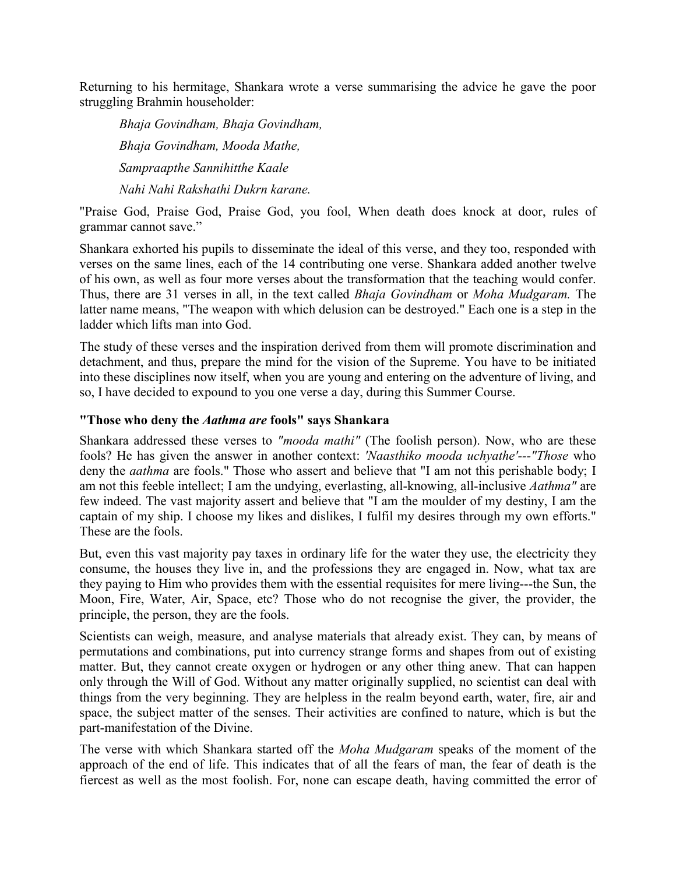Returning to his hermitage, Shankara wrote a verse summarising the advice he gave the poor struggling Brahmin householder:

*Bhaja Govindham, Bhaja Govindham, Bhaja Govindham, Mooda Mathe, Sampraapthe Sannihitthe Kaale Nahi Nahi Rakshathi Dukrn karane.*

"Praise God, Praise God, Praise God, you fool, When death does knock at door, rules of grammar cannot save."

Shankara exhorted his pupils to disseminate the ideal of this verse, and they too, responded with verses on the same lines, each of the 14 contributing one verse. Shankara added another twelve of his own, as well as four more verses about the transformation that the teaching would confer. Thus, there are 31 verses in all, in the text called *Bhaja Govindham* or *Moha Mudgaram.* The latter name means, "The weapon with which delusion can be destroyed." Each one is a step in the ladder which lifts man into God.

The study of these verses and the inspiration derived from them will promote discrimination and detachment, and thus, prepare the mind for the vision of the Supreme. You have to be initiated into these disciplines now itself, when you are young and entering on the adventure of living, and so, I have decided to expound to you one verse a day, during this Summer Course.

### **"Those who deny the** *Aathma are* **fools" says Shankara**

Shankara addressed these verses to *"mooda mathi"* (The foolish person). Now, who are these fools? He has given the answer in another context: *'Naasthiko mooda uchyathe'---"Those* who deny the *aathma* are fools." Those who assert and believe that "I am not this perishable body; I am not this feeble intellect; I am the undying, everlasting, all-knowing, all-inclusive *Aathma"* are few indeed. The vast majority assert and believe that "I am the moulder of my destiny, I am the captain of my ship. I choose my likes and dislikes, I fulfil my desires through my own efforts." These are the fools.

But, even this vast majority pay taxes in ordinary life for the water they use, the electricity they consume, the houses they live in, and the professions they are engaged in. Now, what tax are they paying to Him who provides them with the essential requisites for mere living---the Sun, the Moon, Fire, Water, Air, Space, etc? Those who do not recognise the giver, the provider, the principle, the person, they are the fools.

Scientists can weigh, measure, and analyse materials that already exist. They can, by means of permutations and combinations, put into currency strange forms and shapes from out of existing matter. But, they cannot create oxygen or hydrogen or any other thing anew. That can happen only through the Will of God. Without any matter originally supplied, no scientist can deal with things from the very beginning. They are helpless in the realm beyond earth, water, fire, air and space, the subject matter of the senses. Their activities are confined to nature, which is but the part-manifestation of the Divine.

The verse with which Shankara started off the *Moha Mudgaram* speaks of the moment of the approach of the end of life. This indicates that of all the fears of man, the fear of death is the fiercest as well as the most foolish. For, none can escape death, having committed the error of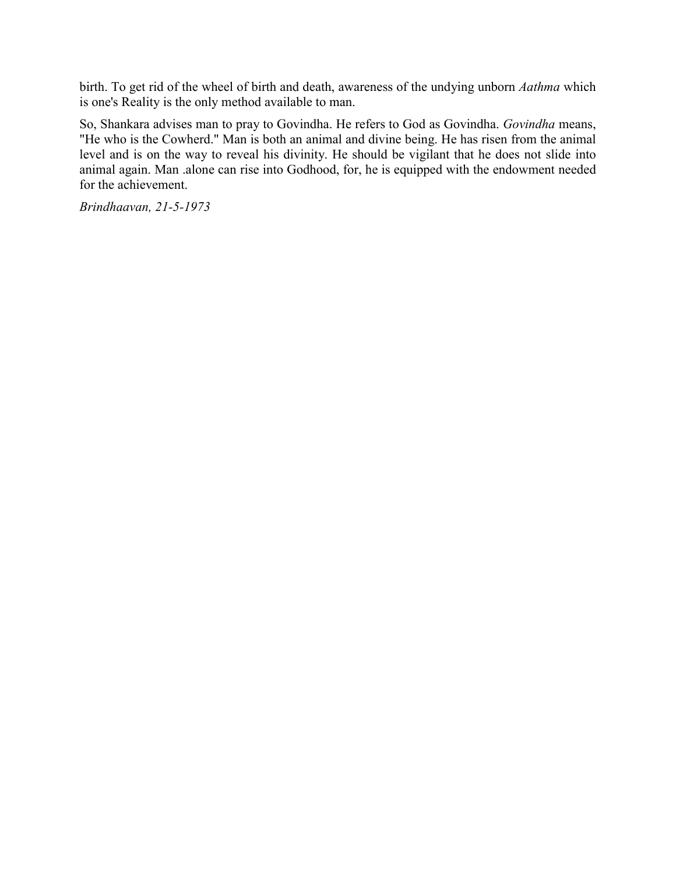birth. To get rid of the wheel of birth and death, awareness of the undying unborn *Aathma* which is one's Reality is the only method available to man.

So, Shankara advises man to pray to Govindha. He refers to God as Govindha. *Govindha* means, "He who is the Cowherd." Man is both an animal and divine being. He has risen from the animal level and is on the way to reveal his divinity. He should be vigilant that he does not slide into animal again. Man .alone can rise into Godhood, for, he is equipped with the endowment needed for the achievement.

*Brindhaavan, 21-5-1973*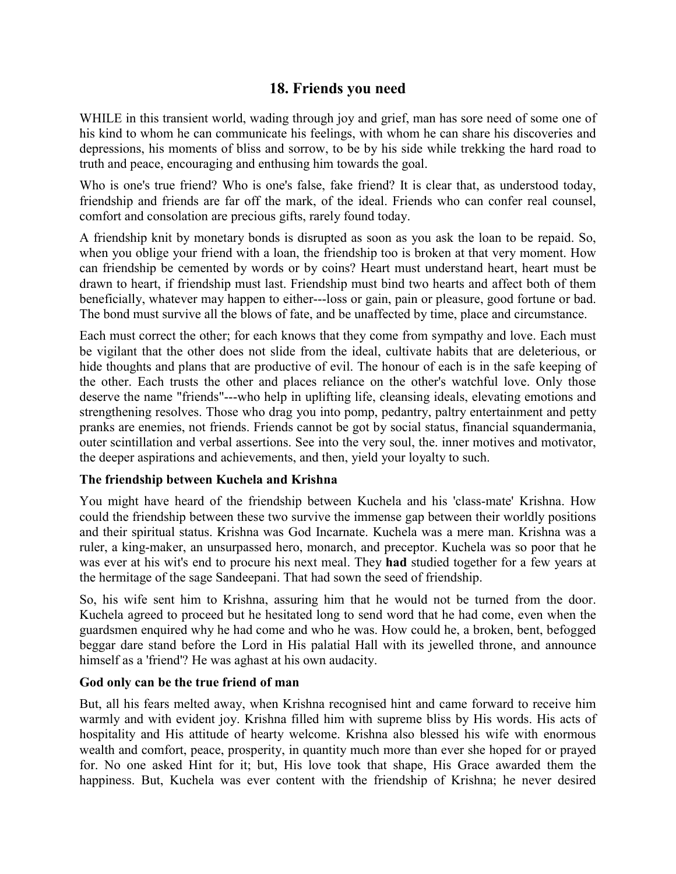# **18. Friends you need**

WHILE in this transient world, wading through joy and grief, man has sore need of some one of his kind to whom he can communicate his feelings, with whom he can share his discoveries and depressions, his moments of bliss and sorrow, to be by his side while trekking the hard road to truth and peace, encouraging and enthusing him towards the goal.

Who is one's true friend? Who is one's false, fake friend? It is clear that, as understood today, friendship and friends are far off the mark, of the ideal. Friends who can confer real counsel, comfort and consolation are precious gifts, rarely found today.

A friendship knit by monetary bonds is disrupted as soon as you ask the loan to be repaid. So, when you oblige your friend with a loan, the friendship too is broken at that very moment. How can friendship be cemented by words or by coins? Heart must understand heart, heart must be drawn to heart, if friendship must last. Friendship must bind two hearts and affect both of them beneficially, whatever may happen to either---loss or gain, pain or pleasure, good fortune or bad. The bond must survive all the blows of fate, and be unaffected by time, place and circumstance.

Each must correct the other; for each knows that they come from sympathy and love. Each must be vigilant that the other does not slide from the ideal, cultivate habits that are deleterious, or hide thoughts and plans that are productive of evil. The honour of each is in the safe keeping of the other. Each trusts the other and places reliance on the other's watchful love. Only those deserve the name "friends"---who help in uplifting life, cleansing ideals, elevating emotions and strengthening resolves. Those who drag you into pomp, pedantry, paltry entertainment and petty pranks are enemies, not friends. Friends cannot be got by social status, financial squandermania, outer scintillation and verbal assertions. See into the very soul, the. inner motives and motivator, the deeper aspirations and achievements, and then, yield your loyalty to such.

## **The friendship between Kuchela and Krishna**

You might have heard of the friendship between Kuchela and his 'class-mate' Krishna. How could the friendship between these two survive the immense gap between their worldly positions and their spiritual status. Krishna was God Incarnate. Kuchela was a mere man. Krishna was a ruler, a king-maker, an unsurpassed hero, monarch, and preceptor. Kuchela was so poor that he was ever at his wit's end to procure his next meal. They **had** studied together for a few years at the hermitage of the sage Sandeepani. That had sown the seed of friendship.

So, his wife sent him to Krishna, assuring him that he would not be turned from the door. Kuchela agreed to proceed but he hesitated long to send word that he had come, even when the guardsmen enquired why he had come and who he was. How could he, a broken, bent, befogged beggar dare stand before the Lord in His palatial Hall with its jewelled throne, and announce himself as a 'friend'? He was aghast at his own audacity.

## **God only can be the true friend of man**

But, all his fears melted away, when Krishna recognised hint and came forward to receive him warmly and with evident joy. Krishna filled him with supreme bliss by His words. His acts of hospitality and His attitude of hearty welcome. Krishna also blessed his wife with enormous wealth and comfort, peace, prosperity, in quantity much more than ever she hoped for or prayed for. No one asked Hint for it; but, His love took that shape, His Grace awarded them the happiness. But, Kuchela was ever content with the friendship of Krishna; he never desired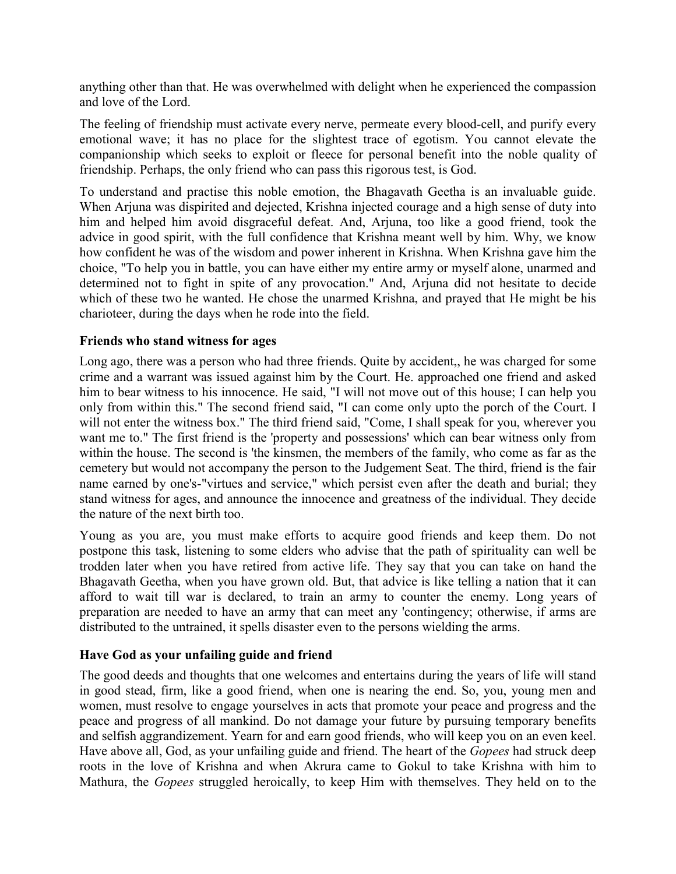anything other than that. He was overwhelmed with delight when he experienced the compassion and love of the Lord.

The feeling of friendship must activate every nerve, permeate every blood-cell, and purify every emotional wave; it has no place for the slightest trace of egotism. You cannot elevate the companionship which seeks to exploit or fleece for personal benefit into the noble quality of friendship. Perhaps, the only friend who can pass this rigorous test, is God.

To understand and practise this noble emotion, the Bhagavath Geetha is an invaluable guide. When Arjuna was dispirited and dejected, Krishna injected courage and a high sense of duty into him and helped him avoid disgraceful defeat. And, Arjuna, too like a good friend, took the advice in good spirit, with the full confidence that Krishna meant well by him. Why, we know how confident he was of the wisdom and power inherent in Krishna. When Krishna gave him the choice, "To help you in battle, you can have either my entire army or myself alone, unarmed and determined not to fight in spite of any provocation." And, Arjuna did not hesitate to decide which of these two he wanted. He chose the unarmed Krishna, and prayed that He might be his charioteer, during the days when he rode into the field.

### **Friends who stand witness for ages**

Long ago, there was a person who had three friends. Quite by accident,, he was charged for some crime and a warrant was issued against him by the Court. He. approached one friend and asked him to bear witness to his innocence. He said, "I will not move out of this house; I can help you only from within this." The second friend said, "I can come only upto the porch of the Court. I will not enter the witness box." The third friend said, "Come, I shall speak for you, wherever you want me to." The first friend is the 'property and possessions' which can bear witness only from within the house. The second is 'the kinsmen, the members of the family, who come as far as the cemetery but would not accompany the person to the Judgement Seat. The third, friend is the fair name earned by one's-"virtues and service," which persist even after the death and burial; they stand witness for ages, and announce the innocence and greatness of the individual. They decide the nature of the next birth too.

Young as you are, you must make efforts to acquire good friends and keep them. Do not postpone this task, listening to some elders who advise that the path of spirituality can well be trodden later when you have retired from active life. They say that you can take on hand the Bhagavath Geetha, when you have grown old. But, that advice is like telling a nation that it can afford to wait till war is declared, to train an army to counter the enemy. Long years of preparation are needed to have an army that can meet any 'contingency; otherwise, if arms are distributed to the untrained, it spells disaster even to the persons wielding the arms.

## **Have God as your unfailing guide and friend**

The good deeds and thoughts that one welcomes and entertains during the years of life will stand in good stead, firm, like a good friend, when one is nearing the end. So, you, young men and women, must resolve to engage yourselves in acts that promote your peace and progress and the peace and progress of all mankind. Do not damage your future by pursuing temporary benefits and selfish aggrandizement. Yearn for and earn good friends, who will keep you on an even keel. Have above all, God, as your unfailing guide and friend. The heart of the *Gopees* had struck deep roots in the love of Krishna and when Akrura came to Gokul to take Krishna with him to Mathura, the *Gopees* struggled heroically, to keep Him with themselves. They held on to the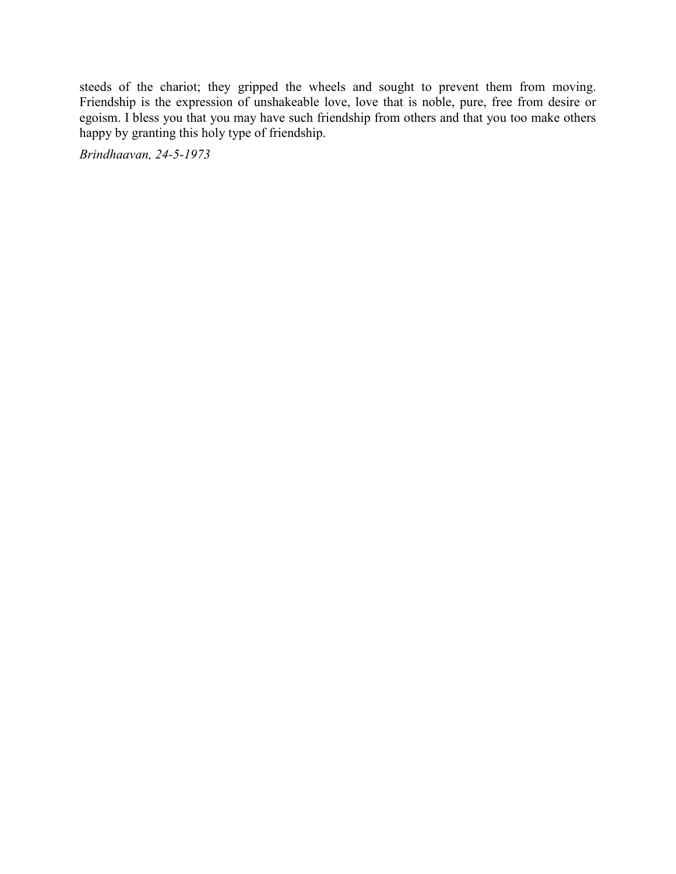steeds of the chariot; they gripped the wheels and sought to prevent them from moving. Friendship is the expression of unshakeable love, love that is noble, pure, free from desire or egoism. I bless you that you may have such friendship from others and that you too make others happy by granting this holy type of friendship.

*Brindhaavan, 24-5-1973*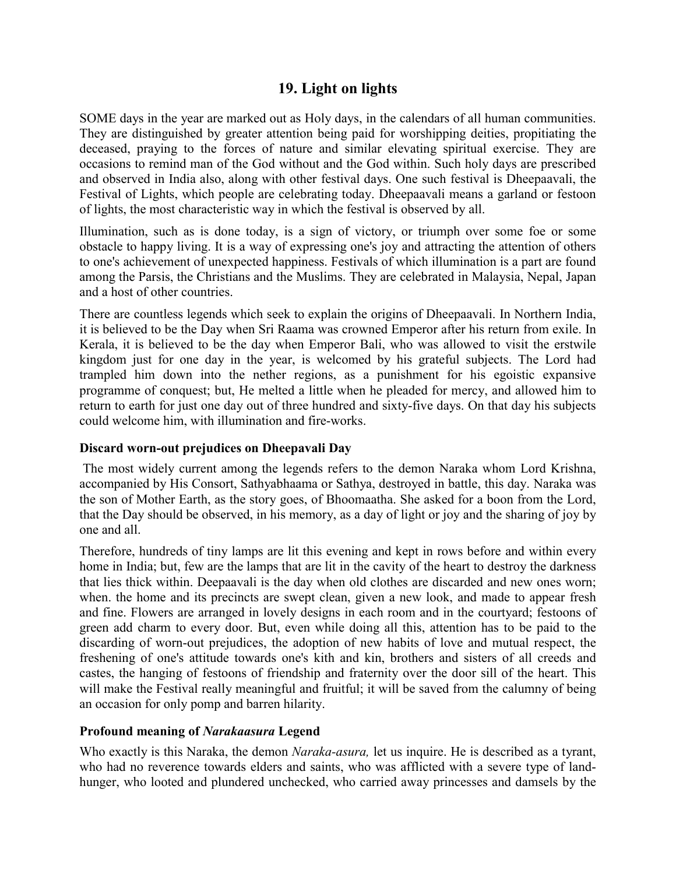## **19. Light on lights**

SOME days in the year are marked out as Holy days, in the calendars of all human communities. They are distinguished by greater attention being paid for worshipping deities, propitiating the deceased, praying to the forces of nature and similar elevating spiritual exercise. They are occasions to remind man of the God without and the God within. Such holy days are prescribed and observed in India also, along with other festival days. One such festival is Dheepaavali, the Festival of Lights, which people are celebrating today. Dheepaavali means a garland or festoon of lights, the most characteristic way in which the festival is observed by all.

Illumination, such as is done today, is a sign of victory, or triumph over some foe or some obstacle to happy living. It is a way of expressing one's joy and attracting the attention of others to one's achievement of unexpected happiness. Festivals of which illumination is a part are found among the Parsis, the Christians and the Muslims. They are celebrated in Malaysia, Nepal, Japan and a host of other countries.

There are countless legends which seek to explain the origins of Dheepaavali. In Northern India, it is believed to be the Day when Sri Raama was crowned Emperor after his return from exile. In Kerala, it is believed to be the day when Emperor Bali, who was allowed to visit the erstwile kingdom just for one day in the year, is welcomed by his grateful subjects. The Lord had trampled him down into the nether regions, as a punishment for his egoistic expansive programme of conquest; but, He melted a little when he pleaded for mercy, and allowed him to return to earth for just one day out of three hundred and sixty-five days. On that day his subjects could welcome him, with illumination and fire-works.

## **Discard worn-out prejudices on Dheepavali Day**

 The most widely current among the legends refers to the demon Naraka whom Lord Krishna, accompanied by His Consort, Sathyabhaama or Sathya, destroyed in battle, this day. Naraka was the son of Mother Earth, as the story goes, of Bhoomaatha. She asked for a boon from the Lord, that the Day should be observed, in his memory, as a day of light or joy and the sharing of joy by one and all.

Therefore, hundreds of tiny lamps are lit this evening and kept in rows before and within every home in India; but, few are the lamps that are lit in the cavity of the heart to destroy the darkness that lies thick within. Deepaavali is the day when old clothes are discarded and new ones worn; when. the home and its precincts are swept clean, given a new look, and made to appear fresh and fine. Flowers are arranged in lovely designs in each room and in the courtyard; festoons of green add charm to every door. But, even while doing all this, attention has to be paid to the discarding of worn-out prejudices, the adoption of new habits of love and mutual respect, the freshening of one's attitude towards one's kith and kin, brothers and sisters of all creeds and castes, the hanging of festoons of friendship and fraternity over the door sill of the heart. This will make the Festival really meaningful and fruitful; it will be saved from the calumny of being an occasion for only pomp and barren hilarity.

### **Profound meaning of** *Narakaasura* **Legend**

Who exactly is this Naraka, the demon *Naraka-asura,* let us inquire. He is described as a tyrant, who had no reverence towards elders and saints, who was afflicted with a severe type of landhunger, who looted and plundered unchecked, who carried away princesses and damsels by the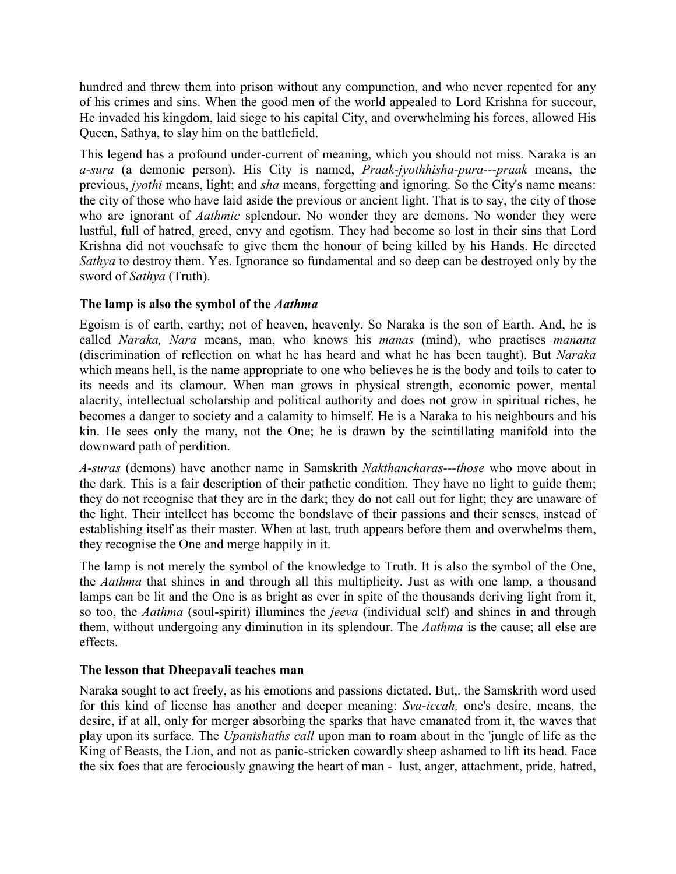hundred and threw them into prison without any compunction, and who never repented for any of his crimes and sins. When the good men of the world appealed to Lord Krishna for succour, He invaded his kingdom, laid siege to his capital City, and overwhelming his forces, allowed His Queen, Sathya, to slay him on the battlefield.

This legend has a profound under-current of meaning, which you should not miss. Naraka is an *a-sura* (a demonic person). His City is named, *Praak-jyothhisha-pura---praak* means, the previous, *jyothi* means, light; and *sha* means, forgetting and ignoring. So the City's name means: the city of those who have laid aside the previous or ancient light. That is to say, the city of those who are ignorant of *Aathmic* splendour. No wonder they are demons. No wonder they were lustful, full of hatred, greed, envy and egotism. They had become so lost in their sins that Lord Krishna did not vouchsafe to give them the honour of being killed by his Hands. He directed *Sathya* to destroy them. Yes. Ignorance so fundamental and so deep can be destroyed only by the sword of *Sathya* (Truth).

## **The lamp is also the symbol of the** *Aathma*

Egoism is of earth, earthy; not of heaven, heavenly. So Naraka is the son of Earth. And, he is called *Naraka, Nara* means, man, who knows his *manas* (mind), who practises *manana* (discrimination of reflection on what he has heard and what he has been taught). But *Naraka* which means hell, is the name appropriate to one who believes he is the body and toils to cater to its needs and its clamour. When man grows in physical strength, economic power, mental alacrity, intellectual scholarship and political authority and does not grow in spiritual riches, he becomes a danger to society and a calamity to himself. He is a Naraka to his neighbours and his kin. He sees only the many, not the One; he is drawn by the scintillating manifold into the downward path of perdition.

*A-suras* (demons) have another name in Samskrith *Nakthancharas---those* who move about in the dark. This is a fair description of their pathetic condition. They have no light to guide them; they do not recognise that they are in the dark; they do not call out for light; they are unaware of the light. Their intellect has become the bondslave of their passions and their senses, instead of establishing itself as their master. When at last, truth appears before them and overwhelms them, they recognise the One and merge happily in it.

The lamp is not merely the symbol of the knowledge to Truth. It is also the symbol of the One, the *Aathma* that shines in and through all this multiplicity. Just as with one lamp, a thousand lamps can be lit and the One is as bright as ever in spite of the thousands deriving light from it, so too, the *Aathma* (soul-spirit) illumines the *jeeva* (individual self) and shines in and through them, without undergoing any diminution in its splendour. The *Aathma* is the cause; all else are effects.

## **The lesson that Dheepavali teaches man**

Naraka sought to act freely, as his emotions and passions dictated. But,. the Samskrith word used for this kind of license has another and deeper meaning: *Sva-iccah,* one's desire, means, the desire, if at all, only for merger absorbing the sparks that have emanated from it, the waves that play upon its surface. The *Upanishaths call* upon man to roam about in the 'jungle of life as the King of Beasts, the Lion, and not as panic-stricken cowardly sheep ashamed to lift its head. Face the six foes that are ferociously gnawing the heart of man - lust, anger, attachment, pride, hatred,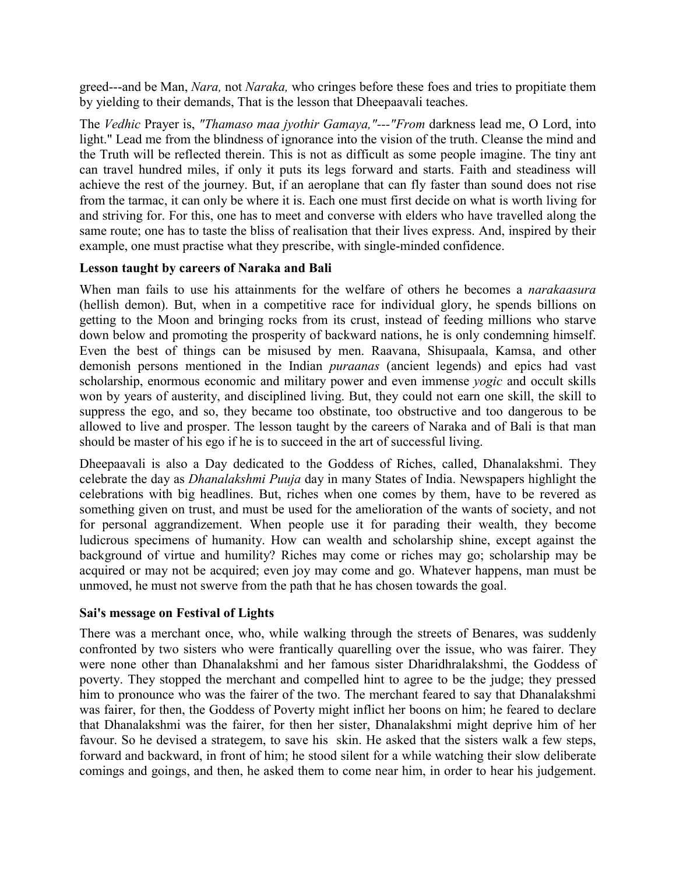greed---and be Man, *Nara,* not *Naraka,* who cringes before these foes and tries to propitiate them by yielding to their demands, That is the lesson that Dheepaavali teaches.

The *Vedhic* Prayer is, *"Thamaso maa jyothir Gamaya,"---"From* darkness lead me, O Lord, into light." Lead me from the blindness of ignorance into the vision of the truth. Cleanse the mind and the Truth will be reflected therein. This is not as difficult as some people imagine. The tiny ant can travel hundred miles, if only it puts its legs forward and starts. Faith and steadiness will achieve the rest of the journey. But, if an aeroplane that can fly faster than sound does not rise from the tarmac, it can only be where it is. Each one must first decide on what is worth living for and striving for. For this, one has to meet and converse with elders who have travelled along the same route; one has to taste the bliss of realisation that their lives express. And, inspired by their example, one must practise what they prescribe, with single-minded confidence.

## **Lesson taught by careers of Naraka and Bali**

When man fails to use his attainments for the welfare of others he becomes a *narakaasura* (hellish demon). But, when in a competitive race for individual glory, he spends billions on getting to the Moon and bringing rocks from its crust, instead of feeding millions who starve down below and promoting the prosperity of backward nations, he is only condemning himself. Even the best of things can be misused by men. Raavana, Shisupaala, Kamsa, and other demonish persons mentioned in the Indian *puraanas* (ancient legends) and epics had vast scholarship, enormous economic and military power and even immense *yogic* and occult skills won by years of austerity, and disciplined living. But, they could not earn one skill, the skill to suppress the ego, and so, they became too obstinate, too obstructive and too dangerous to be allowed to live and prosper. The lesson taught by the careers of Naraka and of Bali is that man should be master of his ego if he is to succeed in the art of successful living.

Dheepaavali is also a Day dedicated to the Goddess of Riches, called, Dhanalakshmi. They celebrate the day as *Dhanalakshmi Puuja* day in many States of India. Newspapers highlight the celebrations with big headlines. But, riches when one comes by them, have to be revered as something given on trust, and must be used for the amelioration of the wants of society, and not for personal aggrandizement. When people use it for parading their wealth, they become ludicrous specimens of humanity. How can wealth and scholarship shine, except against the background of virtue and humility? Riches may come or riches may go; scholarship may be acquired or may not be acquired; even joy may come and go. Whatever happens, man must be unmoved, he must not swerve from the path that he has chosen towards the goal.

### **Sai's message on Festival of Lights**

There was a merchant once, who, while walking through the streets of Benares, was suddenly confronted by two sisters who were frantically quarelling over the issue, who was fairer. They were none other than Dhanalakshmi and her famous sister Dharidhralakshmi, the Goddess of poverty. They stopped the merchant and compelled hint to agree to be the judge; they pressed him to pronounce who was the fairer of the two. The merchant feared to say that Dhanalakshmi was fairer, for then, the Goddess of Poverty might inflict her boons on him; he feared to declare that Dhanalakshmi was the fairer, for then her sister, Dhanalakshmi might deprive him of her favour. So he devised a strategem, to save his skin. He asked that the sisters walk a few steps, forward and backward, in front of him; he stood silent for a while watching their slow deliberate comings and goings, and then, he asked them to come near him, in order to hear his judgement.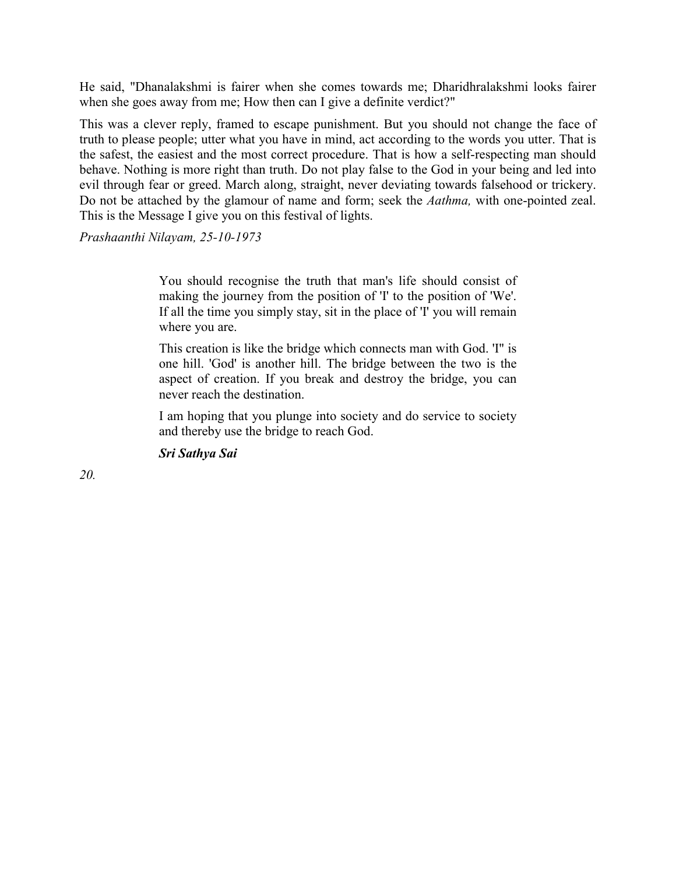He said, "Dhanalakshmi is fairer when she comes towards me; Dharidhralakshmi looks fairer when she goes away from me; How then can I give a definite verdict?"

This was a clever reply, framed to escape punishment. But you should not change the face of truth to please people; utter what you have in mind, act according to the words you utter. That is the safest, the easiest and the most correct procedure. That is how a self-respecting man should behave. Nothing is more right than truth. Do not play false to the God in your being and led into evil through fear or greed. March along, straight, never deviating towards falsehood or trickery. Do not be attached by the glamour of name and form; seek the *Aathma,* with one-pointed zeal. This is the Message I give you on this festival of lights.

*Prashaanthi Nilayam, 25-10-1973*

You should recognise the truth that man's life should consist of making the journey from the position of 'I' to the position of 'We'. If all the time you simply stay, sit in the place of 'I' you will remain where you are.

This creation is like the bridge which connects man with God. 'I" is one hill. 'God' is another hill. The bridge between the two is the aspect of creation. If you break and destroy the bridge, you can never reach the destination.

I am hoping that you plunge into society and do service to society and thereby use the bridge to reach God.

*Sri Sathya Sai*

*20.*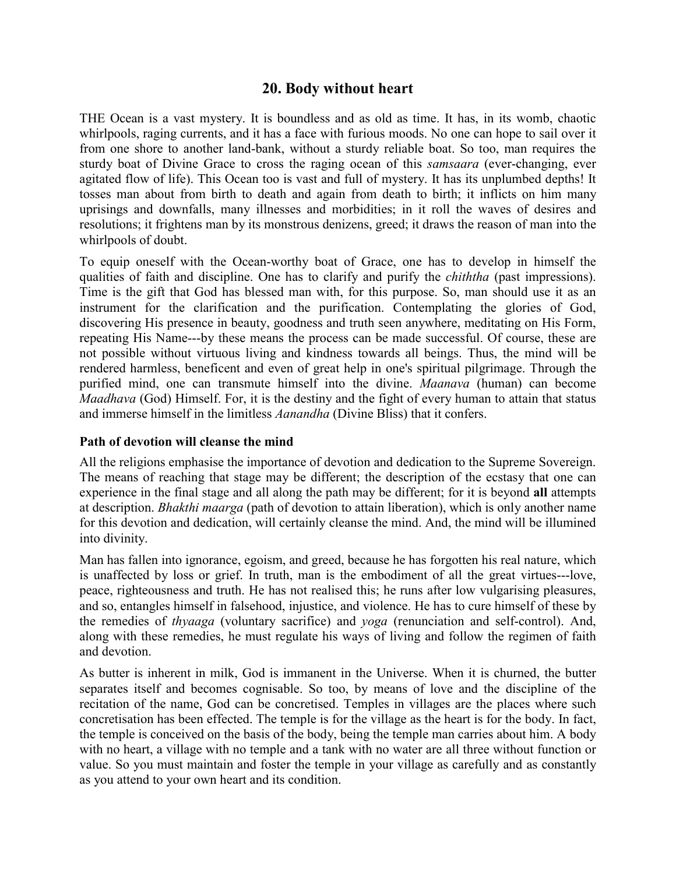## **20. Body without heart**

THE Ocean is a vast mystery. It is boundless and as old as time. It has, in its womb, chaotic whirlpools, raging currents, and it has a face with furious moods. No one can hope to sail over it from one shore to another land-bank, without a sturdy reliable boat. So too, man requires the sturdy boat of Divine Grace to cross the raging ocean of this *samsaara* (ever-changing, ever agitated flow of life). This Ocean too is vast and full of mystery. It has its unplumbed depths! It tosses man about from birth to death and again from death to birth; it inflicts on him many uprisings and downfalls, many illnesses and morbidities; in it roll the waves of desires and resolutions; it frightens man by its monstrous denizens, greed; it draws the reason of man into the whirlpools of doubt.

To equip oneself with the Ocean-worthy boat of Grace, one has to develop in himself the qualities of faith and discipline. One has to clarify and purify the *chiththa* (past impressions). Time is the gift that God has blessed man with, for this purpose. So, man should use it as an instrument for the clarification and the purification. Contemplating the glories of God, discovering His presence in beauty, goodness and truth seen anywhere, meditating on His Form, repeating His Name---by these means the process can be made successful. Of course, these are not possible without virtuous living and kindness towards all beings. Thus, the mind will be rendered harmless, beneficent and even of great help in one's spiritual pilgrimage. Through the purified mind, one can transmute himself into the divine. *Maanava* (human) can become *Maadhava* (God) Himself. For, it is the destiny and the fight of every human to attain that status and immerse himself in the limitless *Aanandha* (Divine Bliss) that it confers.

### **Path of devotion will cleanse the mind**

All the religions emphasise the importance of devotion and dedication to the Supreme Sovereign. The means of reaching that stage may be different; the description of the ecstasy that one can experience in the final stage and all along the path may be different; for it is beyond **all** attempts at description. *Bhakthi maarga* (path of devotion to attain liberation), which is only another name for this devotion and dedication, will certainly cleanse the mind. And, the mind will be illumined into divinity.

Man has fallen into ignorance, egoism, and greed, because he has forgotten his real nature, which is unaffected by loss or grief. In truth, man is the embodiment of all the great virtues---love, peace, righteousness and truth. He has not realised this; he runs after low vulgarising pleasures, and so, entangles himself in falsehood, injustice, and violence. He has to cure himself of these by the remedies of *thyaaga* (voluntary sacrifice) and *yoga* (renunciation and self-control). And, along with these remedies, he must regulate his ways of living and follow the regimen of faith and devotion.

As butter is inherent in milk, God is immanent in the Universe. When it is churned, the butter separates itself and becomes cognisable. So too, by means of love and the discipline of the recitation of the name, God can be concretised. Temples in villages are the places where such concretisation has been effected. The temple is for the village as the heart is for the body. In fact, the temple is conceived on the basis of the body, being the temple man carries about him. A body with no heart, a village with no temple and a tank with no water are all three without function or value. So you must maintain and foster the temple in your village as carefully and as constantly as you attend to your own heart and its condition.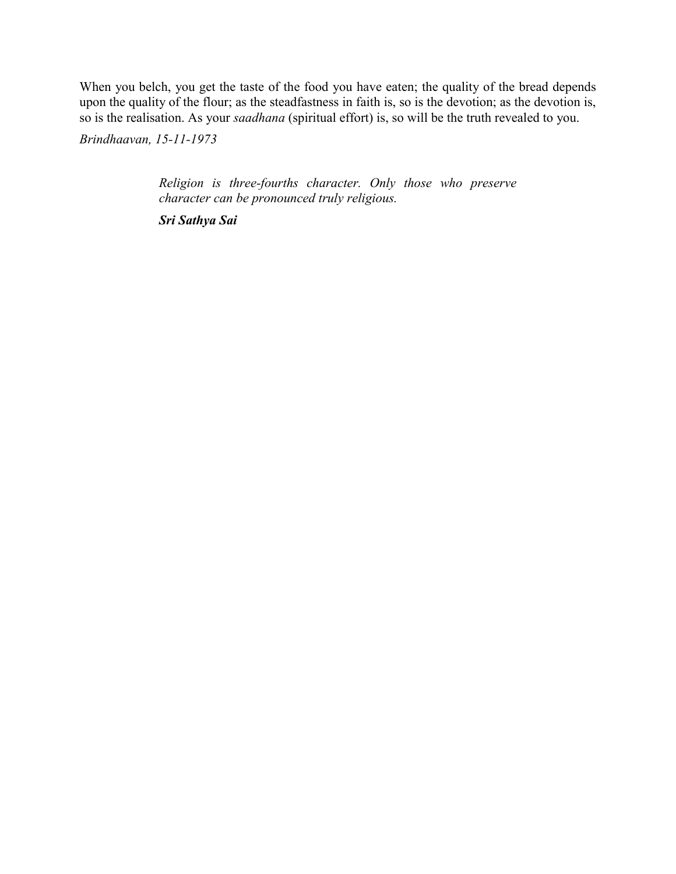When you belch, you get the taste of the food you have eaten; the quality of the bread depends upon the quality of the flour; as the steadfastness in faith is, so is the devotion; as the devotion is, so is the realisation. As your *saadhana* (spiritual effort) is, so will be the truth revealed to you.

*Brindhaavan, 15-11-1973*

*Religion is three-fourths character. Only those who preserve character can be pronounced truly religious.*

*Sri Sathya Sai*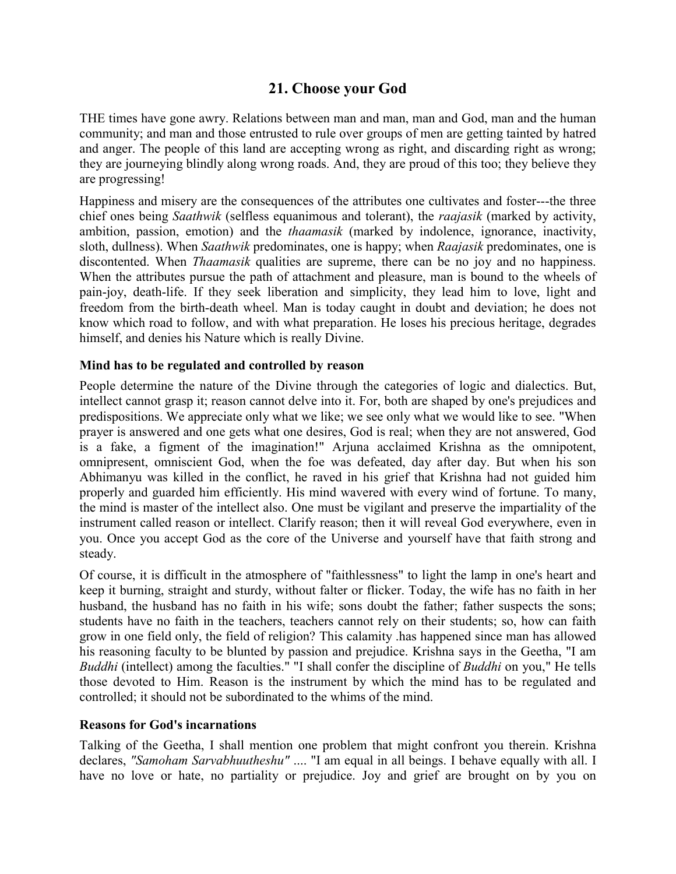# **21. Choose your God**

THE times have gone awry. Relations between man and man, man and God, man and the human community; and man and those entrusted to rule over groups of men are getting tainted by hatred and anger. The people of this land are accepting wrong as right, and discarding right as wrong; they are journeying blindly along wrong roads. And, they are proud of this too; they believe they are progressing!

Happiness and misery are the consequences of the attributes one cultivates and foster---the three chief ones being *Saathwik* (selfless equanimous and tolerant), the *raajasik* (marked by activity, ambition, passion, emotion) and the *thaamasik* (marked by indolence, ignorance, inactivity, sloth, dullness). When *Saathwik* predominates, one is happy; when *Raajasik* predominates, one is discontented. When *Thaamasik* qualities are supreme, there can be no joy and no happiness. When the attributes pursue the path of attachment and pleasure, man is bound to the wheels of pain-joy, death-life. If they seek liberation and simplicity, they lead him to love, light and freedom from the birth-death wheel. Man is today caught in doubt and deviation; he does not know which road to follow, and with what preparation. He loses his precious heritage, degrades himself, and denies his Nature which is really Divine.

### **Mind has to be regulated and controlled by reason**

People determine the nature of the Divine through the categories of logic and dialectics. But, intellect cannot grasp it; reason cannot delve into it. For, both are shaped by one's prejudices and predispositions. We appreciate only what we like; we see only what we would like to see. "When prayer is answered and one gets what one desires, God is real; when they are not answered, God is a fake, a figment of the imagination!" Arjuna acclaimed Krishna as the omnipotent, omnipresent, omniscient God, when the foe was defeated, day after day. But when his son Abhimanyu was killed in the conflict, he raved in his grief that Krishna had not guided him properly and guarded him efficiently. His mind wavered with every wind of fortune. To many, the mind is master of the intellect also. One must be vigilant and preserve the impartiality of the instrument called reason or intellect. Clarify reason; then it will reveal God everywhere, even in you. Once you accept God as the core of the Universe and yourself have that faith strong and steady.

Of course, it is difficult in the atmosphere of "faithlessness" to light the lamp in one's heart and keep it burning, straight and sturdy, without falter or flicker. Today, the wife has no faith in her husband, the husband has no faith in his wife; sons doubt the father; father suspects the sons; students have no faith in the teachers, teachers cannot rely on their students; so, how can faith grow in one field only, the field of religion? This calamity .has happened since man has allowed his reasoning faculty to be blunted by passion and prejudice. Krishna says in the Geetha, "I am *Buddhi* (intellect) among the faculties." "I shall confer the discipline of *Buddhi* on you," He tells those devoted to Him. Reason is the instrument by which the mind has to be regulated and controlled; it should not be subordinated to the whims of the mind.

## **Reasons for God's incarnations**

Talking of the Geetha, I shall mention one problem that might confront you therein. Krishna declares, *"Samoham Sarvabhuutheshu"* .... "I am equal in all beings. I behave equally with all. I have no love or hate, no partiality or prejudice. Joy and grief are brought on by you on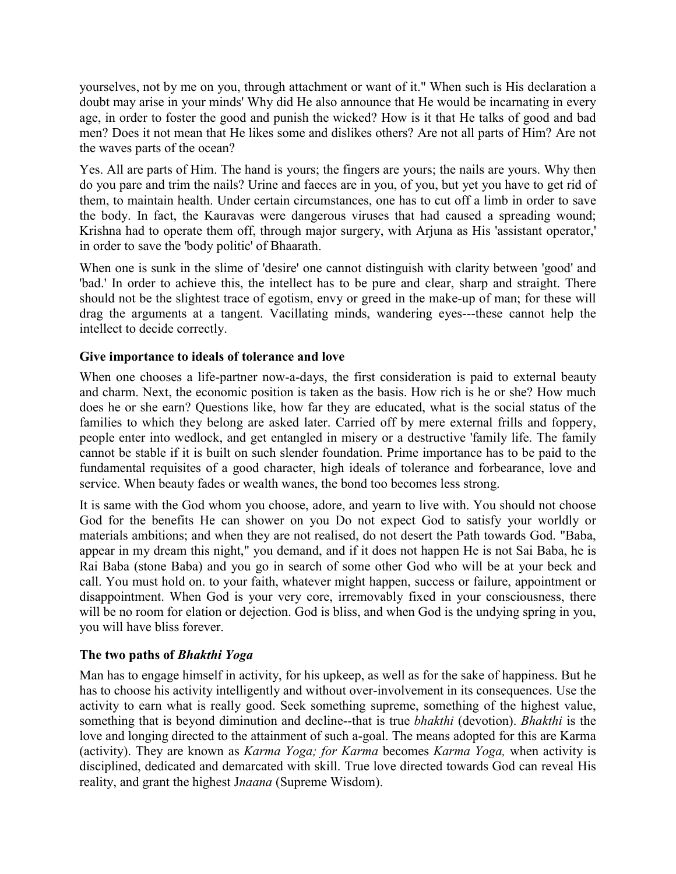yourselves, not by me on you, through attachment or want of it." When such is His declaration a doubt may arise in your minds' Why did He also announce that He would be incarnating in every age, in order to foster the good and punish the wicked? How is it that He talks of good and bad men? Does it not mean that He likes some and dislikes others? Are not all parts of Him? Are not the waves parts of the ocean?

Yes. All are parts of Him. The hand is yours; the fingers are yours; the nails are yours. Why then do you pare and trim the nails? Urine and faeces are in you, of you, but yet you have to get rid of them, to maintain health. Under certain circumstances, one has to cut off a limb in order to save the body. In fact, the Kauravas were dangerous viruses that had caused a spreading wound; Krishna had to operate them off, through major surgery, with Arjuna as His 'assistant operator,' in order to save the 'body politic' of Bhaarath.

When one is sunk in the slime of 'desire' one cannot distinguish with clarity between 'good' and 'bad.' In order to achieve this, the intellect has to be pure and clear, sharp and straight. There should not be the slightest trace of egotism, envy or greed in the make-up of man; for these will drag the arguments at a tangent. Vacillating minds, wandering eyes---these cannot help the intellect to decide correctly.

## **Give importance to ideals of tolerance and love**

When one chooses a life-partner now-a-days, the first consideration is paid to external beauty and charm. Next, the economic position is taken as the basis. How rich is he or she? How much does he or she earn? Questions like, how far they are educated, what is the social status of the families to which they belong are asked later. Carried off by mere external frills and foppery, people enter into wedlock, and get entangled in misery or a destructive 'family life. The family cannot be stable if it is built on such slender foundation. Prime importance has to be paid to the fundamental requisites of a good character, high ideals of tolerance and forbearance, love and service. When beauty fades or wealth wanes, the bond too becomes less strong.

It is same with the God whom you choose, adore, and yearn to live with. You should not choose God for the benefits He can shower on you Do not expect God to satisfy your worldly or materials ambitions; and when they are not realised, do not desert the Path towards God. "Baba, appear in my dream this night," you demand, and if it does not happen He is not Sai Baba, he is Rai Baba (stone Baba) and you go in search of some other God who will be at your beck and call. You must hold on. to your faith, whatever might happen, success or failure, appointment or disappointment. When God is your very core, irremovably fixed in your consciousness, there will be no room for elation or dejection. God is bliss, and when God is the undying spring in you, you will have bliss forever.

## **The two paths of** *Bhakthi Yoga*

Man has to engage himself in activity, for his upkeep, as well as for the sake of happiness. But he has to choose his activity intelligently and without over-involvement in its consequences. Use the activity to earn what is really good. Seek something supreme, something of the highest value, something that is beyond diminution and decline--that is true *bhakthi* (devotion). *Bhakthi* is the love and longing directed to the attainment of such a-goal. The means adopted for this are Karma (activity). They are known as *Karma Yoga; for Karma* becomes *Karma Yoga,* when activity is disciplined, dedicated and demarcated with skill. True love directed towards God can reveal His reality, and grant the highest J*naana* (Supreme Wisdom).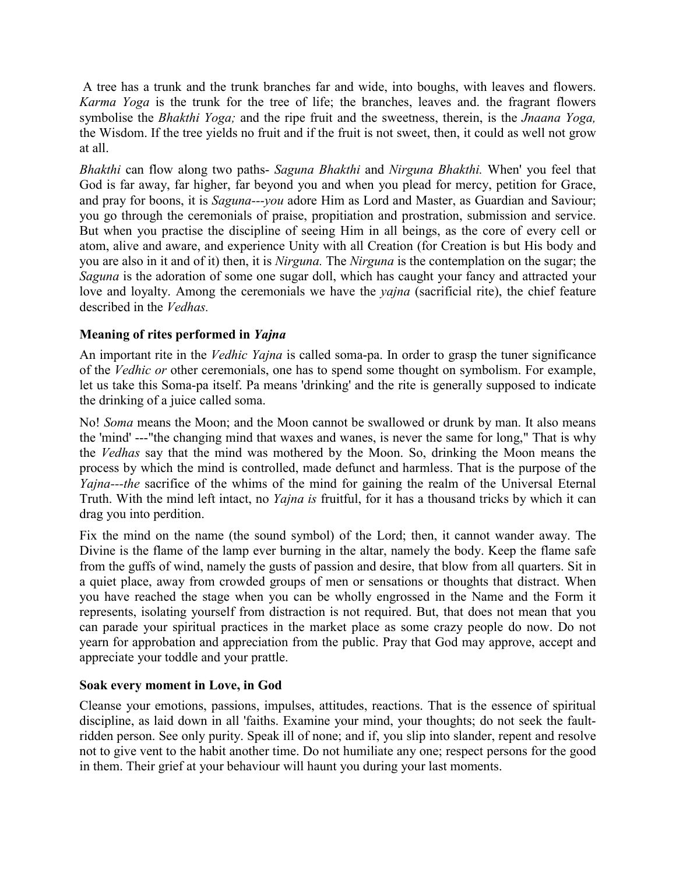A tree has a trunk and the trunk branches far and wide, into boughs, with leaves and flowers. *Karma Yoga* is the trunk for the tree of life; the branches, leaves and. the fragrant flowers symbolise the *Bhakthi Yoga;* and the ripe fruit and the sweetness, therein, is the *Jnaana Yoga,* the Wisdom. If the tree yields no fruit and if the fruit is not sweet, then, it could as well not grow at all.

*Bhakthi* can flow along two paths- *Saguna Bhakthi* and *Nirguna Bhakthi.* When' you feel that God is far away, far higher, far beyond you and when you plead for mercy, petition for Grace, and pray for boons, it is *Saguna---you* adore Him as Lord and Master, as Guardian and Saviour; you go through the ceremonials of praise, propitiation and prostration, submission and service. But when you practise the discipline of seeing Him in all beings, as the core of every cell or atom, alive and aware, and experience Unity with all Creation (for Creation is but His body and you are also in it and of it) then, it is *Nirguna.* The *Nirguna* is the contemplation on the sugar; the *Saguna* is the adoration of some one sugar doll, which has caught your fancy and attracted your love and loyalty. Among the ceremonials we have the *yajna* (sacrificial rite), the chief feature described in the *Vedhas.*

## **Meaning of rites performed in** *Yajna*

An important rite in the *Vedhic Yajna* is called soma-pa. In order to grasp the tuner significance of the *Vedhic or* other ceremonials, one has to spend some thought on symbolism. For example, let us take this Soma-pa itself. Pa means 'drinking' and the rite is generally supposed to indicate the drinking of a juice called soma.

No! *Soma* means the Moon; and the Moon cannot be swallowed or drunk by man. It also means the 'mind' ---"the changing mind that waxes and wanes, is never the same for long," That is why the *Vedhas* say that the mind was mothered by the Moon. So, drinking the Moon means the process by which the mind is controlled, made defunct and harmless. That is the purpose of the *Yajna---the* sacrifice of the whims of the mind for gaining the realm of the Universal Eternal Truth. With the mind left intact, no *Yajna is* fruitful, for it has a thousand tricks by which it can drag you into perdition.

Fix the mind on the name (the sound symbol) of the Lord; then, it cannot wander away. The Divine is the flame of the lamp ever burning in the altar, namely the body. Keep the flame safe from the guffs of wind, namely the gusts of passion and desire, that blow from all quarters. Sit in a quiet place, away from crowded groups of men or sensations or thoughts that distract. When you have reached the stage when you can be wholly engrossed in the Name and the Form it represents, isolating yourself from distraction is not required. But, that does not mean that you can parade your spiritual practices in the market place as some crazy people do now. Do not yearn for approbation and appreciation from the public. Pray that God may approve, accept and appreciate your toddle and your prattle.

## **Soak every moment in Love, in God**

Cleanse your emotions, passions, impulses, attitudes, reactions. That is the essence of spiritual discipline, as laid down in all 'faiths. Examine your mind, your thoughts; do not seek the faultridden person. See only purity. Speak ill of none; and if, you slip into slander, repent and resolve not to give vent to the habit another time. Do not humiliate any one; respect persons for the good in them. Their grief at your behaviour will haunt you during your last moments.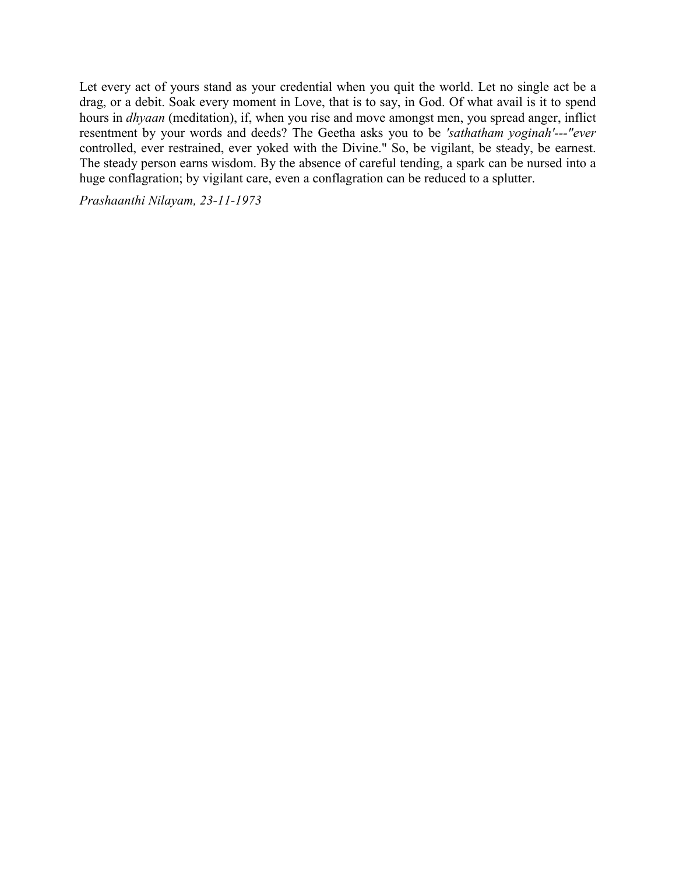Let every act of yours stand as your credential when you quit the world. Let no single act be a drag, or a debit. Soak every moment in Love, that is to say, in God. Of what avail is it to spend hours in *dhyaan* (meditation), if, when you rise and move amongst men, you spread anger, inflict resentment by your words and deeds? The Geetha asks you to be *'sathatham yoginah'---"ever* controlled, ever restrained, ever yoked with the Divine." So, be vigilant, be steady, be earnest. The steady person earns wisdom. By the absence of careful tending, a spark can be nursed into a huge conflagration; by vigilant care, even a conflagration can be reduced to a splutter.

*Prashaanthi Nilayam, 23-11-1973*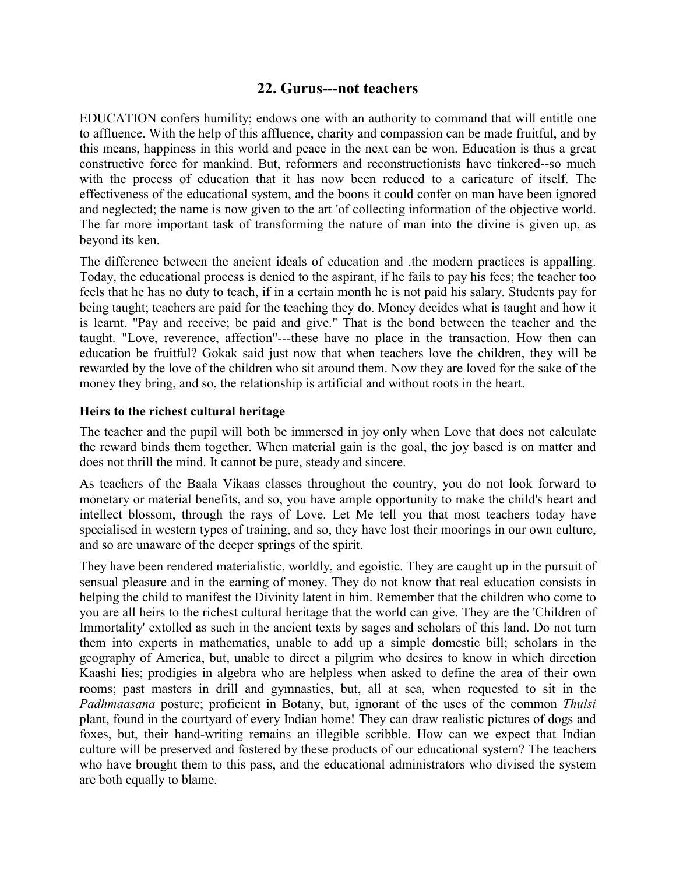## **22. Gurus---not teachers**

EDUCATION confers humility; endows one with an authority to command that will entitle one to affluence. With the help of this affluence, charity and compassion can be made fruitful, and by this means, happiness in this world and peace in the next can be won. Education is thus a great constructive force for mankind. But, reformers and reconstructionists have tinkered--so much with the process of education that it has now been reduced to a caricature of itself. The effectiveness of the educational system, and the boons it could confer on man have been ignored and neglected; the name is now given to the art 'of collecting information of the objective world. The far more important task of transforming the nature of man into the divine is given up, as beyond its ken.

The difference between the ancient ideals of education and .the modern practices is appalling. Today, the educational process is denied to the aspirant, if he fails to pay his fees; the teacher too feels that he has no duty to teach, if in a certain month he is not paid his salary. Students pay for being taught; teachers are paid for the teaching they do. Money decides what is taught and how it is learnt. "Pay and receive; be paid and give." That is the bond between the teacher and the taught. "Love, reverence, affection"---these have no place in the transaction. How then can education be fruitful? Gokak said just now that when teachers love the children, they will be rewarded by the love of the children who sit around them. Now they are loved for the sake of the money they bring, and so, the relationship is artificial and without roots in the heart.

### **Heirs to the richest cultural heritage**

The teacher and the pupil will both be immersed in joy only when Love that does not calculate the reward binds them together. When material gain is the goal, the joy based is on matter and does not thrill the mind. It cannot be pure, steady and sincere.

As teachers of the Baala Vikaas classes throughout the country, you do not look forward to monetary or material benefits, and so, you have ample opportunity to make the child's heart and intellect blossom, through the rays of Love. Let Me tell you that most teachers today have specialised in western types of training, and so, they have lost their moorings in our own culture, and so are unaware of the deeper springs of the spirit.

They have been rendered materialistic, worldly, and egoistic. They are caught up in the pursuit of sensual pleasure and in the earning of money. They do not know that real education consists in helping the child to manifest the Divinity latent in him. Remember that the children who come to you are all heirs to the richest cultural heritage that the world can give. They are the 'Children of Immortality' extolled as such in the ancient texts by sages and scholars of this land. Do not turn them into experts in mathematics, unable to add up a simple domestic bill; scholars in the geography of America, but, unable to direct a pilgrim who desires to know in which direction Kaashi lies; prodigies in algebra who are helpless when asked to define the area of their own rooms; past masters in drill and gymnastics, but, all at sea, when requested to sit in the *Padhmaasana* posture; proficient in Botany, but, ignorant of the uses of the common *Thulsi* plant, found in the courtyard of every Indian home! They can draw realistic pictures of dogs and foxes, but, their hand-writing remains an illegible scribble. How can we expect that Indian culture will be preserved and fostered by these products of our educational system? The teachers who have brought them to this pass, and the educational administrators who divised the system are both equally to blame.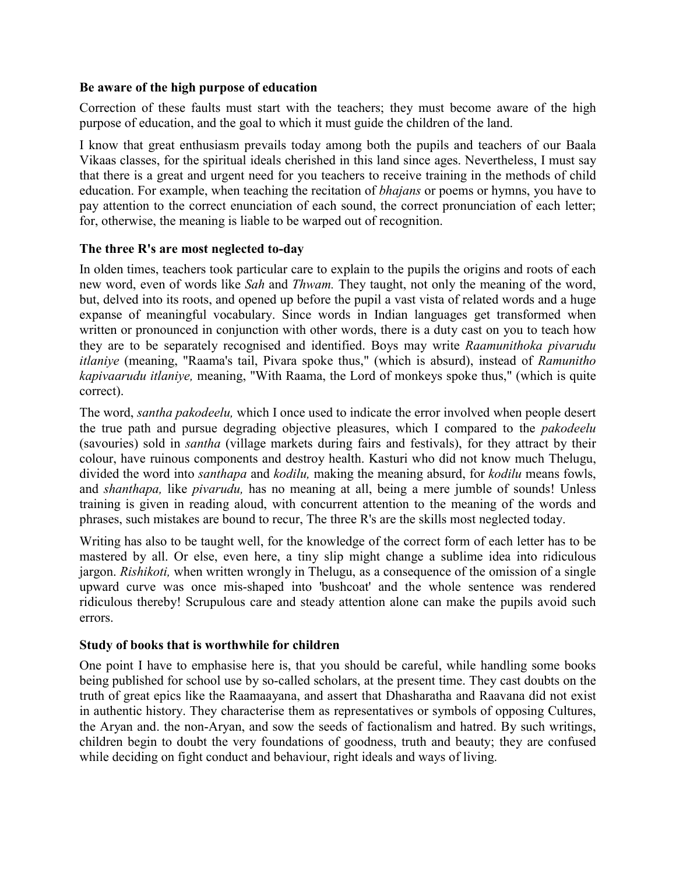### **Be aware of the high purpose of education**

Correction of these faults must start with the teachers; they must become aware of the high purpose of education, and the goal to which it must guide the children of the land.

I know that great enthusiasm prevails today among both the pupils and teachers of our Baala Vikaas classes, for the spiritual ideals cherished in this land since ages. Nevertheless, I must say that there is a great and urgent need for you teachers to receive training in the methods of child education. For example, when teaching the recitation of *bhajans* or poems or hymns, you have to pay attention to the correct enunciation of each sound, the correct pronunciation of each letter; for, otherwise, the meaning is liable to be warped out of recognition.

## **The three R's are most neglected to-day**

In olden times, teachers took particular care to explain to the pupils the origins and roots of each new word, even of words like *Sah* and *Thwam.* They taught, not only the meaning of the word, but, delved into its roots, and opened up before the pupil a vast vista of related words and a huge expanse of meaningful vocabulary. Since words in Indian languages get transformed when written or pronounced in conjunction with other words, there is a duty cast on you to teach how they are to be separately recognised and identified. Boys may write *Raamunithoka pivarudu itlaniye* (meaning, "Raama's tail, Pivara spoke thus," (which is absurd), instead of *Ramunitho kapivaarudu itlaniye,* meaning, "With Raama, the Lord of monkeys spoke thus," (which is quite correct).

The word, *santha pakodeelu,* which I once used to indicate the error involved when people desert the true path and pursue degrading objective pleasures, which I compared to the *pakodeelu* (savouries) sold in *santha* (village markets during fairs and festivals), for they attract by their colour, have ruinous components and destroy health. Kasturi who did not know much Thelugu, divided the word into *santhapa* and *kodilu,* making the meaning absurd, for *kodilu* means fowls, and *shanthapa,* like *pivarudu,* has no meaning at all, being a mere jumble of sounds! Unless training is given in reading aloud, with concurrent attention to the meaning of the words and phrases, such mistakes are bound to recur, The three R's are the skills most neglected today.

Writing has also to be taught well, for the knowledge of the correct form of each letter has to be mastered by all. Or else, even here, a tiny slip might change a sublime idea into ridiculous jargon. *Rishikoti,* when written wrongly in Thelugu, as a consequence of the omission of a single upward curve was once mis-shaped into 'bushcoat' and the whole sentence was rendered ridiculous thereby! Scrupulous care and steady attention alone can make the pupils avoid such errors.

## **Study of books that is worthwhile for children**

One point I have to emphasise here is, that you should be careful, while handling some books being published for school use by so-called scholars, at the present time. They cast doubts on the truth of great epics like the Raamaayana, and assert that Dhasharatha and Raavana did not exist in authentic history. They characterise them as representatives or symbols of opposing Cultures, the Aryan and. the non-Aryan, and sow the seeds of factionalism and hatred. By such writings, children begin to doubt the very foundations of goodness, truth and beauty; they are confused while deciding on fight conduct and behaviour, right ideals and ways of living.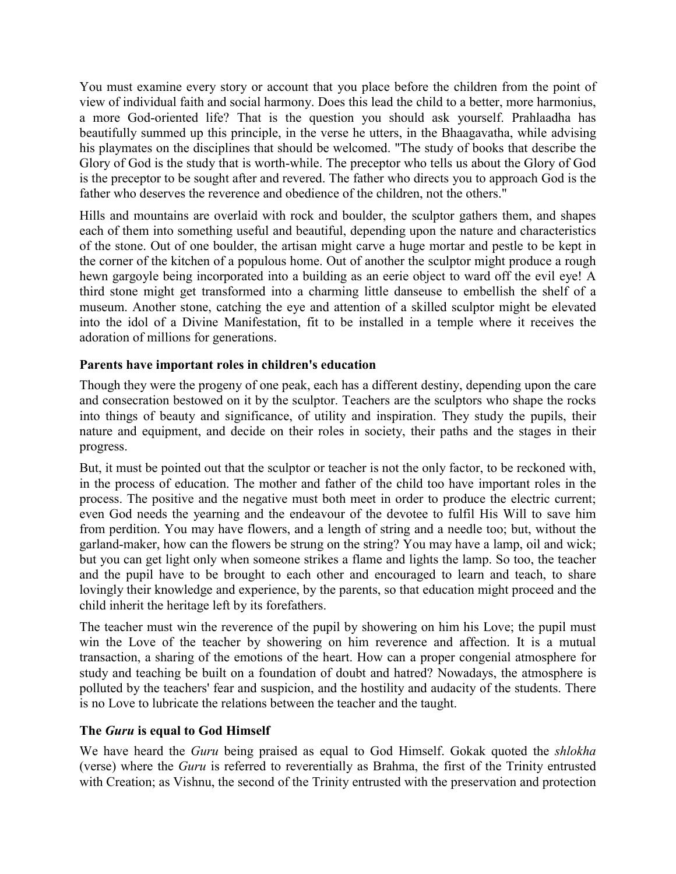You must examine every story or account that you place before the children from the point of view of individual faith and social harmony. Does this lead the child to a better, more harmonius, a more God-oriented life? That is the question you should ask yourself. Prahlaadha has beautifully summed up this principle, in the verse he utters, in the Bhaagavatha, while advising his playmates on the disciplines that should be welcomed. "The study of books that describe the Glory of God is the study that is worth-while. The preceptor who tells us about the Glory of God is the preceptor to be sought after and revered. The father who directs you to approach God is the father who deserves the reverence and obedience of the children, not the others."

Hills and mountains are overlaid with rock and boulder, the sculptor gathers them, and shapes each of them into something useful and beautiful, depending upon the nature and characteristics of the stone. Out of one boulder, the artisan might carve a huge mortar and pestle to be kept in the corner of the kitchen of a populous home. Out of another the sculptor might produce a rough hewn gargoyle being incorporated into a building as an eerie object to ward off the evil eye! A third stone might get transformed into a charming little danseuse to embellish the shelf of a museum. Another stone, catching the eye and attention of a skilled sculptor might be elevated into the idol of a Divine Manifestation, fit to be installed in a temple where it receives the adoration of millions for generations.

## **Parents have important roles in children's education**

Though they were the progeny of one peak, each has a different destiny, depending upon the care and consecration bestowed on it by the sculptor. Teachers are the sculptors who shape the rocks into things of beauty and significance, of utility and inspiration. They study the pupils, their nature and equipment, and decide on their roles in society, their paths and the stages in their progress.

But, it must be pointed out that the sculptor or teacher is not the only factor, to be reckoned with, in the process of education. The mother and father of the child too have important roles in the process. The positive and the negative must both meet in order to produce the electric current; even God needs the yearning and the endeavour of the devotee to fulfil His Will to save him from perdition. You may have flowers, and a length of string and a needle too; but, without the garland-maker, how can the flowers be strung on the string? You may have a lamp, oil and wick; but you can get light only when someone strikes a flame and lights the lamp. So too, the teacher and the pupil have to be brought to each other and encouraged to learn and teach, to share lovingly their knowledge and experience, by the parents, so that education might proceed and the child inherit the heritage left by its forefathers.

The teacher must win the reverence of the pupil by showering on him his Love; the pupil must win the Love of the teacher by showering on him reverence and affection. It is a mutual transaction, a sharing of the emotions of the heart. How can a proper congenial atmosphere for study and teaching be built on a foundation of doubt and hatred? Nowadays, the atmosphere is polluted by the teachers' fear and suspicion, and the hostility and audacity of the students. There is no Love to lubricate the relations between the teacher and the taught.

## **The** *Guru* **is equal to God Himself**

We have heard the *Guru* being praised as equal to God Himself. Gokak quoted the *shlokha* (verse) where the *Guru* is referred to reverentially as Brahma, the first of the Trinity entrusted with Creation; as Vishnu, the second of the Trinity entrusted with the preservation and protection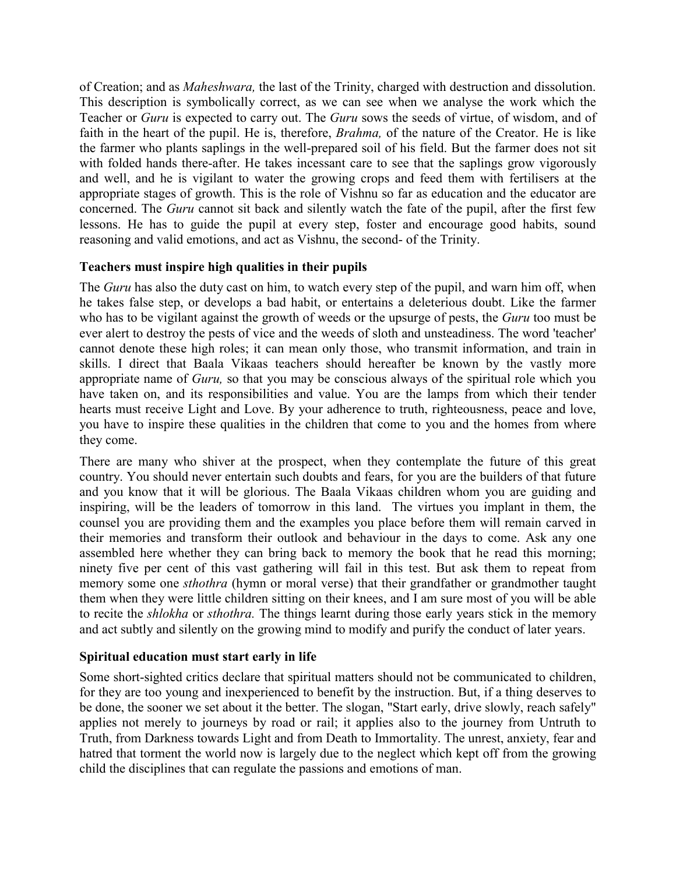of Creation; and as *Maheshwara,* the last of the Trinity, charged with destruction and dissolution. This description is symbolically correct, as we can see when we analyse the work which the Teacher or *Guru* is expected to carry out. The *Guru* sows the seeds of virtue, of wisdom, and of faith in the heart of the pupil. He is, therefore, *Brahma,* of the nature of the Creator. He is like the farmer who plants saplings in the well-prepared soil of his field. But the farmer does not sit with folded hands there-after. He takes incessant care to see that the saplings grow vigorously and well, and he is vigilant to water the growing crops and feed them with fertilisers at the appropriate stages of growth. This is the role of Vishnu so far as education and the educator are concerned. The *Guru* cannot sit back and silently watch the fate of the pupil, after the first few lessons. He has to guide the pupil at every step, foster and encourage good habits, sound reasoning and valid emotions, and act as Vishnu, the second- of the Trinity.

## **Teachers must inspire high qualities in their pupils**

The *Guru* has also the duty cast on him, to watch every step of the pupil, and warn him off, when he takes false step, or develops a bad habit, or entertains a deleterious doubt. Like the farmer who has to be vigilant against the growth of weeds or the upsurge of pests, the *Guru* too must be ever alert to destroy the pests of vice and the weeds of sloth and unsteadiness. The word 'teacher' cannot denote these high roles; it can mean only those, who transmit information, and train in skills. I direct that Baala Vikaas teachers should hereafter be known by the vastly more appropriate name of *Guru,* so that you may be conscious always of the spiritual role which you have taken on, and its responsibilities and value. You are the lamps from which their tender hearts must receive Light and Love. By your adherence to truth, righteousness, peace and love, you have to inspire these qualities in the children that come to you and the homes from where they come.

There are many who shiver at the prospect, when they contemplate the future of this great country. You should never entertain such doubts and fears, for you are the builders of that future and you know that it will be glorious. The Baala Vikaas children whom you are guiding and inspiring, will be the leaders of tomorrow in this land. The virtues you implant in them, the counsel you are providing them and the examples you place before them will remain carved in their memories and transform their outlook and behaviour in the days to come. Ask any one assembled here whether they can bring back to memory the book that he read this morning; ninety five per cent of this vast gathering will fail in this test. But ask them to repeat from memory some one *sthothra* (hymn or moral verse) that their grandfather or grandmother taught them when they were little children sitting on their knees, and I am sure most of you will be able to recite the *shlokha* or *sthothra.* The things learnt during those early years stick in the memory and act subtly and silently on the growing mind to modify and purify the conduct of later years.

### **Spiritual education must start early in life**

Some short-sighted critics declare that spiritual matters should not be communicated to children, for they are too young and inexperienced to benefit by the instruction. But, if a thing deserves to be done, the sooner we set about it the better. The slogan, "Start early, drive slowly, reach safely" applies not merely to journeys by road or rail; it applies also to the journey from Untruth to Truth, from Darkness towards Light and from Death to Immortality. The unrest, anxiety, fear and hatred that torment the world now is largely due to the neglect which kept off from the growing child the disciplines that can regulate the passions and emotions of man.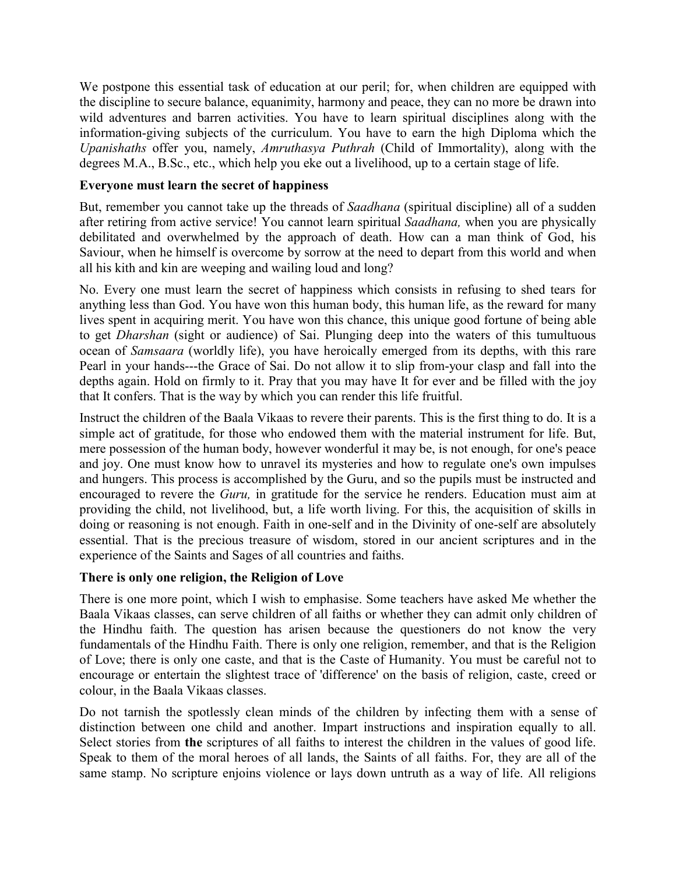We postpone this essential task of education at our peril; for, when children are equipped with the discipline to secure balance, equanimity, harmony and peace, they can no more be drawn into wild adventures and barren activities. You have to learn spiritual disciplines along with the information-giving subjects of the curriculum. You have to earn the high Diploma which the *Upanishaths* offer you, namely, *Amruthasya Puthrah* (Child of Immortality), along with the degrees M.A., B.Sc., etc., which help you eke out a livelihood, up to a certain stage of life.

### **Everyone must learn the secret of happiness**

But, remember you cannot take up the threads of *Saadhana* (spiritual discipline) all of a sudden after retiring from active service! You cannot learn spiritual *Saadhana,* when you are physically debilitated and overwhelmed by the approach of death. How can a man think of God, his Saviour, when he himself is overcome by sorrow at the need to depart from this world and when all his kith and kin are weeping and wailing loud and long?

No. Every one must learn the secret of happiness which consists in refusing to shed tears for anything less than God. You have won this human body, this human life, as the reward for many lives spent in acquiring merit. You have won this chance, this unique good fortune of being able to get *Dharshan* (sight or audience) of Sai. Plunging deep into the waters of this tumultuous ocean of *Samsaara* (worldly life), you have heroically emerged from its depths, with this rare Pearl in your hands---the Grace of Sai. Do not allow it to slip from-your clasp and fall into the depths again. Hold on firmly to it. Pray that you may have It for ever and be filled with the joy that It confers. That is the way by which you can render this life fruitful.

Instruct the children of the Baala Vikaas to revere their parents. This is the first thing to do. It is a simple act of gratitude, for those who endowed them with the material instrument for life. But, mere possession of the human body, however wonderful it may be, is not enough, for one's peace and joy. One must know how to unravel its mysteries and how to regulate one's own impulses and hungers. This process is accomplished by the Guru, and so the pupils must be instructed and encouraged to revere the *Guru,* in gratitude for the service he renders. Education must aim at providing the child, not livelihood, but, a life worth living. For this, the acquisition of skills in doing or reasoning is not enough. Faith in one-self and in the Divinity of one-self are absolutely essential. That is the precious treasure of wisdom, stored in our ancient scriptures and in the experience of the Saints and Sages of all countries and faiths.

### **There is only one religion, the Religion of Love**

There is one more point, which I wish to emphasise. Some teachers have asked Me whether the Baala Vikaas classes, can serve children of all faiths or whether they can admit only children of the Hindhu faith. The question has arisen because the questioners do not know the very fundamentals of the Hindhu Faith. There is only one religion, remember, and that is the Religion of Love; there is only one caste, and that is the Caste of Humanity. You must be careful not to encourage or entertain the slightest trace of 'difference' on the basis of religion, caste, creed or colour, in the Baala Vikaas classes.

Do not tarnish the spotlessly clean minds of the children by infecting them with a sense of distinction between one child and another. Impart instructions and inspiration equally to all. Select stories from **the** scriptures of all faiths to interest the children in the values of good life. Speak to them of the moral heroes of all lands, the Saints of all faiths. For, they are all of the same stamp. No scripture enjoins violence or lays down untruth as a way of life. All religions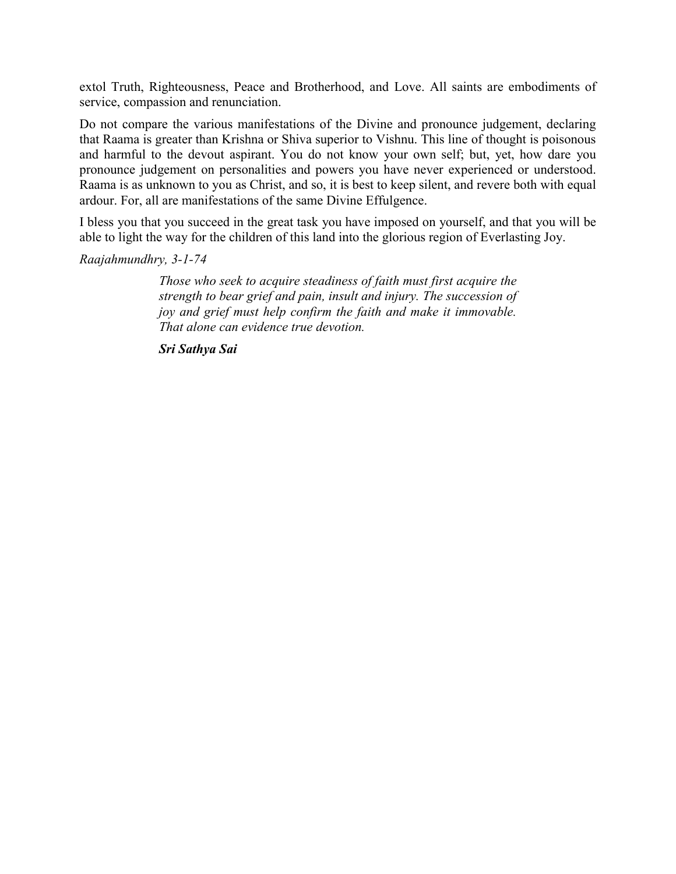extol Truth, Righteousness, Peace and Brotherhood, and Love. All saints are embodiments of service, compassion and renunciation.

Do not compare the various manifestations of the Divine and pronounce judgement, declaring that Raama is greater than Krishna or Shiva superior to Vishnu. This line of thought is poisonous and harmful to the devout aspirant. You do not know your own self; but, yet, how dare you pronounce judgement on personalities and powers you have never experienced or understood. Raama is as unknown to you as Christ, and so, it is best to keep silent, and revere both with equal ardour. For, all are manifestations of the same Divine Effulgence.

I bless you that you succeed in the great task you have imposed on yourself, and that you will be able to light the way for the children of this land into the glorious region of Everlasting Joy.

*Raajahmundhry, 3-1-74*

*Those who seek to acquire steadiness of faith must first acquire the strength to bear grief and pain, insult and injury. The succession of joy and grief must help confirm the faith and make it immovable. That alone can evidence true devotion.*

*Sri Sathya Sai*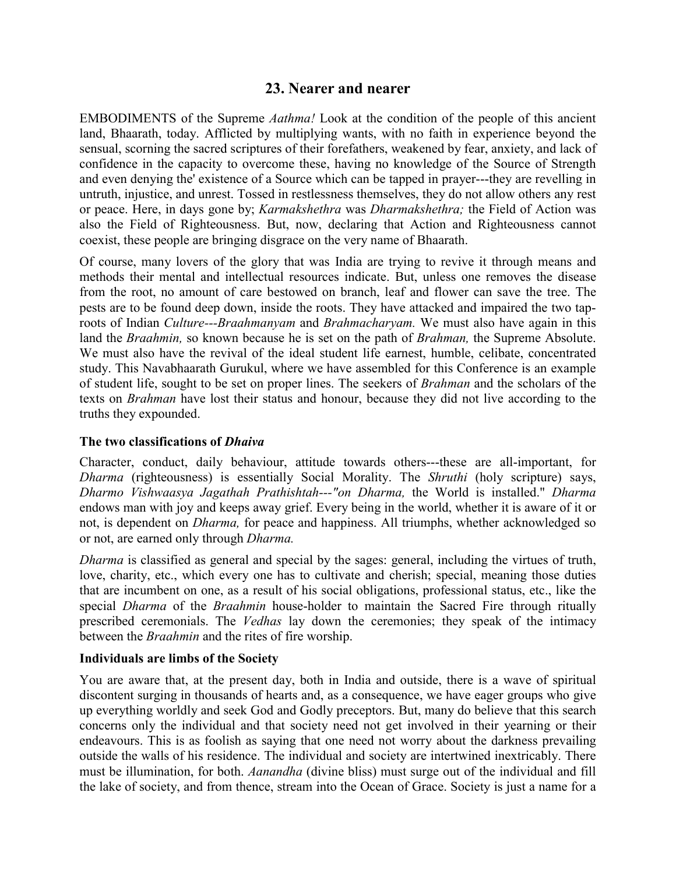## **23. Nearer and nearer**

EMBODIMENTS of the Supreme *Aathma!* Look at the condition of the people of this ancient land, Bhaarath, today. Afflicted by multiplying wants, with no faith in experience beyond the sensual, scorning the sacred scriptures of their forefathers, weakened by fear, anxiety, and lack of confidence in the capacity to overcome these, having no knowledge of the Source of Strength and even denying the' existence of a Source which can be tapped in prayer---they are revelling in untruth, injustice, and unrest. Tossed in restlessness themselves, they do not allow others any rest or peace. Here, in days gone by; *Karmakshethra* was *Dharmakshethra;* the Field of Action was also the Field of Righteousness. But, now, declaring that Action and Righteousness cannot coexist, these people are bringing disgrace on the very name of Bhaarath.

Of course, many lovers of the glory that was India are trying to revive it through means and methods their mental and intellectual resources indicate. But, unless one removes the disease from the root, no amount of care bestowed on branch, leaf and flower can save the tree. The pests are to be found deep down, inside the roots. They have attacked and impaired the two taproots of Indian *Culture---Braahmanyam* and *Brahmacharyam.* We must also have again in this land the *Braahmin,* so known because he is set on the path of *Brahman,* the Supreme Absolute. We must also have the revival of the ideal student life earnest, humble, celibate, concentrated study. This Navabhaarath Gurukul, where we have assembled for this Conference is an example of student life, sought to be set on proper lines. The seekers of *Brahman* and the scholars of the texts on *Brahman* have lost their status and honour, because they did not live according to the truths they expounded.

### **The two classifications of** *Dhaiva*

Character, conduct, daily behaviour, attitude towards others---these are all-important, for *Dharma* (righteousness) is essentially Social Morality. The *Shruthi* (holy scripture) says, *Dharmo Vishwaasya Jagathah Prathishtah---"on Dharma,* the World is installed." *Dharma* endows man with joy and keeps away grief. Every being in the world, whether it is aware of it or not, is dependent on *Dharma,* for peace and happiness. All triumphs, whether acknowledged so or not, are earned only through *Dharma.*

*Dharma* is classified as general and special by the sages: general, including the virtues of truth, love, charity, etc., which every one has to cultivate and cherish; special, meaning those duties that are incumbent on one, as a result of his social obligations, professional status, etc., like the special *Dharma* of the *Braahmin* house-holder to maintain the Sacred Fire through ritually prescribed ceremonials. The *Vedhas* lay down the ceremonies; they speak of the intimacy between the *Braahmin* and the rites of fire worship.

### **Individuals are limbs of the Society**

You are aware that, at the present day, both in India and outside, there is a wave of spiritual discontent surging in thousands of hearts and, as a consequence, we have eager groups who give up everything worldly and seek God and Godly preceptors. But, many do believe that this search concerns only the individual and that society need not get involved in their yearning or their endeavours. This is as foolish as saying that one need not worry about the darkness prevailing outside the walls of his residence. The individual and society are intertwined inextricably. There must be illumination, for both. *Aanandha* (divine bliss) must surge out of the individual and fill the lake of society, and from thence, stream into the Ocean of Grace. Society is just a name for a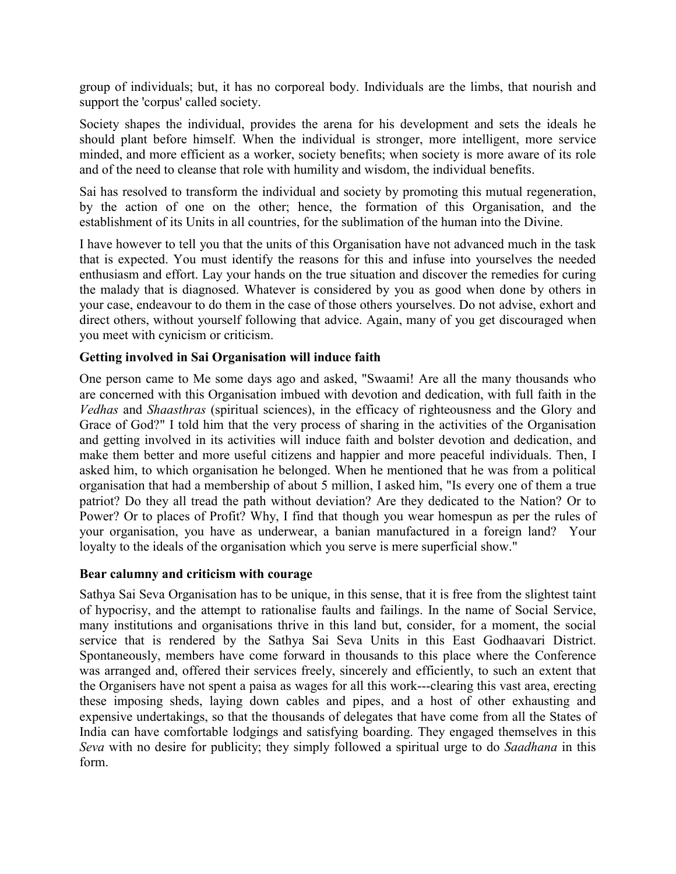group of individuals; but, it has no corporeal body. Individuals are the limbs, that nourish and support the 'corpus' called society.

Society shapes the individual, provides the arena for his development and sets the ideals he should plant before himself. When the individual is stronger, more intelligent, more service minded, and more efficient as a worker, society benefits; when society is more aware of its role and of the need to cleanse that role with humility and wisdom, the individual benefits.

Sai has resolved to transform the individual and society by promoting this mutual regeneration, by the action of one on the other; hence, the formation of this Organisation, and the establishment of its Units in all countries, for the sublimation of the human into the Divine.

I have however to tell you that the units of this Organisation have not advanced much in the task that is expected. You must identify the reasons for this and infuse into yourselves the needed enthusiasm and effort. Lay your hands on the true situation and discover the remedies for curing the malady that is diagnosed. Whatever is considered by you as good when done by others in your case, endeavour to do them in the case of those others yourselves. Do not advise, exhort and direct others, without yourself following that advice. Again, many of you get discouraged when you meet with cynicism or criticism.

## **Getting involved in Sai Organisation will induce faith**

One person came to Me some days ago and asked, "Swaami! Are all the many thousands who are concerned with this Organisation imbued with devotion and dedication, with full faith in the *Vedhas* and *Shaasthras* (spiritual sciences), in the efficacy of righteousness and the Glory and Grace of God?" I told him that the very process of sharing in the activities of the Organisation and getting involved in its activities will induce faith and bolster devotion and dedication, and make them better and more useful citizens and happier and more peaceful individuals. Then, I asked him, to which organisation he belonged. When he mentioned that he was from a political organisation that had a membership of about 5 million, I asked him, "Is every one of them a true patriot? Do they all tread the path without deviation? Are they dedicated to the Nation? Or to Power? Or to places of Profit? Why, I find that though you wear homespun as per the rules of your organisation, you have as underwear, a banian manufactured in a foreign land? Your loyalty to the ideals of the organisation which you serve is mere superficial show."

## **Bear calumny and criticism with courage**

Sathya Sai Seva Organisation has to be unique, in this sense, that it is free from the slightest taint of hypocrisy, and the attempt to rationalise faults and failings. In the name of Social Service, many institutions and organisations thrive in this land but, consider, for a moment, the social service that is rendered by the Sathya Sai Seva Units in this East Godhaavari District. Spontaneously, members have come forward in thousands to this place where the Conference was arranged and, offered their services freely, sincerely and efficiently, to such an extent that the Organisers have not spent a paisa as wages for all this work---clearing this vast area, erecting these imposing sheds, laying down cables and pipes, and a host of other exhausting and expensive undertakings, so that the thousands of delegates that have come from all the States of India can have comfortable lodgings and satisfying boarding. They engaged themselves in this *Seva* with no desire for publicity; they simply followed a spiritual urge to do *Saadhana* in this form.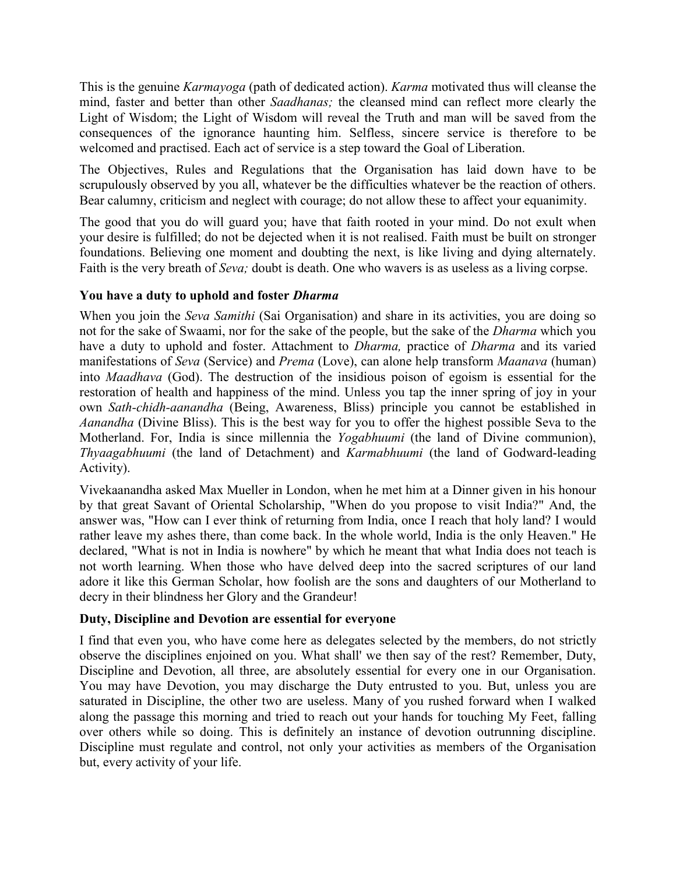This is the genuine *Karmayoga* (path of dedicated action). *Karma* motivated thus will cleanse the mind, faster and better than other *Saadhanas;* the cleansed mind can reflect more clearly the Light of Wisdom; the Light of Wisdom will reveal the Truth and man will be saved from the consequences of the ignorance haunting him. Selfless, sincere service is therefore to be welcomed and practised. Each act of service is a step toward the Goal of Liberation.

The Objectives, Rules and Regulations that the Organisation has laid down have to be scrupulously observed by you all, whatever be the difficulties whatever be the reaction of others. Bear calumny, criticism and neglect with courage; do not allow these to affect your equanimity.

The good that you do will guard you; have that faith rooted in your mind. Do not exult when your desire is fulfilled; do not be dejected when it is not realised. Faith must be built on stronger foundations. Believing one moment and doubting the next, is like living and dying alternately. Faith is the very breath of *Seva;* doubt is death. One who wavers is as useless as a living corpse.

## **You have a duty to uphold and foster** *Dharma*

When you join the *Seva Samithi* (Sai Organisation) and share in its activities, you are doing so not for the sake of Swaami, nor for the sake of the people, but the sake of the *Dharma* which you have a duty to uphold and foster. Attachment to *Dharma,* practice of *Dharma* and its varied manifestations of *Seva* (Service) and *Prema* (Love), can alone help transform *Maanava* (human) into *Maadhava* (God). The destruction of the insidious poison of egoism is essential for the restoration of health and happiness of the mind. Unless you tap the inner spring of joy in your own *Sath-chidh-aanandha* (Being, Awareness, Bliss) principle you cannot be established in *Aanandha* (Divine Bliss). This is the best way for you to offer the highest possible Seva to the Motherland. For, India is since millennia the *Yogabhuumi* (the land of Divine communion), *Thyaagabhuumi* (the land of Detachment) and *Karmabhuumi* (the land of Godward-leading Activity).

Vivekaanandha asked Max Mueller in London, when he met him at a Dinner given in his honour by that great Savant of Oriental Scholarship, "When do you propose to visit India?" And, the answer was, "How can I ever think of returning from India, once I reach that holy land? I would rather leave my ashes there, than come back. In the whole world, India is the only Heaven." He declared, "What is not in India is nowhere" by which he meant that what India does not teach is not worth learning. When those who have delved deep into the sacred scriptures of our land adore it like this German Scholar, how foolish are the sons and daughters of our Motherland to decry in their blindness her Glory and the Grandeur!

## **Duty, Discipline and Devotion are essential for everyone**

I find that even you, who have come here as delegates selected by the members, do not strictly observe the disciplines enjoined on you. What shall' we then say of the rest? Remember, Duty, Discipline and Devotion, all three, are absolutely essential for every one in our Organisation. You may have Devotion, you may discharge the Duty entrusted to you. But, unless you are saturated in Discipline, the other two are useless. Many of you rushed forward when I walked along the passage this morning and tried to reach out your hands for touching My Feet, falling over others while so doing. This is definitely an instance of devotion outrunning discipline. Discipline must regulate and control, not only your activities as members of the Organisation but, every activity of your life.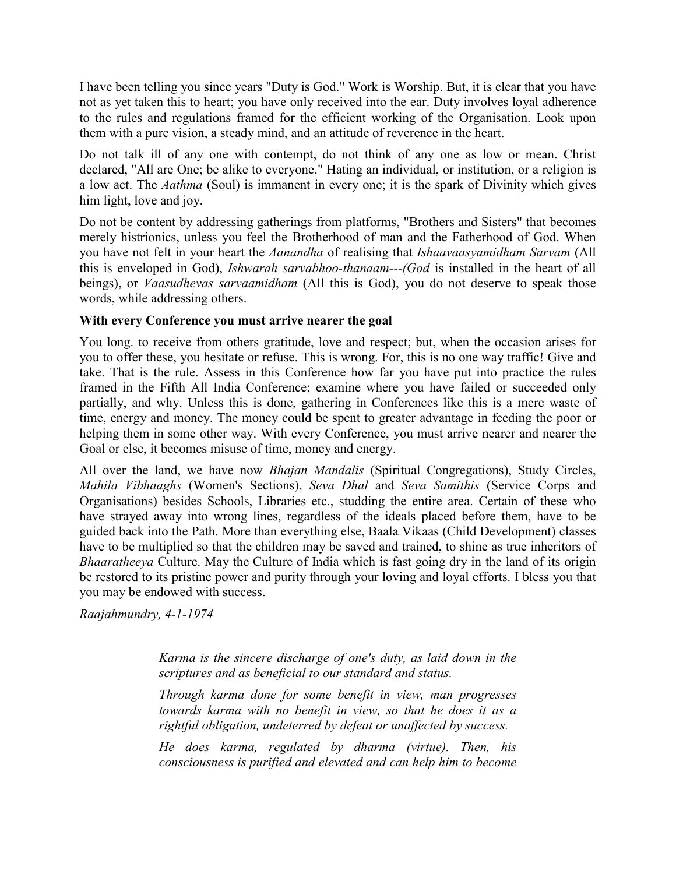I have been telling you since years "Duty is God." Work is Worship. But, it is clear that you have not as yet taken this to heart; you have only received into the ear. Duty involves loyal adherence to the rules and regulations framed for the efficient working of the Organisation. Look upon them with a pure vision, a steady mind, and an attitude of reverence in the heart.

Do not talk ill of any one with contempt, do not think of any one as low or mean. Christ declared, "All are One; be alike to everyone." Hating an individual, or institution, or a religion is a low act. The *Aathma* (Soul) is immanent in every one; it is the spark of Divinity which gives him light, love and joy.

Do not be content by addressing gatherings from platforms, "Brothers and Sisters" that becomes merely histrionics, unless you feel the Brotherhood of man and the Fatherhood of God. When you have not felt in your heart the *Aanandha* of realising that *Ishaavaasyamidham Sarvam* (All this is enveloped in God), *Ishwarah sarvabhoo-thanaam---(God* is installed in the heart of all beings), or *Vaasudhevas sarvaamidham* (All this is God), you do not deserve to speak those words, while addressing others.

### **With every Conference you must arrive nearer the goal**

You long. to receive from others gratitude, love and respect; but, when the occasion arises for you to offer these, you hesitate or refuse. This is wrong. For, this is no one way traffic! Give and take. That is the rule. Assess in this Conference how far you have put into practice the rules framed in the Fifth All India Conference; examine where you have failed or succeeded only partially, and why. Unless this is done, gathering in Conferences like this is a mere waste of time, energy and money. The money could be spent to greater advantage in feeding the poor or helping them in some other way. With every Conference, you must arrive nearer and nearer the Goal or else, it becomes misuse of time, money and energy.

All over the land, we have now *Bhajan Mandalis* (Spiritual Congregations), Study Circles, *Mahila Vibhaaghs* (Women's Sections), *Seva Dhal* and *Seva Samithis* (Service Corps and Organisations) besides Schools, Libraries etc., studding the entire area. Certain of these who have strayed away into wrong lines, regardless of the ideals placed before them, have to be guided back into the Path. More than everything else, Baala Vikaas (Child Development) classes have to be multiplied so that the children may be saved and trained, to shine as true inheritors of *Bhaaratheeya* Culture. May the Culture of India which is fast going dry in the land of its origin be restored to its pristine power and purity through your loving and loyal efforts. I bless you that you may be endowed with success.

*Raajahmundry, 4-1-1974*

*Karma is the sincere discharge of one's duty, as laid down in the scriptures and as beneficial to our standard and status.*

*Through karma done for some benefit in view, man progresses towards karma with no benefit in view, so that he does it as a rightful obligation, undeterred by defeat or unaffected by success.*

*He does karma, regulated by dharma (virtue). Then, his consciousness is purified and elevated and can help him to become*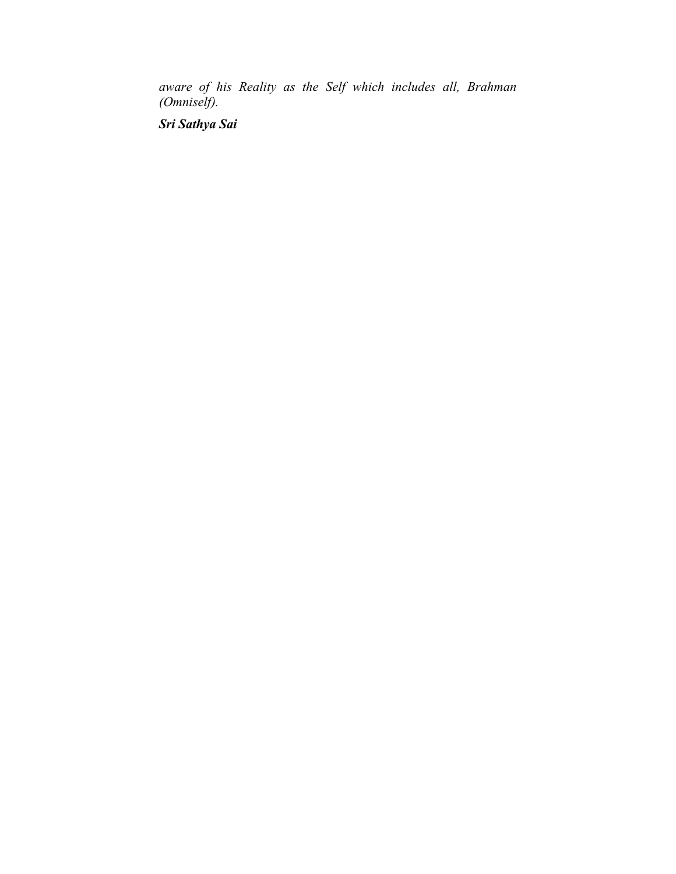*aware of his Reality as the Self which includes all, Brahman (Omniself).*

*Sri Sathya Sai*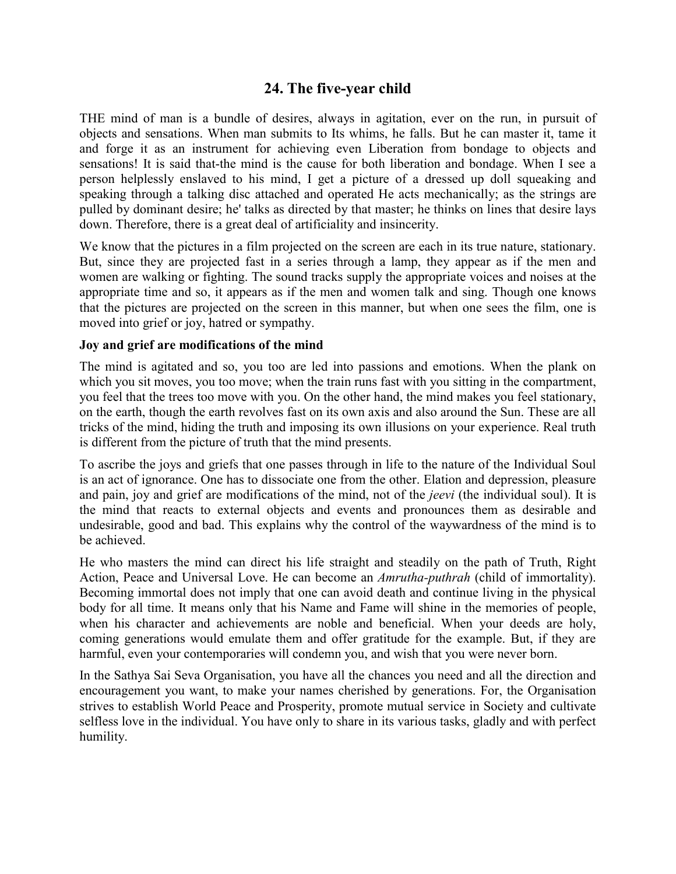# **24. The five-year child**

THE mind of man is a bundle of desires, always in agitation, ever on the run, in pursuit of objects and sensations. When man submits to Its whims, he falls. But he can master it, tame it and forge it as an instrument for achieving even Liberation from bondage to objects and sensations! It is said that-the mind is the cause for both liberation and bondage. When I see a person helplessly enslaved to his mind, I get a picture of a dressed up doll squeaking and speaking through a talking disc attached and operated He acts mechanically; as the strings are pulled by dominant desire; he' talks as directed by that master; he thinks on lines that desire lays down. Therefore, there is a great deal of artificiality and insincerity.

We know that the pictures in a film projected on the screen are each in its true nature, stationary. But, since they are projected fast in a series through a lamp, they appear as if the men and women are walking or fighting. The sound tracks supply the appropriate voices and noises at the appropriate time and so, it appears as if the men and women talk and sing. Though one knows that the pictures are projected on the screen in this manner, but when one sees the film, one is moved into grief or joy, hatred or sympathy.

#### **Joy and grief are modifications of the mind**

The mind is agitated and so, you too are led into passions and emotions. When the plank on which you sit moves, you too move; when the train runs fast with you sitting in the compartment, you feel that the trees too move with you. On the other hand, the mind makes you feel stationary, on the earth, though the earth revolves fast on its own axis and also around the Sun. These are all tricks of the mind, hiding the truth and imposing its own illusions on your experience. Real truth is different from the picture of truth that the mind presents.

To ascribe the joys and griefs that one passes through in life to the nature of the Individual Soul is an act of ignorance. One has to dissociate one from the other. Elation and depression, pleasure and pain, joy and grief are modifications of the mind, not of the *jeevi* (the individual soul). It is the mind that reacts to external objects and events and pronounces them as desirable and undesirable, good and bad. This explains why the control of the waywardness of the mind is to be achieved.

He who masters the mind can direct his life straight and steadily on the path of Truth, Right Action, Peace and Universal Love. He can become an *Amrutha-puthrah* (child of immortality). Becoming immortal does not imply that one can avoid death and continue living in the physical body for all time. It means only that his Name and Fame will shine in the memories of people, when his character and achievements are noble and beneficial. When your deeds are holy, coming generations would emulate them and offer gratitude for the example. But, if they are harmful, even your contemporaries will condemn you, and wish that you were never born.

In the Sathya Sai Seva Organisation, you have all the chances you need and all the direction and encouragement you want, to make your names cherished by generations. For, the Organisation strives to establish World Peace and Prosperity, promote mutual service in Society and cultivate selfless love in the individual. You have only to share in its various tasks, gladly and with perfect humility.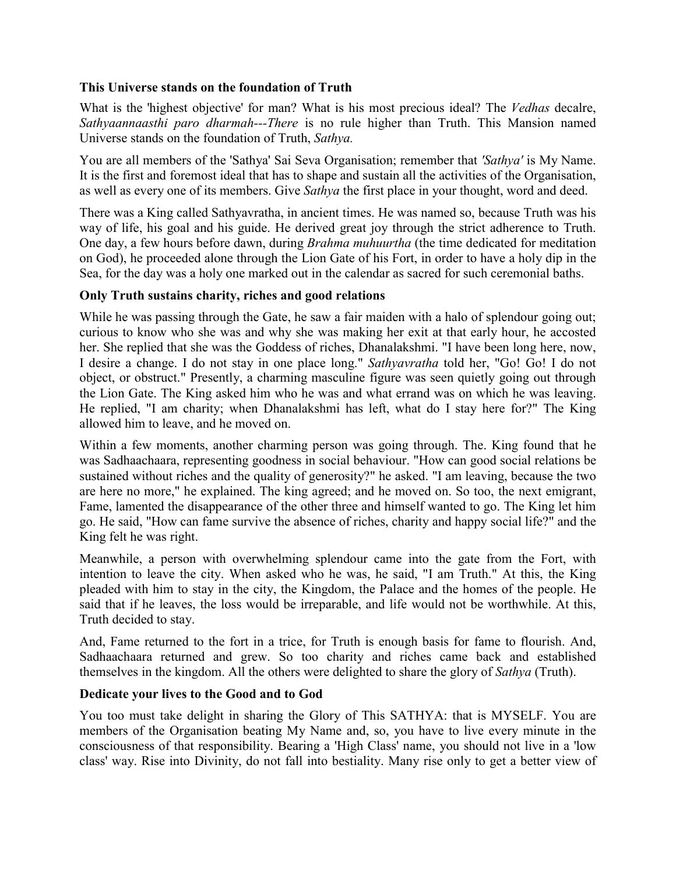## **This Universe stands on the foundation of Truth**

What is the 'highest objective' for man? What is his most precious ideal? The *Vedhas* decalre, *Sathyaannaasthi paro dharmah---There* is no rule higher than Truth. This Mansion named Universe stands on the foundation of Truth, *Sathya.*

You are all members of the 'Sathya' Sai Seva Organisation; remember that *'Sathya'* is My Name. It is the first and foremost ideal that has to shape and sustain all the activities of the Organisation, as well as every one of its members. Give *Sathya* the first place in your thought, word and deed.

There was a King called Sathyavratha, in ancient times. He was named so, because Truth was his way of life, his goal and his guide. He derived great joy through the strict adherence to Truth. One day, a few hours before dawn, during *Brahma muhuurtha* (the time dedicated for meditation on God), he proceeded alone through the Lion Gate of his Fort, in order to have a holy dip in the Sea, for the day was a holy one marked out in the calendar as sacred for such ceremonial baths.

## **Only Truth sustains charity, riches and good relations**

While he was passing through the Gate, he saw a fair maiden with a halo of splendour going out; curious to know who she was and why she was making her exit at that early hour, he accosted her. She replied that she was the Goddess of riches, Dhanalakshmi. "I have been long here, now, I desire a change. I do not stay in one place long." *Sathyavratha* told her, "Go! Go! I do not object, or obstruct." Presently, a charming masculine figure was seen quietly going out through the Lion Gate. The King asked him who he was and what errand was on which he was leaving. He replied, "I am charity; when Dhanalakshmi has left, what do I stay here for?" The King allowed him to leave, and he moved on.

Within a few moments, another charming person was going through. The. King found that he was Sadhaachaara, representing goodness in social behaviour. "How can good social relations be sustained without riches and the quality of generosity?" he asked. "I am leaving, because the two are here no more," he explained. The king agreed; and he moved on. So too, the next emigrant, Fame, lamented the disappearance of the other three and himself wanted to go. The King let him go. He said, "How can fame survive the absence of riches, charity and happy social life?" and the King felt he was right.

Meanwhile, a person with overwhelming splendour came into the gate from the Fort, with intention to leave the city. When asked who he was, he said, "I am Truth." At this, the King pleaded with him to stay in the city, the Kingdom, the Palace and the homes of the people. He said that if he leaves, the loss would be irreparable, and life would not be worthwhile. At this, Truth decided to stay.

And, Fame returned to the fort in a trice, for Truth is enough basis for fame to flourish. And, Sadhaachaara returned and grew. So too charity and riches came back and established themselves in the kingdom. All the others were delighted to share the glory of *Sathya* (Truth).

#### **Dedicate your lives to the Good and to God**

You too must take delight in sharing the Glory of This SATHYA: that is MYSELF. You are members of the Organisation beating My Name and, so, you have to live every minute in the consciousness of that responsibility. Bearing a 'High Class' name, you should not live in a 'low class' way. Rise into Divinity, do not fall into bestiality. Many rise only to get a better view of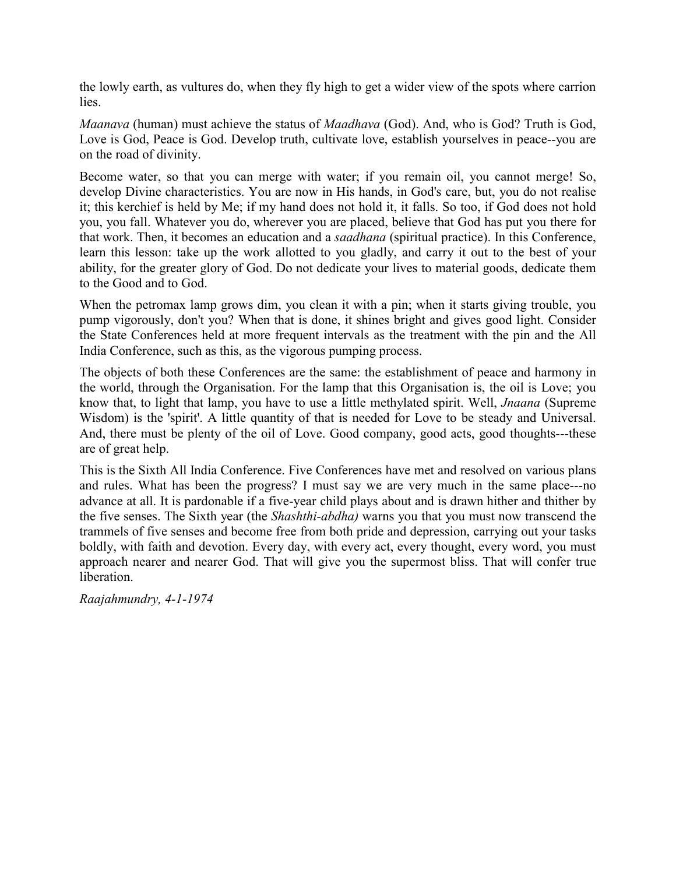the lowly earth, as vultures do, when they fly high to get a wider view of the spots where carrion lies.

*Maanava* (human) must achieve the status of *Maadhava* (God). And, who is God? Truth is God, Love is God, Peace is God. Develop truth, cultivate love, establish yourselves in peace--you are on the road of divinity.

Become water, so that you can merge with water; if you remain oil, you cannot merge! So, develop Divine characteristics. You are now in His hands, in God's care, but, you do not realise it; this kerchief is held by Me; if my hand does not hold it, it falls. So too, if God does not hold you, you fall. Whatever you do, wherever you are placed, believe that God has put you there for that work. Then, it becomes an education and a *saadhana* (spiritual practice). In this Conference, learn this lesson: take up the work allotted to you gladly, and carry it out to the best of your ability, for the greater glory of God. Do not dedicate your lives to material goods, dedicate them to the Good and to God.

When the petromax lamp grows dim, you clean it with a pin; when it starts giving trouble, you pump vigorously, don't you? When that is done, it shines bright and gives good light. Consider the State Conferences held at more frequent intervals as the treatment with the pin and the All India Conference, such as this, as the vigorous pumping process.

The objects of both these Conferences are the same: the establishment of peace and harmony in the world, through the Organisation. For the lamp that this Organisation is, the oil is Love; you know that, to light that lamp, you have to use a little methylated spirit. Well, *Jnaana* (Supreme Wisdom) is the 'spirit'. A little quantity of that is needed for Love to be steady and Universal. And, there must be plenty of the oil of Love. Good company, good acts, good thoughts---these are of great help.

This is the Sixth All India Conference. Five Conferences have met and resolved on various plans and rules. What has been the progress? I must say we are very much in the same place---no advance at all. It is pardonable if a five-year child plays about and is drawn hither and thither by the five senses. The Sixth year (the *Shashthi-abdha)* warns you that you must now transcend the trammels of five senses and become free from both pride and depression, carrying out your tasks boldly, with faith and devotion. Every day, with every act, every thought, every word, you must approach nearer and nearer God. That will give you the supermost bliss. That will confer true liberation.

*Raajahmundry, 4-1-1974*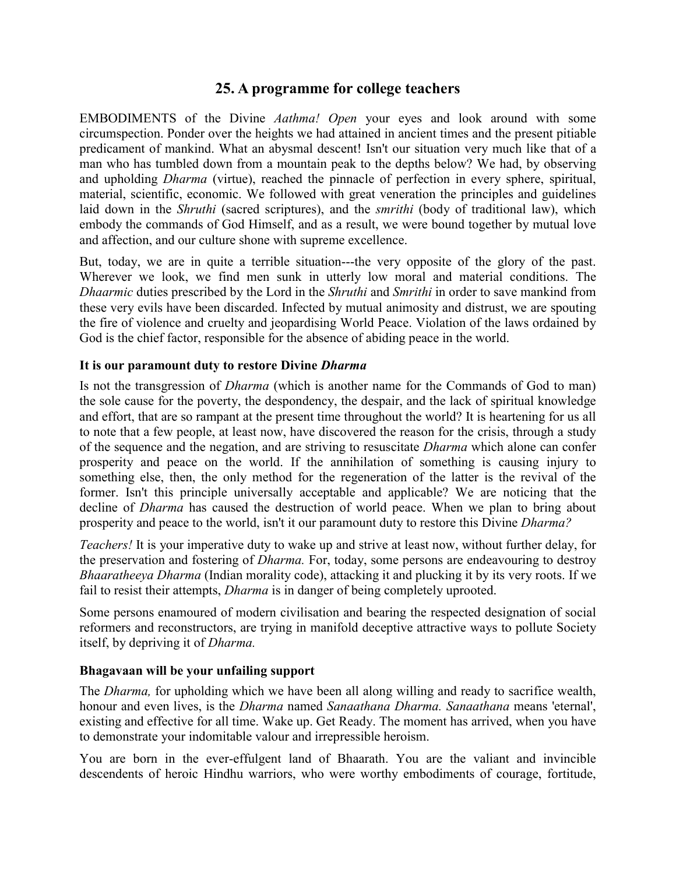# **25. A programme for college teachers**

EMBODIMENTS of the Divine *Aathma! Open* your eyes and look around with some circumspection. Ponder over the heights we had attained in ancient times and the present pitiable predicament of mankind. What an abysmal descent! Isn't our situation very much like that of a man who has tumbled down from a mountain peak to the depths below? We had, by observing and upholding *Dharma* (virtue), reached the pinnacle of perfection in every sphere, spiritual, material, scientific, economic. We followed with great veneration the principles and guidelines laid down in the *Shruthi* (sacred scriptures), and the *smrithi* (body of traditional law), which embody the commands of God Himself, and as a result, we were bound together by mutual love and affection, and our culture shone with supreme excellence.

But, today, we are in quite a terrible situation---the very opposite of the glory of the past. Wherever we look, we find men sunk in utterly low moral and material conditions. The *Dhaarmic* duties prescribed by the Lord in the *Shruthi* and *Smrithi* in order to save mankind from these very evils have been discarded. Infected by mutual animosity and distrust, we are spouting the fire of violence and cruelty and jeopardising World Peace. Violation of the laws ordained by God is the chief factor, responsible for the absence of abiding peace in the world.

## **It is our paramount duty to restore Divine** *Dharma*

Is not the transgression of *Dharma* (which is another name for the Commands of God to man) the sole cause for the poverty, the despondency, the despair, and the lack of spiritual knowledge and effort, that are so rampant at the present time throughout the world? It is heartening for us all to note that a few people, at least now, have discovered the reason for the crisis, through a study of the sequence and the negation, and are striving to resuscitate *Dharma* which alone can confer prosperity and peace on the world. If the annihilation of something is causing injury to something else, then, the only method for the regeneration of the latter is the revival of the former. Isn't this principle universally acceptable and applicable? We are noticing that the decline of *Dharma* has caused the destruction of world peace. When we plan to bring about prosperity and peace to the world, isn't it our paramount duty to restore this Divine *Dharma?*

*Teachers!* It is your imperative duty to wake up and strive at least now, without further delay, for the preservation and fostering of *Dharma.* For, today, some persons are endeavouring to destroy *Bhaaratheeya Dharma* (Indian morality code), attacking it and plucking it by its very roots. If we fail to resist their attempts, *Dharma* is in danger of being completely uprooted.

Some persons enamoured of modern civilisation and bearing the respected designation of social reformers and reconstructors, are trying in manifold deceptive attractive ways to pollute Society itself, by depriving it of *Dharma.*

## **Bhagavaan will be your unfailing support**

The *Dharma,* for upholding which we have been all along willing and ready to sacrifice wealth, honour and even lives, is the *Dharma* named *Sanaathana Dharma. Sanaathana* means 'eternal', existing and effective for all time. Wake up. Get Ready. The moment has arrived, when you have to demonstrate your indomitable valour and irrepressible heroism.

You are born in the ever-effulgent land of Bhaarath. You are the valiant and invincible descendents of heroic Hindhu warriors, who were worthy embodiments of courage, fortitude,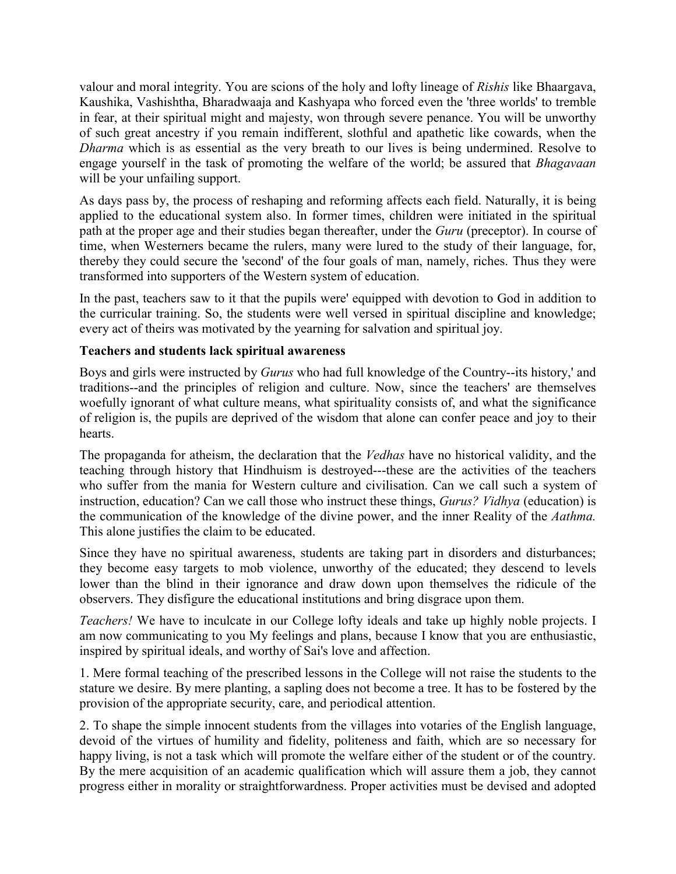valour and moral integrity. You are scions of the holy and lofty lineage of *Rishis* like Bhaargava, Kaushika, Vashishtha, Bharadwaaja and Kashyapa who forced even the 'three worlds' to tremble in fear, at their spiritual might and majesty, won through severe penance. You will be unworthy of such great ancestry if you remain indifferent, slothful and apathetic like cowards, when the *Dharma* which is as essential as the very breath to our lives is being undermined. Resolve to engage yourself in the task of promoting the welfare of the world; be assured that *Bhagavaan* will be your unfailing support.

As days pass by, the process of reshaping and reforming affects each field. Naturally, it is being applied to the educational system also. In former times, children were initiated in the spiritual path at the proper age and their studies began thereafter, under the *Guru* (preceptor). In course of time, when Westerners became the rulers, many were lured to the study of their language, for, thereby they could secure the 'second' of the four goals of man, namely, riches. Thus they were transformed into supporters of the Western system of education.

In the past, teachers saw to it that the pupils were' equipped with devotion to God in addition to the curricular training. So, the students were well versed in spiritual discipline and knowledge; every act of theirs was motivated by the yearning for salvation and spiritual joy.

## **Teachers and students lack spiritual awareness**

Boys and girls were instructed by *Gurus* who had full knowledge of the Country--its history,' and traditions--and the principles of religion and culture. Now, since the teachers' are themselves woefully ignorant of what culture means, what spirituality consists of, and what the significance of religion is, the pupils are deprived of the wisdom that alone can confer peace and joy to their hearts.

The propaganda for atheism, the declaration that the *Vedhas* have no historical validity, and the teaching through history that Hindhuism is destroyed---these are the activities of the teachers who suffer from the mania for Western culture and civilisation. Can we call such a system of instruction, education? Can we call those who instruct these things, *Gurus? Vidhya* (education) is the communication of the knowledge of the divine power, and the inner Reality of the *Aathma.* This alone justifies the claim to be educated.

Since they have no spiritual awareness, students are taking part in disorders and disturbances; they become easy targets to mob violence, unworthy of the educated; they descend to levels lower than the blind in their ignorance and draw down upon themselves the ridicule of the observers. They disfigure the educational institutions and bring disgrace upon them.

*Teachers!* We have to inculcate in our College lofty ideals and take up highly noble projects. I am now communicating to you My feelings and plans, because I know that you are enthusiastic, inspired by spiritual ideals, and worthy of Sai's love and affection.

1. Mere formal teaching of the prescribed lessons in the College will not raise the students to the stature we desire. By mere planting, a sapling does not become a tree. It has to be fostered by the provision of the appropriate security, care, and periodical attention.

2. To shape the simple innocent students from the villages into votaries of the English language, devoid of the virtues of humility and fidelity, politeness and faith, which are so necessary for happy living, is not a task which will promote the welfare either of the student or of the country. By the mere acquisition of an academic qualification which will assure them a job, they cannot progress either in morality or straightforwardness. Proper activities must be devised and adopted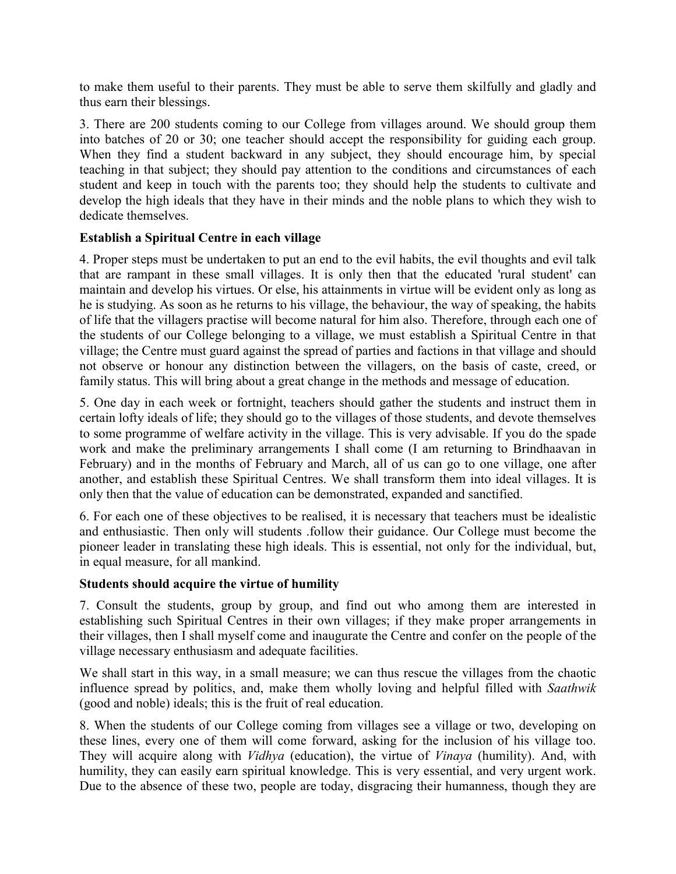to make them useful to their parents. They must be able to serve them skilfully and gladly and thus earn their blessings.

3. There are 200 students coming to our College from villages around. We should group them into batches of 20 or 30; one teacher should accept the responsibility for guiding each group. When they find a student backward in any subject, they should encourage him, by special teaching in that subject; they should pay attention to the conditions and circumstances of each student and keep in touch with the parents too; they should help the students to cultivate and develop the high ideals that they have in their minds and the noble plans to which they wish to dedicate themselves.

## **Establish a Spiritual Centre in each village**

4. Proper steps must be undertaken to put an end to the evil habits, the evil thoughts and evil talk that are rampant in these small villages. It is only then that the educated 'rural student' can maintain and develop his virtues. Or else, his attainments in virtue will be evident only as long as he is studying. As soon as he returns to his village, the behaviour, the way of speaking, the habits of life that the villagers practise will become natural for him also. Therefore, through each one of the students of our College belonging to a village, we must establish a Spiritual Centre in that village; the Centre must guard against the spread of parties and factions in that village and should not observe or honour any distinction between the villagers, on the basis of caste, creed, or family status. This will bring about a great change in the methods and message of education.

5. One day in each week or fortnight, teachers should gather the students and instruct them in certain lofty ideals of life; they should go to the villages of those students, and devote themselves to some programme of welfare activity in the village. This is very advisable. If you do the spade work and make the preliminary arrangements I shall come (I am returning to Brindhaavan in February) and in the months of February and March, all of us can go to one village, one after another, and establish these Spiritual Centres. We shall transform them into ideal villages. It is only then that the value of education can be demonstrated, expanded and sanctified.

6. For each one of these objectives to be realised, it is necessary that teachers must be idealistic and enthusiastic. Then only will students .follow their guidance. Our College must become the pioneer leader in translating these high ideals. This is essential, not only for the individual, but, in equal measure, for all mankind.

#### **Students should acquire the virtue of humility**

7. Consult the students, group by group, and find out who among them are interested in establishing such Spiritual Centres in their own villages; if they make proper arrangements in their villages, then I shall myself come and inaugurate the Centre and confer on the people of the village necessary enthusiasm and adequate facilities.

We shall start in this way, in a small measure; we can thus rescue the villages from the chaotic influence spread by politics, and, make them wholly loving and helpful filled with *Saathwik* (good and noble) ideals; this is the fruit of real education.

8. When the students of our College coming from villages see a village or two, developing on these lines, every one of them will come forward, asking for the inclusion of his village too. They will acquire along with *Vidhya* (education), the virtue of *Vinaya* (humility). And, with humility, they can easily earn spiritual knowledge. This is very essential, and very urgent work. Due to the absence of these two, people are today, disgracing their humanness, though they are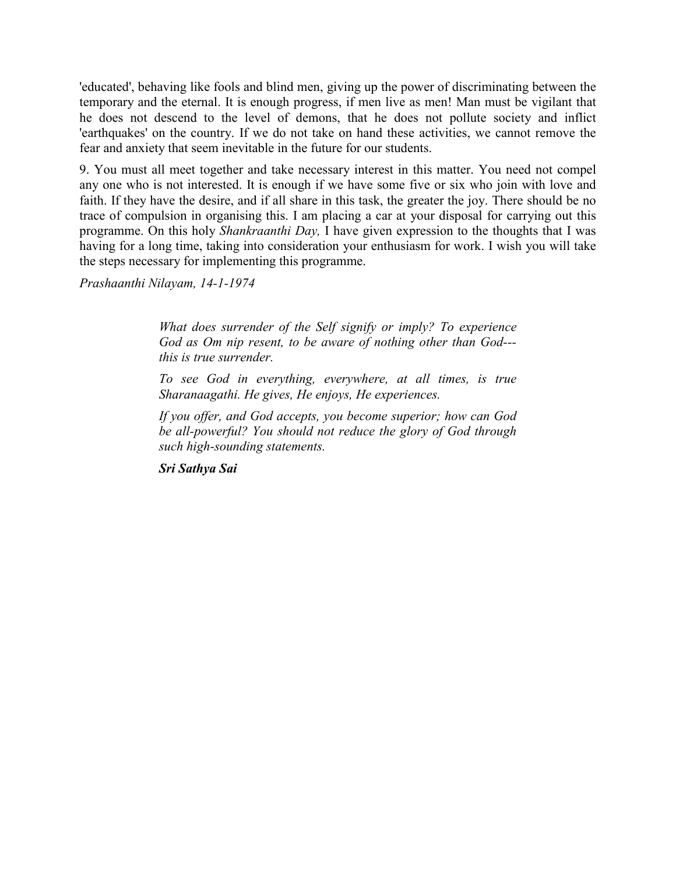'educated', behaving like fools and blind men, giving up the power of discriminating between the temporary and the eternal. It is enough progress, if men live as men! Man must be vigilant that he does not descend to the level of demons, that he does not pollute society and inflict 'earthquakes' on the country. If we do not take on hand these activities, we cannot remove the fear and anxiety that seem inevitable in the future for our students.

9. You must all meet together and take necessary interest in this matter. You need not compel any one who is not interested. It is enough if we have some five or six who join with love and faith. If they have the desire, and if all share in this task, the greater the joy. There should be no trace of compulsion in organising this. I am placing a car at your disposal for carrying out this programme. On this holy *Shankraanthi Day,* I have given expression to the thoughts that I was having for a long time, taking into consideration your enthusiasm for work. I wish you will take the steps necessary for implementing this programme.

*Prashaanthi Nilayam, 14-1-1974*

*What does surrender of the Self signify or imply? To experience God as Om nip resent, to be aware of nothing other than God-- this is true surrender.*

*To see God in everything, everywhere, at all times, is true Sharanaagathi. He gives, He enjoys, He experiences.*

*If you offer, and God accepts, you become superior; how can God be all-powerful? You should not reduce the glory of God through such high-sounding statements.*

*Sri Sathya Sai*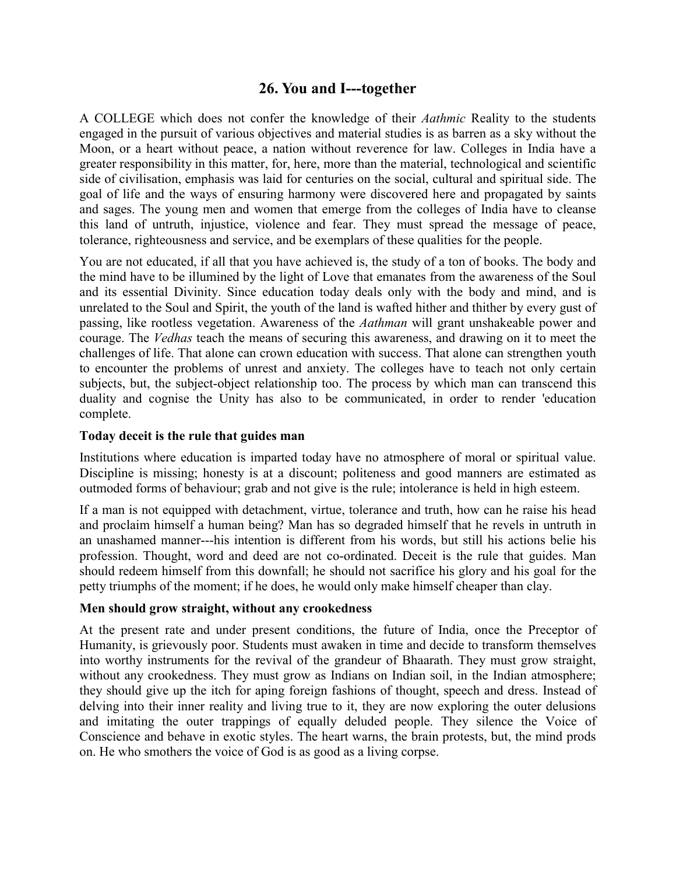# **26. You and I---together**

A COLLEGE which does not confer the knowledge of their *Aathmic* Reality to the students engaged in the pursuit of various objectives and material studies is as barren as a sky without the Moon, or a heart without peace, a nation without reverence for law. Colleges in India have a greater responsibility in this matter, for, here, more than the material, technological and scientific side of civilisation, emphasis was laid for centuries on the social, cultural and spiritual side. The goal of life and the ways of ensuring harmony were discovered here and propagated by saints and sages. The young men and women that emerge from the colleges of India have to cleanse this land of untruth, injustice, violence and fear. They must spread the message of peace, tolerance, righteousness and service, and be exemplars of these qualities for the people.

You are not educated, if all that you have achieved is, the study of a ton of books. The body and the mind have to be illumined by the light of Love that emanates from the awareness of the Soul and its essential Divinity. Since education today deals only with the body and mind, and is unrelated to the Soul and Spirit, the youth of the land is wafted hither and thither by every gust of passing, like rootless vegetation. Awareness of the *Aathman* will grant unshakeable power and courage. The *Vedhas* teach the means of securing this awareness, and drawing on it to meet the challenges of life. That alone can crown education with success. That alone can strengthen youth to encounter the problems of unrest and anxiety. The colleges have to teach not only certain subjects, but, the subject-object relationship too. The process by which man can transcend this duality and cognise the Unity has also to be communicated, in order to render 'education complete.

## **Today deceit is the rule that guides man**

Institutions where education is imparted today have no atmosphere of moral or spiritual value. Discipline is missing; honesty is at a discount; politeness and good manners are estimated as outmoded forms of behaviour; grab and not give is the rule; intolerance is held in high esteem.

If a man is not equipped with detachment, virtue, tolerance and truth, how can he raise his head and proclaim himself a human being? Man has so degraded himself that he revels in untruth in an unashamed manner---his intention is different from his words, but still his actions belie his profession. Thought, word and deed are not co-ordinated. Deceit is the rule that guides. Man should redeem himself from this downfall; he should not sacrifice his glory and his goal for the petty triumphs of the moment; if he does, he would only make himself cheaper than clay.

## **Men should grow straight, without any crookedness**

At the present rate and under present conditions, the future of India, once the Preceptor of Humanity, is grievously poor. Students must awaken in time and decide to transform themselves into worthy instruments for the revival of the grandeur of Bhaarath. They must grow straight, without any crookedness. They must grow as Indians on Indian soil, in the Indian atmosphere; they should give up the itch for aping foreign fashions of thought, speech and dress. Instead of delving into their inner reality and living true to it, they are now exploring the outer delusions and imitating the outer trappings of equally deluded people. They silence the Voice of Conscience and behave in exotic styles. The heart warns, the brain protests, but, the mind prods on. He who smothers the voice of God is as good as a living corpse.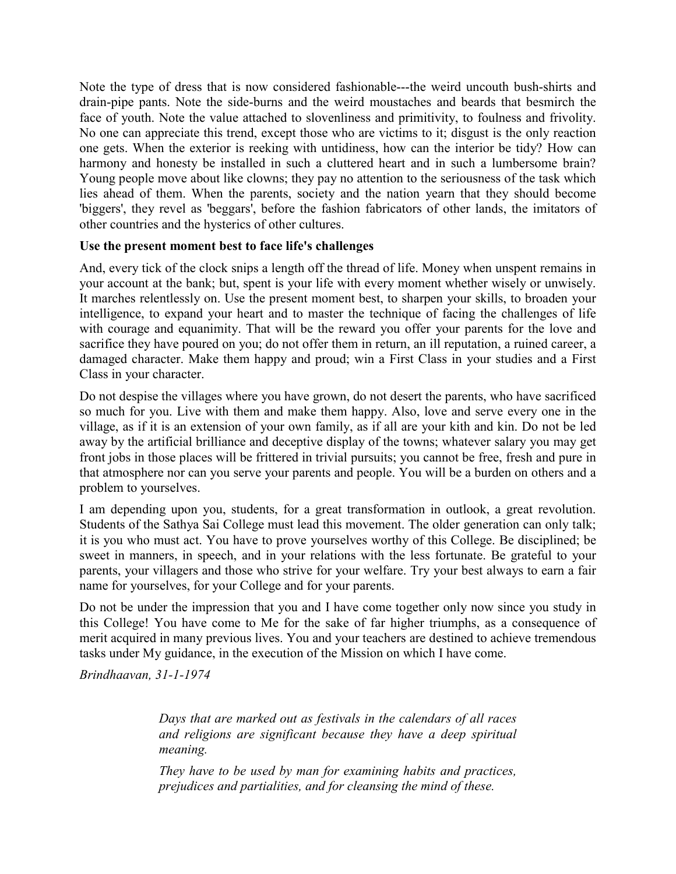Note the type of dress that is now considered fashionable---the weird uncouth bush-shirts and drain-pipe pants. Note the side-burns and the weird moustaches and beards that besmirch the face of youth. Note the value attached to slovenliness and primitivity, to foulness and frivolity. No one can appreciate this trend, except those who are victims to it; disgust is the only reaction one gets. When the exterior is reeking with untidiness, how can the interior be tidy? How can harmony and honesty be installed in such a cluttered heart and in such a lumbersome brain? Young people move about like clowns; they pay no attention to the seriousness of the task which lies ahead of them. When the parents, society and the nation yearn that they should become 'biggers', they revel as 'beggars', before the fashion fabricators of other lands, the imitators of other countries and the hysterics of other cultures.

## **Use the present moment best to face life's challenges**

And, every tick of the clock snips a length off the thread of life. Money when unspent remains in your account at the bank; but, spent is your life with every moment whether wisely or unwisely. It marches relentlessly on. Use the present moment best, to sharpen your skills, to broaden your intelligence, to expand your heart and to master the technique of facing the challenges of life with courage and equanimity. That will be the reward you offer your parents for the love and sacrifice they have poured on you; do not offer them in return, an ill reputation, a ruined career, a damaged character. Make them happy and proud; win a First Class in your studies and a First Class in your character.

Do not despise the villages where you have grown, do not desert the parents, who have sacrificed so much for you. Live with them and make them happy. Also, love and serve every one in the village, as if it is an extension of your own family, as if all are your kith and kin. Do not be led away by the artificial brilliance and deceptive display of the towns; whatever salary you may get front jobs in those places will be frittered in trivial pursuits; you cannot be free, fresh and pure in that atmosphere nor can you serve your parents and people. You will be a burden on others and a problem to yourselves.

I am depending upon you, students, for a great transformation in outlook, a great revolution. Students of the Sathya Sai College must lead this movement. The older generation can only talk; it is you who must act. You have to prove yourselves worthy of this College. Be disciplined; be sweet in manners, in speech, and in your relations with the less fortunate. Be grateful to your parents, your villagers and those who strive for your welfare. Try your best always to earn a fair name for yourselves, for your College and for your parents.

Do not be under the impression that you and I have come together only now since you study in this College! You have come to Me for the sake of far higher triumphs, as a consequence of merit acquired in many previous lives. You and your teachers are destined to achieve tremendous tasks under My guidance, in the execution of the Mission on which I have come.

*Brindhaavan, 31-1-1974*

*Days that are marked out as festivals in the calendars of all races and religions are significant because they have a deep spiritual meaning.*

*They have to be used by man for examining habits and practices, prejudices and partialities, and for cleansing the mind of these.*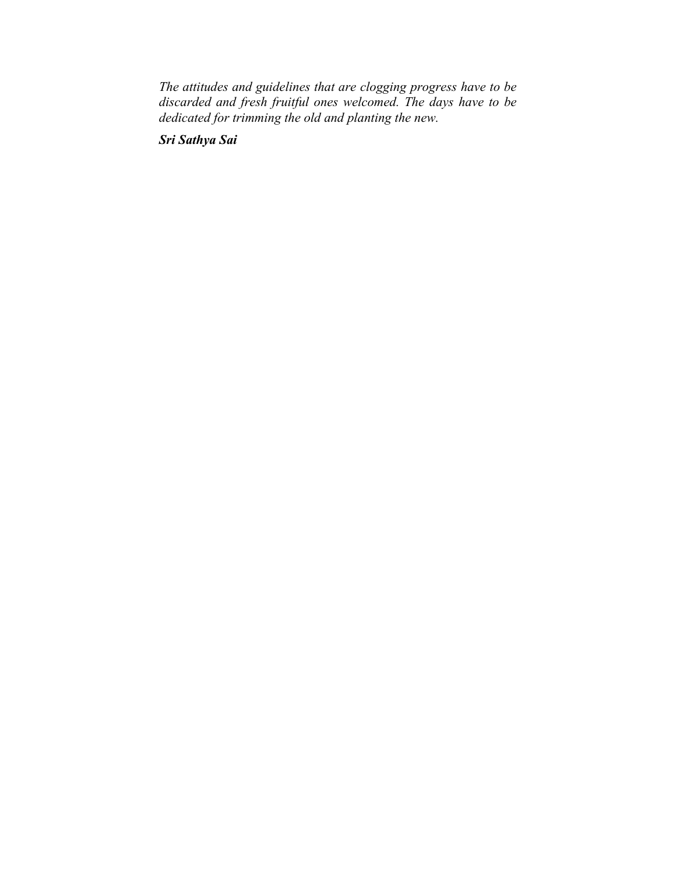*The attitudes and guidelines that are clogging progress have to be discarded and fresh fruitful ones welcomed. The days have to be dedicated for trimming the old and planting the new.*

*Sri Sathya Sai*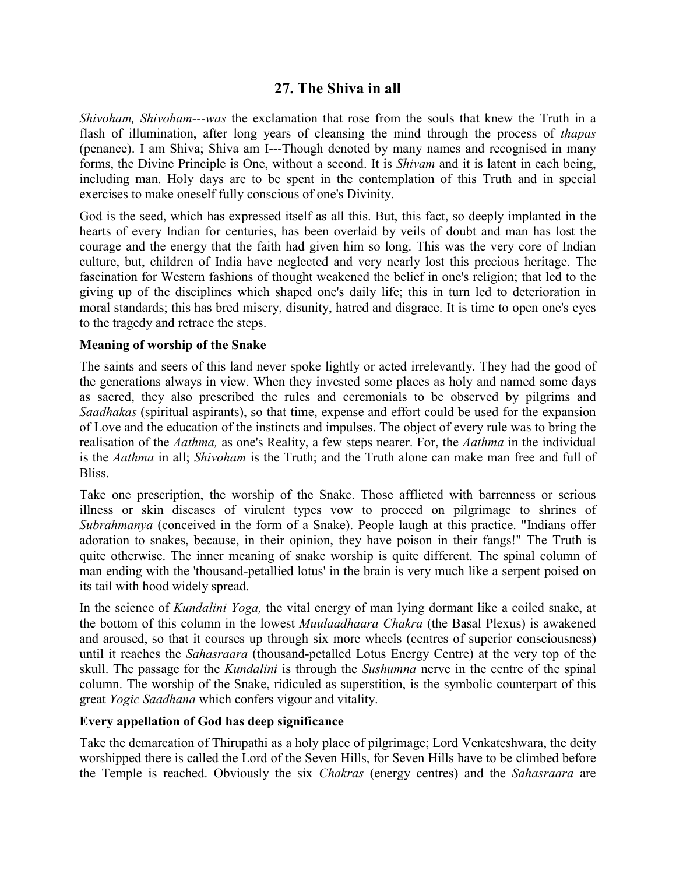# **27. The Shiva in all**

*Shivoham, Shivoham---was* the exclamation that rose from the souls that knew the Truth in a flash of illumination, after long years of cleansing the mind through the process of *thapas* (penance). I am Shiva; Shiva am I---Though denoted by many names and recognised in many forms, the Divine Principle is One, without a second. It is *Shivam* and it is latent in each being, including man. Holy days are to be spent in the contemplation of this Truth and in special exercises to make oneself fully conscious of one's Divinity.

God is the seed, which has expressed itself as all this. But, this fact, so deeply implanted in the hearts of every Indian for centuries, has been overlaid by veils of doubt and man has lost the courage and the energy that the faith had given him so long. This was the very core of Indian culture, but, children of India have neglected and very nearly lost this precious heritage. The fascination for Western fashions of thought weakened the belief in one's religion; that led to the giving up of the disciplines which shaped one's daily life; this in turn led to deterioration in moral standards; this has bred misery, disunity, hatred and disgrace. It is time to open one's eyes to the tragedy and retrace the steps.

#### **Meaning of worship of the Snake**

The saints and seers of this land never spoke lightly or acted irrelevantly. They had the good of the generations always in view. When they invested some places as holy and named some days as sacred, they also prescribed the rules and ceremonials to be observed by pilgrims and *Saadhakas* (spiritual aspirants), so that time, expense and effort could be used for the expansion of Love and the education of the instincts and impulses. The object of every rule was to bring the realisation of the *Aathma,* as one's Reality, a few steps nearer. For, the *Aathma* in the individual is the *Aathma* in all; *Shivoham* is the Truth; and the Truth alone can make man free and full of Bliss.

Take one prescription, the worship of the Snake. Those afflicted with barrenness or serious illness or skin diseases of virulent types vow to proceed on pilgrimage to shrines of *Subrahmanya* (conceived in the form of a Snake). People laugh at this practice. "Indians offer adoration to snakes, because, in their opinion, they have poison in their fangs!" The Truth is quite otherwise. The inner meaning of snake worship is quite different. The spinal column of man ending with the 'thousand-petallied lotus' in the brain is very much like a serpent poised on its tail with hood widely spread.

In the science of *Kundalini Yoga,* the vital energy of man lying dormant like a coiled snake, at the bottom of this column in the lowest *Muulaadhaara Chakra* (the Basal Plexus) is awakened and aroused, so that it courses up through six more wheels (centres of superior consciousness) until it reaches the *Sahasraara* (thousand-petalled Lotus Energy Centre) at the very top of the skull. The passage for the *Kundalini* is through the *Sushumna* nerve in the centre of the spinal column. The worship of the Snake, ridiculed as superstition, is the symbolic counterpart of this great *Yogic Saadhana* which confers vigour and vitality.

#### **Every appellation of God has deep significance**

Take the demarcation of Thirupathi as a holy place of pilgrimage; Lord Venkateshwara, the deity worshipped there is called the Lord of the Seven Hills, for Seven Hills have to be climbed before the Temple is reached. Obviously the six *Chakras* (energy centres) and the *Sahasraara* are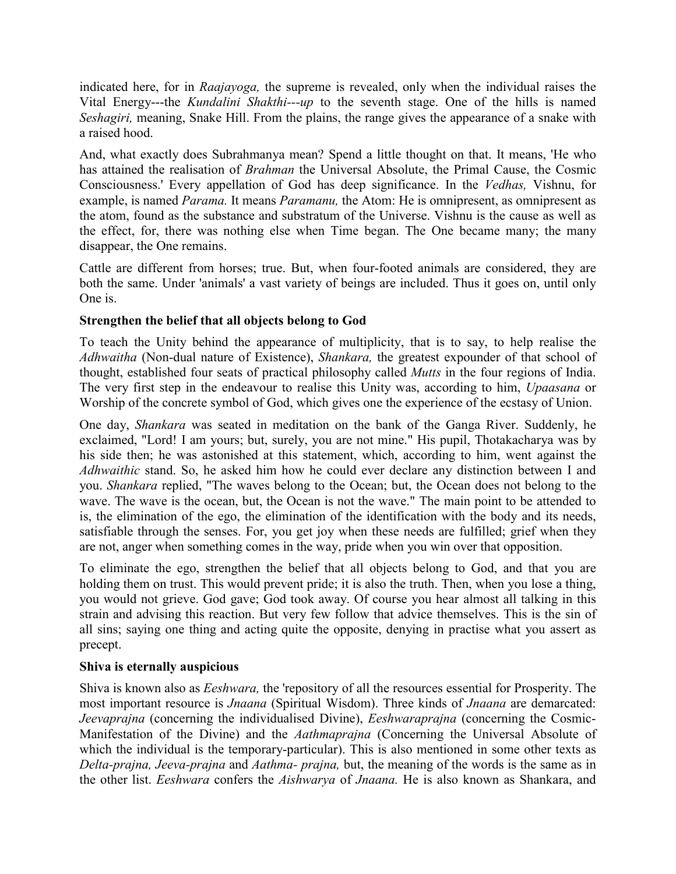indicated here, for in *Raajayoga,* the supreme is revealed, only when the individual raises the Vital Energy---the *Kundalini Shakthi---up* to the seventh stage. One of the hills is named *Seshagiri,* meaning, Snake Hill. From the plains, the range gives the appearance of a snake with a raised hood.

And, what exactly does Subrahmanya mean? Spend a little thought on that. It means, 'He who has attained the realisation of *Brahman* the Universal Absolute, the Primal Cause, the Cosmic Consciousness.' Every appellation of God has deep significance. In the *Vedhas,* Vishnu, for example, is named *Parama.* It means *Paramanu,* the Atom: He is omnipresent, as omnipresent as the atom, found as the substance and substratum of the Universe. Vishnu is the cause as well as the effect, for, there was nothing else when Time began. The One became many; the many disappear, the One remains.

Cattle are different from horses; true. But, when four-footed animals are considered, they are both the same. Under 'animals' a vast variety of beings are included. Thus it goes on, until only One is.

## **Strengthen the belief that all objects belong to God**

To teach the Unity behind the appearance of multiplicity, that is to say, to help realise the *Adhwaitha* (Non-dual nature of Existence), *Shankara,* the greatest expounder of that school of thought, established four seats of practical philosophy called *Mutts* in the four regions of India. The very first step in the endeavour to realise this Unity was, according to him, *Upaasana* or Worship of the concrete symbol of God, which gives one the experience of the ecstasy of Union.

One day, *Shankara* was seated in meditation on the bank of the Ganga River. Suddenly, he exclaimed, "Lord! I am yours; but, surely, you are not mine." His pupil, Thotakacharya was by his side then; he was astonished at this statement, which, according to him, went against the *Adhwaithic* stand. So, he asked him how he could ever declare any distinction between I and you. *Shankara* replied, "The waves belong to the Ocean; but, the Ocean does not belong to the wave. The wave is the ocean, but, the Ocean is not the wave." The main point to be attended to is, the elimination of the ego, the elimination of the identification with the body and its needs, satisfiable through the senses. For, you get joy when these needs are fulfilled; grief when they are not, anger when something comes in the way, pride when you win over that opposition.

To eliminate the ego, strengthen the belief that all objects belong to God, and that you are holding them on trust. This would prevent pride; it is also the truth. Then, when you lose a thing, you would not grieve. God gave; God took away. Of course you hear almost all talking in this strain and advising this reaction. But very few follow that advice themselves. This is the sin of all sins; saying one thing and acting quite the opposite, denying in practise what you assert as precept.

## **Shiva is eternally auspicious**

Shiva is known also as *Eeshwara,* the 'repository of all the resources essential for Prosperity. The most important resource is *Jnaana* (Spiritual Wisdom). Three kinds of *Jnaana* are demarcated: *Jeevaprajna* (concerning the individualised Divine), *Eeshwaraprajna* (concerning the Cosmic-Manifestation of the Divine) and the *Aathmaprajna* (Concerning the Universal Absolute of which the individual is the temporary-particular). This is also mentioned in some other texts as *Delta-prajna, Jeeva-prajna* and *Aathma- prajna,* but, the meaning of the words is the same as in the other list. *Eeshwara* confers the *Aishwarya* of *Jnaana.* He is also known as Shankara, and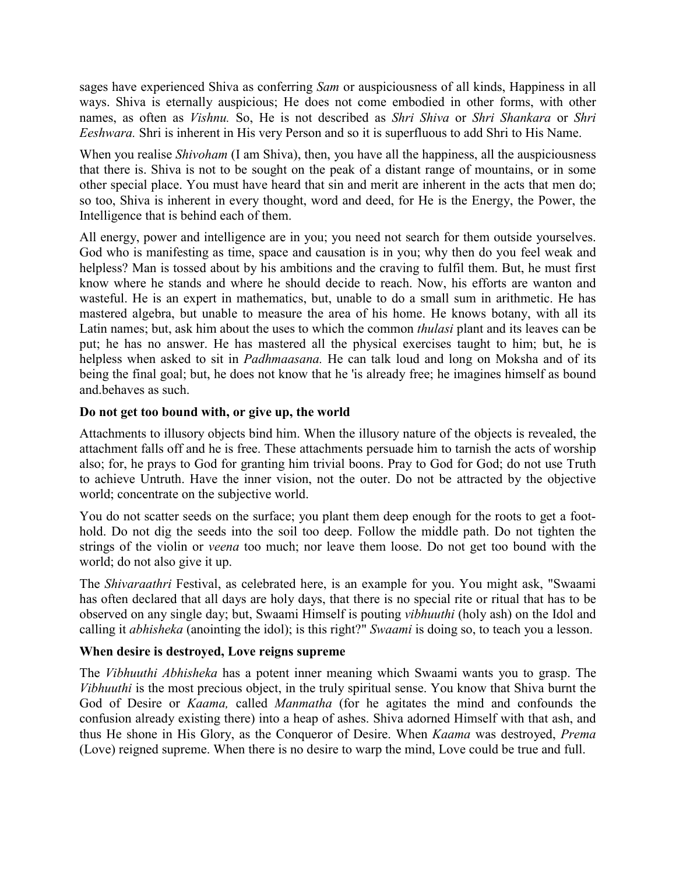sages have experienced Shiva as conferring *Sam* or auspiciousness of all kinds, Happiness in all ways. Shiva is eternally auspicious; He does not come embodied in other forms, with other names, as often as *Vishnu.* So, He is not described as *Shri Shiva* or *Shri Shankara* or *Shri Eeshwara.* Shri is inherent in His very Person and so it is superfluous to add Shri to His Name.

When you realise *Shivoham* (I am Shiva), then, you have all the happiness, all the auspiciousness that there is. Shiva is not to be sought on the peak of a distant range of mountains, or in some other special place. You must have heard that sin and merit are inherent in the acts that men do; so too, Shiva is inherent in every thought, word and deed, for He is the Energy, the Power, the Intelligence that is behind each of them.

All energy, power and intelligence are in you; you need not search for them outside yourselves. God who is manifesting as time, space and causation is in you; why then do you feel weak and helpless? Man is tossed about by his ambitions and the craving to fulfil them. But, he must first know where he stands and where he should decide to reach. Now, his efforts are wanton and wasteful. He is an expert in mathematics, but, unable to do a small sum in arithmetic. He has mastered algebra, but unable to measure the area of his home. He knows botany, with all its Latin names; but, ask him about the uses to which the common *thulasi* plant and its leaves can be put; he has no answer. He has mastered all the physical exercises taught to him; but, he is helpless when asked to sit in *Padhmaasana.* He can talk loud and long on Moksha and of its being the final goal; but, he does not know that he 'is already free; he imagines himself as bound and.behaves as such.

## **Do not get too bound with, or give up, the world**

Attachments to illusory objects bind him. When the illusory nature of the objects is revealed, the attachment falls off and he is free. These attachments persuade him to tarnish the acts of worship also; for, he prays to God for granting him trivial boons. Pray to God for God; do not use Truth to achieve Untruth. Have the inner vision, not the outer. Do not be attracted by the objective world; concentrate on the subjective world.

You do not scatter seeds on the surface; you plant them deep enough for the roots to get a foothold. Do not dig the seeds into the soil too deep. Follow the middle path. Do not tighten the strings of the violin or *veena* too much; nor leave them loose. Do not get too bound with the world; do not also give it up.

The *Shivaraathri* Festival, as celebrated here, is an example for you. You might ask, "Swaami has often declared that all days are holy days, that there is no special rite or ritual that has to be observed on any single day; but, Swaami Himself is pouting *vibhuuthi* (holy ash) on the Idol and calling it *abhisheka* (anointing the idol); is this right?" *Swaami* is doing so, to teach you a lesson.

## **When desire is destroyed, Love reigns supreme**

The *Vibhuuthi Abhisheka* has a potent inner meaning which Swaami wants you to grasp. The *Vibhuuthi* is the most precious object, in the truly spiritual sense. You know that Shiva burnt the God of Desire or *Kaama,* called *Manmatha* (for he agitates the mind and confounds the confusion already existing there) into a heap of ashes. Shiva adorned Himself with that ash, and thus He shone in His Glory, as the Conqueror of Desire. When *Kaama* was destroyed, *Prema* (Love) reigned supreme. When there is no desire to warp the mind, Love could be true and full.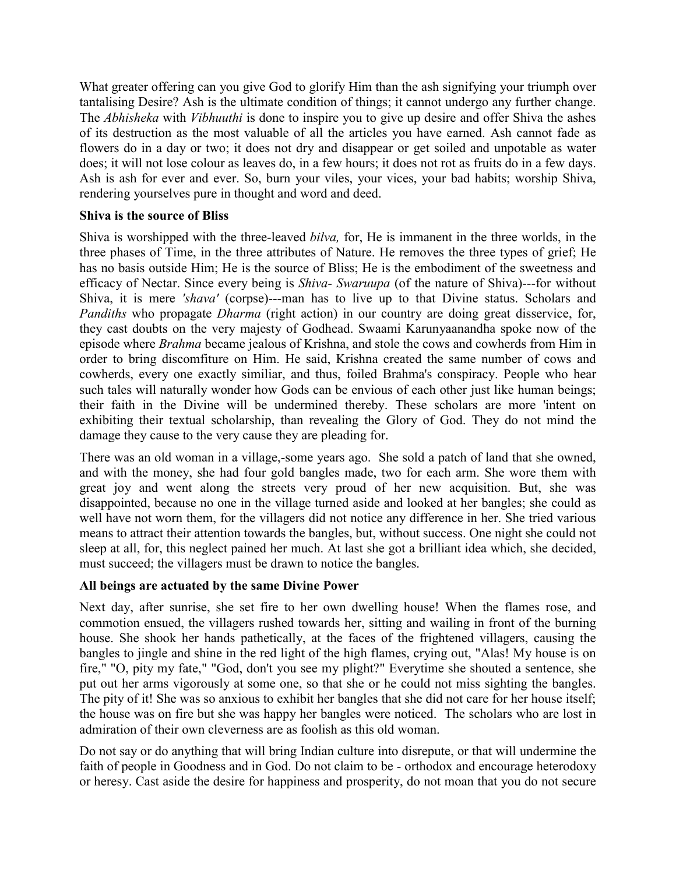What greater offering can you give God to glorify Him than the ash signifying your triumph over tantalising Desire? Ash is the ultimate condition of things; it cannot undergo any further change. The *Abhisheka* with *Vibhuuthi* is done to inspire you to give up desire and offer Shiva the ashes of its destruction as the most valuable of all the articles you have earned. Ash cannot fade as flowers do in a day or two; it does not dry and disappear or get soiled and unpotable as water does; it will not lose colour as leaves do, in a few hours; it does not rot as fruits do in a few days. Ash is ash for ever and ever. So, burn your viles, your vices, your bad habits; worship Shiva, rendering yourselves pure in thought and word and deed.

## **Shiva is the source of Bliss**

Shiva is worshipped with the three-leaved *bilva,* for, He is immanent in the three worlds, in the three phases of Time, in the three attributes of Nature. He removes the three types of grief; He has no basis outside Him; He is the source of Bliss; He is the embodiment of the sweetness and efficacy of Nectar. Since every being is *Shiva- Swaruupa* (of the nature of Shiva)---for without Shiva, it is mere *'shava'* (corpse)---man has to live up to that Divine status. Scholars and *Pandiths* who propagate *Dharma* (right action) in our country are doing great disservice, for, they cast doubts on the very majesty of Godhead. Swaami Karunyaanandha spoke now of the episode where *Brahma* became jealous of Krishna, and stole the cows and cowherds from Him in order to bring discomfiture on Him. He said, Krishna created the same number of cows and cowherds, every one exactly similiar, and thus, foiled Brahma's conspiracy. People who hear such tales will naturally wonder how Gods can be envious of each other just like human beings; their faith in the Divine will be undermined thereby. These scholars are more 'intent on exhibiting their textual scholarship, than revealing the Glory of God. They do not mind the damage they cause to the very cause they are pleading for.

There was an old woman in a village,-some years ago. She sold a patch of land that she owned, and with the money, she had four gold bangles made, two for each arm. She wore them with great joy and went along the streets very proud of her new acquisition. But, she was disappointed, because no one in the village turned aside and looked at her bangles; she could as well have not worn them, for the villagers did not notice any difference in her. She tried various means to attract their attention towards the bangles, but, without success. One night she could not sleep at all, for, this neglect pained her much. At last she got a brilliant idea which, she decided, must succeed; the villagers must be drawn to notice the bangles.

## **All beings are actuated by the same Divine Power**

Next day, after sunrise, she set fire to her own dwelling house! When the flames rose, and commotion ensued, the villagers rushed towards her, sitting and wailing in front of the burning house. She shook her hands pathetically, at the faces of the frightened villagers, causing the bangles to jingle and shine in the red light of the high flames, crying out, "Alas! My house is on fire," "O, pity my fate," "God, don't you see my plight?" Everytime she shouted a sentence, she put out her arms vigorously at some one, so that she or he could not miss sighting the bangles. The pity of it! She was so anxious to exhibit her bangles that she did not care for her house itself; the house was on fire but she was happy her bangles were noticed. The scholars who are lost in admiration of their own cleverness are as foolish as this old woman.

Do not say or do anything that will bring Indian culture into disrepute, or that will undermine the faith of people in Goodness and in God. Do not claim to be - orthodox and encourage heterodoxy or heresy. Cast aside the desire for happiness and prosperity, do not moan that you do not secure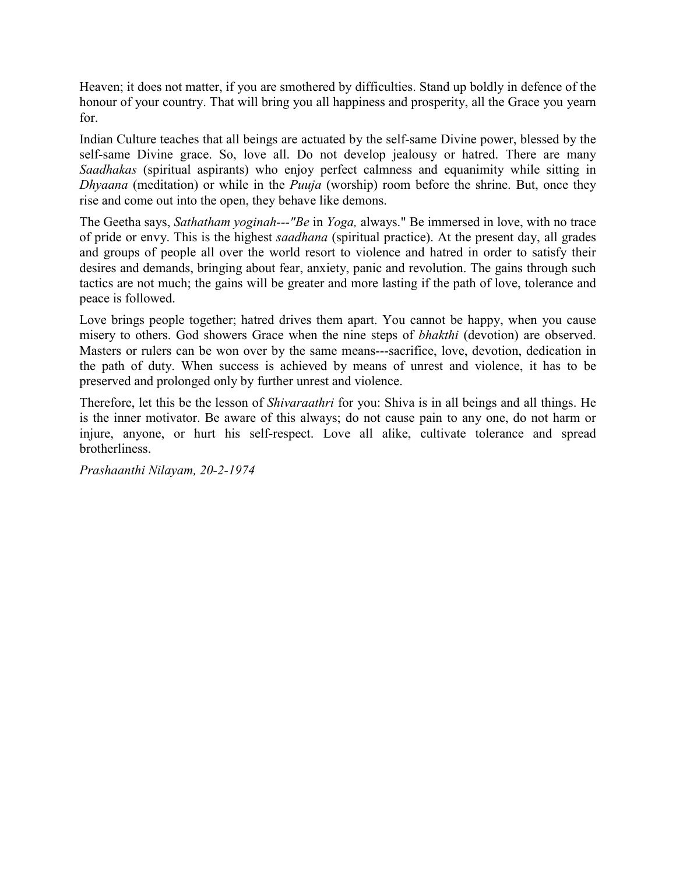Heaven; it does not matter, if you are smothered by difficulties. Stand up boldly in defence of the honour of your country. That will bring you all happiness and prosperity, all the Grace you yearn for.

Indian Culture teaches that all beings are actuated by the self-same Divine power, blessed by the self-same Divine grace. So, love all. Do not develop jealousy or hatred. There are many *Saadhakas* (spiritual aspirants) who enjoy perfect calmness and equanimity while sitting in *Dhyaana* (meditation) or while in the *Puuja* (worship) room before the shrine. But, once they rise and come out into the open, they behave like demons.

The Geetha says, *Sathatham yoginah---"Be* in *Yoga,* always." Be immersed in love, with no trace of pride or envy. This is the highest *saadhana* (spiritual practice). At the present day, all grades and groups of people all over the world resort to violence and hatred in order to satisfy their desires and demands, bringing about fear, anxiety, panic and revolution. The gains through such tactics are not much; the gains will be greater and more lasting if the path of love, tolerance and peace is followed.

Love brings people together; hatred drives them apart. You cannot be happy, when you cause misery to others. God showers Grace when the nine steps of *bhakthi* (devotion) are observed. Masters or rulers can be won over by the same means---sacrifice, love, devotion, dedication in the path of duty. When success is achieved by means of unrest and violence, it has to be preserved and prolonged only by further unrest and violence.

Therefore, let this be the lesson of *Shivaraathri* for you: Shiva is in all beings and all things. He is the inner motivator. Be aware of this always; do not cause pain to any one, do not harm or injure, anyone, or hurt his self-respect. Love all alike, cultivate tolerance and spread brotherliness.

*Prashaanthi Nilayam, 20-2-1974*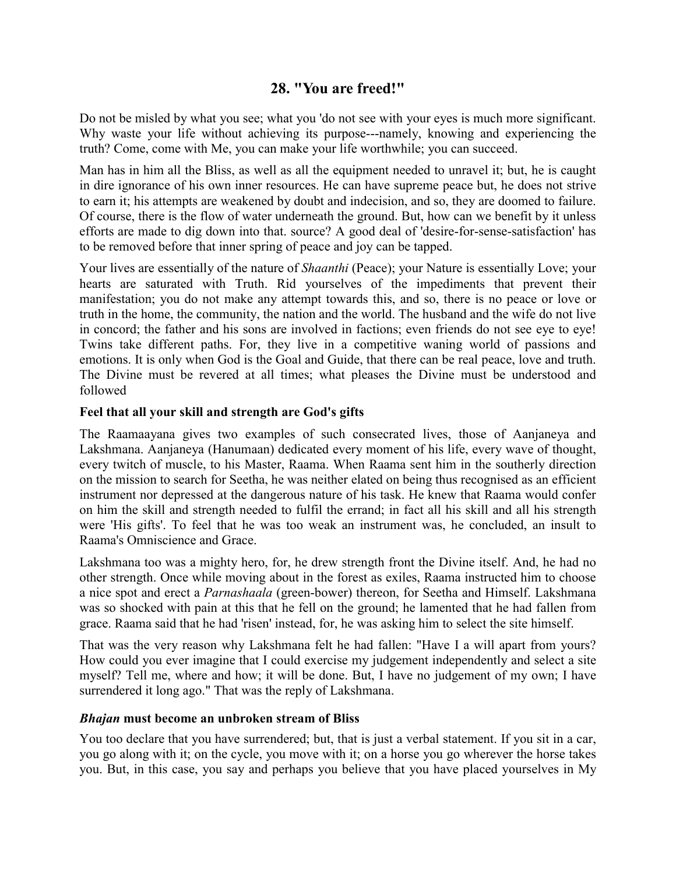# **28. "You are freed!"**

Do not be misled by what you see; what you 'do not see with your eyes is much more significant. Why waste your life without achieving its purpose---namely, knowing and experiencing the truth? Come, come with Me, you can make your life worthwhile; you can succeed.

Man has in him all the Bliss, as well as all the equipment needed to unravel it; but, he is caught in dire ignorance of his own inner resources. He can have supreme peace but, he does not strive to earn it; his attempts are weakened by doubt and indecision, and so, they are doomed to failure. Of course, there is the flow of water underneath the ground. But, how can we benefit by it unless efforts are made to dig down into that. source? A good deal of 'desire-for-sense-satisfaction' has to be removed before that inner spring of peace and joy can be tapped.

Your lives are essentially of the nature of *Shaanthi* (Peace); your Nature is essentially Love; your hearts are saturated with Truth. Rid yourselves of the impediments that prevent their manifestation; you do not make any attempt towards this, and so, there is no peace or love or truth in the home, the community, the nation and the world. The husband and the wife do not live in concord; the father and his sons are involved in factions; even friends do not see eye to eye! Twins take different paths. For, they live in a competitive waning world of passions and emotions. It is only when God is the Goal and Guide, that there can be real peace, love and truth. The Divine must be revered at all times; what pleases the Divine must be understood and followed

## **Feel that all your skill and strength are God's gifts**

The Raamaayana gives two examples of such consecrated lives, those of Aanjaneya and Lakshmana. Aanjaneya (Hanumaan) dedicated every moment of his life, every wave of thought, every twitch of muscle, to his Master, Raama. When Raama sent him in the southerly direction on the mission to search for Seetha, he was neither elated on being thus recognised as an efficient instrument nor depressed at the dangerous nature of his task. He knew that Raama would confer on him the skill and strength needed to fulfil the errand; in fact all his skill and all his strength were 'His gifts'. To feel that he was too weak an instrument was, he concluded, an insult to Raama's Omniscience and Grace.

Lakshmana too was a mighty hero, for, he drew strength front the Divine itself. And, he had no other strength. Once while moving about in the forest as exiles, Raama instructed him to choose a nice spot and erect a *Parnashaala* (green-bower) thereon, for Seetha and Himself. Lakshmana was so shocked with pain at this that he fell on the ground; he lamented that he had fallen from grace. Raama said that he had 'risen' instead, for, he was asking him to select the site himself.

That was the very reason why Lakshmana felt he had fallen: "Have I a will apart from yours? How could you ever imagine that I could exercise my judgement independently and select a site myself? Tell me, where and how; it will be done. But, I have no judgement of my own; I have surrendered it long ago." That was the reply of Lakshmana.

#### *Bhajan* **must become an unbroken stream of Bliss**

You too declare that you have surrendered; but, that is just a verbal statement. If you sit in a car, you go along with it; on the cycle, you move with it; on a horse you go wherever the horse takes you. But, in this case, you say and perhaps you believe that you have placed yourselves in My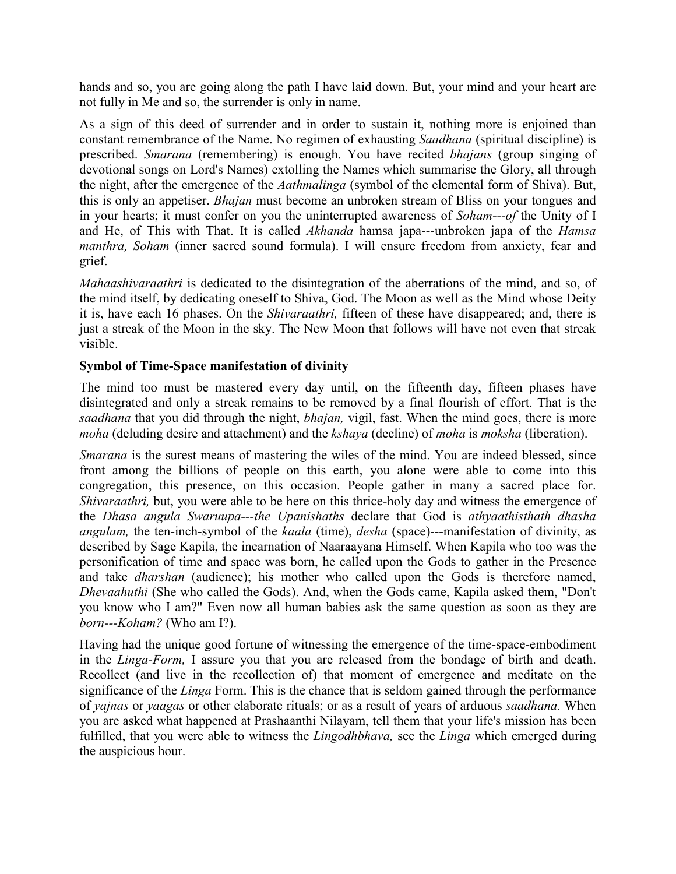hands and so, you are going along the path I have laid down. But, your mind and your heart are not fully in Me and so, the surrender is only in name.

As a sign of this deed of surrender and in order to sustain it, nothing more is enjoined than constant remembrance of the Name. No regimen of exhausting *Saadhana* (spiritual discipline) is prescribed. *Smarana* (remembering) is enough. You have recited *bhajans* (group singing of devotional songs on Lord's Names) extolling the Names which summarise the Glory, all through the night, after the emergence of the *Aathmalinga* (symbol of the elemental form of Shiva). But, this is only an appetiser. *Bhajan* must become an unbroken stream of Bliss on your tongues and in your hearts; it must confer on you the uninterrupted awareness of *Soham---of* the Unity of I and He, of This with That. It is called *Akhanda* hamsa japa---unbroken japa of the *Hamsa manthra, Soham* (inner sacred sound formula). I will ensure freedom from anxiety, fear and grief.

*Mahaashivaraathri* is dedicated to the disintegration of the aberrations of the mind, and so, of the mind itself, by dedicating oneself to Shiva, God. The Moon as well as the Mind whose Deity it is, have each 16 phases. On the *Shivaraathri,* fifteen of these have disappeared; and, there is just a streak of the Moon in the sky. The New Moon that follows will have not even that streak visible.

# **Symbol of Time-Space manifestation of divinity**

The mind too must be mastered every day until, on the fifteenth day, fifteen phases have disintegrated and only a streak remains to be removed by a final flourish of effort. That is the *saadhana* that you did through the night, *bhajan,* vigil, fast. When the mind goes, there is more *moha* (deluding desire and attachment) and the *kshaya* (decline) of *moha* is *moksha* (liberation).

*Smarana* is the surest means of mastering the wiles of the mind. You are indeed blessed, since front among the billions of people on this earth, you alone were able to come into this congregation, this presence, on this occasion. People gather in many a sacred place for. *Shivaraathri*, but, you were able to be here on this thrice-holy day and witness the emergence of the *Dhasa angula Swaruupa---the Upanishaths* declare that God is *athyaathisthath dhasha angulam,* the ten-inch-symbol of the *kaala* (time), *desha* (space)---manifestation of divinity, as described by Sage Kapila, the incarnation of Naaraayana Himself. When Kapila who too was the personification of time and space was born, he called upon the Gods to gather in the Presence and take *dharshan* (audience); his mother who called upon the Gods is therefore named, *Dhevaahuthi* (She who called the Gods). And, when the Gods came, Kapila asked them, "Don't you know who I am?" Even now all human babies ask the same question as soon as they are *born---Koham?* (Who am I?).

Having had the unique good fortune of witnessing the emergence of the time-space-embodiment in the *Linga-Form,* I assure you that you are released from the bondage of birth and death. Recollect (and live in the recollection of) that moment of emergence and meditate on the significance of the *Linga* Form. This is the chance that is seldom gained through the performance of *yajnas* or *yaagas* or other elaborate rituals; or as a result of years of arduous *saadhana.* When you are asked what happened at Prashaanthi Nilayam, tell them that your life's mission has been fulfilled, that you were able to witness the *Lingodhbhava,* see the *Linga* which emerged during the auspicious hour.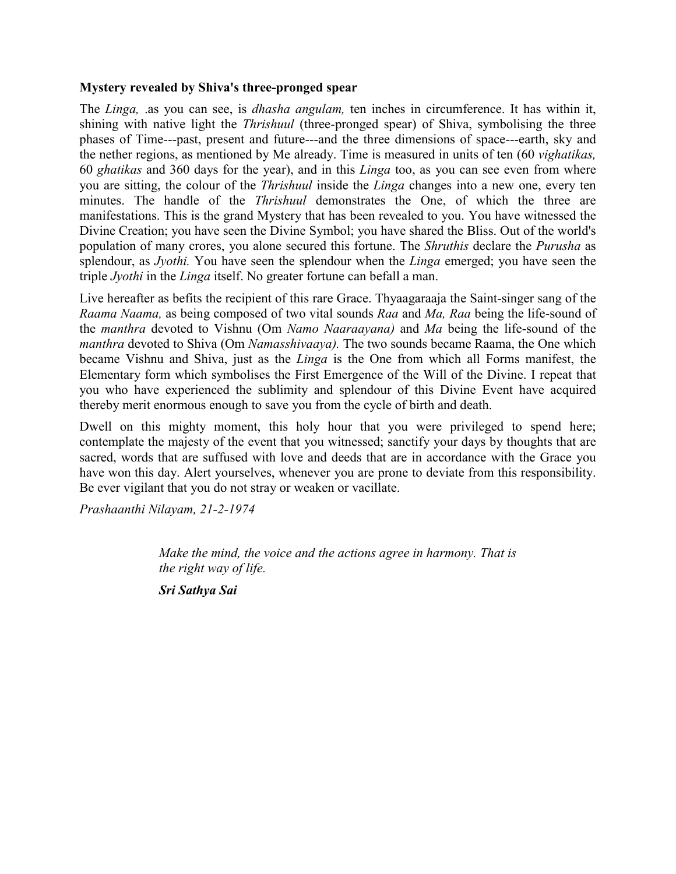#### **Mystery revealed by Shiva's three-pronged spear**

The *Linga,* .as you can see, is *dhasha angulam,* ten inches in circumference. It has within it, shining with native light the *Thrishuul* (three-pronged spear) of Shiva, symbolising the three phases of Time---past, present and future---and the three dimensions of space---earth, sky and the nether regions, as mentioned by Me already. Time is measured in units of ten (60 *vighatikas,* 60 *ghatikas* and 360 days for the year), and in this *Linga* too, as you can see even from where you are sitting, the colour of the *Thrishuul* inside the *Linga* changes into a new one, every ten minutes. The handle of the *Thrishuul* demonstrates the One, of which the three are manifestations. This is the grand Mystery that has been revealed to you. You have witnessed the Divine Creation; you have seen the Divine Symbol; you have shared the Bliss. Out of the world's population of many crores, you alone secured this fortune. The *Shruthis* declare the *Purusha* as splendour, as *Jyothi.* You have seen the splendour when the *Linga* emerged; you have seen the triple *Jyothi* in the *Linga* itself. No greater fortune can befall a man.

Live hereafter as befits the recipient of this rare Grace. Thyaagaraaja the Saint-singer sang of the *Raama Naama,* as being composed of two vital sounds *Raa* and *Ma, Raa* being the life-sound of the *manthra* devoted to Vishnu (Om *Namo Naaraayana)* and *Ma* being the life-sound of the *manthra* devoted to Shiva (Om *Namasshivaaya).* The two sounds became Raama, the One which became Vishnu and Shiva, just as the *Linga* is the One from which all Forms manifest, the Elementary form which symbolises the First Emergence of the Will of the Divine. I repeat that you who have experienced the sublimity and splendour of this Divine Event have acquired thereby merit enormous enough to save you from the cycle of birth and death.

Dwell on this mighty moment, this holy hour that you were privileged to spend here; contemplate the majesty of the event that you witnessed; sanctify your days by thoughts that are sacred, words that are suffused with love and deeds that are in accordance with the Grace you have won this day. Alert yourselves, whenever you are prone to deviate from this responsibility. Be ever vigilant that you do not stray or weaken or vacillate.

*Prashaanthi Nilayam, 21-2-1974*

*Make the mind, the voice and the actions agree in harmony. That is the right way of life.*

*Sri Sathya Sai*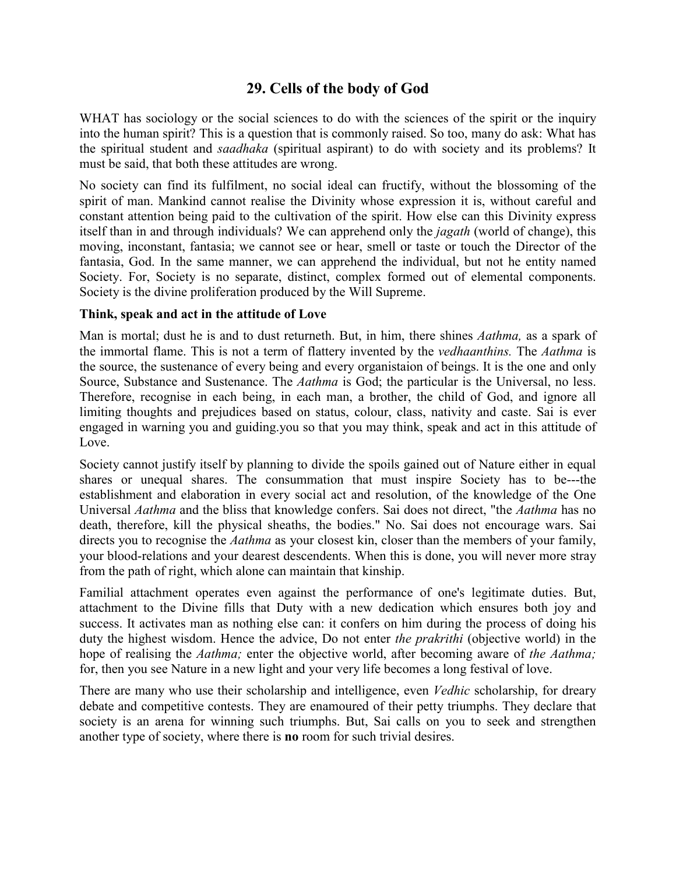# **29. Cells of the body of God**

WHAT has sociology or the social sciences to do with the sciences of the spirit or the inquiry into the human spirit? This is a question that is commonly raised. So too, many do ask: What has the spiritual student and *saadhaka* (spiritual aspirant) to do with society and its problems? It must be said, that both these attitudes are wrong.

No society can find its fulfilment, no social ideal can fructify, without the blossoming of the spirit of man. Mankind cannot realise the Divinity whose expression it is, without careful and constant attention being paid to the cultivation of the spirit. How else can this Divinity express itself than in and through individuals? We can apprehend only the *jagath* (world of change), this moving, inconstant, fantasia; we cannot see or hear, smell or taste or touch the Director of the fantasia, God. In the same manner, we can apprehend the individual, but not he entity named Society. For, Society is no separate, distinct, complex formed out of elemental components. Society is the divine proliferation produced by the Will Supreme.

#### **Think, speak and act in the attitude of Love**

Man is mortal; dust he is and to dust returneth. But, in him, there shines *Aathma,* as a spark of the immortal flame. This is not a term of flattery invented by the *vedhaanthins.* The *Aathma* is the source, the sustenance of every being and every organistaion of beings. It is the one and only Source, Substance and Sustenance. The *Aathma* is God; the particular is the Universal, no less. Therefore, recognise in each being, in each man, a brother, the child of God, and ignore all limiting thoughts and prejudices based on status, colour, class, nativity and caste. Sai is ever engaged in warning you and guiding.you so that you may think, speak and act in this attitude of Love.

Society cannot justify itself by planning to divide the spoils gained out of Nature either in equal shares or unequal shares. The consummation that must inspire Society has to be---the establishment and elaboration in every social act and resolution, of the knowledge of the One Universal *Aathma* and the bliss that knowledge confers. Sai does not direct, "the *Aathma* has no death, therefore, kill the physical sheaths, the bodies." No. Sai does not encourage wars. Sai directs you to recognise the *Aathma* as your closest kin, closer than the members of your family, your blood-relations and your dearest descendents. When this is done, you will never more stray from the path of right, which alone can maintain that kinship.

Familial attachment operates even against the performance of one's legitimate duties. But, attachment to the Divine fills that Duty with a new dedication which ensures both joy and success. It activates man as nothing else can: it confers on him during the process of doing his duty the highest wisdom. Hence the advice, Do not enter *the prakrithi* (objective world) in the hope of realising the *Aathma;* enter the objective world, after becoming aware of *the Aathma;* for, then you see Nature in a new light and your very life becomes a long festival of love.

There are many who use their scholarship and intelligence, even *Vedhic* scholarship, for dreary debate and competitive contests. They are enamoured of their petty triumphs. They declare that society is an arena for winning such triumphs. But, Sai calls on you to seek and strengthen another type of society, where there is **no** room for such trivial desires.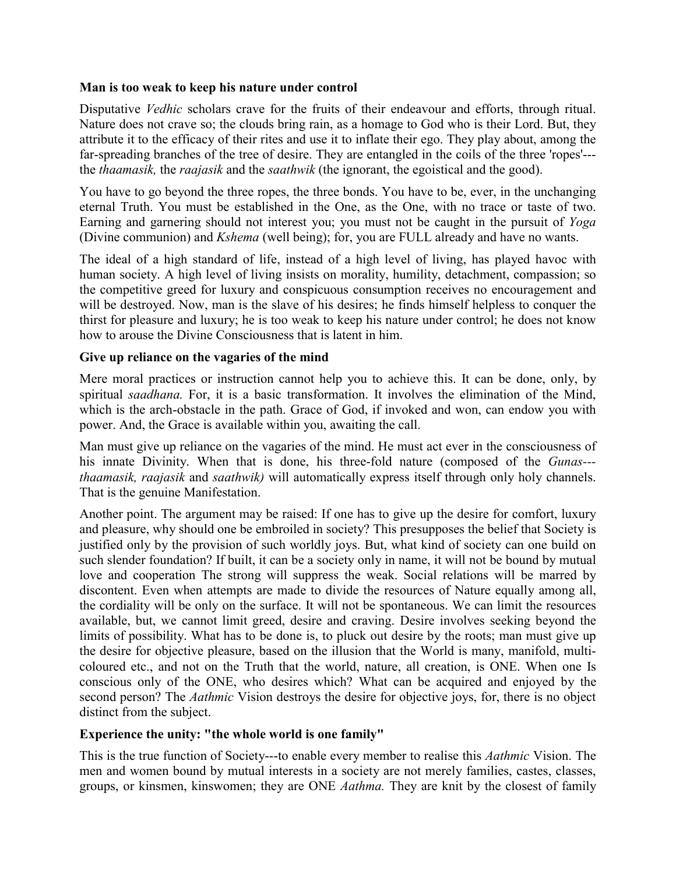#### **Man is too weak to keep his nature under control**

Disputative *Vedhic* scholars crave for the fruits of their endeavour and efforts, through ritual. Nature does not crave so; the clouds bring rain, as a homage to God who is their Lord. But, they attribute it to the efficacy of their rites and use it to inflate their ego. They play about, among the far-spreading branches of the tree of desire. They are entangled in the coils of the three 'ropes'-- the *thaamasik,* the *raajasik* and the *saathwik* (the ignorant, the egoistical and the good).

You have to go beyond the three ropes, the three bonds. You have to be, ever, in the unchanging eternal Truth. You must be established in the One, as the One, with no trace or taste of two. Earning and garnering should not interest you; you must not be caught in the pursuit of *Yoga* (Divine communion) and *Kshema* (well being); for, you are FULL already and have no wants.

The ideal of a high standard of life, instead of a high level of living, has played havoc with human society. A high level of living insists on morality, humility, detachment, compassion; so the competitive greed for luxury and conspicuous consumption receives no encouragement and will be destroyed. Now, man is the slave of his desires; he finds himself helpless to conquer the thirst for pleasure and luxury; he is too weak to keep his nature under control; he does not know how to arouse the Divine Consciousness that is latent in him.

## **Give up reliance on the vagaries of the mind**

Mere moral practices or instruction cannot help you to achieve this. It can be done, only, by spiritual *saadhana.* For, it is a basic transformation. It involves the elimination of the Mind, which is the arch-obstacle in the path. Grace of God, if invoked and won, can endow you with power. And, the Grace is available within you, awaiting the call.

Man must give up reliance on the vagaries of the mind. He must act ever in the consciousness of his innate Divinity. When that is done, his three-fold nature (composed of the *Gunas-- thaamasik, raajasik* and *saathwik)* will automatically express itself through only holy channels. That is the genuine Manifestation.

Another point. The argument may be raised: If one has to give up the desire for comfort, luxury and pleasure, why should one be embroiled in society? This presupposes the belief that Society is justified only by the provision of such worldly joys. But, what kind of society can one build on such slender foundation? If built, it can be a society only in name, it will not be bound by mutual love and cooperation The strong will suppress the weak. Social relations will be marred by discontent. Even when attempts are made to divide the resources of Nature equally among all, the cordiality will be only on the surface. It will not be spontaneous. We can limit the resources available, but, we cannot limit greed, desire and craving. Desire involves seeking beyond the limits of possibility. What has to be done is, to pluck out desire by the roots; man must give up the desire for objective pleasure, based on the illusion that the World is many, manifold, multicoloured etc., and not on the Truth that the world, nature, all creation, is ONE. When one Is conscious only of the ONE, who desires which? What can be acquired and enjoyed by the second person? The *Aathmic* Vision destroys the desire for objective joys, for, there is no object distinct from the subject.

## **Experience the unity: "the whole world is one family"**

This is the true function of Society---to enable every member to realise this *Aathmic* Vision. The men and women bound by mutual interests in a society are not merely families, castes, classes, groups, or kinsmen, kinswomen; they are ONE *Aathma.* They are knit by the closest of family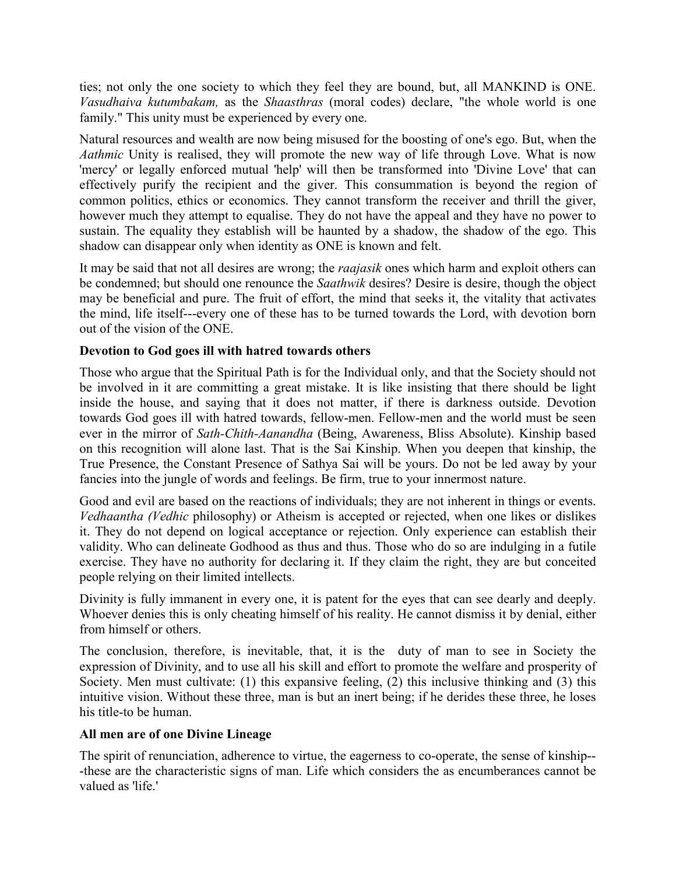ties; not only the one society to which they feel they are bound, but, all MANKIND is ONE. *Vasudhaiva kutumbakam,* as the *Shaasthras* (moral codes) declare, "the whole world is one family." This unity must be experienced by every one.

Natural resources and wealth are now being misused for the boosting of one's ego. But, when the *Aathmic* Unity is realised, they will promote the new way of life through Love. What is now 'mercy' or legally enforced mutual 'help' will then be transformed into 'Divine Love' that can effectively purify the recipient and the giver. This consummation is beyond the region of common politics, ethics or economics. They cannot transform the receiver and thrill the giver, however much they attempt to equalise. They do not have the appeal and they have no power to sustain. The equality they establish will be haunted by a shadow, the shadow of the ego. This shadow can disappear only when identity as ONE is known and felt.

It may be said that not all desires are wrong; the *raajasik* ones which harm and exploit others can be condemned; but should one renounce the *Saathwik* desires? Desire is desire, though the object may be beneficial and pure. The fruit of effort, the mind that seeks it, the vitality that activates the mind, life itself---every one of these has to be turned towards the Lord, with devotion born out of the vision of the ONE.

## **Devotion to God goes ill with hatred towards others**

Those who argue that the Spiritual Path is for the Individual only, and that the Society should not be involved in it are committing a great mistake. It is like insisting that there should be light inside the house, and saying that it does not matter, if there is darkness outside. Devotion towards God goes ill with hatred towards, fellow-men. Fellow-men and the world must be seen ever in the mirror of *Sath-Chith-Aanandha* (Being, Awareness, Bliss Absolute). Kinship based on this recognition will alone last. That is the Sai Kinship. When you deepen that kinship, the True Presence, the Constant Presence of Sathya Sai will be yours. Do not be led away by your fancies into the jungle of words and feelings. Be firm, true to your innermost nature.

Good and evil are based on the reactions of individuals; they are not inherent in things or events. *Vedhaantha (Vedhic* philosophy) or Atheism is accepted or rejected, when one likes or dislikes it. They do not depend on logical acceptance or rejection. Only experience can establish their validity. Who can delineate Godhood as thus and thus. Those who do so are indulging in a futile exercise. They have no authority for declaring it. If they claim the right, they are but conceited people relying on their limited intellects.

Divinity is fully immanent in every one, it is patent for the eyes that can see dearly and deeply. Whoever denies this is only cheating himself of his reality. He cannot dismiss it by denial, either from himself or others.

The conclusion, therefore, is inevitable, that, it is the duty of man to see in Society the expression of Divinity, and to use all his skill and effort to promote the welfare and prosperity of Society. Men must cultivate: (1) this expansive feeling, (2) this inclusive thinking and (3) this intuitive vision. Without these three, man is but an inert being; if he derides these three, he loses his title-to be human.

## **All men are of one Divine Lineage**

The spirit of renunciation, adherence to virtue, the eagerness to co-operate, the sense of kinship-- -these are the characteristic signs of man. Life which considers the as encumberances cannot be valued as 'life.'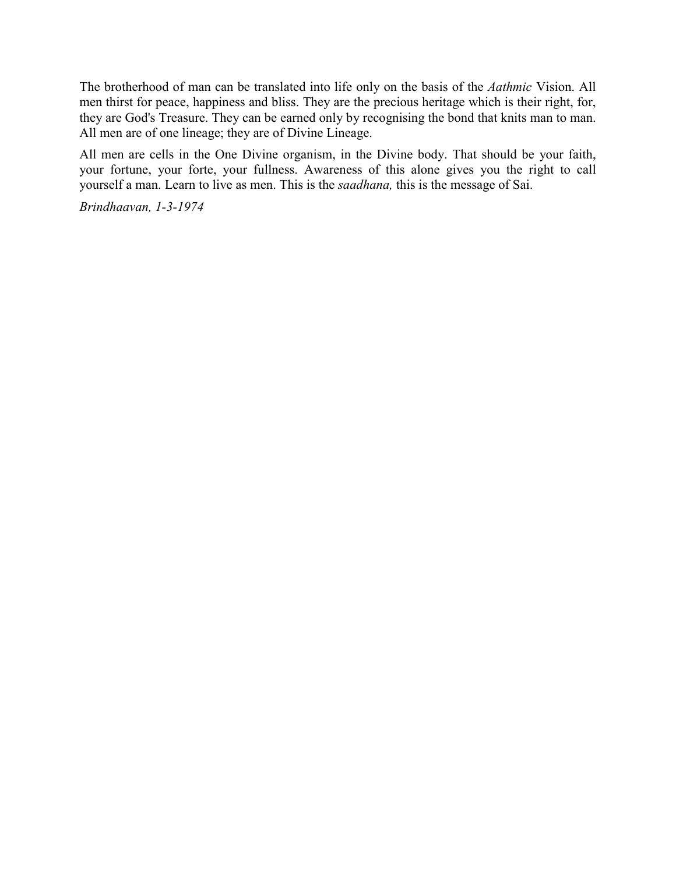The brotherhood of man can be translated into life only on the basis of the *Aathmic* Vision. All men thirst for peace, happiness and bliss. They are the precious heritage which is their right, for, they are God's Treasure. They can be earned only by recognising the bond that knits man to man. All men are of one lineage; they are of Divine Lineage.

All men are cells in the One Divine organism, in the Divine body. That should be your faith, your fortune, your forte, your fullness. Awareness of this alone gives you the right to call yourself a man. Learn to live as men. This is the *saadhana,* this is the message of Sai.

*Brindhaavan, 1-3-1974*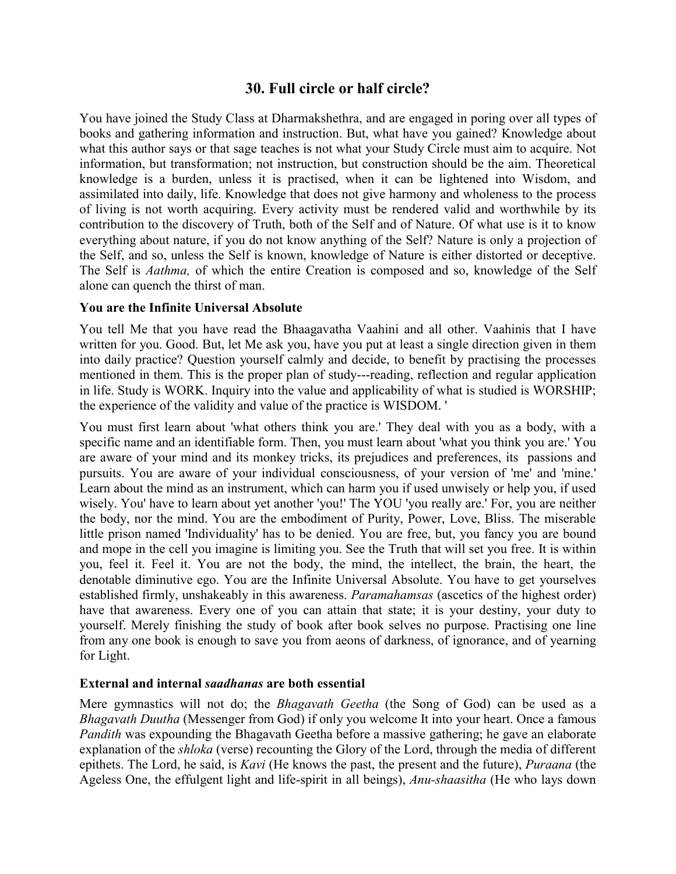# **30. Full circle or half circle?**

You have joined the Study Class at Dharmakshethra, and are engaged in poring over all types of books and gathering information and instruction. But, what have you gained? Knowledge about what this author says or that sage teaches is not what your Study Circle must aim to acquire. Not information, but transformation; not instruction, but construction should be the aim. Theoretical knowledge is a burden, unless it is practised, when it can be lightened into Wisdom, and assimilated into daily, life. Knowledge that does not give harmony and wholeness to the process of living is not worth acquiring. Every activity must be rendered valid and worthwhile by its contribution to the discovery of Truth, both of the Self and of Nature. Of what use is it to know everything about nature, if you do not know anything of the Self? Nature is only a projection of the Self, and so, unless the Self is known, knowledge of Nature is either distorted or deceptive. The Self is *Aathma,* of which the entire Creation is composed and so, knowledge of the Self alone can quench the thirst of man.

#### **You are the Infinite Universal Absolute**

You tell Me that you have read the Bhaagavatha Vaahini and all other. Vaahinis that I have written for you. Good. But, let Me ask you, have you put at least a single direction given in them into daily practice? Question yourself calmly and decide, to benefit by practising the processes mentioned in them. This is the proper plan of study---reading, reflection and regular application in life. Study is WORK. Inquiry into the value and applicability of what is studied is WORSHIP; the experience of the validity and value of the practice is WISDOM. '

You must first learn about 'what others think you are.' They deal with you as a body, with a specific name and an identifiable form. Then, you must learn about 'what you think you are.' You are aware of your mind and its monkey tricks, its prejudices and preferences, its passions and pursuits. You are aware of your individual consciousness, of your version of 'me' and 'mine.' Learn about the mind as an instrument, which can harm you if used unwisely or help you, if used wisely. You' have to learn about yet another 'you!' The YOU 'you really are.' For, you are neither the body, nor the mind. You are the embodiment of Purity, Power, Love, Bliss. The miserable little prison named 'Individuality' has to be denied. You are free, but, you fancy you are bound and mope in the cell you imagine is limiting you. See the Truth that will set you free. It is within you, feel it. Feel it. You are not the body, the mind, the intellect, the brain, the heart, the denotable diminutive ego. You are the Infinite Universal Absolute. You have to get yourselves established firmly, unshakeably in this awareness. *Paramahamsas* (ascetics of the highest order) have that awareness. Every one of you can attain that state; it is your destiny, your duty to yourself. Merely finishing the study of book after book selves no purpose. Practising one line from any one book is enough to save you from aeons of darkness, of ignorance, and of yearning for Light.

## **External and internal** *saadhanas* **are both essential**

Mere gymnastics will not do; the *Bhagavath Geetha* (the Song of God) can be used as a *Bhagavath Duutha* (Messenger from God) if only you welcome It into your heart. Once a famous *Pandith* was expounding the Bhagavath Geetha before a massive gathering; he gave an elaborate explanation of the *shloka* (verse) recounting the Glory of the Lord, through the media of different epithets. The Lord, he said, is *Kavi* (He knows the past, the present and the future), *Puraana* (the Ageless One, the effulgent light and life-spirit in all beings), *Anu-shaasitha* (He who lays down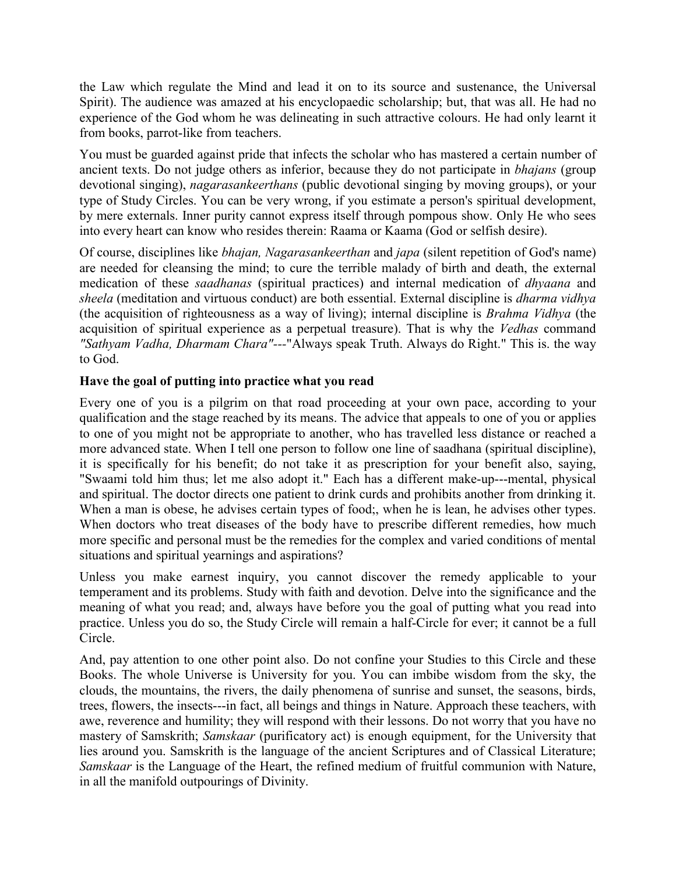the Law which regulate the Mind and lead it on to its source and sustenance, the Universal Spirit). The audience was amazed at his encyclopaedic scholarship; but, that was all. He had no experience of the God whom he was delineating in such attractive colours. He had only learnt it from books, parrot-like from teachers.

You must be guarded against pride that infects the scholar who has mastered a certain number of ancient texts. Do not judge others as inferior, because they do not participate in *bhajans* (group devotional singing), *nagarasankeerthans* (public devotional singing by moving groups), or your type of Study Circles. You can be very wrong, if you estimate a person's spiritual development, by mere externals. Inner purity cannot express itself through pompous show. Only He who sees into every heart can know who resides therein: Raama or Kaama (God or selfish desire).

Of course, disciplines like *bhajan, Nagarasankeerthan* and *japa* (silent repetition of God's name) are needed for cleansing the mind; to cure the terrible malady of birth and death, the external medication of these *saadhanas* (spiritual practices) and internal medication of *dhyaana* and *sheela* (meditation and virtuous conduct) are both essential. External discipline is *dharma vidhya* (the acquisition of righteousness as a way of living); internal discipline is *Brahma Vidhya* (the acquisition of spiritual experience as a perpetual treasure). That is why the *Vedhas* command *"Sathyam Vadha, Dharmam Chara"---*"Always speak Truth. Always do Right." This is. the way to God.

# **Have the goal of putting into practice what you read**

Every one of you is a pilgrim on that road proceeding at your own pace, according to your qualification and the stage reached by its means. The advice that appeals to one of you or applies to one of you might not be appropriate to another, who has travelled less distance or reached a more advanced state. When I tell one person to follow one line of saadhana (spiritual discipline), it is specifically for his benefit; do not take it as prescription for your benefit also, saying, "Swaami told him thus; let me also adopt it." Each has a different make-up---mental, physical and spiritual. The doctor directs one patient to drink curds and prohibits another from drinking it. When a man is obese, he advises certain types of food;, when he is lean, he advises other types. When doctors who treat diseases of the body have to prescribe different remedies, how much more specific and personal must be the remedies for the complex and varied conditions of mental situations and spiritual yearnings and aspirations?

Unless you make earnest inquiry, you cannot discover the remedy applicable to your temperament and its problems. Study with faith and devotion. Delve into the significance and the meaning of what you read; and, always have before you the goal of putting what you read into practice. Unless you do so, the Study Circle will remain a half-Circle for ever; it cannot be a full Circle.

And, pay attention to one other point also. Do not confine your Studies to this Circle and these Books. The whole Universe is University for you. You can imbibe wisdom from the sky, the clouds, the mountains, the rivers, the daily phenomena of sunrise and sunset, the seasons, birds, trees, flowers, the insects---in fact, all beings and things in Nature. Approach these teachers, with awe, reverence and humility; they will respond with their lessons. Do not worry that you have no mastery of Samskrith; *Samskaar* (purificatory act) is enough equipment, for the University that lies around you. Samskrith is the language of the ancient Scriptures and of Classical Literature; *Samskaar* is the Language of the Heart, the refined medium of fruitful communion with Nature, in all the manifold outpourings of Divinity.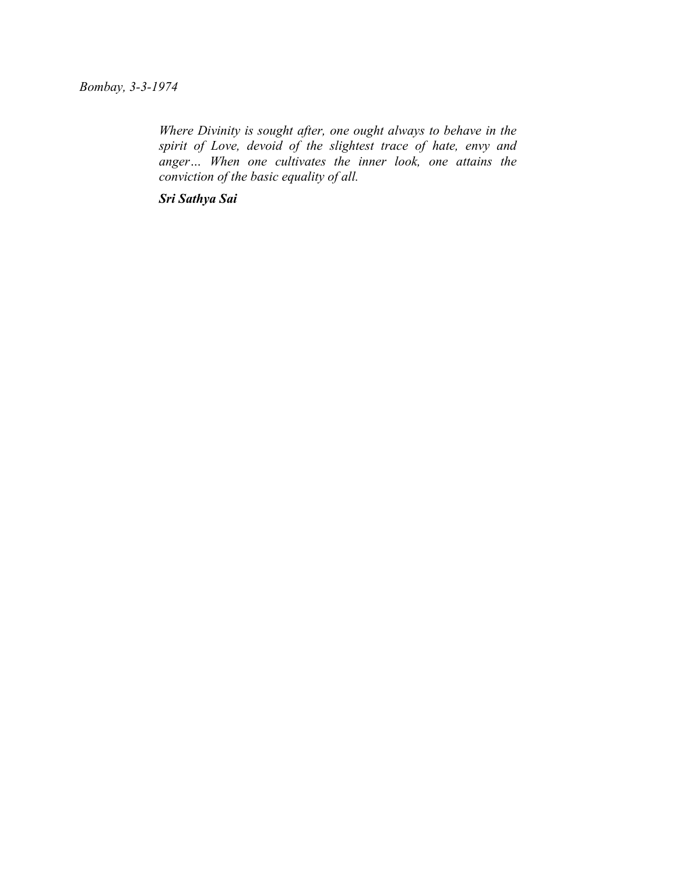# *Bombay, 3-3-1974*

*Where Divinity is sought after, one ought always to behave in the spirit of Love, devoid of the slightest trace of hate, envy and anger… When one cultivates the inner look, one attains the conviction of the basic equality of all.*

*Sri Sathya Sai*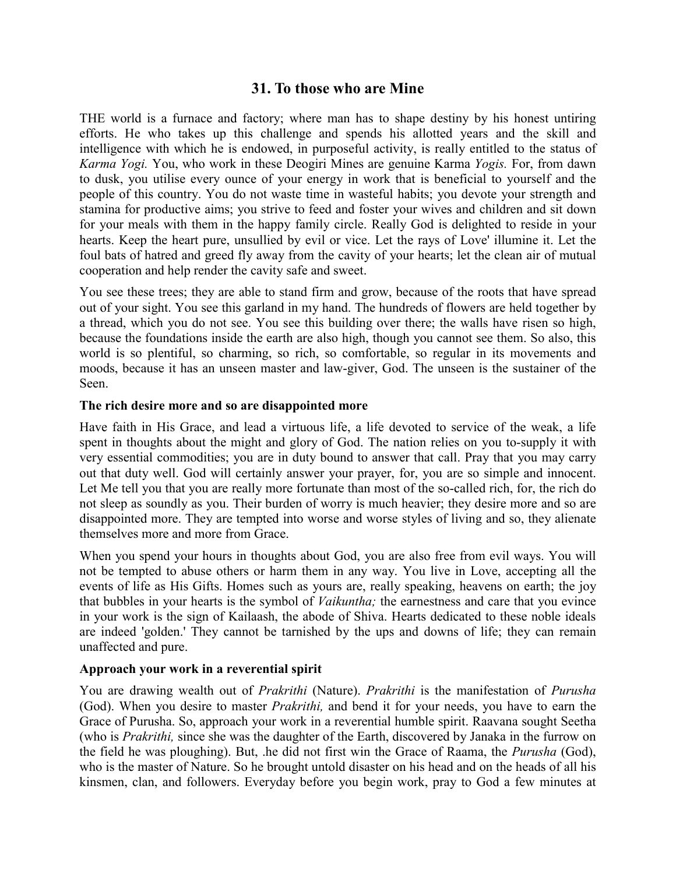# **31. To those who are Mine**

THE world is a furnace and factory; where man has to shape destiny by his honest untiring efforts. He who takes up this challenge and spends his allotted years and the skill and intelligence with which he is endowed, in purposeful activity, is really entitled to the status of *Karma Yogi.* You, who work in these Deogiri Mines are genuine Karma *Yogis.* For, from dawn to dusk, you utilise every ounce of your energy in work that is beneficial to yourself and the people of this country. You do not waste time in wasteful habits; you devote your strength and stamina for productive aims; you strive to feed and foster your wives and children and sit down for your meals with them in the happy family circle. Really God is delighted to reside in your hearts. Keep the heart pure, unsullied by evil or vice. Let the rays of Love' illumine it. Let the foul bats of hatred and greed fly away from the cavity of your hearts; let the clean air of mutual cooperation and help render the cavity safe and sweet.

You see these trees; they are able to stand firm and grow, because of the roots that have spread out of your sight. You see this garland in my hand. The hundreds of flowers are held together by a thread, which you do not see. You see this building over there; the walls have risen so high, because the foundations inside the earth are also high, though you cannot see them. So also, this world is so plentiful, so charming, so rich, so comfortable, so regular in its movements and moods, because it has an unseen master and law-giver, God. The unseen is the sustainer of the Seen.

## **The rich desire more and so are disappointed more**

Have faith in His Grace, and lead a virtuous life, a life devoted to service of the weak, a life spent in thoughts about the might and glory of God. The nation relies on you to-supply it with very essential commodities; you are in duty bound to answer that call. Pray that you may carry out that duty well. God will certainly answer your prayer, for, you are so simple and innocent. Let Me tell you that you are really more fortunate than most of the so-called rich, for, the rich do not sleep as soundly as you. Their burden of worry is much heavier; they desire more and so are disappointed more. They are tempted into worse and worse styles of living and so, they alienate themselves more and more from Grace.

When you spend your hours in thoughts about God, you are also free from evil ways. You will not be tempted to abuse others or harm them in any way. You live in Love, accepting all the events of life as His Gifts. Homes such as yours are, really speaking, heavens on earth; the joy that bubbles in your hearts is the symbol of *Vaikuntha;* the earnestness and care that you evince in your work is the sign of Kailaash, the abode of Shiva. Hearts dedicated to these noble ideals are indeed 'golden.' They cannot be tarnished by the ups and downs of life; they can remain unaffected and pure.

#### **Approach your work in a reverential spirit**

You are drawing wealth out of *Prakrithi* (Nature). *Prakrithi* is the manifestation of *Purusha* (God). When you desire to master *Prakrithi,* and bend it for your needs, you have to earn the Grace of Purusha. So, approach your work in a reverential humble spirit. Raavana sought Seetha (who is *Prakrithi,* since she was the daughter of the Earth, discovered by Janaka in the furrow on the field he was ploughing). But, .he did not first win the Grace of Raama, the *Purusha* (God), who is the master of Nature. So he brought untold disaster on his head and on the heads of all his kinsmen, clan, and followers. Everyday before you begin work, pray to God a few minutes at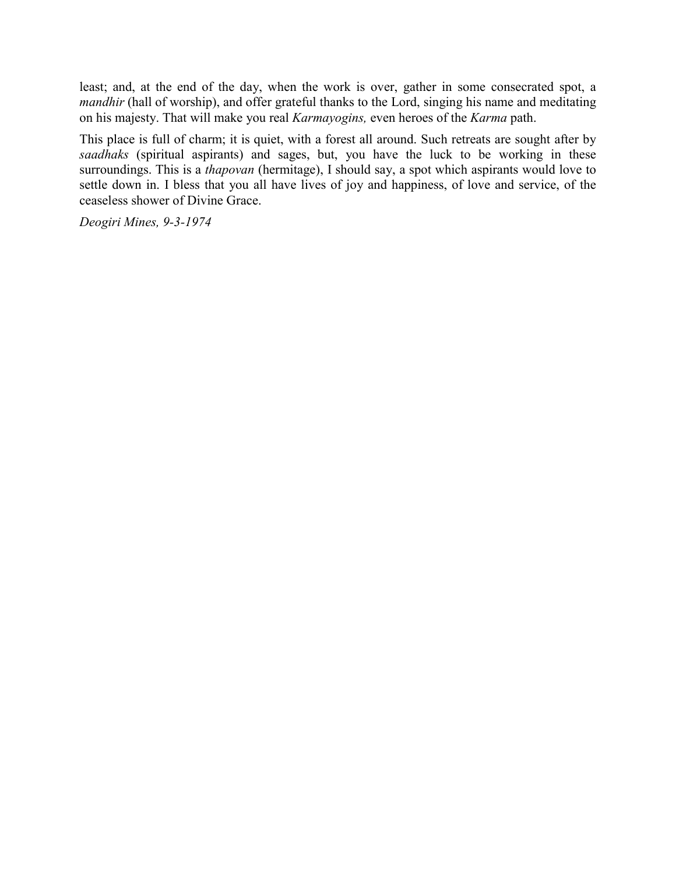least; and, at the end of the day, when the work is over, gather in some consecrated spot, a *mandhir* (hall of worship), and offer grateful thanks to the Lord, singing his name and meditating on his majesty. That will make you real *Karmayogins,* even heroes of the *Karma* path.

This place is full of charm; it is quiet, with a forest all around. Such retreats are sought after by *saadhaks* (spiritual aspirants) and sages, but, you have the luck to be working in these surroundings. This is a *thapovan* (hermitage), I should say, a spot which aspirants would love to settle down in. I bless that you all have lives of joy and happiness, of love and service, of the ceaseless shower of Divine Grace.

*Deogiri Mines, 9-3-1974*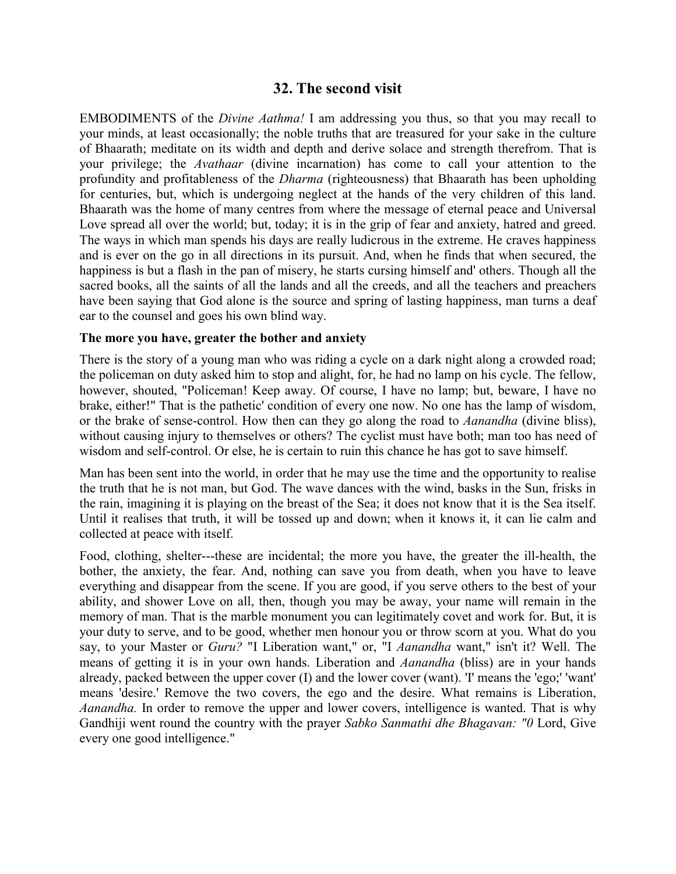# **32. The second visit**

EMBODIMENTS of the *Divine Aathma!* I am addressing you thus, so that you may recall to your minds, at least occasionally; the noble truths that are treasured for your sake in the culture of Bhaarath; meditate on its width and depth and derive solace and strength therefrom. That is your privilege; the *Avathaar* (divine incarnation) has come to call your attention to the profundity and profitableness of the *Dharma* (righteousness) that Bhaarath has been upholding for centuries, but, which is undergoing neglect at the hands of the very children of this land. Bhaarath was the home of many centres from where the message of eternal peace and Universal Love spread all over the world; but, today; it is in the grip of fear and anxiety, hatred and greed. The ways in which man spends his days are really ludicrous in the extreme. He craves happiness and is ever on the go in all directions in its pursuit. And, when he finds that when secured, the happiness is but a flash in the pan of misery, he starts cursing himself and' others. Though all the sacred books, all the saints of all the lands and all the creeds, and all the teachers and preachers have been saying that God alone is the source and spring of lasting happiness, man turns a deaf ear to the counsel and goes his own blind way.

#### **The more you have, greater the bother and anxiety**

There is the story of a young man who was riding a cycle on a dark night along a crowded road; the policeman on duty asked him to stop and alight, for, he had no lamp on his cycle. The fellow, however, shouted, "Policeman! Keep away. Of course, I have no lamp; but, beware, I have no brake, either!" That is the pathetic' condition of every one now. No one has the lamp of wisdom, or the brake of sense-control. How then can they go along the road to *Aanandha* (divine bliss), without causing injury to themselves or others? The cyclist must have both; man too has need of wisdom and self-control. Or else, he is certain to ruin this chance he has got to save himself.

Man has been sent into the world, in order that he may use the time and the opportunity to realise the truth that he is not man, but God. The wave dances with the wind, basks in the Sun, frisks in the rain, imagining it is playing on the breast of the Sea; it does not know that it is the Sea itself. Until it realises that truth, it will be tossed up and down; when it knows it, it can lie calm and collected at peace with itself.

Food, clothing, shelter---these are incidental; the more you have, the greater the ill-health, the bother, the anxiety, the fear. And, nothing can save you from death, when you have to leave everything and disappear from the scene. If you are good, if you serve others to the best of your ability, and shower Love on all, then, though you may be away, your name will remain in the memory of man. That is the marble monument you can legitimately covet and work for. But, it is your duty to serve, and to be good, whether men honour you or throw scorn at you. What do you say, to your Master or *Guru?* "I Liberation want," or, "I *Aanandha* want," isn't it? Well. The means of getting it is in your own hands. Liberation and *Aanandha* (bliss) are in your hands already, packed between the upper cover (I) and the lower cover (want). 'I' means the 'ego;' 'want' means 'desire.' Remove the two covers, the ego and the desire. What remains is Liberation, *Aanandha.* In order to remove the upper and lower covers, intelligence is wanted. That is why Gandhiji went round the country with the prayer *Sabko Sanmathi dhe Bhagavan: "0* Lord, Give every one good intelligence."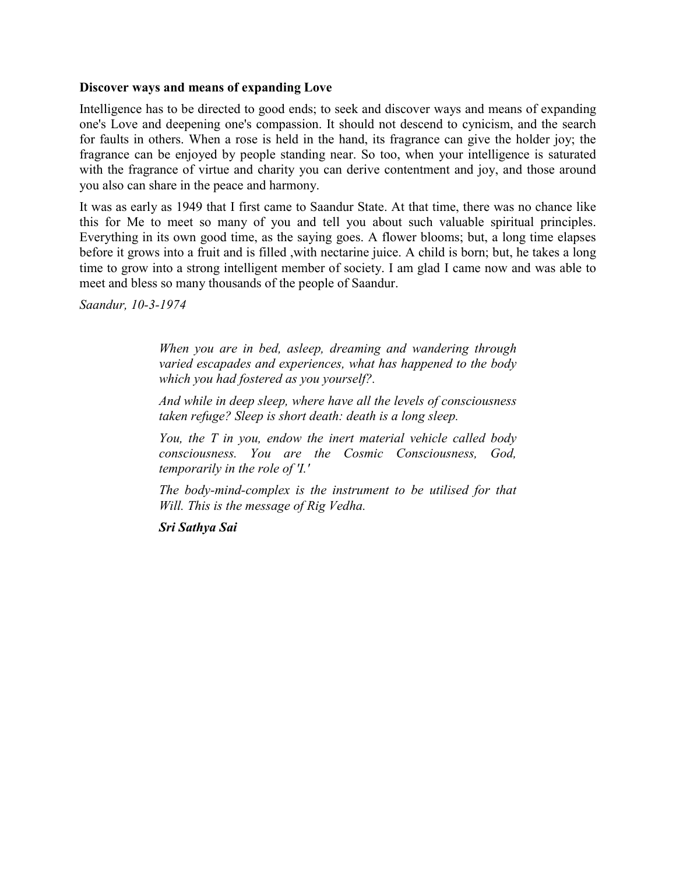#### **Discover ways and means of expanding Love**

Intelligence has to be directed to good ends; to seek and discover ways and means of expanding one's Love and deepening one's compassion. It should not descend to cynicism, and the search for faults in others. When a rose is held in the hand, its fragrance can give the holder joy; the fragrance can be enjoyed by people standing near. So too, when your intelligence is saturated with the fragrance of virtue and charity you can derive contentment and joy, and those around you also can share in the peace and harmony.

It was as early as 1949 that I first came to Saandur State. At that time, there was no chance like this for Me to meet so many of you and tell you about such valuable spiritual principles. Everything in its own good time, as the saying goes. A flower blooms; but, a long time elapses before it grows into a fruit and is filled ,with nectarine juice. A child is born; but, he takes a long time to grow into a strong intelligent member of society. I am glad I came now and was able to meet and bless so many thousands of the people of Saandur.

*Saandur, 10-3-1974*

*When you are in bed, asleep, dreaming and wandering through varied escapades and experiences, what has happened to the body which you had fostered as you yourself?.*

*And while in deep sleep, where have all the levels of consciousness taken refuge? Sleep is short death: death is a long sleep.*

*You, the T in you, endow the inert material vehicle called body consciousness. You are the Cosmic Consciousness, God, temporarily in the role of 'I.'*

*The body-mind-complex is the instrument to be utilised for that Will. This is the message of Rig Vedha.*

*Sri Sathya Sai*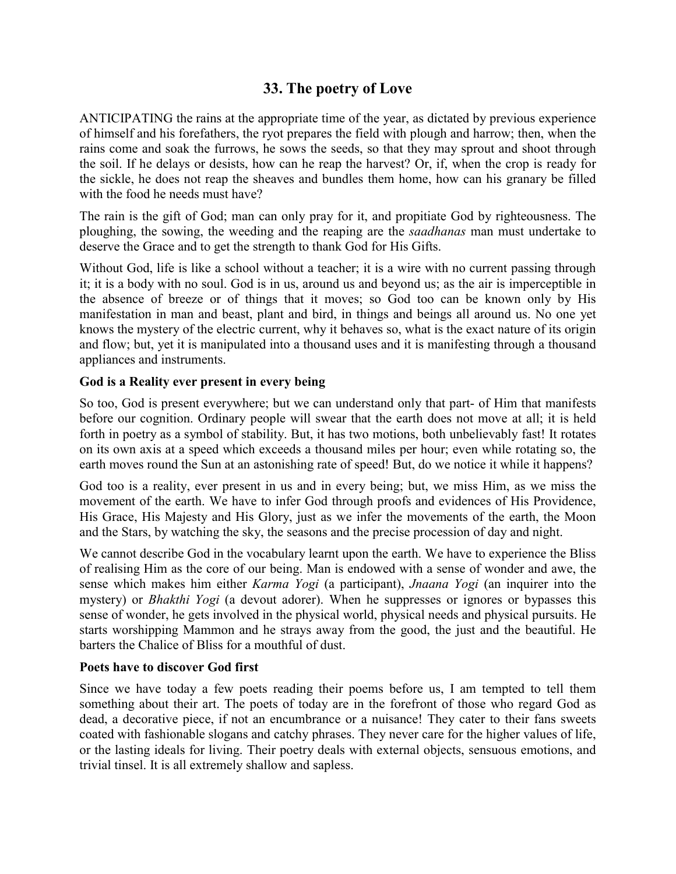# **33. The poetry of Love**

ANTICIPATING the rains at the appropriate time of the year, as dictated by previous experience of himself and his forefathers, the ryot prepares the field with plough and harrow; then, when the rains come and soak the furrows, he sows the seeds, so that they may sprout and shoot through the soil. If he delays or desists, how can he reap the harvest? Or, if, when the crop is ready for the sickle, he does not reap the sheaves and bundles them home, how can his granary be filled with the food he needs must have?

The rain is the gift of God; man can only pray for it, and propitiate God by righteousness. The ploughing, the sowing, the weeding and the reaping are the *saadhanas* man must undertake to deserve the Grace and to get the strength to thank God for His Gifts.

Without God, life is like a school without a teacher; it is a wire with no current passing through it; it is a body with no soul. God is in us, around us and beyond us; as the air is imperceptible in the absence of breeze or of things that it moves; so God too can be known only by His manifestation in man and beast, plant and bird, in things and beings all around us. No one yet knows the mystery of the electric current, why it behaves so, what is the exact nature of its origin and flow; but, yet it is manipulated into a thousand uses and it is manifesting through a thousand appliances and instruments.

## **God is a Reality ever present in every being**

So too, God is present everywhere; but we can understand only that part- of Him that manifests before our cognition. Ordinary people will swear that the earth does not move at all; it is held forth in poetry as a symbol of stability. But, it has two motions, both unbelievably fast! It rotates on its own axis at a speed which exceeds a thousand miles per hour; even while rotating so, the earth moves round the Sun at an astonishing rate of speed! But, do we notice it while it happens?

God too is a reality, ever present in us and in every being; but, we miss Him, as we miss the movement of the earth. We have to infer God through proofs and evidences of His Providence, His Grace, His Majesty and His Glory, just as we infer the movements of the earth, the Moon and the Stars, by watching the sky, the seasons and the precise procession of day and night.

We cannot describe God in the vocabulary learnt upon the earth. We have to experience the Bliss of realising Him as the core of our being. Man is endowed with a sense of wonder and awe, the sense which makes him either *Karma Yogi* (a participant), *Jnaana Yogi* (an inquirer into the mystery) or *Bhakthi Yogi* (a devout adorer). When he suppresses or ignores or bypasses this sense of wonder, he gets involved in the physical world, physical needs and physical pursuits. He starts worshipping Mammon and he strays away from the good, the just and the beautiful. He barters the Chalice of Bliss for a mouthful of dust.

#### **Poets have to discover God first**

Since we have today a few poets reading their poems before us, I am tempted to tell them something about their art. The poets of today are in the forefront of those who regard God as dead, a decorative piece, if not an encumbrance or a nuisance! They cater to their fans sweets coated with fashionable slogans and catchy phrases. They never care for the higher values of life, or the lasting ideals for living. Their poetry deals with external objects, sensuous emotions, and trivial tinsel. It is all extremely shallow and sapless.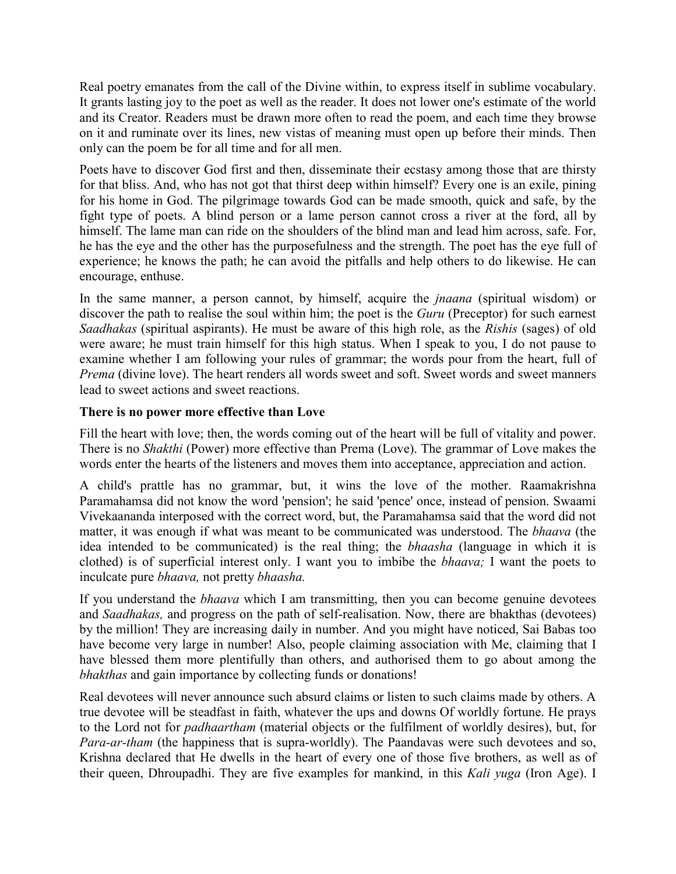Real poetry emanates from the call of the Divine within, to express itself in sublime vocabulary. It grants lasting joy to the poet as well as the reader. It does not lower one's estimate of the world and its Creator. Readers must be drawn more often to read the poem, and each time they browse on it and ruminate over its lines, new vistas of meaning must open up before their minds. Then only can the poem be for all time and for all men.

Poets have to discover God first and then, disseminate their ecstasy among those that are thirsty for that bliss. And, who has not got that thirst deep within himself? Every one is an exile, pining for his home in God. The pilgrimage towards God can be made smooth, quick and safe, by the fight type of poets. A blind person or a lame person cannot cross a river at the ford, all by himself. The lame man can ride on the shoulders of the blind man and lead him across, safe. For, he has the eye and the other has the purposefulness and the strength. The poet has the eye full of experience; he knows the path; he can avoid the pitfalls and help others to do likewise. He can encourage, enthuse.

In the same manner, a person cannot, by himself, acquire the *jnaana* (spiritual wisdom) or discover the path to realise the soul within him; the poet is the *Guru* (Preceptor) for such earnest *Saadhakas* (spiritual aspirants). He must be aware of this high role, as the *Rishis* (sages) of old were aware; he must train himself for this high status. When I speak to you, I do not pause to examine whether I am following your rules of grammar; the words pour from the heart, full of *Prema* (divine love). The heart renders all words sweet and soft. Sweet words and sweet manners lead to sweet actions and sweet reactions.

## **There is no power more effective than Love**

Fill the heart with love; then, the words coming out of the heart will be full of vitality and power. There is no *Shakthi* (Power) more effective than Prema (Love). The grammar of Love makes the words enter the hearts of the listeners and moves them into acceptance, appreciation and action.

A child's prattle has no grammar, but, it wins the love of the mother. Raamakrishna Paramahamsa did not know the word 'pension'; he said 'pence' once, instead of pension. Swaami Vivekaananda interposed with the correct word, but, the Paramahamsa said that the word did not matter, it was enough if what was meant to be communicated was understood. The *bhaava* (the idea intended to be communicated) is the real thing; the *bhaasha* (language in which it is clothed) is of superficial interest only. I want you to imbibe the *bhaava;* I want the poets to inculcate pure *bhaava,* not pretty *bhaasha.*

If you understand the *bhaava* which I am transmitting, then you can become genuine devotees and *Saadhakas,* and progress on the path of self-realisation. Now, there are bhakthas (devotees) by the million! They are increasing daily in number. And you might have noticed, Sai Babas too have become very large in number! Also, people claiming association with Me, claiming that I have blessed them more plentifully than others, and authorised them to go about among the *bhakthas* and gain importance by collecting funds or donations!

Real devotees will never announce such absurd claims or listen to such claims made by others. A true devotee will be steadfast in faith, whatever the ups and downs Of worldly fortune. He prays to the Lord not for *padhaartham* (material objects or the fulfilment of worldly desires), but, for *Para-ar-tham* (the happiness that is supra-worldly). The Paandavas were such devotees and so, Krishna declared that He dwells in the heart of every one of those five brothers, as well as of their queen, Dhroupadhi. They are five examples for mankind, in this *Kali yuga* (Iron Age). I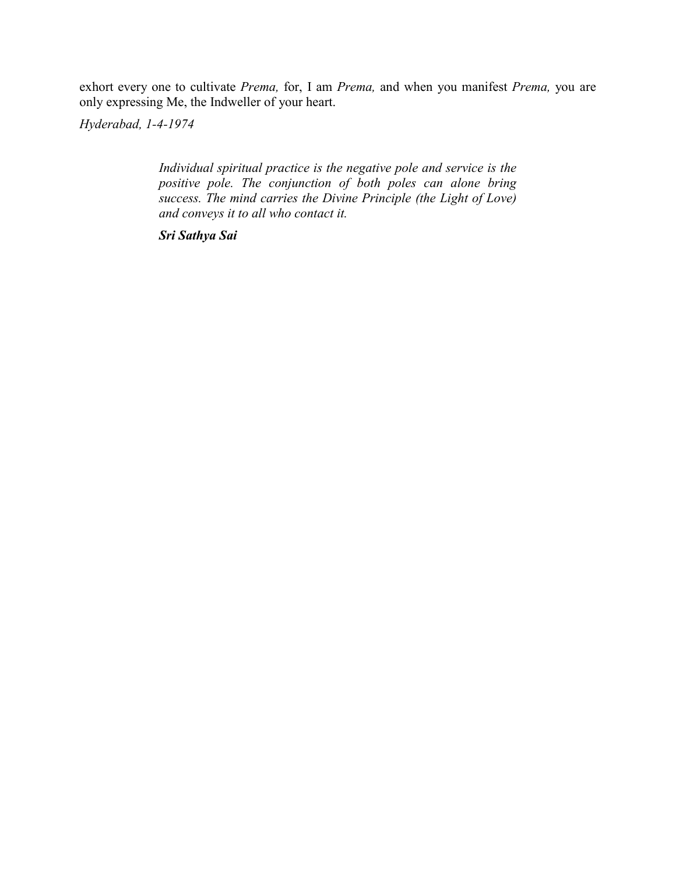exhort every one to cultivate *Prema,* for, I am *Prema,* and when you manifest *Prema,* you are only expressing Me, the Indweller of your heart.

*Hyderabad, 1-4-1974*

*Individual spiritual practice is the negative pole and service is the positive pole. The conjunction of both poles can alone bring success. The mind carries the Divine Principle (the Light of Love) and conveys it to all who contact it.*

*Sri Sathya Sai*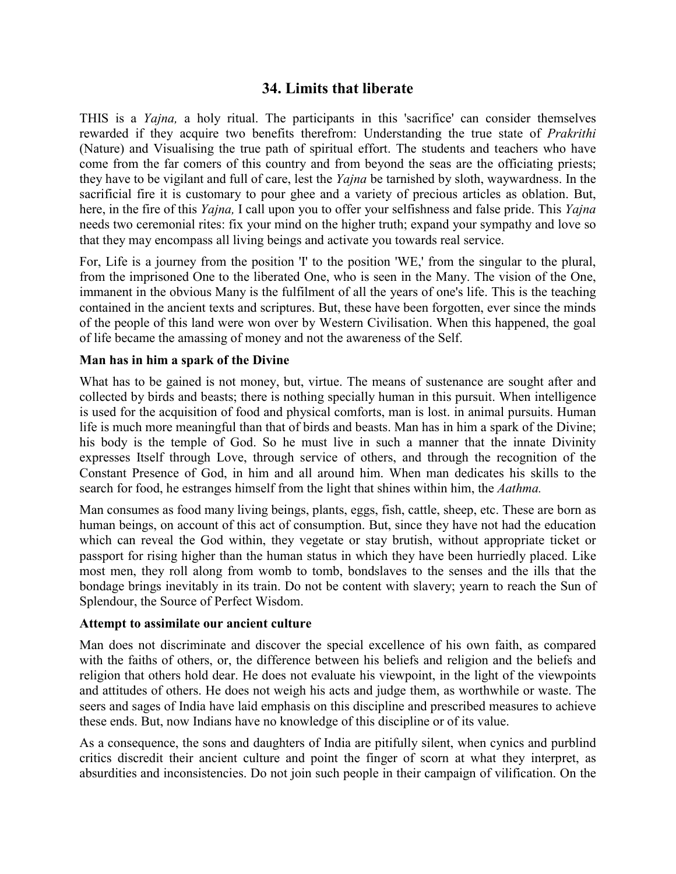# **34. Limits that liberate**

THIS is a *Yajna,* a holy ritual. The participants in this 'sacrifice' can consider themselves rewarded if they acquire two benefits therefrom: Understanding the true state of *Prakrithi* (Nature) and Visualising the true path of spiritual effort. The students and teachers who have come from the far comers of this country and from beyond the seas are the officiating priests; they have to be vigilant and full of care, lest the *Yajna* be tarnished by sloth, waywardness. In the sacrificial fire it is customary to pour ghee and a variety of precious articles as oblation. But, here, in the fire of this *Yajna,* I call upon you to offer your selfishness and false pride. This *Yajna* needs two ceremonial rites: fix your mind on the higher truth; expand your sympathy and love so that they may encompass all living beings and activate you towards real service.

For, Life is a journey from the position 'I' to the position 'WE,' from the singular to the plural, from the imprisoned One to the liberated One, who is seen in the Many. The vision of the One, immanent in the obvious Many is the fulfilment of all the years of one's life. This is the teaching contained in the ancient texts and scriptures. But, these have been forgotten, ever since the minds of the people of this land were won over by Western Civilisation. When this happened, the goal of life became the amassing of money and not the awareness of the Self.

## **Man has in him a spark of the Divine**

What has to be gained is not money, but, virtue. The means of sustenance are sought after and collected by birds and beasts; there is nothing specially human in this pursuit. When intelligence is used for the acquisition of food and physical comforts, man is lost. in animal pursuits. Human life is much more meaningful than that of birds and beasts. Man has in him a spark of the Divine; his body is the temple of God. So he must live in such a manner that the innate Divinity expresses Itself through Love, through service of others, and through the recognition of the Constant Presence of God, in him and all around him. When man dedicates his skills to the search for food, he estranges himself from the light that shines within him, the *Aathma.*

Man consumes as food many living beings, plants, eggs, fish, cattle, sheep, etc. These are born as human beings, on account of this act of consumption. But, since they have not had the education which can reveal the God within, they vegetate or stay brutish, without appropriate ticket or passport for rising higher than the human status in which they have been hurriedly placed. Like most men, they roll along from womb to tomb, bondslaves to the senses and the ills that the bondage brings inevitably in its train. Do not be content with slavery; yearn to reach the Sun of Splendour, the Source of Perfect Wisdom.

#### **Attempt to assimilate our ancient culture**

Man does not discriminate and discover the special excellence of his own faith, as compared with the faiths of others, or, the difference between his beliefs and religion and the beliefs and religion that others hold dear. He does not evaluate his viewpoint, in the light of the viewpoints and attitudes of others. He does not weigh his acts and judge them, as worthwhile or waste. The seers and sages of India have laid emphasis on this discipline and prescribed measures to achieve these ends. But, now Indians have no knowledge of this discipline or of its value.

As a consequence, the sons and daughters of India are pitifully silent, when cynics and purblind critics discredit their ancient culture and point the finger of scorn at what they interpret, as absurdities and inconsistencies. Do not join such people in their campaign of vilification. On the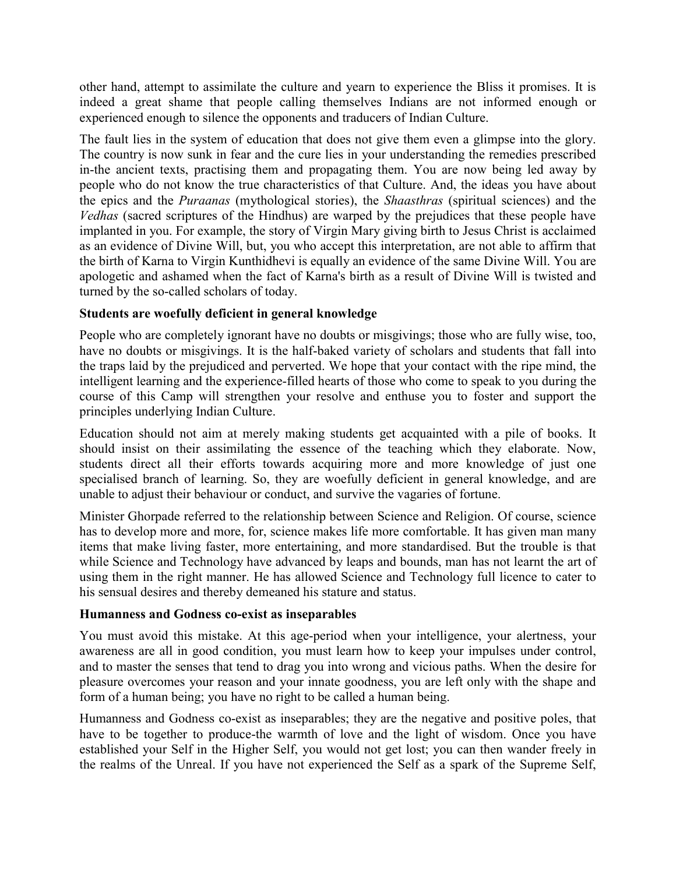other hand, attempt to assimilate the culture and yearn to experience the Bliss it promises. It is indeed a great shame that people calling themselves Indians are not informed enough or experienced enough to silence the opponents and traducers of Indian Culture.

The fault lies in the system of education that does not give them even a glimpse into the glory. The country is now sunk in fear and the cure lies in your understanding the remedies prescribed in-the ancient texts, practising them and propagating them. You are now being led away by people who do not know the true characteristics of that Culture. And, the ideas you have about the epics and the *Puraanas* (mythological stories), the *Shaasthras* (spiritual sciences) and the *Vedhas* (sacred scriptures of the Hindhus) are warped by the prejudices that these people have implanted in you. For example, the story of Virgin Mary giving birth to Jesus Christ is acclaimed as an evidence of Divine Will, but, you who accept this interpretation, are not able to affirm that the birth of Karna to Virgin Kunthidhevi is equally an evidence of the same Divine Will. You are apologetic and ashamed when the fact of Karna's birth as a result of Divine Will is twisted and turned by the so-called scholars of today.

## **Students are woefully deficient in general knowledge**

People who are completely ignorant have no doubts or misgivings; those who are fully wise, too, have no doubts or misgivings. It is the half-baked variety of scholars and students that fall into the traps laid by the prejudiced and perverted. We hope that your contact with the ripe mind, the intelligent learning and the experience-filled hearts of those who come to speak to you during the course of this Camp will strengthen your resolve and enthuse you to foster and support the principles underlying Indian Culture.

Education should not aim at merely making students get acquainted with a pile of books. It should insist on their assimilating the essence of the teaching which they elaborate. Now, students direct all their efforts towards acquiring more and more knowledge of just one specialised branch of learning. So, they are woefully deficient in general knowledge, and are unable to adjust their behaviour or conduct, and survive the vagaries of fortune.

Minister Ghorpade referred to the relationship between Science and Religion. Of course, science has to develop more and more, for, science makes life more comfortable. It has given man many items that make living faster, more entertaining, and more standardised. But the trouble is that while Science and Technology have advanced by leaps and bounds, man has not learnt the art of using them in the right manner. He has allowed Science and Technology full licence to cater to his sensual desires and thereby demeaned his stature and status.

#### **Humanness and Godness co-exist as inseparables**

You must avoid this mistake. At this age-period when your intelligence, your alertness, your awareness are all in good condition, you must learn how to keep your impulses under control, and to master the senses that tend to drag you into wrong and vicious paths. When the desire for pleasure overcomes your reason and your innate goodness, you are left only with the shape and form of a human being; you have no right to be called a human being.

Humanness and Godness co-exist as inseparables; they are the negative and positive poles, that have to be together to produce-the warmth of love and the light of wisdom. Once you have established your Self in the Higher Self, you would not get lost; you can then wander freely in the realms of the Unreal. If you have not experienced the Self as a spark of the Supreme Self,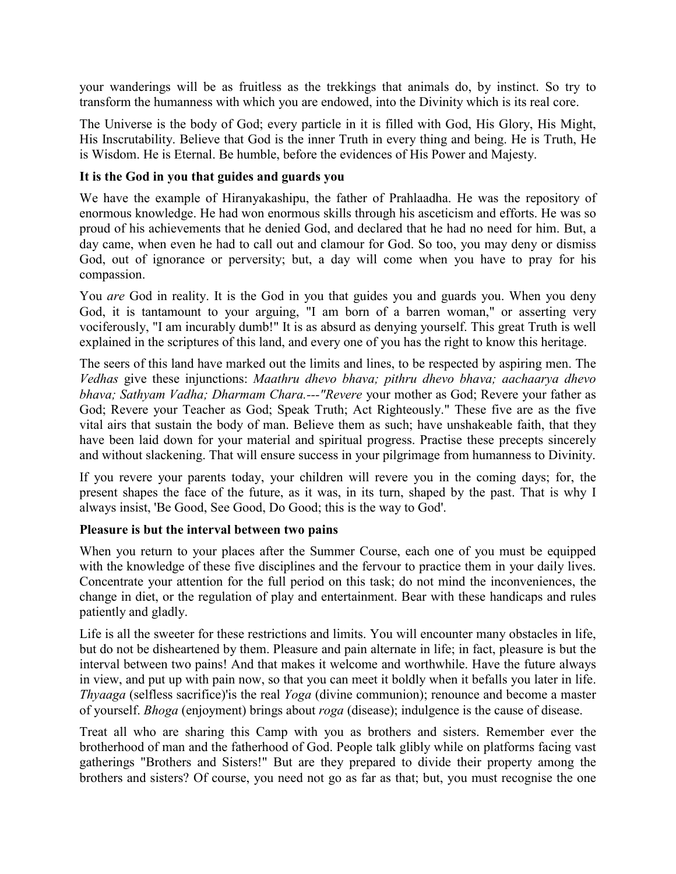your wanderings will be as fruitless as the trekkings that animals do, by instinct. So try to transform the humanness with which you are endowed, into the Divinity which is its real core.

The Universe is the body of God; every particle in it is filled with God, His Glory, His Might, His Inscrutability. Believe that God is the inner Truth in every thing and being. He is Truth, He is Wisdom. He is Eternal. Be humble, before the evidences of His Power and Majesty.

## **It is the God in you that guides and guards you**

We have the example of Hiranyakashipu, the father of Prahlaadha. He was the repository of enormous knowledge. He had won enormous skills through his asceticism and efforts. He was so proud of his achievements that he denied God, and declared that he had no need for him. But, a day came, when even he had to call out and clamour for God. So too, you may deny or dismiss God, out of ignorance or perversity; but, a day will come when you have to pray for his compassion.

You *are* God in reality. It is the God in you that guides you and guards you. When you deny God, it is tantamount to your arguing, "I am born of a barren woman," or asserting very vociferously, "I am incurably dumb!" It is as absurd as denying yourself. This great Truth is well explained in the scriptures of this land, and every one of you has the right to know this heritage.

The seers of this land have marked out the limits and lines, to be respected by aspiring men. The *Vedhas* give these injunctions: *Maathru dhevo bhava; pithru dhevo bhava; aachaarya dhevo bhava; Sathyam Vadha; Dharmam Chara.---"Revere* your mother as God; Revere your father as God; Revere your Teacher as God; Speak Truth; Act Righteously." These five are as the five vital airs that sustain the body of man. Believe them as such; have unshakeable faith, that they have been laid down for your material and spiritual progress. Practise these precepts sincerely and without slackening. That will ensure success in your pilgrimage from humanness to Divinity.

If you revere your parents today, your children will revere you in the coming days; for, the present shapes the face of the future, as it was, in its turn, shaped by the past. That is why I always insist, 'Be Good, See Good, Do Good; this is the way to God'.

#### **Pleasure is but the interval between two pains**

When you return to your places after the Summer Course, each one of you must be equipped with the knowledge of these five disciplines and the fervour to practice them in your daily lives. Concentrate your attention for the full period on this task; do not mind the inconveniences, the change in diet, or the regulation of play and entertainment. Bear with these handicaps and rules patiently and gladly.

Life is all the sweeter for these restrictions and limits. You will encounter many obstacles in life, but do not be disheartened by them. Pleasure and pain alternate in life; in fact, pleasure is but the interval between two pains! And that makes it welcome and worthwhile. Have the future always in view, and put up with pain now, so that you can meet it boldly when it befalls you later in life. *Thyaaga* (selfless sacrifice)'is the real *Yoga* (divine communion); renounce and become a master of yourself. *Bhoga* (enjoyment) brings about *roga* (disease); indulgence is the cause of disease.

Treat all who are sharing this Camp with you as brothers and sisters. Remember ever the brotherhood of man and the fatherhood of God. People talk glibly while on platforms facing vast gatherings "Brothers and Sisters!" But are they prepared to divide their property among the brothers and sisters? Of course, you need not go as far as that; but, you must recognise the one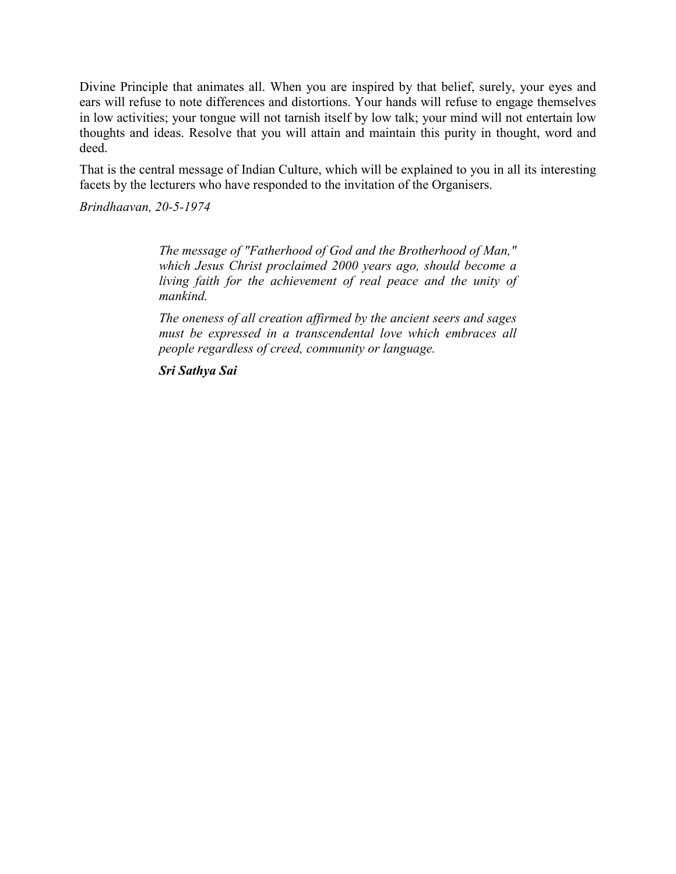Divine Principle that animates all. When you are inspired by that belief, surely, your eyes and ears will refuse to note differences and distortions. Your hands will refuse to engage themselves in low activities; your tongue will not tarnish itself by low talk; your mind will not entertain low thoughts and ideas. Resolve that you will attain and maintain this purity in thought, word and deed.

That is the central message of Indian Culture, which will be explained to you in all its interesting facets by the lecturers who have responded to the invitation of the Organisers.

*Brindhaavan, 20-5-1974*

*The message of "Fatherhood of God and the Brotherhood of Man," which Jesus Christ proclaimed 2000 years ago, should become a living faith for the achievement of real peace and the unity of mankind.*

*The oneness of all creation affirmed by the ancient seers and sages must be expressed in a transcendental love which embraces all people regardless of creed, community or language.*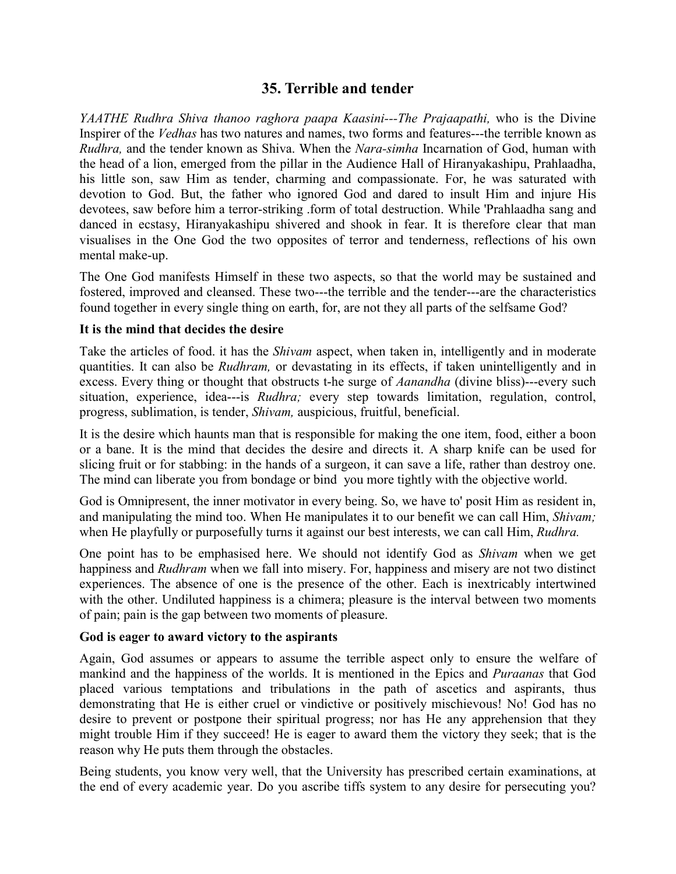# **35. Terrible and tender**

*YAATHE Rudhra Shiva thanoo raghora paapa Kaasini---The Prajaapathi*, who is the Divine Inspirer of the *Vedhas* has two natures and names, two forms and features---the terrible known as *Rudhra,* and the tender known as Shiva. When the *Nara-simha* Incarnation of God, human with the head of a lion, emerged from the pillar in the Audience Hall of Hiranyakashipu, Prahlaadha, his little son, saw Him as tender, charming and compassionate. For, he was saturated with devotion to God. But, the father who ignored God and dared to insult Him and injure His devotees, saw before him a terror-striking .form of total destruction. While 'Prahlaadha sang and danced in ecstasy, Hiranyakashipu shivered and shook in fear. It is therefore clear that man visualises in the One God the two opposites of terror and tenderness, reflections of his own mental make-up.

The One God manifests Himself in these two aspects, so that the world may be sustained and fostered, improved and cleansed. These two---the terrible and the tender---are the characteristics found together in every single thing on earth, for, are not they all parts of the selfsame God?

#### **It is the mind that decides the desire**

Take the articles of food. it has the *Shivam* aspect, when taken in, intelligently and in moderate quantities. It can also be *Rudhram,* or devastating in its effects, if taken unintelligently and in excess. Every thing or thought that obstructs t-he surge of *Aanandha* (divine bliss)---every such situation, experience, idea---is *Rudhra;* every step towards limitation, regulation, control, progress, sublimation, is tender, *Shivam,* auspicious, fruitful, beneficial.

It is the desire which haunts man that is responsible for making the one item, food, either a boon or a bane. It is the mind that decides the desire and directs it. A sharp knife can be used for slicing fruit or for stabbing: in the hands of a surgeon, it can save a life, rather than destroy one. The mind can liberate you from bondage or bind you more tightly with the objective world.

God is Omnipresent, the inner motivator in every being. So, we have to' posit Him as resident in, and manipulating the mind too. When He manipulates it to our benefit we can call Him, *Shivam;* when He playfully or purposefully turns it against our best interests, we can call Him, *Rudhra.*

One point has to be emphasised here. We should not identify God as *Shivam* when we get happiness and *Rudhram* when we fall into misery. For, happiness and misery are not two distinct experiences. The absence of one is the presence of the other. Each is inextricably intertwined with the other. Undiluted happiness is a chimera; pleasure is the interval between two moments of pain; pain is the gap between two moments of pleasure.

# **God is eager to award victory to the aspirants**

Again, God assumes or appears to assume the terrible aspect only to ensure the welfare of mankind and the happiness of the worlds. It is mentioned in the Epics and *Puraanas* that God placed various temptations and tribulations in the path of ascetics and aspirants, thus demonstrating that He is either cruel or vindictive or positively mischievous! No! God has no desire to prevent or postpone their spiritual progress; nor has He any apprehension that they might trouble Him if they succeed! He is eager to award them the victory they seek; that is the reason why He puts them through the obstacles.

Being students, you know very well, that the University has prescribed certain examinations, at the end of every academic year. Do you ascribe tiffs system to any desire for persecuting you?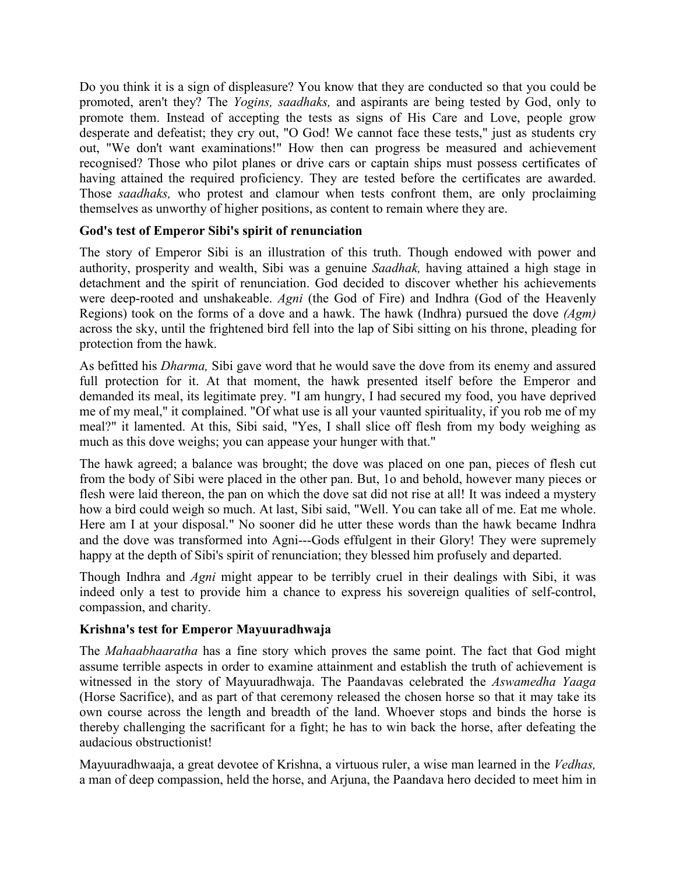Do you think it is a sign of displeasure? You know that they are conducted so that you could be promoted, aren't they? The *Yogins, saadhaks,* and aspirants are being tested by God, only to promote them. Instead of accepting the tests as signs of His Care and Love, people grow desperate and defeatist; they cry out, "O God! We cannot face these tests," just as students cry out, "We don't want examinations!" How then can progress be measured and achievement recognised? Those who pilot planes or drive cars or captain ships must possess certificates of having attained the required proficiency. They are tested before the certificates are awarded. Those *saadhaks,* who protest and clamour when tests confront them, are only proclaiming themselves as unworthy of higher positions, as content to remain where they are.

# **God's test of Emperor Sibi's spirit of renunciation**

The story of Emperor Sibi is an illustration of this truth. Though endowed with power and authority, prosperity and wealth, Sibi was a genuine *Saadhak,* having attained a high stage in detachment and the spirit of renunciation. God decided to discover whether his achievements were deep-rooted and unshakeable. *Agni* (the God of Fire) and Indhra (God of the Heavenly Regions) took on the forms of a dove and a hawk. The hawk (Indhra) pursued the dove *(Agm)* across the sky, until the frightened bird fell into the lap of Sibi sitting on his throne, pleading for protection from the hawk.

As befitted his *Dharma,* Sibi gave word that he would save the dove from its enemy and assured full protection for it. At that moment, the hawk presented itself before the Emperor and demanded its meal, its legitimate prey. "I am hungry, I had secured my food, you have deprived me of my meal," it complained. "Of what use is all your vaunted spirituality, if you rob me of my meal?" it lamented. At this, Sibi said, "Yes, I shall slice off flesh from my body weighing as much as this dove weighs; you can appease your hunger with that."

The hawk agreed; a balance was brought; the dove was placed on one pan, pieces of flesh cut from the body of Sibi were placed in the other pan. But, 1o and behold, however many pieces or flesh were laid thereon, the pan on which the dove sat did not rise at all! It was indeed a mystery how a bird could weigh so much. At last, Sibi said, "Well. You can take all of me. Eat me whole. Here am I at your disposal." No sooner did he utter these words than the hawk became Indhra and the dove was transformed into Agni---Gods effulgent in their Glory! They were supremely happy at the depth of Sibi's spirit of renunciation; they blessed him profusely and departed.

Though Indhra and *Agni* might appear to be terribly cruel in their dealings with Sibi, it was indeed only a test to provide him a chance to express his sovereign qualities of self-control, compassion, and charity.

# **Krishna's test for Emperor Mayuuradhwaja**

The *Mahaabhaaratha* has a fine story which proves the same point. The fact that God might assume terrible aspects in order to examine attainment and establish the truth of achievement is witnessed in the story of Mayuuradhwaja. The Paandavas celebrated the *Aswamedha Yaaga* (Horse Sacrifice), and as part of that ceremony released the chosen horse so that it may take its own course across the length and breadth of the land. Whoever stops and binds the horse is thereby challenging the sacrificant for a fight; he has to win back the horse, after defeating the audacious obstructionist!

Mayuuradhwaaja, a great devotee of Krishna, a virtuous ruler, a wise man learned in the *Vedhas,* a man of deep compassion, held the horse, and Arjuna, the Paandava hero decided to meet him in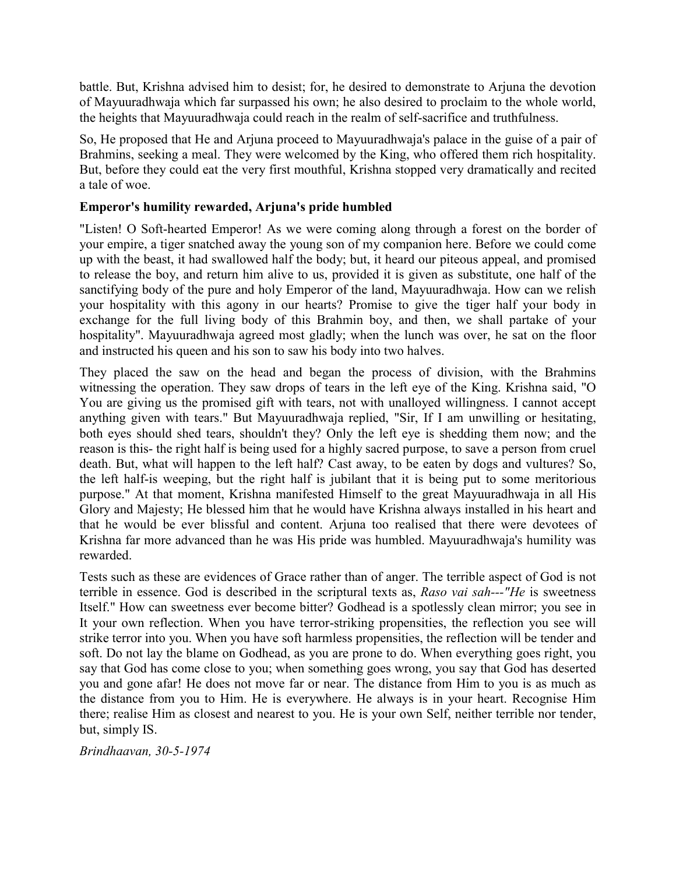battle. But, Krishna advised him to desist; for, he desired to demonstrate to Arjuna the devotion of Mayuuradhwaja which far surpassed his own; he also desired to proclaim to the whole world, the heights that Mayuuradhwaja could reach in the realm of self-sacrifice and truthfulness.

So, He proposed that He and Arjuna proceed to Mayuuradhwaja's palace in the guise of a pair of Brahmins, seeking a meal. They were welcomed by the King, who offered them rich hospitality. But, before they could eat the very first mouthful, Krishna stopped very dramatically and recited a tale of woe.

# **Emperor's humility rewarded, Arjuna's pride humbled**

"Listen! O Soft-hearted Emperor! As we were coming along through a forest on the border of your empire, a tiger snatched away the young son of my companion here. Before we could come up with the beast, it had swallowed half the body; but, it heard our piteous appeal, and promised to release the boy, and return him alive to us, provided it is given as substitute, one half of the sanctifying body of the pure and holy Emperor of the land, Mayuuradhwaja. How can we relish your hospitality with this agony in our hearts? Promise to give the tiger half your body in exchange for the full living body of this Brahmin boy, and then, we shall partake of your hospitality". Mayuuradhwaja agreed most gladly; when the lunch was over, he sat on the floor and instructed his queen and his son to saw his body into two halves.

They placed the saw on the head and began the process of division, with the Brahmins witnessing the operation. They saw drops of tears in the left eye of the King. Krishna said, "O You are giving us the promised gift with tears, not with unalloyed willingness. I cannot accept anything given with tears." But Mayuuradhwaja replied, "Sir, If I am unwilling or hesitating, both eyes should shed tears, shouldn't they? Only the left eye is shedding them now; and the reason is this- the right half is being used for a highly sacred purpose, to save a person from cruel death. But, what will happen to the left half? Cast away, to be eaten by dogs and vultures? So, the left half-is weeping, but the right half is jubilant that it is being put to some meritorious purpose." At that moment, Krishna manifested Himself to the great Mayuuradhwaja in all His Glory and Majesty; He blessed him that he would have Krishna always installed in his heart and that he would be ever blissful and content. Arjuna too realised that there were devotees of Krishna far more advanced than he was His pride was humbled. Mayuuradhwaja's humility was rewarded.

Tests such as these are evidences of Grace rather than of anger. The terrible aspect of God is not terrible in essence. God is described in the scriptural texts as, *Raso vai sah---"He* is sweetness Itself." How can sweetness ever become bitter? Godhead is a spotlessly clean mirror; you see in It your own reflection. When you have terror-striking propensities, the reflection you see will strike terror into you. When you have soft harmless propensities, the reflection will be tender and soft. Do not lay the blame on Godhead, as you are prone to do. When everything goes right, you say that God has come close to you; when something goes wrong, you say that God has deserted you and gone afar! He does not move far or near. The distance from Him to you is as much as the distance from you to Him. He is everywhere. He always is in your heart. Recognise Him there; realise Him as closest and nearest to you. He is your own Self, neither terrible nor tender, but, simply IS.

*Brindhaavan, 30-5-1974*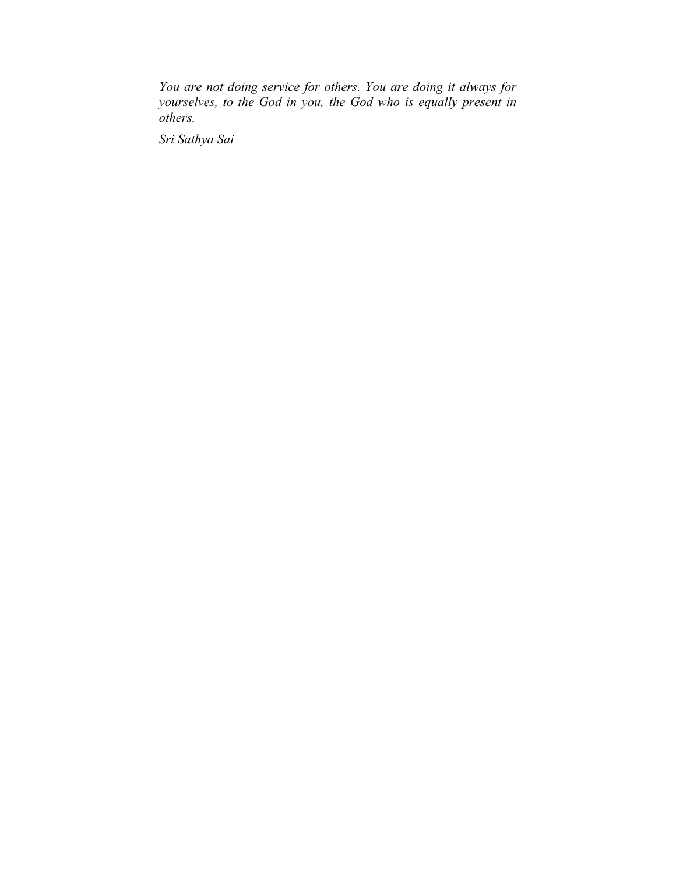*You are not doing service for others. You are doing it always for yourselves, to the God in you, the God who is equally present in others.*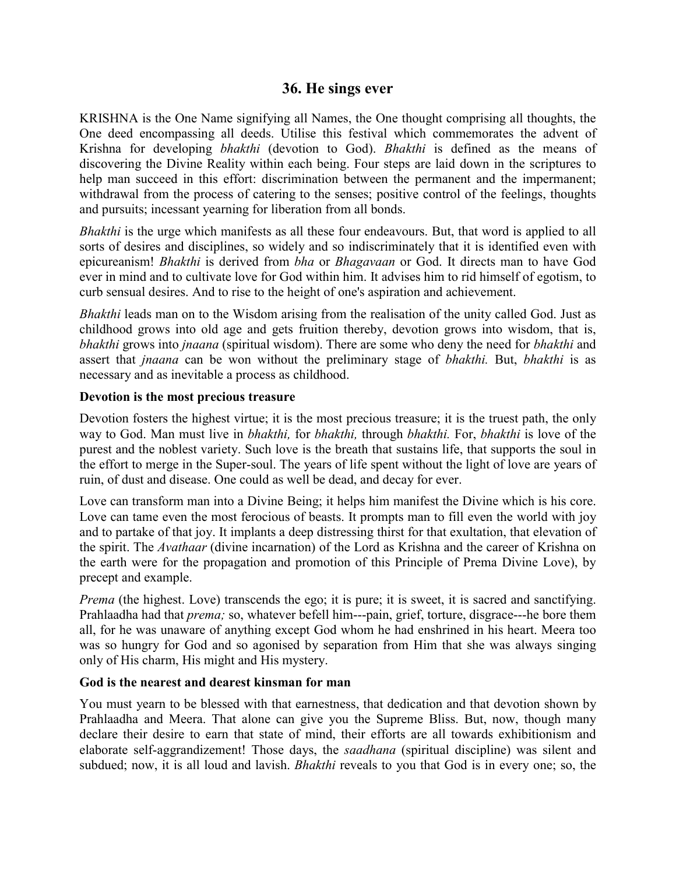# **36. He sings ever**

KRISHNA is the One Name signifying all Names, the One thought comprising all thoughts, the One deed encompassing all deeds. Utilise this festival which commemorates the advent of Krishna for developing *bhakthi* (devotion to God). *Bhakthi* is defined as the means of discovering the Divine Reality within each being. Four steps are laid down in the scriptures to help man succeed in this effort: discrimination between the permanent and the impermanent; withdrawal from the process of catering to the senses; positive control of the feelings, thoughts and pursuits; incessant yearning for liberation from all bonds.

*Bhakthi* is the urge which manifests as all these four endeavours. But, that word is applied to all sorts of desires and disciplines, so widely and so indiscriminately that it is identified even with epicureanism! *Bhakthi* is derived from *bha* or *Bhagavaan* or God. It directs man to have God ever in mind and to cultivate love for God within him. It advises him to rid himself of egotism, to curb sensual desires. And to rise to the height of one's aspiration and achievement.

*Bhakthi* leads man on to the Wisdom arising from the realisation of the unity called God. Just as childhood grows into old age and gets fruition thereby, devotion grows into wisdom, that is, *bhakthi* grows into *jnaana* (spiritual wisdom). There are some who deny the need for *bhakthi* and assert that *jnaana* can be won without the preliminary stage of *bhakthi.* But, *bhakthi* is as necessary and as inevitable a process as childhood.

#### **Devotion is the most precious treasure**

Devotion fosters the highest virtue; it is the most precious treasure; it is the truest path, the only way to God. Man must live in *bhakthi,* for *bhakthi,* through *bhakthi.* For, *bhakthi* is love of the purest and the noblest variety. Such love is the breath that sustains life, that supports the soul in the effort to merge in the Super-soul. The years of life spent without the light of love are years of ruin, of dust and disease. One could as well be dead, and decay for ever.

Love can transform man into a Divine Being; it helps him manifest the Divine which is his core. Love can tame even the most ferocious of beasts. It prompts man to fill even the world with joy and to partake of that joy. It implants a deep distressing thirst for that exultation, that elevation of the spirit. The *Avathaar* (divine incarnation) of the Lord as Krishna and the career of Krishna on the earth were for the propagation and promotion of this Principle of Prema Divine Love), by precept and example.

*Prema* (the highest. Love) transcends the ego; it is pure; it is sweet, it is sacred and sanctifying. Prahlaadha had that *prema;* so, whatever befell him---pain, grief, torture, disgrace---he bore them all, for he was unaware of anything except God whom he had enshrined in his heart. Meera too was so hungry for God and so agonised by separation from Him that she was always singing only of His charm, His might and His mystery.

#### **God is the nearest and dearest kinsman for man**

You must yearn to be blessed with that earnestness, that dedication and that devotion shown by Prahlaadha and Meera. That alone can give you the Supreme Bliss. But, now, though many declare their desire to earn that state of mind, their efforts are all towards exhibitionism and elaborate self-aggrandizement! Those days, the *saadhana* (spiritual discipline) was silent and subdued; now, it is all loud and lavish. *Bhakthi* reveals to you that God is in every one; so, the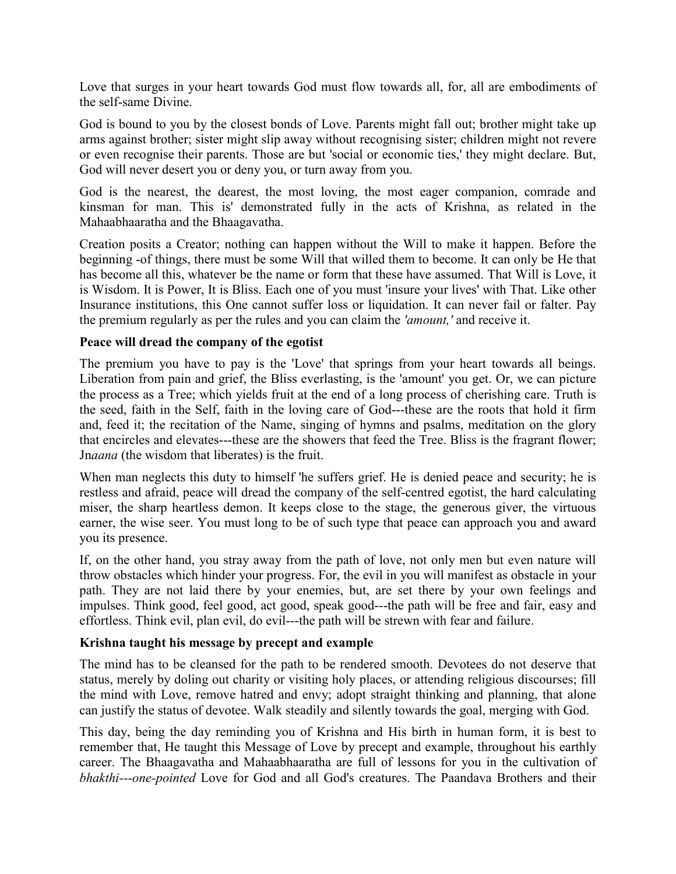Love that surges in your heart towards God must flow towards all, for, all are embodiments of the self-same Divine.

God is bound to you by the closest bonds of Love. Parents might fall out; brother might take up arms against brother; sister might slip away without recognising sister; children might not revere or even recognise their parents. Those are but 'social or economic ties,' they might declare. But, God will never desert you or deny you, or turn away from you.

God is the nearest, the dearest, the most loving, the most eager companion, comrade and kinsman for man. This is' demonstrated fully in the acts of Krishna, as related in the Mahaabhaaratha and the Bhaagavatha.

Creation posits a Creator; nothing can happen without the Will to make it happen. Before the beginning -of things, there must be some Will that willed them to become. It can only be He that has become all this, whatever be the name or form that these have assumed. That Will is Love, it is Wisdom. It is Power, It is Bliss. Each one of you must 'insure your lives' with That. Like other Insurance institutions, this One cannot suffer loss or liquidation. It can never fail or falter. Pay the premium regularly as per the rules and you can claim the *'amount,'* and receive it.

# **Peace will dread the company of the egotist**

The premium you have to pay is the 'Love' that springs from your heart towards all beings. Liberation from pain and grief, the Bliss everlasting, is the 'amount' you get. Or, we can picture the process as a Tree; which yields fruit at the end of a long process of cherishing care. Truth is the seed, faith in the Self, faith in the loving care of God---these are the roots that hold it firm and, feed it; the recitation of the Name, singing of hymns and psalms, meditation on the glory that encircles and elevates---these are the showers that feed the Tree. Bliss is the fragrant flower; Jn*aana* (the wisdom that liberates) is the fruit.

When man neglects this duty to himself 'he suffers grief. He is denied peace and security; he is restless and afraid, peace will dread the company of the self-centred egotist, the hard calculating miser, the sharp heartless demon. It keeps close to the stage, the generous giver, the virtuous earner, the wise seer. You must long to be of such type that peace can approach you and award you its presence.

If, on the other hand, you stray away from the path of love, not only men but even nature will throw obstacles which hinder your progress. For, the evil in you will manifest as obstacle in your path. They are not laid there by your enemies, but, are set there by your own feelings and impulses. Think good, feel good, act good, speak good---the path will be free and fair, easy and effortless. Think evil, plan evil, do evil---the path will be strewn with fear and failure.

# **Krishna taught his message by precept and example**

The mind has to be cleansed for the path to be rendered smooth. Devotees do not deserve that status, merely by doling out charity or visiting holy places, or attending religious discourses; fill the mind with Love, remove hatred and envy; adopt straight thinking and planning, that alone can justify the status of devotee. Walk steadily and silently towards the goal, merging with God.

This day, being the day reminding you of Krishna and His birth in human form, it is best to remember that, He taught this Message of Love by precept and example, throughout his earthly career. The Bhaagavatha and Mahaabhaaratha are full of lessons for you in the cultivation of *bhakthi---one-pointed* Love for God and all God's creatures. The Paandava Brothers and their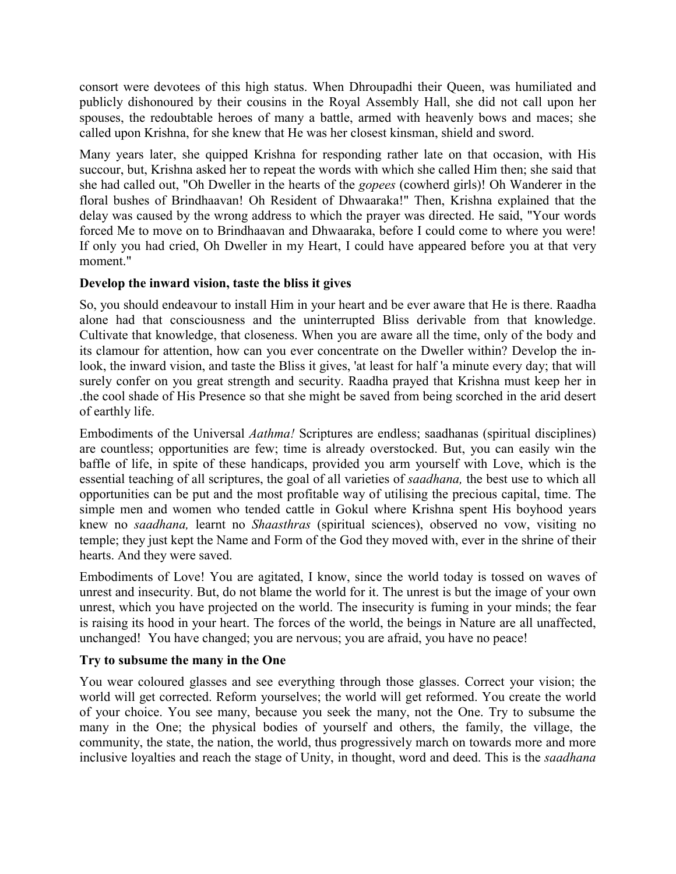consort were devotees of this high status. When Dhroupadhi their Queen, was humiliated and publicly dishonoured by their cousins in the Royal Assembly Hall, she did not call upon her spouses, the redoubtable heroes of many a battle, armed with heavenly bows and maces; she called upon Krishna, for she knew that He was her closest kinsman, shield and sword.

Many years later, she quipped Krishna for responding rather late on that occasion, with His succour, but, Krishna asked her to repeat the words with which she called Him then; she said that she had called out, "Oh Dweller in the hearts of the *gopees* (cowherd girls)! Oh Wanderer in the floral bushes of Brindhaavan! Oh Resident of Dhwaaraka!" Then, Krishna explained that the delay was caused by the wrong address to which the prayer was directed. He said, "Your words forced Me to move on to Brindhaavan and Dhwaaraka, before I could come to where you were! If only you had cried, Oh Dweller in my Heart, I could have appeared before you at that very moment."

# **Develop the inward vision, taste the bliss it gives**

So, you should endeavour to install Him in your heart and be ever aware that He is there. Raadha alone had that consciousness and the uninterrupted Bliss derivable from that knowledge. Cultivate that knowledge, that closeness. When you are aware all the time, only of the body and its clamour for attention, how can you ever concentrate on the Dweller within? Develop the inlook, the inward vision, and taste the Bliss it gives, 'at least for half 'a minute every day; that will surely confer on you great strength and security. Raadha prayed that Krishna must keep her in .the cool shade of His Presence so that she might be saved from being scorched in the arid desert of earthly life.

Embodiments of the Universal *Aathma!* Scriptures are endless; saadhanas (spiritual disciplines) are countless; opportunities are few; time is already overstocked. But, you can easily win the baffle of life, in spite of these handicaps, provided you arm yourself with Love, which is the essential teaching of all scriptures, the goal of all varieties of *saadhana,* the best use to which all opportunities can be put and the most profitable way of utilising the precious capital, time. The simple men and women who tended cattle in Gokul where Krishna spent His boyhood years knew no *saadhana,* learnt no *Shaasthras* (spiritual sciences), observed no vow, visiting no temple; they just kept the Name and Form of the God they moved with, ever in the shrine of their hearts. And they were saved.

Embodiments of Love! You are agitated, I know, since the world today is tossed on waves of unrest and insecurity. But, do not blame the world for it. The unrest is but the image of your own unrest, which you have projected on the world. The insecurity is fuming in your minds; the fear is raising its hood in your heart. The forces of the world, the beings in Nature are all unaffected, unchanged! You have changed; you are nervous; you are afraid, you have no peace!

# **Try to subsume the many in the One**

You wear coloured glasses and see everything through those glasses. Correct your vision; the world will get corrected. Reform yourselves; the world will get reformed. You create the world of your choice. You see many, because you seek the many, not the One. Try to subsume the many in the One; the physical bodies of yourself and others, the family, the village, the community, the state, the nation, the world, thus progressively march on towards more and more inclusive loyalties and reach the stage of Unity, in thought, word and deed. This is the *saadhana*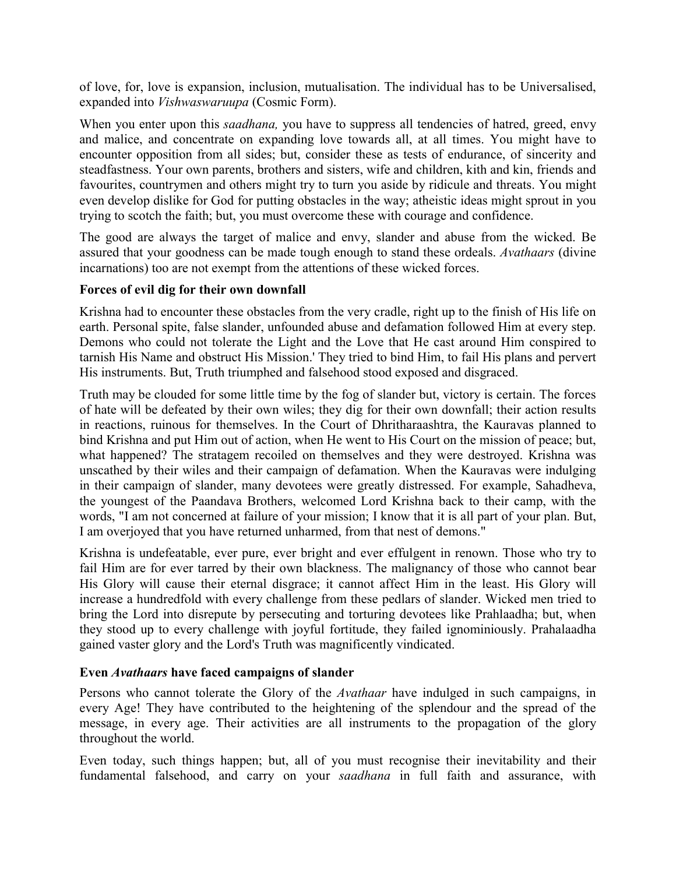of love, for, love is expansion, inclusion, mutualisation. The individual has to be Universalised, expanded into *Vishwaswaruupa* (Cosmic Form).

When you enter upon this *saadhana*, you have to suppress all tendencies of hatred, greed, envy and malice, and concentrate on expanding love towards all, at all times. You might have to encounter opposition from all sides; but, consider these as tests of endurance, of sincerity and steadfastness. Your own parents, brothers and sisters, wife and children, kith and kin, friends and favourites, countrymen and others might try to turn you aside by ridicule and threats. You might even develop dislike for God for putting obstacles in the way; atheistic ideas might sprout in you trying to scotch the faith; but, you must overcome these with courage and confidence.

The good are always the target of malice and envy, slander and abuse from the wicked. Be assured that your goodness can be made tough enough to stand these ordeals. *Avathaars* (divine incarnations) too are not exempt from the attentions of these wicked forces.

## **Forces of evil dig for their own downfall**

Krishna had to encounter these obstacles from the very cradle, right up to the finish of His life on earth. Personal spite, false slander, unfounded abuse and defamation followed Him at every step. Demons who could not tolerate the Light and the Love that He cast around Him conspired to tarnish His Name and obstruct His Mission.' They tried to bind Him, to fail His plans and pervert His instruments. But, Truth triumphed and falsehood stood exposed and disgraced.

Truth may be clouded for some little time by the fog of slander but, victory is certain. The forces of hate will be defeated by their own wiles; they dig for their own downfall; their action results in reactions, ruinous for themselves. In the Court of Dhritharaashtra, the Kauravas planned to bind Krishna and put Him out of action, when He went to His Court on the mission of peace; but, what happened? The stratagem recoiled on themselves and they were destroyed. Krishna was unscathed by their wiles and their campaign of defamation. When the Kauravas were indulging in their campaign of slander, many devotees were greatly distressed. For example, Sahadheva, the youngest of the Paandava Brothers, welcomed Lord Krishna back to their camp, with the words, "I am not concerned at failure of your mission; I know that it is all part of your plan. But, I am overjoyed that you have returned unharmed, from that nest of demons."

Krishna is undefeatable, ever pure, ever bright and ever effulgent in renown. Those who try to fail Him are for ever tarred by their own blackness. The malignancy of those who cannot bear His Glory will cause their eternal disgrace; it cannot affect Him in the least. His Glory will increase a hundredfold with every challenge from these pedlars of slander. Wicked men tried to bring the Lord into disrepute by persecuting and torturing devotees like Prahlaadha; but, when they stood up to every challenge with joyful fortitude, they failed ignominiously. Prahalaadha gained vaster glory and the Lord's Truth was magnificently vindicated.

#### **Even** *Avathaars* **have faced campaigns of slander**

Persons who cannot tolerate the Glory of the *Avathaar* have indulged in such campaigns, in every Age! They have contributed to the heightening of the splendour and the spread of the message, in every age. Their activities are all instruments to the propagation of the glory throughout the world.

Even today, such things happen; but, all of you must recognise their inevitability and their fundamental falsehood, and carry on your *saadhana* in full faith and assurance, with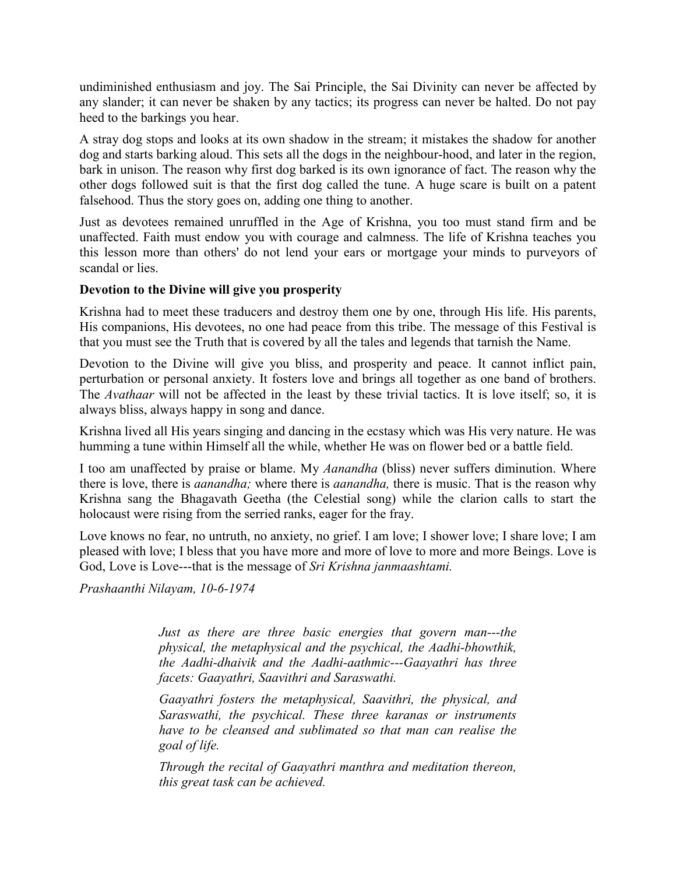undiminished enthusiasm and joy. The Sai Principle, the Sai Divinity can never be affected by any slander; it can never be shaken by any tactics; its progress can never be halted. Do not pay heed to the barkings you hear.

A stray dog stops and looks at its own shadow in the stream; it mistakes the shadow for another dog and starts barking aloud. This sets all the dogs in the neighbour-hood, and later in the region, bark in unison. The reason why first dog barked is its own ignorance of fact. The reason why the other dogs followed suit is that the first dog called the tune. A huge scare is built on a patent falsehood. Thus the story goes on, adding one thing to another.

Just as devotees remained unruffled in the Age of Krishna, you too must stand firm and be unaffected. Faith must endow you with courage and calmness. The life of Krishna teaches you this lesson more than others' do not lend your ears or mortgage your minds to purveyors of scandal or lies.

## **Devotion to the Divine will give you prosperity**

Krishna had to meet these traducers and destroy them one by one, through His life. His parents, His companions, His devotees, no one had peace from this tribe. The message of this Festival is that you must see the Truth that is covered by all the tales and legends that tarnish the Name.

Devotion to the Divine will give you bliss, and prosperity and peace. It cannot inflict pain, perturbation or personal anxiety. It fosters love and brings all together as one band of brothers. The *Avathaar* will not be affected in the least by these trivial tactics. It is love itself; so, it is always bliss, always happy in song and dance.

Krishna lived all His years singing and dancing in the ecstasy which was His very nature. He was humming a tune within Himself all the while, whether He was on flower bed or a battle field.

I too am unaffected by praise or blame. My *Aanandha* (bliss) never suffers diminution. Where there is love, there is *aanandha;* where there is *aanandha,* there is music. That is the reason why Krishna sang the Bhagavath Geetha (the Celestial song) while the clarion calls to start the holocaust were rising from the serried ranks, eager for the fray.

Love knows no fear, no untruth, no anxiety, no grief. I am love; I shower love; I share love; I am pleased with love; I bless that you have more and more of love to more and more Beings. Love is God, Love is Love---that is the message of *Sri Krishna janmaashtami.*

*Prashaanthi Nilayam, 10-6-1974*

*Just as there are three basic energies that govern man---the physical, the metaphysical and the psychical, the Aadhi-bhowthik, the Aadhi-dhaivik and the Aadhi-aathmic---Gaayathri has three facets: Gaayathri, Saavithri and Saraswathi.*

*Gaayathri fosters the metaphysical, Saavithri, the physical, and Saraswathi, the psychical. These three karanas or instruments have to be cleansed and sublimated so that man can realise the goal of life.*

*Through the recital of Gaayathri manthra and meditation thereon, this great task can be achieved.*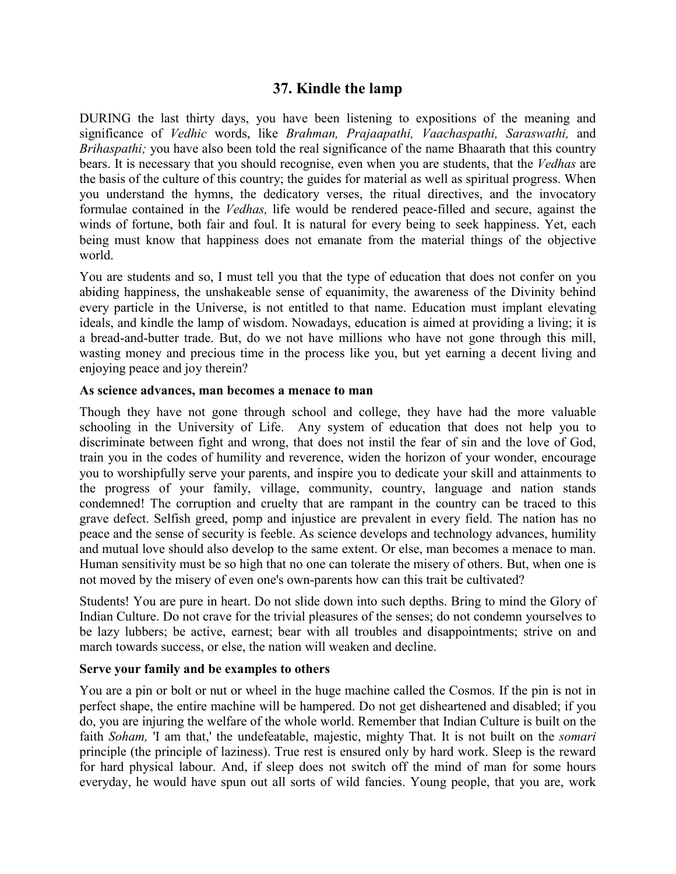# **37. Kindle the lamp**

DURING the last thirty days, you have been listening to expositions of the meaning and significance of *Vedhic* words, like *Brahman, Prajaapathi, Vaachaspathi, Saraswathi,* and *Brihaspathi;* you have also been told the real significance of the name Bhaarath that this country bears. It is necessary that you should recognise, even when you are students, that the *Vedhas* are the basis of the culture of this country; the guides for material as well as spiritual progress. When you understand the hymns, the dedicatory verses, the ritual directives, and the invocatory formulae contained in the *Vedhas,* life would be rendered peace-filled and secure, against the winds of fortune, both fair and foul. It is natural for every being to seek happiness. Yet, each being must know that happiness does not emanate from the material things of the objective world.

You are students and so, I must tell you that the type of education that does not confer on you abiding happiness, the unshakeable sense of equanimity, the awareness of the Divinity behind every particle in the Universe, is not entitled to that name. Education must implant elevating ideals, and kindle the lamp of wisdom. Nowadays, education is aimed at providing a living; it is a bread-and-butter trade. But, do we not have millions who have not gone through this mill, wasting money and precious time in the process like you, but yet earning a decent living and enjoying peace and joy therein?

#### **As science advances, man becomes a menace to man**

Though they have not gone through school and college, they have had the more valuable schooling in the University of Life. Any system of education that does not help you to discriminate between fight and wrong, that does not instil the fear of sin and the love of God, train you in the codes of humility and reverence, widen the horizon of your wonder, encourage you to worshipfully serve your parents, and inspire you to dedicate your skill and attainments to the progress of your family, village, community, country, language and nation stands condemned! The corruption and cruelty that are rampant in the country can be traced to this grave defect. Selfish greed, pomp and injustice are prevalent in every field. The nation has no peace and the sense of security is feeble. As science develops and technology advances, humility and mutual love should also develop to the same extent. Or else, man becomes a menace to man. Human sensitivity must be so high that no one can tolerate the misery of others. But, when one is not moved by the misery of even one's own-parents how can this trait be cultivated?

Students! You are pure in heart. Do not slide down into such depths. Bring to mind the Glory of Indian Culture. Do not crave for the trivial pleasures of the senses; do not condemn yourselves to be lazy lubbers; be active, earnest; bear with all troubles and disappointments; strive on and march towards success, or else, the nation will weaken and decline.

#### **Serve your family and be examples to others**

You are a pin or bolt or nut or wheel in the huge machine called the Cosmos. If the pin is not in perfect shape, the entire machine will be hampered. Do not get disheartened and disabled; if you do, you are injuring the welfare of the whole world. Remember that Indian Culture is built on the faith *Soham,* 'I am that,' the undefeatable, majestic, mighty That. It is not built on the *somari* principle (the principle of laziness). True rest is ensured only by hard work. Sleep is the reward for hard physical labour. And, if sleep does not switch off the mind of man for some hours everyday, he would have spun out all sorts of wild fancies. Young people, that you are, work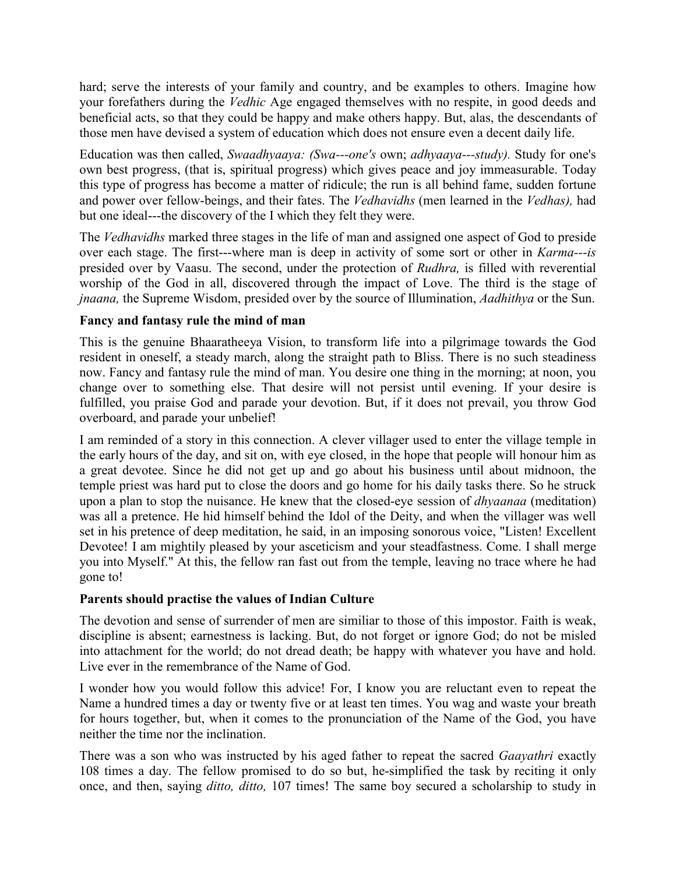hard; serve the interests of your family and country, and be examples to others. Imagine how your forefathers during the *Vedhic* Age engaged themselves with no respite, in good deeds and beneficial acts, so that they could be happy and make others happy. But, alas, the descendants of those men have devised a system of education which does not ensure even a decent daily life.

Education was then called, *Swaadhyaaya: (Swa---one's* own; *adhyaaya---study).* Study for one's own best progress, (that is, spiritual progress) which gives peace and joy immeasurable. Today this type of progress has become a matter of ridicule; the run is all behind fame, sudden fortune and power over fellow-beings, and their fates. The *Vedhavidhs* (men learned in the *Vedhas),* had but one ideal---the discovery of the I which they felt they were.

The *Vedhavidhs* marked three stages in the life of man and assigned one aspect of God to preside over each stage. The first---where man is deep in activity of some sort or other in *Karma---is* presided over by Vaasu. The second, under the protection of *Rudhra,* is filled with reverential worship of the God in all, discovered through the impact of Love. The third is the stage of *jnaana,* the Supreme Wisdom, presided over by the source of Illumination, *Aadhithya* or the Sun.

# **Fancy and fantasy rule the mind of man**

This is the genuine Bhaaratheeya Vision, to transform life into a pilgrimage towards the God resident in oneself, a steady march, along the straight path to Bliss. There is no such steadiness now. Fancy and fantasy rule the mind of man. You desire one thing in the morning; at noon, you change over to something else. That desire will not persist until evening. If your desire is fulfilled, you praise God and parade your devotion. But, if it does not prevail, you throw God overboard, and parade your unbelief!

I am reminded of a story in this connection. A clever villager used to enter the village temple in the early hours of the day, and sit on, with eye closed, in the hope that people will honour him as a great devotee. Since he did not get up and go about his business until about midnoon, the temple priest was hard put to close the doors and go home for his daily tasks there. So he struck upon a plan to stop the nuisance. He knew that the closed-eye session of *dhyaanaa* (meditation) was all a pretence. He hid himself behind the Idol of the Deity, and when the villager was well set in his pretence of deep meditation, he said, in an imposing sonorous voice, "Listen! Excellent Devotee! I am mightily pleased by your asceticism and your steadfastness. Come. I shall merge you into Myself." At this, the fellow ran fast out from the temple, leaving no trace where he had gone to!

#### **Parents should practise the values of Indian Culture**

The devotion and sense of surrender of men are similiar to those of this impostor. Faith is weak, discipline is absent; earnestness is lacking. But, do not forget or ignore God; do not be misled into attachment for the world; do not dread death; be happy with whatever you have and hold. Live ever in the remembrance of the Name of God.

I wonder how you would follow this advice! For, I know you are reluctant even to repeat the Name a hundred times a day or twenty five or at least ten times. You wag and waste your breath for hours together, but, when it comes to the pronunciation of the Name of the God, you have neither the time nor the inclination.

There was a son who was instructed by his aged father to repeat the sacred *Gaayathri* exactly 108 times a day. The fellow promised to do so but, he-simplified the task by reciting it only once, and then, saying *ditto, ditto,* 107 times! The same boy secured a scholarship to study in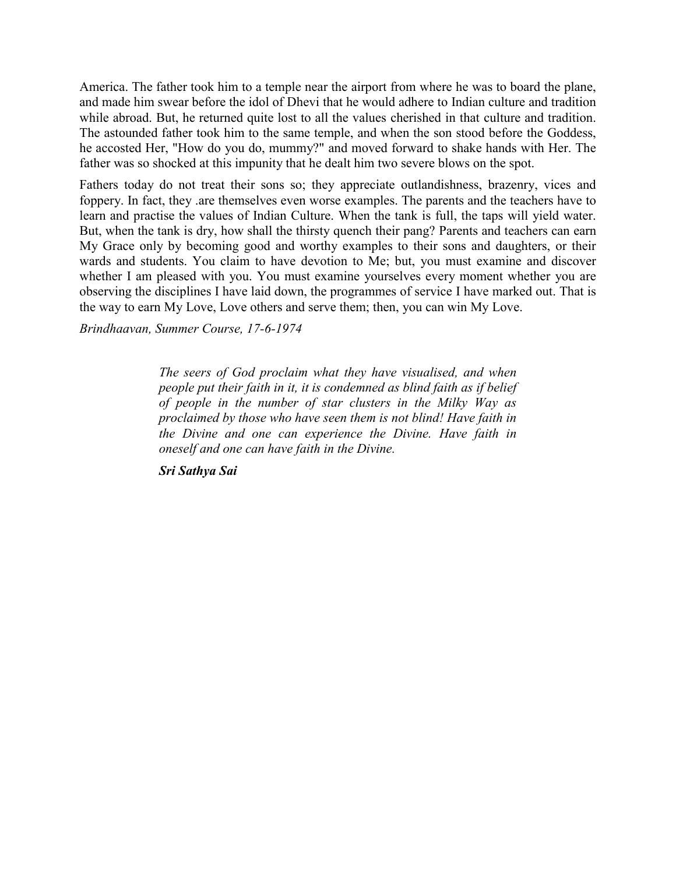America. The father took him to a temple near the airport from where he was to board the plane, and made him swear before the idol of Dhevi that he would adhere to Indian culture and tradition while abroad. But, he returned quite lost to all the values cherished in that culture and tradition. The astounded father took him to the same temple, and when the son stood before the Goddess, he accosted Her, "How do you do, mummy?" and moved forward to shake hands with Her. The father was so shocked at this impunity that he dealt him two severe blows on the spot.

Fathers today do not treat their sons so; they appreciate outlandishness, brazenry, vices and foppery. In fact, they .are themselves even worse examples. The parents and the teachers have to learn and practise the values of Indian Culture. When the tank is full, the taps will yield water. But, when the tank is dry, how shall the thirsty quench their pang? Parents and teachers can earn My Grace only by becoming good and worthy examples to their sons and daughters, or their wards and students. You claim to have devotion to Me; but, you must examine and discover whether I am pleased with you. You must examine yourselves every moment whether you are observing the disciplines I have laid down, the programmes of service I have marked out. That is the way to earn My Love, Love others and serve them; then, you can win My Love.

*Brindhaavan, Summer Course, 17-6-1974*

*The seers of God proclaim what they have visualised, and when people put their faith in it, it is condemned as blind faith as if belief of people in the number of star clusters in the Milky Way as proclaimed by those who have seen them is not blind! Have faith in the Divine and one can experience the Divine. Have faith in oneself and one can have faith in the Divine.*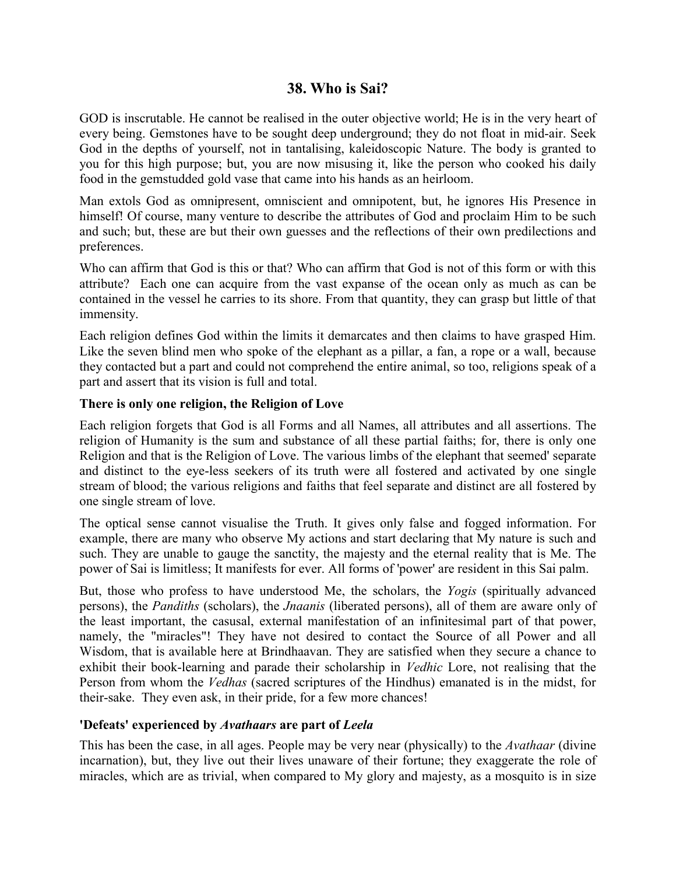# **38. Who is Sai?**

GOD is inscrutable. He cannot be realised in the outer objective world; He is in the very heart of every being. Gemstones have to be sought deep underground; they do not float in mid-air. Seek God in the depths of yourself, not in tantalising, kaleidoscopic Nature. The body is granted to you for this high purpose; but, you are now misusing it, like the person who cooked his daily food in the gemstudded gold vase that came into his hands as an heirloom.

Man extols God as omnipresent, omniscient and omnipotent, but, he ignores His Presence in himself! Of course, many venture to describe the attributes of God and proclaim Him to be such and such; but, these are but their own guesses and the reflections of their own predilections and preferences.

Who can affirm that God is this or that? Who can affirm that God is not of this form or with this attribute? Each one can acquire from the vast expanse of the ocean only as much as can be contained in the vessel he carries to its shore. From that quantity, they can grasp but little of that immensity.

Each religion defines God within the limits it demarcates and then claims to have grasped Him. Like the seven blind men who spoke of the elephant as a pillar, a fan, a rope or a wall, because they contacted but a part and could not comprehend the entire animal, so too, religions speak of a part and assert that its vision is full and total.

## **There is only one religion, the Religion of Love**

Each religion forgets that God is all Forms and all Names, all attributes and all assertions. The religion of Humanity is the sum and substance of all these partial faiths; for, there is only one Religion and that is the Religion of Love. The various limbs of the elephant that seemed' separate and distinct to the eye-less seekers of its truth were all fostered and activated by one single stream of blood; the various religions and faiths that feel separate and distinct are all fostered by one single stream of love.

The optical sense cannot visualise the Truth. It gives only false and fogged information. For example, there are many who observe My actions and start declaring that My nature is such and such. They are unable to gauge the sanctity, the majesty and the eternal reality that is Me. The power of Sai is limitless; It manifests for ever. All forms of 'power' are resident in this Sai palm.

But, those who profess to have understood Me, the scholars, the *Yogis* (spiritually advanced persons), the *Pandiths* (scholars), the *Jnaanis* (liberated persons), all of them are aware only of the least important, the casusal, external manifestation of an infinitesimal part of that power, namely, the "miracles"! They have not desired to contact the Source of all Power and all Wisdom, that is available here at Brindhaavan. They are satisfied when they secure a chance to exhibit their book-learning and parade their scholarship in *Vedhic* Lore, not realising that the Person from whom the *Vedhas* (sacred scriptures of the Hindhus) emanated is in the midst, for their-sake. They even ask, in their pride, for a few more chances!

#### **'Defeats' experienced by** *Avathaars* **are part of** *Leela*

This has been the case, in all ages. People may be very near (physically) to the *Avathaar* (divine incarnation), but, they live out their lives unaware of their fortune; they exaggerate the role of miracles, which are as trivial, when compared to My glory and majesty, as a mosquito is in size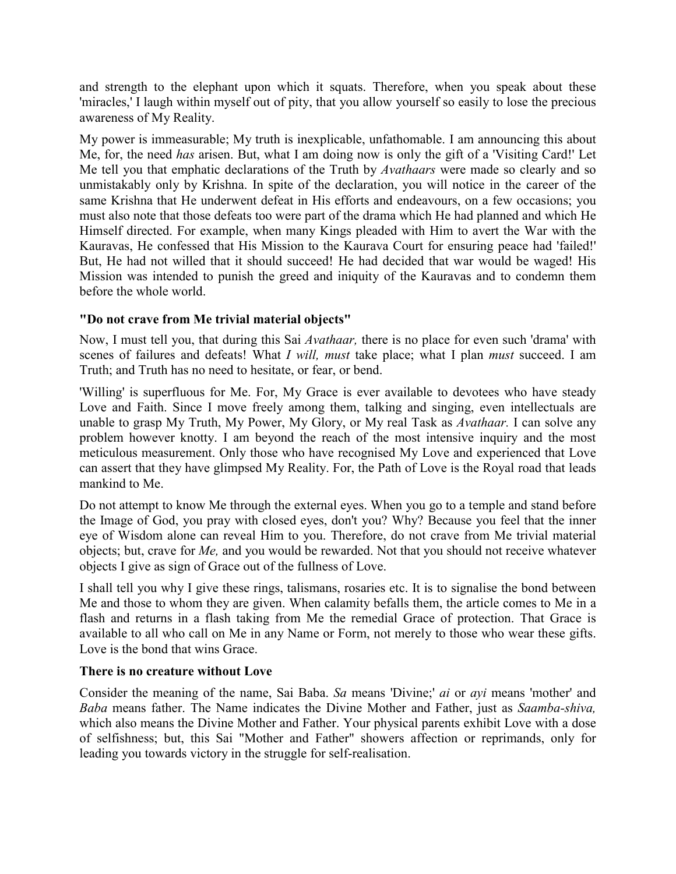and strength to the elephant upon which it squats. Therefore, when you speak about these 'miracles,' I laugh within myself out of pity, that you allow yourself so easily to lose the precious awareness of My Reality.

My power is immeasurable; My truth is inexplicable, unfathomable. I am announcing this about Me, for, the need *has* arisen. But, what I am doing now is only the gift of a 'Visiting Card!' Let Me tell you that emphatic declarations of the Truth by *Avathaars* were made so clearly and so unmistakably only by Krishna. In spite of the declaration, you will notice in the career of the same Krishna that He underwent defeat in His efforts and endeavours, on a few occasions; you must also note that those defeats too were part of the drama which He had planned and which He Himself directed. For example, when many Kings pleaded with Him to avert the War with the Kauravas, He confessed that His Mission to the Kaurava Court for ensuring peace had 'failed!' But, He had not willed that it should succeed! He had decided that war would be waged! His Mission was intended to punish the greed and iniquity of the Kauravas and to condemn them before the whole world.

# **"Do not crave from Me trivial material objects"**

Now, I must tell you, that during this Sai *Avathaar,* there is no place for even such 'drama' with scenes of failures and defeats! What *I will, must* take place; what I plan *must* succeed. I am Truth; and Truth has no need to hesitate, or fear, or bend.

'Willing' is superfluous for Me. For, My Grace is ever available to devotees who have steady Love and Faith. Since I move freely among them, talking and singing, even intellectuals are unable to grasp My Truth, My Power, My Glory, or My real Task as *Avathaar.* I can solve any problem however knotty. I am beyond the reach of the most intensive inquiry and the most meticulous measurement. Only those who have recognised My Love and experienced that Love can assert that they have glimpsed My Reality. For, the Path of Love is the Royal road that leads mankind to Me.

Do not attempt to know Me through the external eyes. When you go to a temple and stand before the Image of God, you pray with closed eyes, don't you? Why? Because you feel that the inner eye of Wisdom alone can reveal Him to you. Therefore, do not crave from Me trivial material objects; but, crave for *Me,* and you would be rewarded. Not that you should not receive whatever objects I give as sign of Grace out of the fullness of Love.

I shall tell you why I give these rings, talismans, rosaries etc. It is to signalise the bond between Me and those to whom they are given. When calamity befalls them, the article comes to Me in a flash and returns in a flash taking from Me the remedial Grace of protection. That Grace is available to all who call on Me in any Name or Form, not merely to those who wear these gifts. Love is the bond that wins Grace.

# **There is no creature without Love**

Consider the meaning of the name, Sai Baba. *Sa* means 'Divine;' *ai* or *ayi* means 'mother' and *Baba* means father. The Name indicates the Divine Mother and Father, just as *Saamba-shiva,* which also means the Divine Mother and Father. Your physical parents exhibit Love with a dose of selfishness; but, this Sai "Mother and Father" showers affection or reprimands, only for leading you towards victory in the struggle for self-realisation.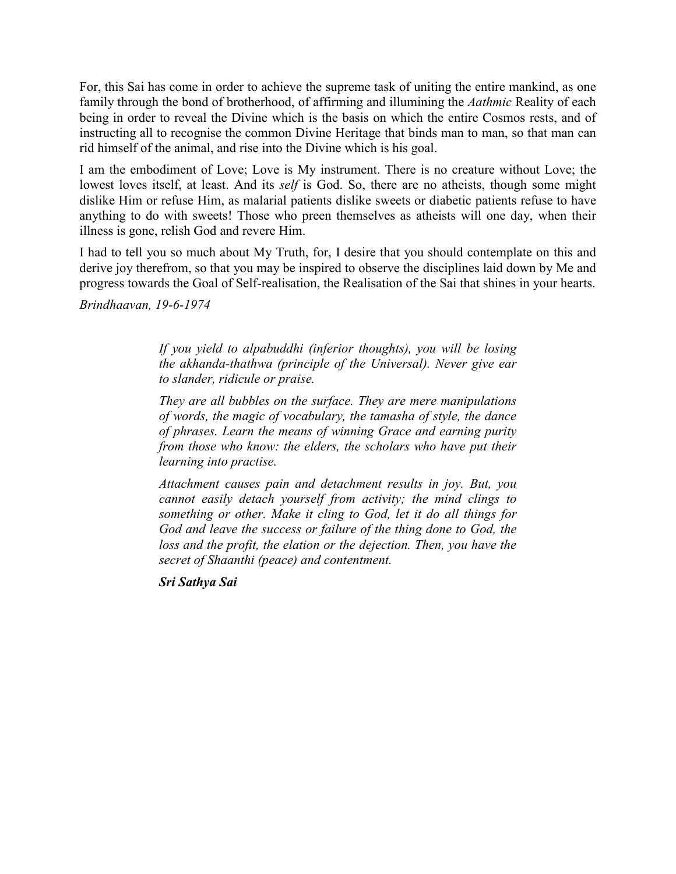For, this Sai has come in order to achieve the supreme task of uniting the entire mankind, as one family through the bond of brotherhood, of affirming and illumining the *Aathmic* Reality of each being in order to reveal the Divine which is the basis on which the entire Cosmos rests, and of instructing all to recognise the common Divine Heritage that binds man to man, so that man can rid himself of the animal, and rise into the Divine which is his goal.

I am the embodiment of Love; Love is My instrument. There is no creature without Love; the lowest loves itself, at least. And its *self* is God. So, there are no atheists, though some might dislike Him or refuse Him, as malarial patients dislike sweets or diabetic patients refuse to have anything to do with sweets! Those who preen themselves as atheists will one day, when their illness is gone, relish God and revere Him.

I had to tell you so much about My Truth, for, I desire that you should contemplate on this and derive joy therefrom, so that you may be inspired to observe the disciplines laid down by Me and progress towards the Goal of Self-realisation, the Realisation of the Sai that shines in your hearts.

*Brindhaavan, 19-6-1974*

*If you yield to alpabuddhi (inferior thoughts), you will be losing the akhanda-thathwa (principle of the Universal). Never give ear to slander, ridicule or praise.*

*They are all bubbles on the surface. They are mere manipulations of words, the magic of vocabulary, the tamasha of style, the dance of phrases. Learn the means of winning Grace and earning purity from those who know: the elders, the scholars who have put their learning into practise.*

*Attachment causes pain and detachment results in joy. But, you cannot easily detach yourself from activity; the mind clings to something or other. Make it cling to God, let it do all things for God and leave the success or failure of the thing done to God, the loss and the profit, the elation or the dejection. Then, you have the secret of Shaanthi (peace) and contentment.*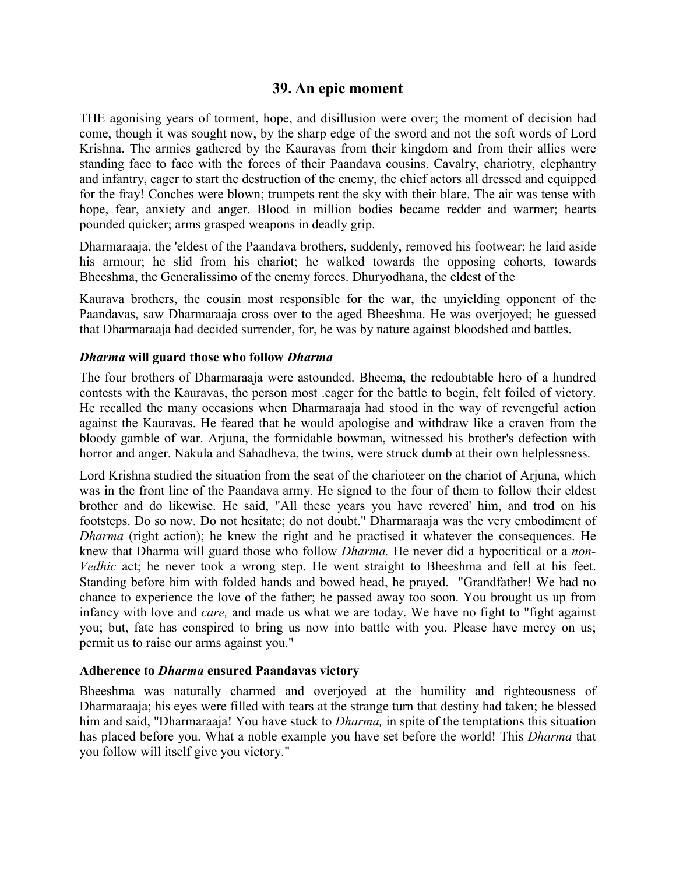# **39. An epic moment**

THE agonising years of torment, hope, and disillusion were over; the moment of decision had come, though it was sought now, by the sharp edge of the sword and not the soft words of Lord Krishna. The armies gathered by the Kauravas from their kingdom and from their allies were standing face to face with the forces of their Paandava cousins. Cavalry, chariotry, elephantry and infantry, eager to start the destruction of the enemy, the chief actors all dressed and equipped for the fray! Conches were blown; trumpets rent the sky with their blare. The air was tense with hope, fear, anxiety and anger. Blood in million bodies became redder and warmer; hearts pounded quicker; arms grasped weapons in deadly grip.

Dharmaraaja, the 'eldest of the Paandava brothers, suddenly, removed his footwear; he laid aside his armour; he slid from his chariot; he walked towards the opposing cohorts, towards Bheeshma, the Generalissimo of the enemy forces. Dhuryodhana, the eldest of the

Kaurava brothers, the cousin most responsible for the war, the unyielding opponent of the Paandavas, saw Dharmaraaja cross over to the aged Bheeshma. He was overjoyed; he guessed that Dharmaraaja had decided surrender, for, he was by nature against bloodshed and battles.

#### *Dharma* **will guard those who follow** *Dharma*

The four brothers of Dharmaraaja were astounded. Bheema, the redoubtable hero of a hundred contests with the Kauravas, the person most .eager for the battle to begin, felt foiled of victory. He recalled the many occasions when Dharmaraaja had stood in the way of revengeful action against the Kauravas. He feared that he would apologise and withdraw like a craven from the bloody gamble of war. Arjuna, the formidable bowman, witnessed his brother's defection with horror and anger. Nakula and Sahadheva, the twins, were struck dumb at their own helplessness.

Lord Krishna studied the situation from the seat of the charioteer on the chariot of Arjuna, which was in the front line of the Paandava army. He signed to the four of them to follow their eldest brother and do likewise. He said, "All these years you have revered' him, and trod on his footsteps. Do so now. Do not hesitate; do not doubt." Dharmaraaja was the very embodiment of *Dharma* (right action); he knew the right and he practised it whatever the consequences. He knew that Dharma will guard those who follow *Dharma.* He never did a hypocritical or a *non-Vedhic* act; he never took a wrong step. He went straight to Bheeshma and fell at his feet. Standing before him with folded hands and bowed head, he prayed. "Grandfather! We had no chance to experience the love of the father; he passed away too soon. You brought us up from infancy with love and *care,* and made us what we are today. We have no fight to "fight against you; but, fate has conspired to bring us now into battle with you. Please have mercy on us; permit us to raise our arms against you."

#### **Adherence to** *Dharma* **ensured Paandavas victory**

Bheeshma was naturally charmed and overjoyed at the humility and righteousness of Dharmaraaja; his eyes were filled with tears at the strange turn that destiny had taken; he blessed him and said, "Dharmaraaja! You have stuck to *Dharma,* in spite of the temptations this situation has placed before you. What a noble example you have set before the world! This *Dharma* that you follow will itself give you victory."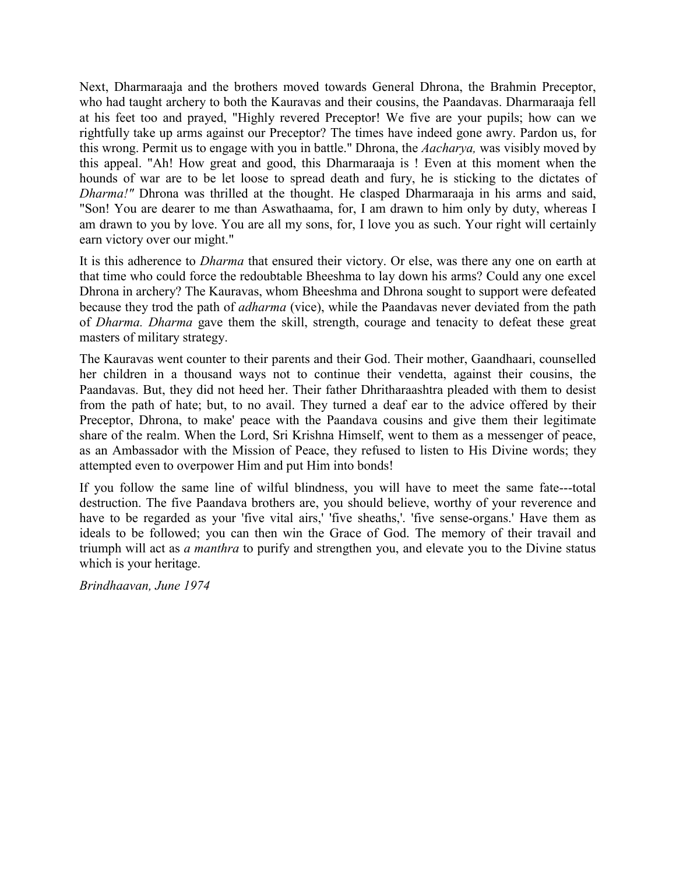Next, Dharmaraaja and the brothers moved towards General Dhrona, the Brahmin Preceptor, who had taught archery to both the Kauravas and their cousins, the Paandavas. Dharmaraaja fell at his feet too and prayed, "Highly revered Preceptor! We five are your pupils; how can we rightfully take up arms against our Preceptor? The times have indeed gone awry. Pardon us, for this wrong. Permit us to engage with you in battle." Dhrona, the *Aacharya,* was visibly moved by this appeal. "Ah! How great and good, this Dharmaraaja is ! Even at this moment when the hounds of war are to be let loose to spread death and fury, he is sticking to the dictates of *Dharma!"* Dhrona was thrilled at the thought. He clasped Dharmaraaja in his arms and said, "Son! You are dearer to me than Aswathaama, for, I am drawn to him only by duty, whereas I am drawn to you by love. You are all my sons, for, I love you as such. Your right will certainly earn victory over our might."

It is this adherence to *Dharma* that ensured their victory. Or else, was there any one on earth at that time who could force the redoubtable Bheeshma to lay down his arms? Could any one excel Dhrona in archery? The Kauravas, whom Bheeshma and Dhrona sought to support were defeated because they trod the path of *adharma* (vice), while the Paandavas never deviated from the path of *Dharma. Dharma* gave them the skill, strength, courage and tenacity to defeat these great masters of military strategy.

The Kauravas went counter to their parents and their God. Their mother, Gaandhaari, counselled her children in a thousand ways not to continue their vendetta, against their cousins, the Paandavas. But, they did not heed her. Their father Dhritharaashtra pleaded with them to desist from the path of hate; but, to no avail. They turned a deaf ear to the advice offered by their Preceptor, Dhrona, to make' peace with the Paandava cousins and give them their legitimate share of the realm. When the Lord, Sri Krishna Himself, went to them as a messenger of peace, as an Ambassador with the Mission of Peace, they refused to listen to His Divine words; they attempted even to overpower Him and put Him into bonds!

If you follow the same line of wilful blindness, you will have to meet the same fate---total destruction. The five Paandava brothers are, you should believe, worthy of your reverence and have to be regarded as your 'five vital airs,' 'five sheaths,'. 'five sense-organs.' Have them as ideals to be followed; you can then win the Grace of God. The memory of their travail and triumph will act as *a manthra* to purify and strengthen you, and elevate you to the Divine status which is your heritage.

*Brindhaavan, June 1974*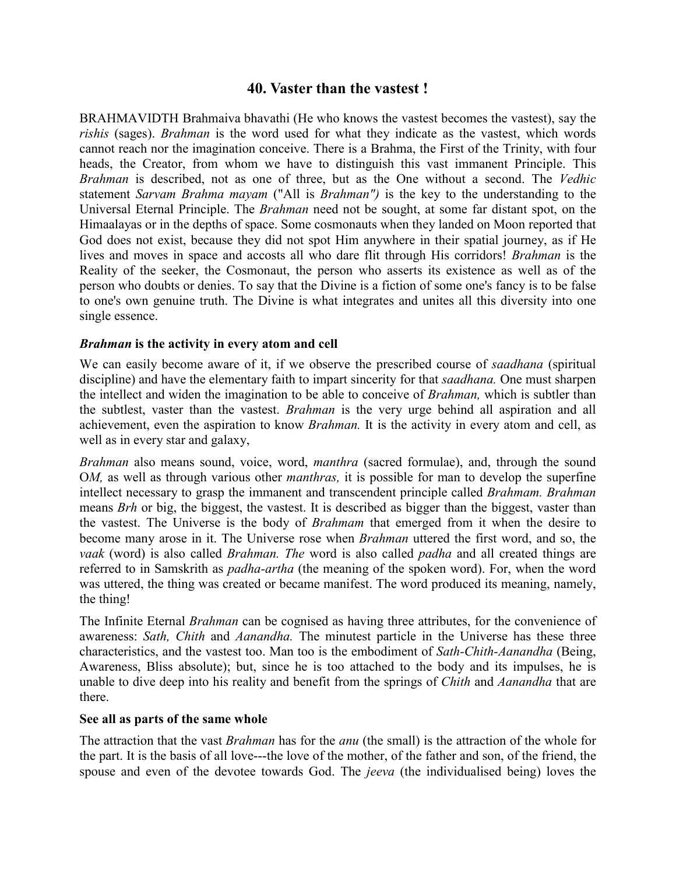# **40. Vaster than the vastest !**

BRAHMAVIDTH Brahmaiva bhavathi (He who knows the vastest becomes the vastest), say the *rishis* (sages). *Brahman* is the word used for what they indicate as the vastest, which words cannot reach nor the imagination conceive. There is a Brahma, the First of the Trinity, with four heads, the Creator, from whom we have to distinguish this vast immanent Principle. This *Brahman* is described, not as one of three, but as the One without a second. The *Vedhic* statement *Sarvam Brahma mayam* ("All is *Brahman")* is the key to the understanding to the Universal Eternal Principle. The *Brahman* need not be sought, at some far distant spot, on the Himaalayas or in the depths of space. Some cosmonauts when they landed on Moon reported that God does not exist, because they did not spot Him anywhere in their spatial journey, as if He lives and moves in space and accosts all who dare flit through His corridors! *Brahman* is the Reality of the seeker, the Cosmonaut, the person who asserts its existence as well as of the person who doubts or denies. To say that the Divine is a fiction of some one's fancy is to be false to one's own genuine truth. The Divine is what integrates and unites all this diversity into one single essence.

## *Brahman* **is the activity in every atom and cell**

We can easily become aware of it, if we observe the prescribed course of *saadhana* (spiritual discipline) and have the elementary faith to impart sincerity for that *saadhana.* One must sharpen the intellect and widen the imagination to be able to conceive of *Brahman,* which is subtler than the subtlest, vaster than the vastest. *Brahman* is the very urge behind all aspiration and all achievement, even the aspiration to know *Brahman.* It is the activity in every atom and cell, as well as in every star and galaxy,

*Brahman* also means sound, voice, word, *manthra* (sacred formulae), and, through the sound O*M,* as well as through various other *manthras,* it is possible for man to develop the superfine intellect necessary to grasp the immanent and transcendent principle called *Brahmam. Brahman* means *Brh* or big, the biggest, the vastest. It is described as bigger than the biggest, vaster than the vastest. The Universe is the body of *Brahmam* that emerged from it when the desire to become many arose in it. The Universe rose when *Brahman* uttered the first word, and so, the *vaak* (word) is also called *Brahman. The* word is also called *padha* and all created things are referred to in Samskrith as *padha-artha* (the meaning of the spoken word). For, when the word was uttered, the thing was created or became manifest. The word produced its meaning, namely, the thing!

The Infinite Eternal *Brahman* can be cognised as having three attributes, for the convenience of awareness: *Sath, Chith* and *Aanandha.* The minutest particle in the Universe has these three characteristics, and the vastest too. Man too is the embodiment of *Sath-Chith-Aanandha* (Being, Awareness, Bliss absolute); but, since he is too attached to the body and its impulses, he is unable to dive deep into his reality and benefit from the springs of *Chith* and *Aanandha* that are there.

#### **See all as parts of the same whole**

The attraction that the vast *Brahman* has for the *anu* (the small) is the attraction of the whole for the part. It is the basis of all love---the love of the mother, of the father and son, of the friend, the spouse and even of the devotee towards God. The *jeeva* (the individualised being) loves the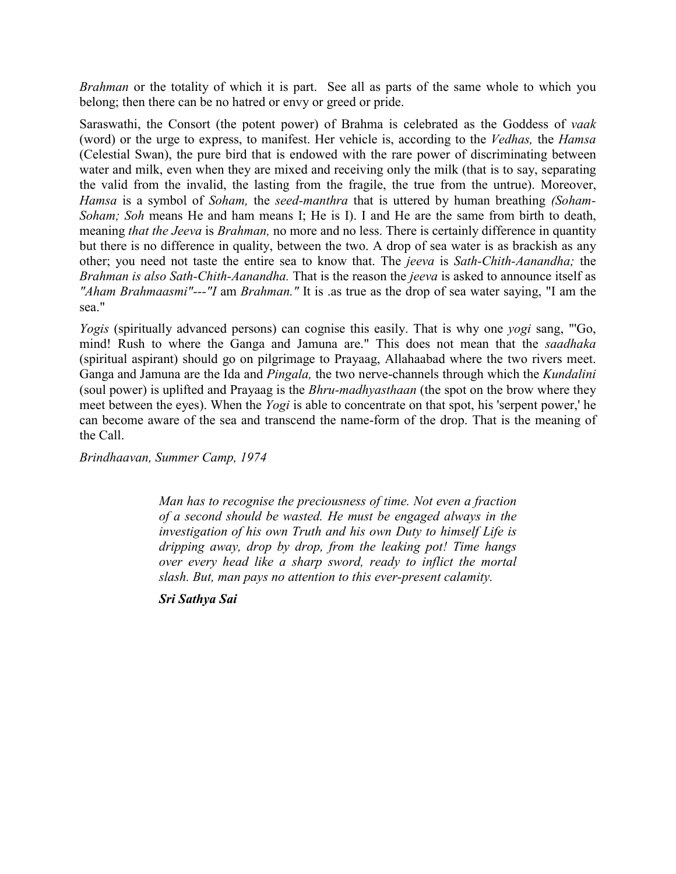*Brahman* or the totality of which it is part. See all as parts of the same whole to which you belong; then there can be no hatred or envy or greed or pride.

Saraswathi, the Consort (the potent power) of Brahma is celebrated as the Goddess of *vaak* (word) or the urge to express, to manifest. Her vehicle is, according to the *Vedhas,* the *Hamsa* (Celestial Swan), the pure bird that is endowed with the rare power of discriminating between water and milk, even when they are mixed and receiving only the milk (that is to say, separating the valid from the invalid, the lasting from the fragile, the true from the untrue). Moreover, *Hamsa* is a symbol of *Soham,* the *seed-manthra* that is uttered by human breathing *(Soham-Soham; Soh* means He and ham means I; He is I). I and He are the same from birth to death, meaning *that the Jeeva* is *Brahman,* no more and no less. There is certainly difference in quantity but there is no difference in quality, between the two. A drop of sea water is as brackish as any other; you need not taste the entire sea to know that. The *jeeva* is *Sath-Chith-Aanandha;* the *Brahman is also Sath-Chith-Aanandha.* That is the reason the *jeeva* is asked to announce itself as *"Aham Brahmaasmi"---"I* am *Brahman."* It is .as true as the drop of sea water saying, "I am the sea."

*Yogis* (spiritually advanced persons) can cognise this easily. That is why one *yogi* sang, "'Go, mind! Rush to where the Ganga and Jamuna are." This does not mean that the *saadhaka* (spiritual aspirant) should go on pilgrimage to Prayaag, Allahaabad where the two rivers meet. Ganga and Jamuna are the Ida and *Pingala,* the two nerve-channels through which the *Kundalini* (soul power) is uplifted and Prayaag is the *Bhru-madhyasthaan* (the spot on the brow where they meet between the eyes). When the *Yogi* is able to concentrate on that spot, his 'serpent power,' he can become aware of the sea and transcend the name-form of the drop. That is the meaning of the Call.

*Brindhaavan, Summer Camp, 1974*

*Man has to recognise the preciousness of time. Not even a fraction of a second should be wasted. He must be engaged always in the investigation of his own Truth and his own Duty to himself Life is dripping away, drop by drop, from the leaking pot! Time hangs over every head like a sharp sword, ready to inflict the mortal slash. But, man pays no attention to this ever-present calamity.*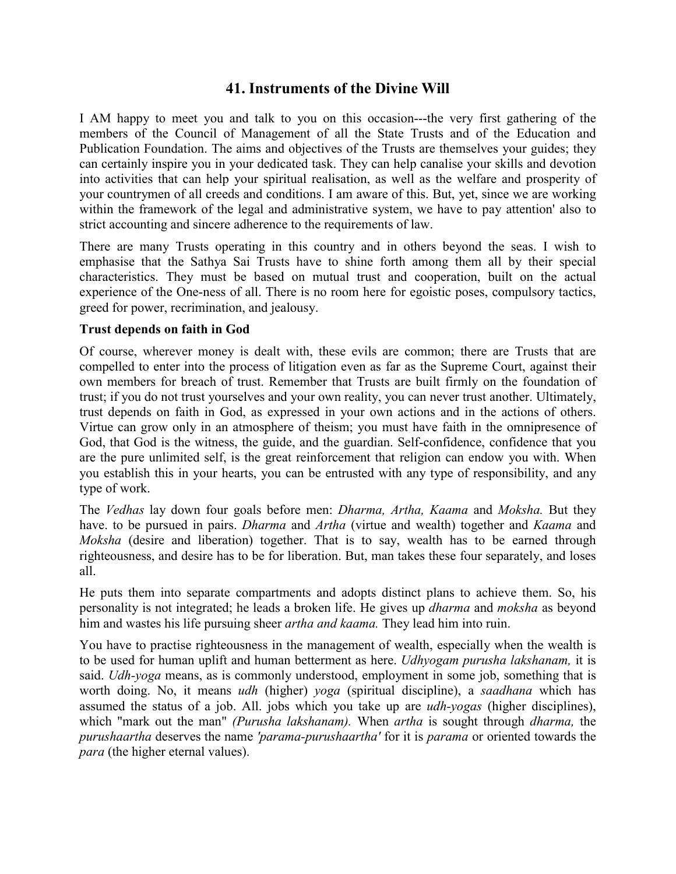# **41. Instruments of the Divine Will**

I AM happy to meet you and talk to you on this occasion---the very first gathering of the members of the Council of Management of all the State Trusts and of the Education and Publication Foundation. The aims and objectives of the Trusts are themselves your guides; they can certainly inspire you in your dedicated task. They can help canalise your skills and devotion into activities that can help your spiritual realisation, as well as the welfare and prosperity of your countrymen of all creeds and conditions. I am aware of this. But, yet, since we are working within the framework of the legal and administrative system, we have to pay attention' also to strict accounting and sincere adherence to the requirements of law.

There are many Trusts operating in this country and in others beyond the seas. I wish to emphasise that the Sathya Sai Trusts have to shine forth among them all by their special characteristics. They must be based on mutual trust and cooperation, built on the actual experience of the One-ness of all. There is no room here for egoistic poses, compulsory tactics, greed for power, recrimination, and jealousy.

## **Trust depends on faith in God**

Of course, wherever money is dealt with, these evils are common; there are Trusts that are compelled to enter into the process of litigation even as far as the Supreme Court, against their own members for breach of trust. Remember that Trusts are built firmly on the foundation of trust; if you do not trust yourselves and your own reality, you can never trust another. Ultimately, trust depends on faith in God, as expressed in your own actions and in the actions of others. Virtue can grow only in an atmosphere of theism; you must have faith in the omnipresence of God, that God is the witness, the guide, and the guardian. Self-confidence, confidence that you are the pure unlimited self, is the great reinforcement that religion can endow you with. When you establish this in your hearts, you can be entrusted with any type of responsibility, and any type of work.

The *Vedhas* lay down four goals before men: *Dharma, Artha, Kaama* and *Moksha.* But they have. to be pursued in pairs. *Dharma* and *Artha* (virtue and wealth) together and *Kaama* and *Moksha* (desire and liberation) together. That is to say, wealth has to be earned through righteousness, and desire has to be for liberation. But, man takes these four separately, and loses all.

He puts them into separate compartments and adopts distinct plans to achieve them. So, his personality is not integrated; he leads a broken life. He gives up *dharma* and *moksha* as beyond him and wastes his life pursuing sheer *artha and kaama.* They lead him into ruin.

You have to practise righteousness in the management of wealth, especially when the wealth is to be used for human uplift and human betterment as here. *Udhyogam purusha lakshanam,* it is said. *Udh-yoga* means, as is commonly understood, employment in some job, something that is worth doing. No, it means *udh* (higher) *yoga* (spiritual discipline), a *saadhana* which has assumed the status of a job. All. jobs which you take up are *udh-yogas* (higher disciplines), which "mark out the man" *(Purusha lakshanam).* When *artha* is sought through *dharma,* the *purushaartha* deserves the name *'parama-purushaartha'* for it is *parama* or oriented towards the *para* (the higher eternal values).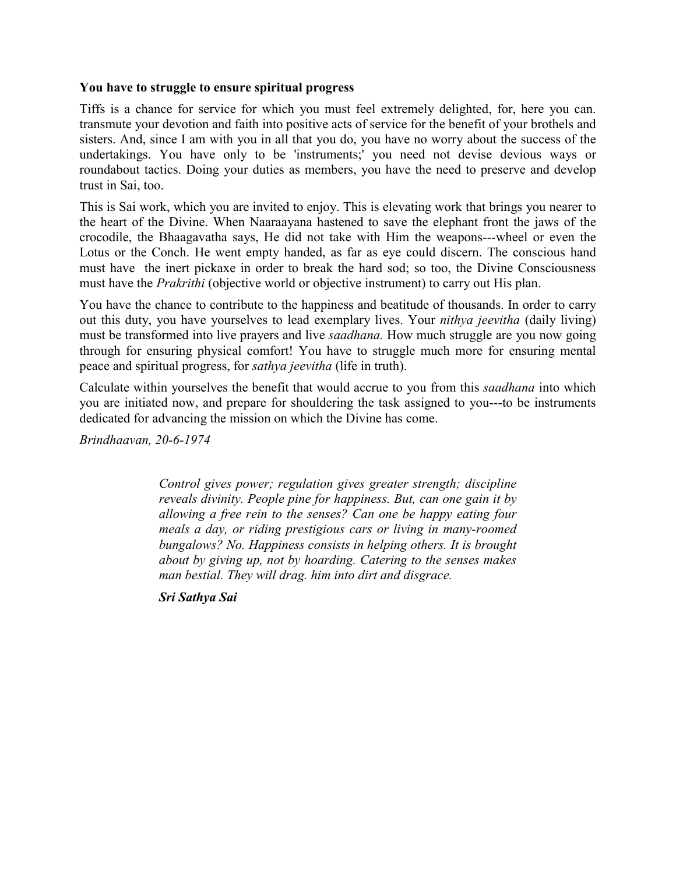#### **You have to struggle to ensure spiritual progress**

Tiffs is a chance for service for which you must feel extremely delighted, for, here you can. transmute your devotion and faith into positive acts of service for the benefit of your brothels and sisters. And, since I am with you in all that you do, you have no worry about the success of the undertakings. You have only to be 'instruments;' you need not devise devious ways or roundabout tactics. Doing your duties as members, you have the need to preserve and develop trust in Sai, too.

This is Sai work, which you are invited to enjoy. This is elevating work that brings you nearer to the heart of the Divine. When Naaraayana hastened to save the elephant front the jaws of the crocodile, the Bhaagavatha says, He did not take with Him the weapons---wheel or even the Lotus or the Conch. He went empty handed, as far as eye could discern. The conscious hand must have the inert pickaxe in order to break the hard sod; so too, the Divine Consciousness must have the *Prakrithi* (objective world or objective instrument) to carry out His plan.

You have the chance to contribute to the happiness and beatitude of thousands. In order to carry out this duty, you have yourselves to lead exemplary lives. Your *nithya jeevitha* (daily living) must be transformed into live prayers and live *saadhana.* How much struggle are you now going through for ensuring physical comfort! You have to struggle much more for ensuring mental peace and spiritual progress, for *sathya jeevitha* (life in truth).

Calculate within yourselves the benefit that would accrue to you from this *saadhana* into which you are initiated now, and prepare for shouldering the task assigned to you---to be instruments dedicated for advancing the mission on which the Divine has come.

*Brindhaavan, 20-6-1974*

*Control gives power; regulation gives greater strength; discipline reveals divinity. People pine for happiness. But, can one gain it by allowing a free rein to the senses? Can one be happy eating four meals a day, or riding prestigious cars or living in many-roomed bungalows? No. Happiness consists in helping others. It is brought about by giving up, not by hoarding. Catering to the senses makes man bestial. They will drag. him into dirt and disgrace.*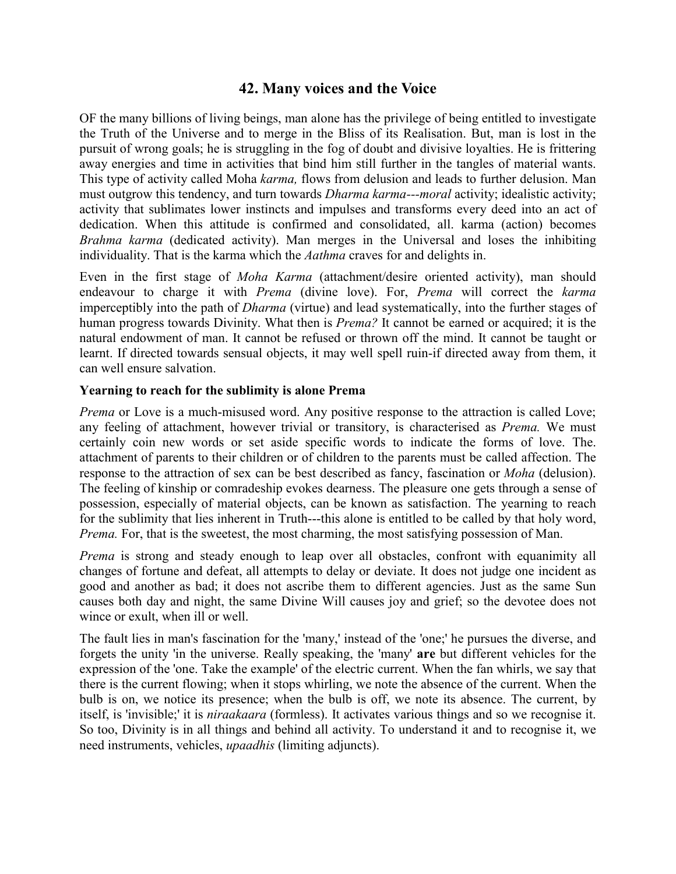# **42. Many voices and the Voice**

OF the many billions of living beings, man alone has the privilege of being entitled to investigate the Truth of the Universe and to merge in the Bliss of its Realisation. But, man is lost in the pursuit of wrong goals; he is struggling in the fog of doubt and divisive loyalties. He is frittering away energies and time in activities that bind him still further in the tangles of material wants. This type of activity called Moha *karma,* flows from delusion and leads to further delusion. Man must outgrow this tendency, and turn towards *Dharma karma---moral* activity; idealistic activity; activity that sublimates lower instincts and impulses and transforms every deed into an act of dedication. When this attitude is confirmed and consolidated, all. karma (action) becomes *Brahma karma* (dedicated activity). Man merges in the Universal and loses the inhibiting individuality. That is the karma which the *Aathma* craves for and delights in.

Even in the first stage of *Moha Karma* (attachment/desire oriented activity), man should endeavour to charge it with *Prema* (divine love). For, *Prema* will correct the *karma* imperceptibly into the path of *Dharma* (virtue) and lead systematically, into the further stages of human progress towards Divinity. What then is *Prema?* It cannot be earned or acquired; it is the natural endowment of man. It cannot be refused or thrown off the mind. It cannot be taught or learnt. If directed towards sensual objects, it may well spell ruin-if directed away from them, it can well ensure salvation.

## **Yearning to reach for the sublimity is alone Prema**

*Prema* or Love is a much-misused word. Any positive response to the attraction is called Love; any feeling of attachment, however trivial or transitory, is characterised as *Prema.* We must certainly coin new words or set aside specific words to indicate the forms of love. The. attachment of parents to their children or of children to the parents must be called affection. The response to the attraction of sex can be best described as fancy, fascination or *Moha* (delusion). The feeling of kinship or comradeship evokes dearness. The pleasure one gets through a sense of possession, especially of material objects, can be known as satisfaction. The yearning to reach for the sublimity that lies inherent in Truth---this alone is entitled to be called by that holy word, *Prema.* For, that is the sweetest, the most charming, the most satisfying possession of Man.

*Prema* is strong and steady enough to leap over all obstacles, confront with equanimity all changes of fortune and defeat, all attempts to delay or deviate. It does not judge one incident as good and another as bad; it does not ascribe them to different agencies. Just as the same Sun causes both day and night, the same Divine Will causes joy and grief; so the devotee does not wince or exult, when ill or well.

The fault lies in man's fascination for the 'many,' instead of the 'one;' he pursues the diverse, and forgets the unity 'in the universe. Really speaking, the 'many' **are** but different vehicles for the expression of the 'one. Take the example' of the electric current. When the fan whirls, we say that there is the current flowing; when it stops whirling, we note the absence of the current. When the bulb is on, we notice its presence; when the bulb is off, we note its absence. The current, by itself, is 'invisible;' it is *niraakaara* (formless). It activates various things and so we recognise it. So too, Divinity is in all things and behind all activity. To understand it and to recognise it, we need instruments, vehicles, *upaadhis* (limiting adjuncts).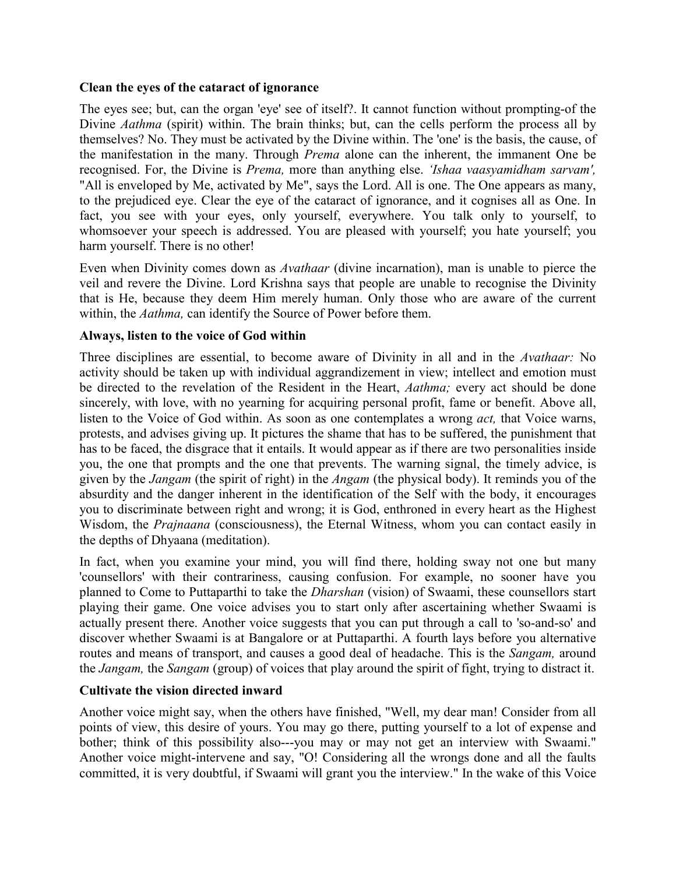#### **Clean the eyes of the cataract of ignorance**

The eyes see; but, can the organ 'eye' see of itself?. It cannot function without prompting-of the Divine *Aathma* (spirit) within. The brain thinks; but, can the cells perform the process all by themselves? No. They must be activated by the Divine within. The 'one' is the basis, the cause, of the manifestation in the many. Through *Prema* alone can the inherent, the immanent One be recognised. For, the Divine is *Prema,* more than anything else. *'Ishaa vaasyamidham sarvam',* "All is enveloped by Me, activated by Me", says the Lord. All is one. The One appears as many, to the prejudiced eye. Clear the eye of the cataract of ignorance, and it cognises all as One. In fact, you see with your eyes, only yourself, everywhere. You talk only to yourself, to whomsoever your speech is addressed. You are pleased with yourself; you hate yourself; you harm yourself. There is no other!

Even when Divinity comes down as *Avathaar* (divine incarnation), man is unable to pierce the veil and revere the Divine. Lord Krishna says that people are unable to recognise the Divinity that is He, because they deem Him merely human. Only those who are aware of the current within, the *Aathma,* can identify the Source of Power before them.

# **Always, listen to the voice of God within**

Three disciplines are essential, to become aware of Divinity in all and in the *Avathaar:* No activity should be taken up with individual aggrandizement in view; intellect and emotion must be directed to the revelation of the Resident in the Heart, *Aathma;* every act should be done sincerely, with love, with no yearning for acquiring personal profit, fame or benefit. Above all, listen to the Voice of God within. As soon as one contemplates a wrong *act,* that Voice warns, protests, and advises giving up. It pictures the shame that has to be suffered, the punishment that has to be faced, the disgrace that it entails. It would appear as if there are two personalities inside you, the one that prompts and the one that prevents. The warning signal, the timely advice, is given by the *Jangam* (the spirit of right) in the *Angam* (the physical body). It reminds you of the absurdity and the danger inherent in the identification of the Self with the body, it encourages you to discriminate between right and wrong; it is God, enthroned in every heart as the Highest Wisdom, the *Prajnaana* (consciousness), the Eternal Witness, whom you can contact easily in the depths of Dhyaana (meditation).

In fact, when you examine your mind, you will find there, holding sway not one but many 'counsellors' with their contrariness, causing confusion. For example, no sooner have you planned to Come to Puttaparthi to take the *Dharshan* (vision) of Swaami, these counsellors start playing their game. One voice advises you to start only after ascertaining whether Swaami is actually present there. Another voice suggests that you can put through a call to 'so-and-so' and discover whether Swaami is at Bangalore or at Puttaparthi. A fourth lays before you alternative routes and means of transport, and causes a good deal of headache. This is the *Sangam,* around the *Jangam,* the *Sangam* (group) of voices that play around the spirit of fight, trying to distract it.

# **Cultivate the vision directed inward**

Another voice might say, when the others have finished, "Well, my dear man! Consider from all points of view, this desire of yours. You may go there, putting yourself to a lot of expense and bother; think of this possibility also---you may or may not get an interview with Swaami." Another voice might-intervene and say, "O! Considering all the wrongs done and all the faults committed, it is very doubtful, if Swaami will grant you the interview." In the wake of this Voice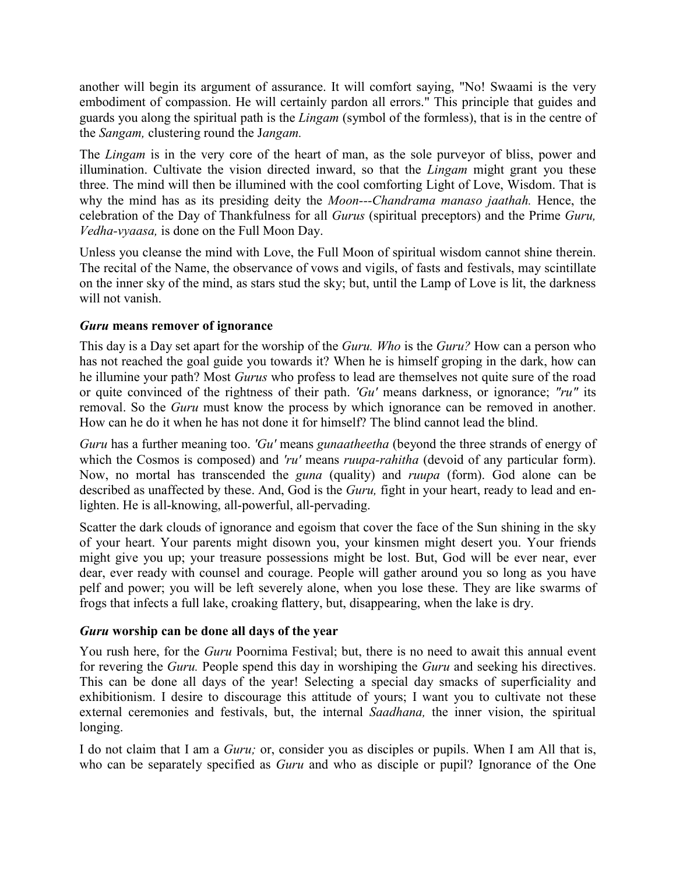another will begin its argument of assurance. It will comfort saying, "No! Swaami is the very embodiment of compassion. He will certainly pardon all errors." This principle that guides and guards you along the spiritual path is the *Lingam* (symbol of the formless), that is in the centre of the *Sangam,* clustering round the J*angam.*

The *Lingam* is in the very core of the heart of man, as the sole purveyor of bliss, power and illumination. Cultivate the vision directed inward, so that the *Lingam* might grant you these three. The mind will then be illumined with the cool comforting Light of Love, Wisdom. That is why the mind has as its presiding deity the *Moon---Chandrama manaso jaathah.* Hence, the celebration of the Day of Thankfulness for all *Gurus* (spiritual preceptors) and the Prime *Guru, Vedha-vyaasa,* is done on the Full Moon Day.

Unless you cleanse the mind with Love, the Full Moon of spiritual wisdom cannot shine therein. The recital of the Name, the observance of vows and vigils, of fasts and festivals, may scintillate on the inner sky of the mind, as stars stud the sky; but, until the Lamp of Love is lit, the darkness will not vanish.

# *Guru* **means remover of ignorance**

This day is a Day set apart for the worship of the *Guru. Who* is the *Guru?* How can a person who has not reached the goal guide you towards it? When he is himself groping in the dark, how can he illumine your path? Most *Gurus* who profess to lead are themselves not quite sure of the road or quite convinced of the rightness of their path. *'Gu'* means darkness, or ignorance; *"ru"* its removal. So the *Guru* must know the process by which ignorance can be removed in another. How can he do it when he has not done it for himself? The blind cannot lead the blind.

*Guru* has a further meaning too. *'Gu'* means *gunaatheetha* (beyond the three strands of energy of which the Cosmos is composed) and *'ru'* means *ruupa-rahitha* (devoid of any particular form). Now, no mortal has transcended the *guna* (quality) and *ruupa* (form). God alone can be described as unaffected by these. And, God is the *Guru,* fight in your heart, ready to lead and enlighten. He is all-knowing, all-powerful, all-pervading.

Scatter the dark clouds of ignorance and egoism that cover the face of the Sun shining in the sky of your heart. Your parents might disown you, your kinsmen might desert you. Your friends might give you up; your treasure possessions might be lost. But, God will be ever near, ever dear, ever ready with counsel and courage. People will gather around you so long as you have pelf and power; you will be left severely alone, when you lose these. They are like swarms of frogs that infects a full lake, croaking flattery, but, disappearing, when the lake is dry.

# *Guru* **worship can be done all days of the year**

You rush here, for the *Guru* Poornima Festival; but, there is no need to await this annual event for revering the *Guru.* People spend this day in worshiping the *Guru* and seeking his directives. This can be done all days of the year! Selecting a special day smacks of superficiality and exhibitionism. I desire to discourage this attitude of yours; I want you to cultivate not these external ceremonies and festivals, but, the internal *Saadhana,* the inner vision, the spiritual longing.

I do not claim that I am a *Guru;* or, consider you as disciples or pupils. When I am All that is, who can be separately specified as *Guru* and who as disciple or pupil? Ignorance of the One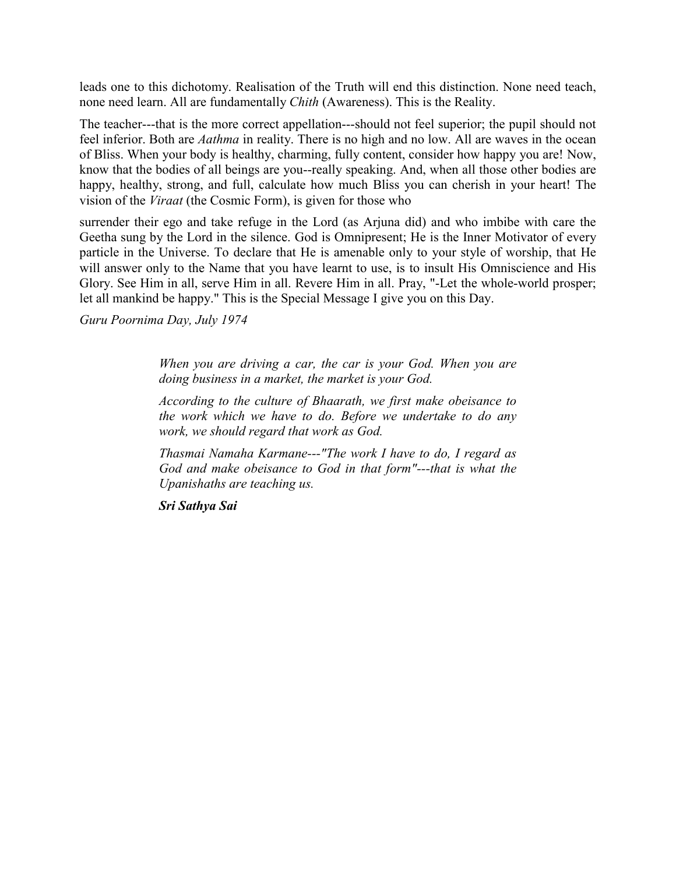leads one to this dichotomy. Realisation of the Truth will end this distinction. None need teach, none need learn. All are fundamentally *Chith* (Awareness). This is the Reality.

The teacher---that is the more correct appellation---should not feel superior; the pupil should not feel inferior. Both are *Aathma* in reality. There is no high and no low. All are waves in the ocean of Bliss. When your body is healthy, charming, fully content, consider how happy you are! Now, know that the bodies of all beings are you--really speaking. And, when all those other bodies are happy, healthy, strong, and full, calculate how much Bliss you can cherish in your heart! The vision of the *Viraat* (the Cosmic Form), is given for those who

surrender their ego and take refuge in the Lord (as Arjuna did) and who imbibe with care the Geetha sung by the Lord in the silence. God is Omnipresent; He is the Inner Motivator of every particle in the Universe. To declare that He is amenable only to your style of worship, that He will answer only to the Name that you have learnt to use, is to insult His Omniscience and His Glory. See Him in all, serve Him in all. Revere Him in all. Pray, "-Let the whole-world prosper; let all mankind be happy." This is the Special Message I give you on this Day.

*Guru Poornima Day, July 1974*

*When you are driving a car, the car is your God. When you are doing business in a market, the market is your God.*

*According to the culture of Bhaarath, we first make obeisance to the work which we have to do. Before we undertake to do any work, we should regard that work as God.*

*Thasmai Namaha Karmane---"The work I have to do, I regard as God and make obeisance to God in that form"---that is what the Upanishaths are teaching us.*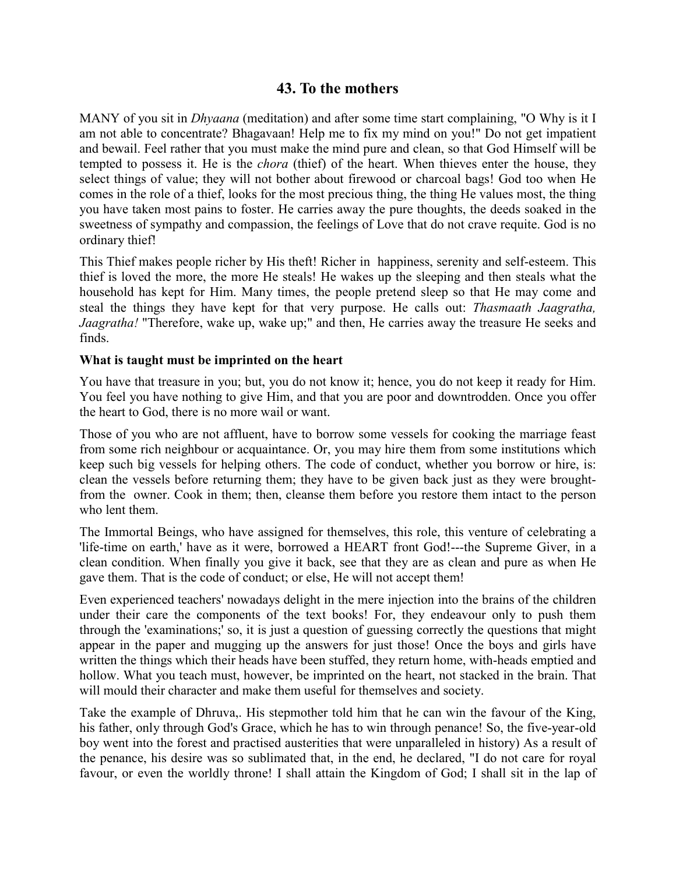# **43. To the mothers**

MANY of you sit in *Dhyaana* (meditation) and after some time start complaining, "O Why is it I am not able to concentrate? Bhagavaan! Help me to fix my mind on you!" Do not get impatient and bewail. Feel rather that you must make the mind pure and clean, so that God Himself will be tempted to possess it. He is the *chora* (thief) of the heart. When thieves enter the house, they select things of value; they will not bother about firewood or charcoal bags! God too when He comes in the role of a thief, looks for the most precious thing, the thing He values most, the thing you have taken most pains to foster. He carries away the pure thoughts, the deeds soaked in the sweetness of sympathy and compassion, the feelings of Love that do not crave requite. God is no ordinary thief!

This Thief makes people richer by His theft! Richer in happiness, serenity and self-esteem. This thief is loved the more, the more He steals! He wakes up the sleeping and then steals what the household has kept for Him. Many times, the people pretend sleep so that He may come and steal the things they have kept for that very purpose. He calls out: *Thasmaath Jaagratha, Jaagratha!* "Therefore, wake up, wake up;" and then, He carries away the treasure He seeks and finds.

#### **What is taught must be imprinted on the heart**

You have that treasure in you; but, you do not know it; hence, you do not keep it ready for Him. You feel you have nothing to give Him, and that you are poor and downtrodden. Once you offer the heart to God, there is no more wail or want.

Those of you who are not affluent, have to borrow some vessels for cooking the marriage feast from some rich neighbour or acquaintance. Or, you may hire them from some institutions which keep such big vessels for helping others. The code of conduct, whether you borrow or hire, is: clean the vessels before returning them; they have to be given back just as they were broughtfrom the owner. Cook in them; then, cleanse them before you restore them intact to the person who lent them.

The Immortal Beings, who have assigned for themselves, this role, this venture of celebrating a 'life-time on earth,' have as it were, borrowed a HEART front God!---the Supreme Giver, in a clean condition. When finally you give it back, see that they are as clean and pure as when He gave them. That is the code of conduct; or else, He will not accept them!

Even experienced teachers' nowadays delight in the mere injection into the brains of the children under their care the components of the text books! For, they endeavour only to push them through the 'examinations;' so, it is just a question of guessing correctly the questions that might appear in the paper and mugging up the answers for just those! Once the boys and girls have written the things which their heads have been stuffed, they return home, with-heads emptied and hollow. What you teach must, however, be imprinted on the heart, not stacked in the brain. That will mould their character and make them useful for themselves and society.

Take the example of Dhruva,. His stepmother told him that he can win the favour of the King, his father, only through God's Grace, which he has to win through penance! So, the five-year-old boy went into the forest and practised austerities that were unparalleled in history) As a result of the penance, his desire was so sublimated that, in the end, he declared, "I do not care for royal favour, or even the worldly throne! I shall attain the Kingdom of God; I shall sit in the lap of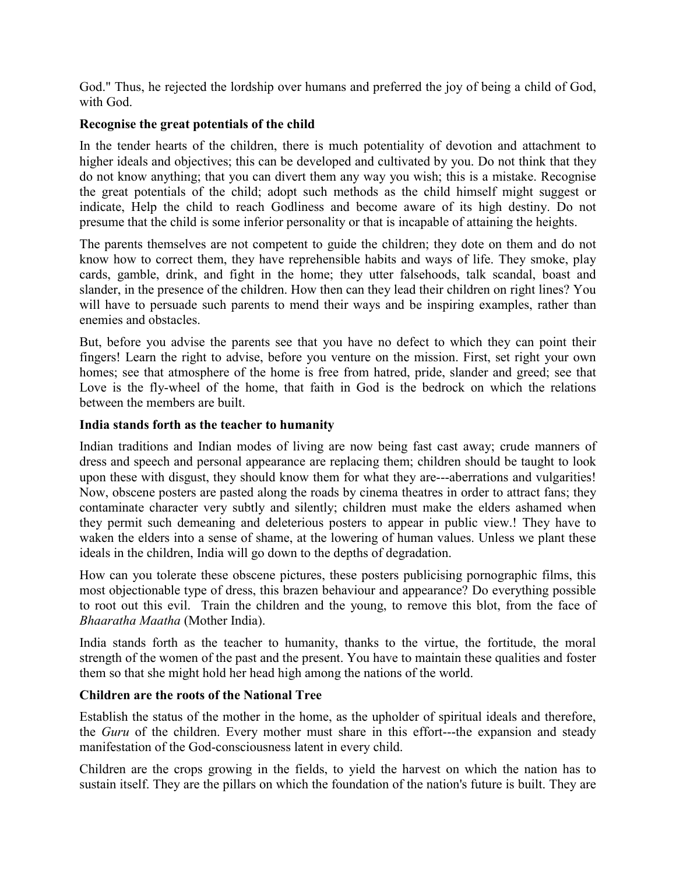God." Thus, he rejected the lordship over humans and preferred the joy of being a child of God, with God.

## **Recognise the great potentials of the child**

In the tender hearts of the children, there is much potentiality of devotion and attachment to higher ideals and objectives; this can be developed and cultivated by you. Do not think that they do not know anything; that you can divert them any way you wish; this is a mistake. Recognise the great potentials of the child; adopt such methods as the child himself might suggest or indicate, Help the child to reach Godliness and become aware of its high destiny. Do not presume that the child is some inferior personality or that is incapable of attaining the heights.

The parents themselves are not competent to guide the children; they dote on them and do not know how to correct them, they have reprehensible habits and ways of life. They smoke, play cards, gamble, drink, and fight in the home; they utter falsehoods, talk scandal, boast and slander, in the presence of the children. How then can they lead their children on right lines? You will have to persuade such parents to mend their ways and be inspiring examples, rather than enemies and obstacles.

But, before you advise the parents see that you have no defect to which they can point their fingers! Learn the right to advise, before you venture on the mission. First, set right your own homes; see that atmosphere of the home is free from hatred, pride, slander and greed; see that Love is the fly-wheel of the home, that faith in God is the bedrock on which the relations between the members are built.

## **India stands forth as the teacher to humanity**

Indian traditions and Indian modes of living are now being fast cast away; crude manners of dress and speech and personal appearance are replacing them; children should be taught to look upon these with disgust, they should know them for what they are---aberrations and vulgarities! Now, obscene posters are pasted along the roads by cinema theatres in order to attract fans; they contaminate character very subtly and silently; children must make the elders ashamed when they permit such demeaning and deleterious posters to appear in public view.! They have to waken the elders into a sense of shame, at the lowering of human values. Unless we plant these ideals in the children, India will go down to the depths of degradation.

How can you tolerate these obscene pictures, these posters publicising pornographic films, this most objectionable type of dress, this brazen behaviour and appearance? Do everything possible to root out this evil. Train the children and the young, to remove this blot, from the face of *Bhaaratha Maatha* (Mother India).

India stands forth as the teacher to humanity, thanks to the virtue, the fortitude, the moral strength of the women of the past and the present. You have to maintain these qualities and foster them so that she might hold her head high among the nations of the world.

#### **Children are the roots of the National Tree**

Establish the status of the mother in the home, as the upholder of spiritual ideals and therefore, the *Guru* of the children. Every mother must share in this effort---the expansion and steady manifestation of the God-consciousness latent in every child.

Children are the crops growing in the fields, to yield the harvest on which the nation has to sustain itself. They are the pillars on which the foundation of the nation's future is built. They are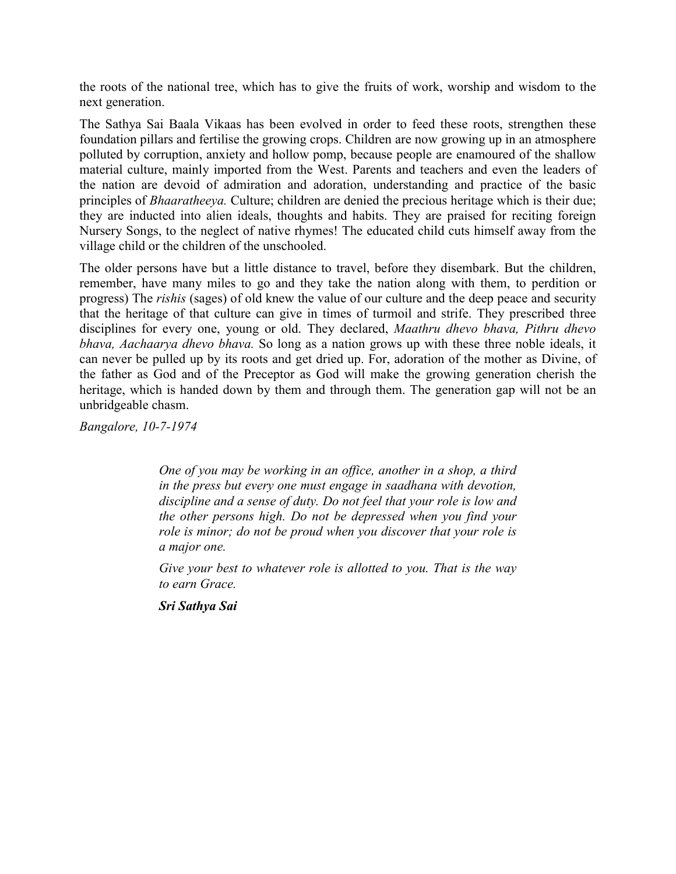the roots of the national tree, which has to give the fruits of work, worship and wisdom to the next generation.

The Sathya Sai Baala Vikaas has been evolved in order to feed these roots, strengthen these foundation pillars and fertilise the growing crops. Children are now growing up in an atmosphere polluted by corruption, anxiety and hollow pomp, because people are enamoured of the shallow material culture, mainly imported from the West. Parents and teachers and even the leaders of the nation are devoid of admiration and adoration, understanding and practice of the basic principles of *Bhaaratheeya.* Culture; children are denied the precious heritage which is their due; they are inducted into alien ideals, thoughts and habits. They are praised for reciting foreign Nursery Songs, to the neglect of native rhymes! The educated child cuts himself away from the village child or the children of the unschooled.

The older persons have but a little distance to travel, before they disembark. But the children, remember, have many miles to go and they take the nation along with them, to perdition or progress) The *rishis* (sages) of old knew the value of our culture and the deep peace and security that the heritage of that culture can give in times of turmoil and strife. They prescribed three disciplines for every one, young or old. They declared, *Maathru dhevo bhava, Pithru dhevo bhava, Aachaarya dhevo bhava.* So long as a nation grows up with these three noble ideals, it can never be pulled up by its roots and get dried up. For, adoration of the mother as Divine, of the father as God and of the Preceptor as God will make the growing generation cherish the heritage, which is handed down by them and through them. The generation gap will not be an unbridgeable chasm.

*Bangalore, 10-7-1974*

*One of you may be working in an office, another in a shop, a third in the press but every one must engage in saadhana with devotion, discipline and a sense of duty. Do not feel that your role is low and the other persons high. Do not be depressed when you find your role is minor; do not be proud when you discover that your role is a major one.*

*Give your best to whatever role is allotted to you. That is the way to earn Grace.*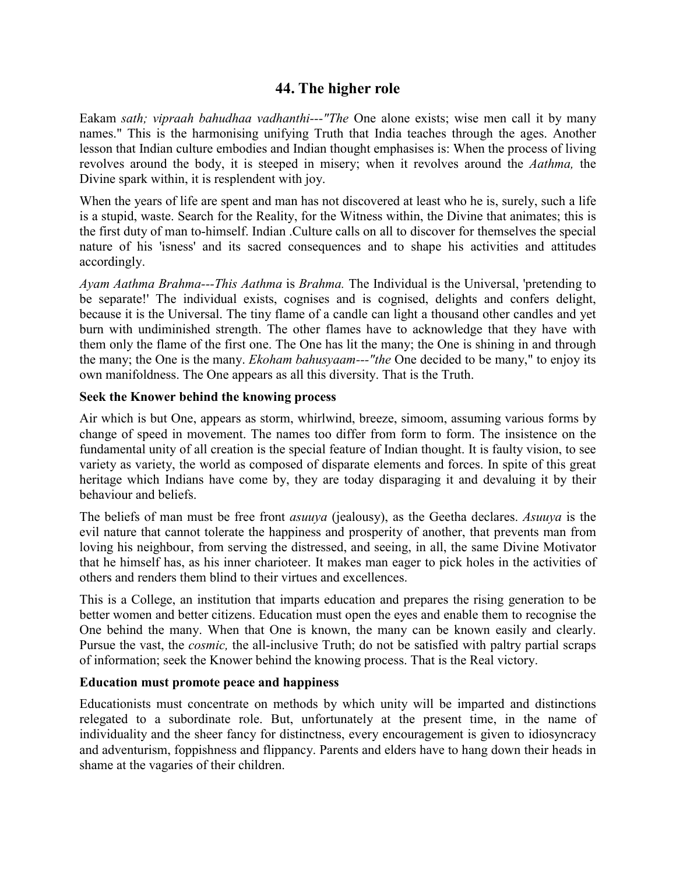# **44. The higher role**

Eakam *sath; vipraah bahudhaa vadhanthi---"The* One alone exists; wise men call it by many names." This is the harmonising unifying Truth that India teaches through the ages. Another lesson that Indian culture embodies and Indian thought emphasises is: When the process of living revolves around the body, it is steeped in misery; when it revolves around the *Aathma,* the Divine spark within, it is resplendent with joy.

When the years of life are spent and man has not discovered at least who he is, surely, such a life is a stupid, waste. Search for the Reality, for the Witness within, the Divine that animates; this is the first duty of man to-himself. Indian .Culture calls on all to discover for themselves the special nature of his 'isness' and its sacred consequences and to shape his activities and attitudes accordingly.

*Ayam Aathma Brahma---This Aathma* is *Brahma.* The Individual is the Universal, 'pretending to be separate!' The individual exists, cognises and is cognised, delights and confers delight, because it is the Universal. The tiny flame of a candle can light a thousand other candles and yet burn with undiminished strength. The other flames have to acknowledge that they have with them only the flame of the first one. The One has lit the many; the One is shining in and through the many; the One is the many. *Ekoham bahusyaam---"the* One decided to be many," to enjoy its own manifoldness. The One appears as all this diversity. That is the Truth.

## **Seek the Knower behind the knowing process**

Air which is but One, appears as storm, whirlwind, breeze, simoom, assuming various forms by change of speed in movement. The names too differ from form to form. The insistence on the fundamental unity of all creation is the special feature of Indian thought. It is faulty vision, to see variety as variety, the world as composed of disparate elements and forces. In spite of this great heritage which Indians have come by, they are today disparaging it and devaluing it by their behaviour and beliefs.

The beliefs of man must be free front *asuuya* (jealousy), as the Geetha declares. *Asuuya* is the evil nature that cannot tolerate the happiness and prosperity of another, that prevents man from loving his neighbour, from serving the distressed, and seeing, in all, the same Divine Motivator that he himself has, as his inner charioteer. It makes man eager to pick holes in the activities of others and renders them blind to their virtues and excellences.

This is a College, an institution that imparts education and prepares the rising generation to be better women and better citizens. Education must open the eyes and enable them to recognise the One behind the many. When that One is known, the many can be known easily and clearly. Pursue the vast, the *cosmic,* the all-inclusive Truth; do not be satisfied with paltry partial scraps of information; seek the Knower behind the knowing process. That is the Real victory.

#### **Education must promote peace and happiness**

Educationists must concentrate on methods by which unity will be imparted and distinctions relegated to a subordinate role. But, unfortunately at the present time, in the name of individuality and the sheer fancy for distinctness, every encouragement is given to idiosyncracy and adventurism, foppishness and flippancy. Parents and elders have to hang down their heads in shame at the vagaries of their children.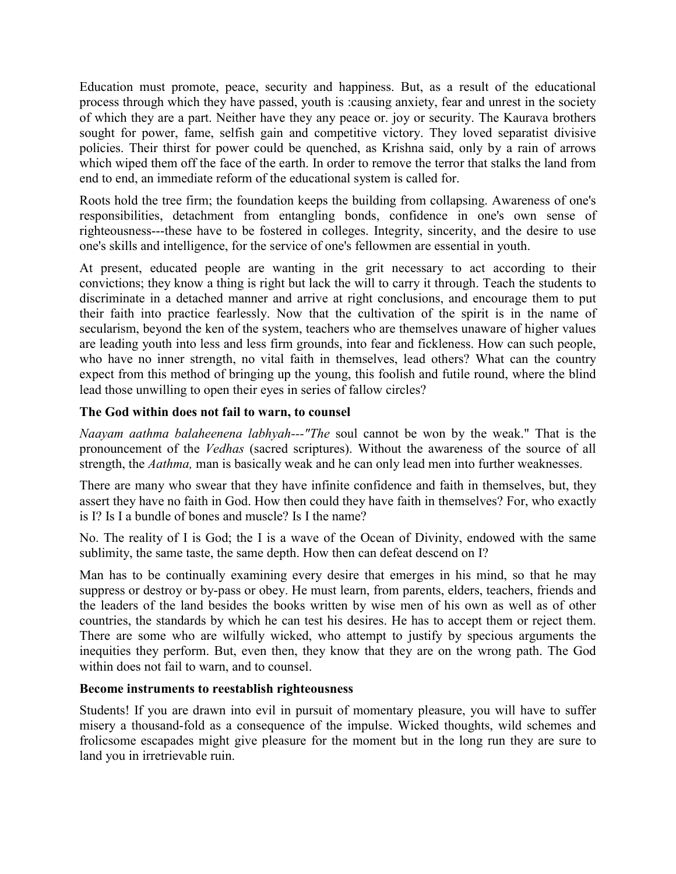Education must promote, peace, security and happiness. But, as a result of the educational process through which they have passed, youth is :causing anxiety, fear and unrest in the society of which they are a part. Neither have they any peace or. joy or security. The Kaurava brothers sought for power, fame, selfish gain and competitive victory. They loved separatist divisive policies. Their thirst for power could be quenched, as Krishna said, only by a rain of arrows which wiped them off the face of the earth. In order to remove the terror that stalks the land from end to end, an immediate reform of the educational system is called for.

Roots hold the tree firm; the foundation keeps the building from collapsing. Awareness of one's responsibilities, detachment from entangling bonds, confidence in one's own sense of righteousness---these have to be fostered in colleges. Integrity, sincerity, and the desire to use one's skills and intelligence, for the service of one's fellowmen are essential in youth.

At present, educated people are wanting in the grit necessary to act according to their convictions; they know a thing is right but lack the will to carry it through. Teach the students to discriminate in a detached manner and arrive at right conclusions, and encourage them to put their faith into practice fearlessly. Now that the cultivation of the spirit is in the name of secularism, beyond the ken of the system, teachers who are themselves unaware of higher values are leading youth into less and less firm grounds, into fear and fickleness. How can such people, who have no inner strength, no vital faith in themselves, lead others? What can the country expect from this method of bringing up the young, this foolish and futile round, where the blind lead those unwilling to open their eyes in series of fallow circles?

# **The God within does not fail to warn, to counsel**

*Naayam aathma balaheenena labhyah---"The* soul cannot be won by the weak." That is the pronouncement of the *Vedhas* (sacred scriptures). Without the awareness of the source of all strength, the *Aathma,* man is basically weak and he can only lead men into further weaknesses.

There are many who swear that they have infinite confidence and faith in themselves, but, they assert they have no faith in God. How then could they have faith in themselves? For, who exactly is I? Is I a bundle of bones and muscle? Is I the name?

No. The reality of I is God; the I is a wave of the Ocean of Divinity, endowed with the same sublimity, the same taste, the same depth. How then can defeat descend on I?

Man has to be continually examining every desire that emerges in his mind, so that he may suppress or destroy or by-pass or obey. He must learn, from parents, elders, teachers, friends and the leaders of the land besides the books written by wise men of his own as well as of other countries, the standards by which he can test his desires. He has to accept them or reject them. There are some who are wilfully wicked, who attempt to justify by specious arguments the inequities they perform. But, even then, they know that they are on the wrong path. The God within does not fail to warn, and to counsel.

# **Become instruments to reestablish righteousness**

Students! If you are drawn into evil in pursuit of momentary pleasure, you will have to suffer misery a thousand-fold as a consequence of the impulse. Wicked thoughts, wild schemes and frolicsome escapades might give pleasure for the moment but in the long run they are sure to land you in irretrievable ruin.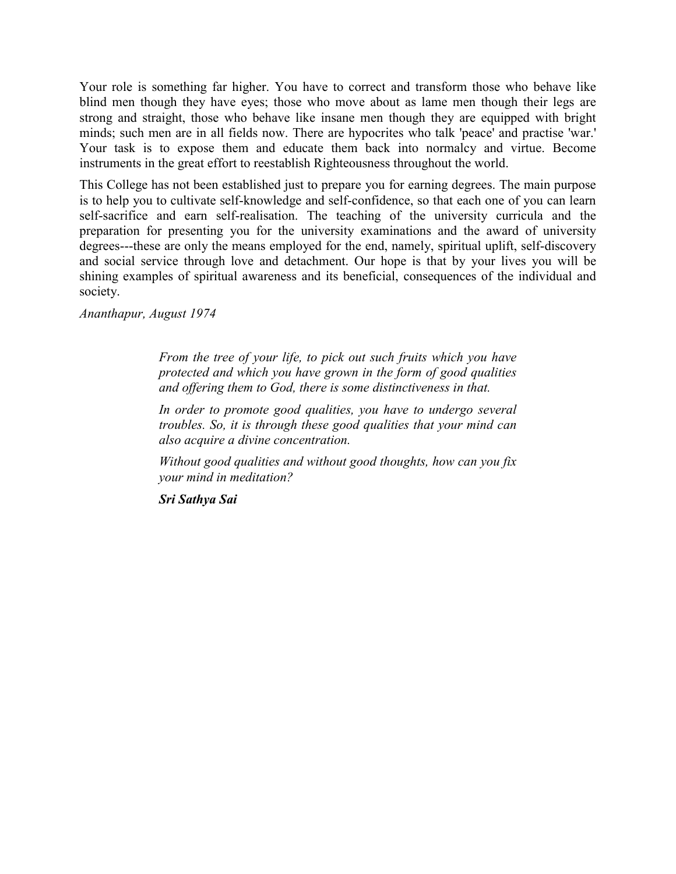Your role is something far higher. You have to correct and transform those who behave like blind men though they have eyes; those who move about as lame men though their legs are strong and straight, those who behave like insane men though they are equipped with bright minds; such men are in all fields now. There are hypocrites who talk 'peace' and practise 'war.' Your task is to expose them and educate them back into normalcy and virtue. Become instruments in the great effort to reestablish Righteousness throughout the world.

This College has not been established just to prepare you for earning degrees. The main purpose is to help you to cultivate self-knowledge and self-confidence, so that each one of you can learn self-sacrifice and earn self-realisation. The teaching of the university curricula and the preparation for presenting you for the university examinations and the award of university degrees---these are only the means employed for the end, namely, spiritual uplift, self-discovery and social service through love and detachment. Our hope is that by your lives you will be shining examples of spiritual awareness and its beneficial, consequences of the individual and society.

*Ananthapur, August 1974*

*From the tree of your life, to pick out such fruits which you have protected and which you have grown in the form of good qualities and offering them to God, there is some distinctiveness in that.*

*In order to promote good qualities, you have to undergo several troubles. So, it is through these good qualities that your mind can also acquire a divine concentration.*

*Without good qualities and without good thoughts, how can you fix your mind in meditation?*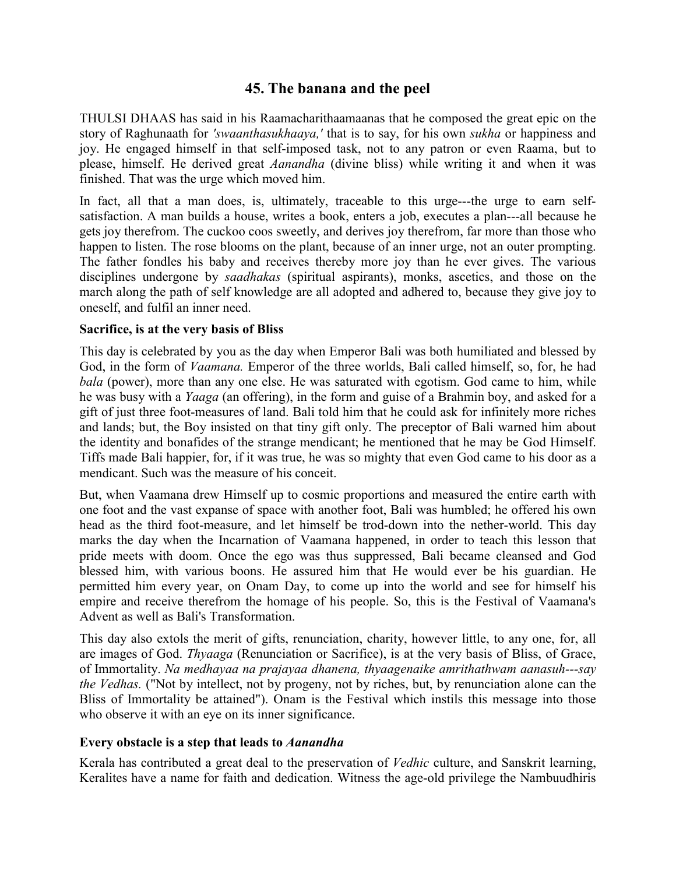# **45. The banana and the peel**

THULSI DHAAS has said in his Raamacharithaamaanas that he composed the great epic on the story of Raghunaath for *'swaanthasukhaaya,'* that is to say, for his own *sukha* or happiness and joy. He engaged himself in that self-imposed task, not to any patron or even Raama, but to please, himself. He derived great *Aanandha* (divine bliss) while writing it and when it was finished. That was the urge which moved him.

In fact, all that a man does, is, ultimately, traceable to this urge---the urge to earn selfsatisfaction. A man builds a house, writes a book, enters a job, executes a plan---all because he gets joy therefrom. The cuckoo coos sweetly, and derives joy therefrom, far more than those who happen to listen. The rose blooms on the plant, because of an inner urge, not an outer prompting. The father fondles his baby and receives thereby more joy than he ever gives. The various disciplines undergone by *saadhakas* (spiritual aspirants), monks, ascetics, and those on the march along the path of self knowledge are all adopted and adhered to, because they give joy to oneself, and fulfil an inner need.

#### **Sacrifice, is at the very basis of Bliss**

This day is celebrated by you as the day when Emperor Bali was both humiliated and blessed by God, in the form of *Vaamana.* Emperor of the three worlds, Bali called himself, so, for, he had *bala* (power), more than any one else. He was saturated with egotism. God came to him, while he was busy with a *Yaaga* (an offering), in the form and guise of a Brahmin boy, and asked for a gift of just three foot-measures of land. Bali told him that he could ask for infinitely more riches and lands; but, the Boy insisted on that tiny gift only. The preceptor of Bali warned him about the identity and bonafides of the strange mendicant; he mentioned that he may be God Himself. Tiffs made Bali happier, for, if it was true, he was so mighty that even God came to his door as a mendicant. Such was the measure of his conceit.

But, when Vaamana drew Himself up to cosmic proportions and measured the entire earth with one foot and the vast expanse of space with another foot, Bali was humbled; he offered his own head as the third foot-measure, and let himself be trod-down into the nether-world. This day marks the day when the Incarnation of Vaamana happened, in order to teach this lesson that pride meets with doom. Once the ego was thus suppressed, Bali became cleansed and God blessed him, with various boons. He assured him that He would ever be his guardian. He permitted him every year, on Onam Day, to come up into the world and see for himself his empire and receive therefrom the homage of his people. So, this is the Festival of Vaamana's Advent as well as Bali's Transformation.

This day also extols the merit of gifts, renunciation, charity, however little, to any one, for, all are images of God. *Thyaaga* (Renunciation or Sacrifice), is at the very basis of Bliss, of Grace, of Immortality. *Na medhayaa na prajayaa dhanena, thyaagenaike amrithathwam aanasuh---say the Vedhas.* ("Not by intellect, not by progeny, not by riches, but, by renunciation alone can the Bliss of Immortality be attained"). Onam is the Festival which instils this message into those who observe it with an eye on its inner significance.

#### **Every obstacle is a step that leads to** *Aanandha*

Kerala has contributed a great deal to the preservation of *Vedhic* culture, and Sanskrit learning, Keralites have a name for faith and dedication. Witness the age-old privilege the Nambuudhiris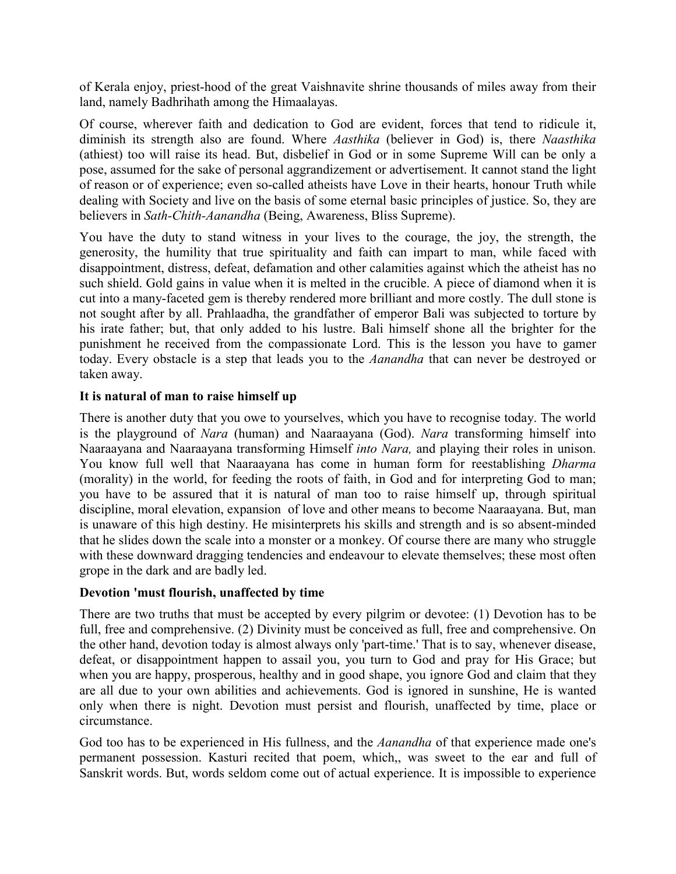of Kerala enjoy, priest-hood of the great Vaishnavite shrine thousands of miles away from their land, namely Badhrihath among the Himaalayas.

Of course, wherever faith and dedication to God are evident, forces that tend to ridicule it, diminish its strength also are found. Where *Aasthika* (believer in God) is, there *Naasthika* (athiest) too will raise its head. But, disbelief in God or in some Supreme Will can be only a pose, assumed for the sake of personal aggrandizement or advertisement. It cannot stand the light of reason or of experience; even so-called atheists have Love in their hearts, honour Truth while dealing with Society and live on the basis of some eternal basic principles of justice. So, they are believers in *Sath-Chith-Aanandha* (Being, Awareness, Bliss Supreme).

You have the duty to stand witness in your lives to the courage, the joy, the strength, the generosity, the humility that true spirituality and faith can impart to man, while faced with disappointment, distress, defeat, defamation and other calamities against which the atheist has no such shield. Gold gains in value when it is melted in the crucible. A piece of diamond when it is cut into a many-faceted gem is thereby rendered more brilliant and more costly. The dull stone is not sought after by all. Prahlaadha, the grandfather of emperor Bali was subjected to torture by his irate father; but, that only added to his lustre. Bali himself shone all the brighter for the punishment he received from the compassionate Lord. This is the lesson you have to gamer today. Every obstacle is a step that leads you to the *Aanandha* that can never be destroyed or taken away.

## **It is natural of man to raise himself up**

There is another duty that you owe to yourselves, which you have to recognise today. The world is the playground of *Nara* (human) and Naaraayana (God). *Nara* transforming himself into Naaraayana and Naaraayana transforming Himself *into Nara,* and playing their roles in unison. You know full well that Naaraayana has come in human form for reestablishing *Dharma* (morality) in the world, for feeding the roots of faith, in God and for interpreting God to man; you have to be assured that it is natural of man too to raise himself up, through spiritual discipline, moral elevation, expansion of love and other means to become Naaraayana. But, man is unaware of this high destiny. He misinterprets his skills and strength and is so absent-minded that he slides down the scale into a monster or a monkey. Of course there are many who struggle with these downward dragging tendencies and endeavour to elevate themselves; these most often grope in the dark and are badly led.

#### **Devotion 'must flourish, unaffected by time**

There are two truths that must be accepted by every pilgrim or devotee: (1) Devotion has to be full, free and comprehensive. (2) Divinity must be conceived as full, free and comprehensive. On the other hand, devotion today is almost always only 'part-time.' That is to say, whenever disease, defeat, or disappointment happen to assail you, you turn to God and pray for His Grace; but when you are happy, prosperous, healthy and in good shape, you ignore God and claim that they are all due to your own abilities and achievements. God is ignored in sunshine, He is wanted only when there is night. Devotion must persist and flourish, unaffected by time, place or circumstance.

God too has to be experienced in His fullness, and the *Aanandha* of that experience made one's permanent possession. Kasturi recited that poem, which,, was sweet to the ear and full of Sanskrit words. But, words seldom come out of actual experience. It is impossible to experience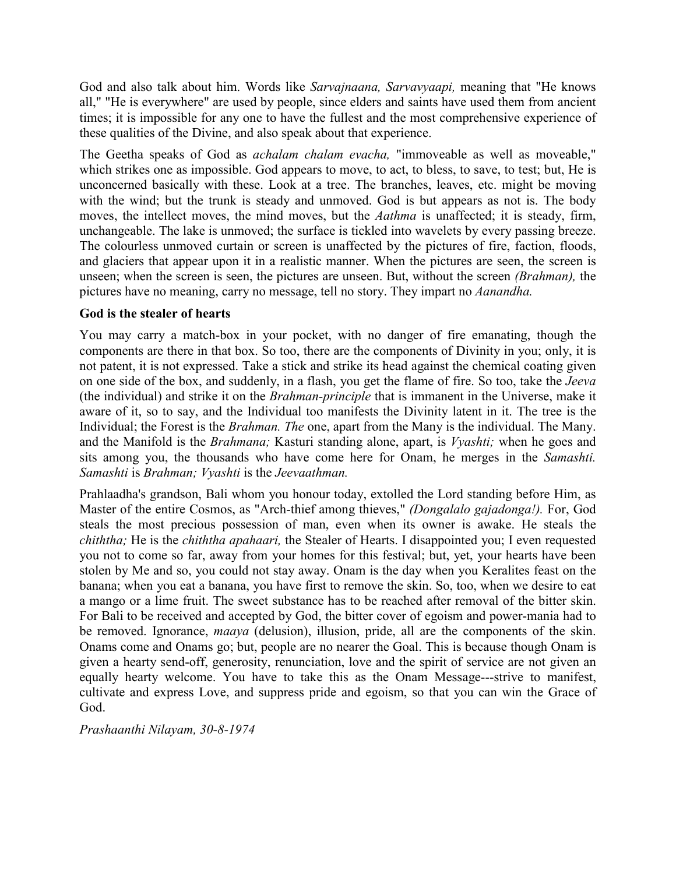God and also talk about him. Words like *Sarvajnaana, Sarvavyaapi,* meaning that "He knows all," "He is everywhere" are used by people, since elders and saints have used them from ancient times; it is impossible for any one to have the fullest and the most comprehensive experience of these qualities of the Divine, and also speak about that experience.

The Geetha speaks of God as *achalam chalam evacha,* "immoveable as well as moveable," which strikes one as impossible. God appears to move, to act, to bless, to save, to test; but, He is unconcerned basically with these. Look at a tree. The branches, leaves, etc. might be moving with the wind; but the trunk is steady and unmoved. God is but appears as not is. The body moves, the intellect moves, the mind moves, but the *Aathma* is unaffected; it is steady, firm, unchangeable. The lake is unmoved; the surface is tickled into wavelets by every passing breeze. The colourless unmoved curtain or screen is unaffected by the pictures of fire, faction, floods, and glaciers that appear upon it in a realistic manner. When the pictures are seen, the screen is unseen; when the screen is seen, the pictures are unseen. But, without the screen *(Brahman),* the pictures have no meaning, carry no message, tell no story. They impart no *Aanandha.*

## **God is the stealer of hearts**

You may carry a match-box in your pocket, with no danger of fire emanating, though the components are there in that box. So too, there are the components of Divinity in you; only, it is not patent, it is not expressed. Take a stick and strike its head against the chemical coating given on one side of the box, and suddenly, in a flash, you get the flame of fire. So too, take the *Jeeva* (the individual) and strike it on the *Brahman-principle* that is immanent in the Universe, make it aware of it, so to say, and the Individual too manifests the Divinity latent in it. The tree is the Individual; the Forest is the *Brahman. The* one, apart from the Many is the individual. The Many. and the Manifold is the *Brahmana;* Kasturi standing alone, apart, is *Vyashti;* when he goes and sits among you, the thousands who have come here for Onam, he merges in the *Samashti. Samashti* is *Brahman; Vyashti* is the *Jeevaathman.*

Prahlaadha's grandson, Bali whom you honour today, extolled the Lord standing before Him, as Master of the entire Cosmos, as "Arch-thief among thieves," *(Dongalalo gajadonga!).* For, God steals the most precious possession of man, even when its owner is awake. He steals the *chiththa;* He is the *chiththa apahaari,* the Stealer of Hearts. I disappointed you; I even requested you not to come so far, away from your homes for this festival; but, yet, your hearts have been stolen by Me and so, you could not stay away. Onam is the day when you Keralites feast on the banana; when you eat a banana, you have first to remove the skin. So, too, when we desire to eat a mango or a lime fruit. The sweet substance has to be reached after removal of the bitter skin. For Bali to be received and accepted by God, the bitter cover of egoism and power-mania had to be removed. Ignorance, *maaya* (delusion), illusion, pride, all are the components of the skin. Onams come and Onams go; but, people are no nearer the Goal. This is because though Onam is given a hearty send-off, generosity, renunciation, love and the spirit of service are not given an equally hearty welcome. You have to take this as the Onam Message---strive to manifest, cultivate and express Love, and suppress pride and egoism, so that you can win the Grace of God.

*Prashaanthi Nilayam, 30-8-1974*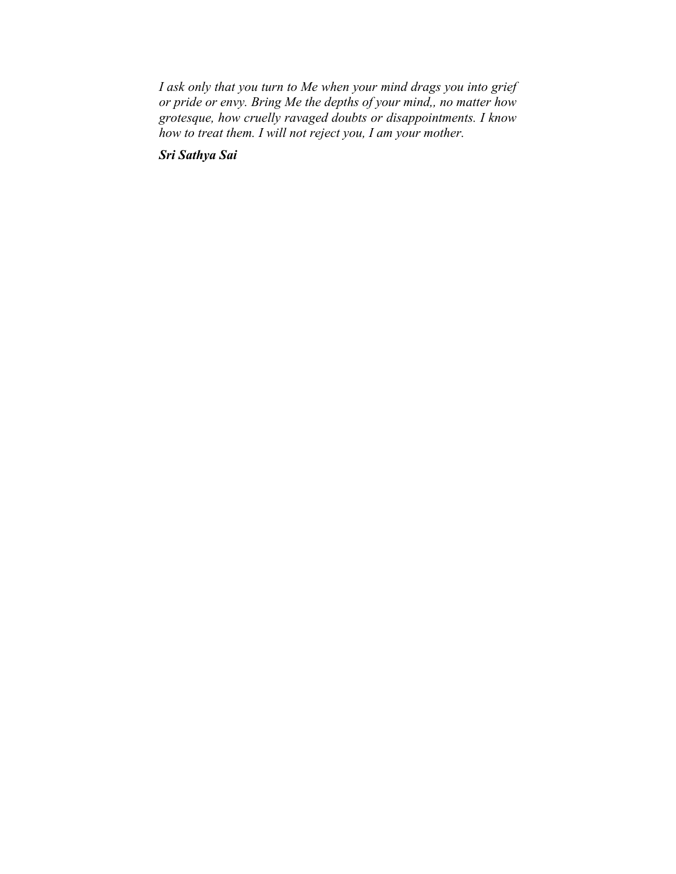*I ask only that you turn to Me when your mind drags you into grief or pride or envy. Bring Me the depths of your mind,, no matter how grotesque, how cruelly ravaged doubts or disappointments. I know how to treat them. I will not reject you, I am your mother.*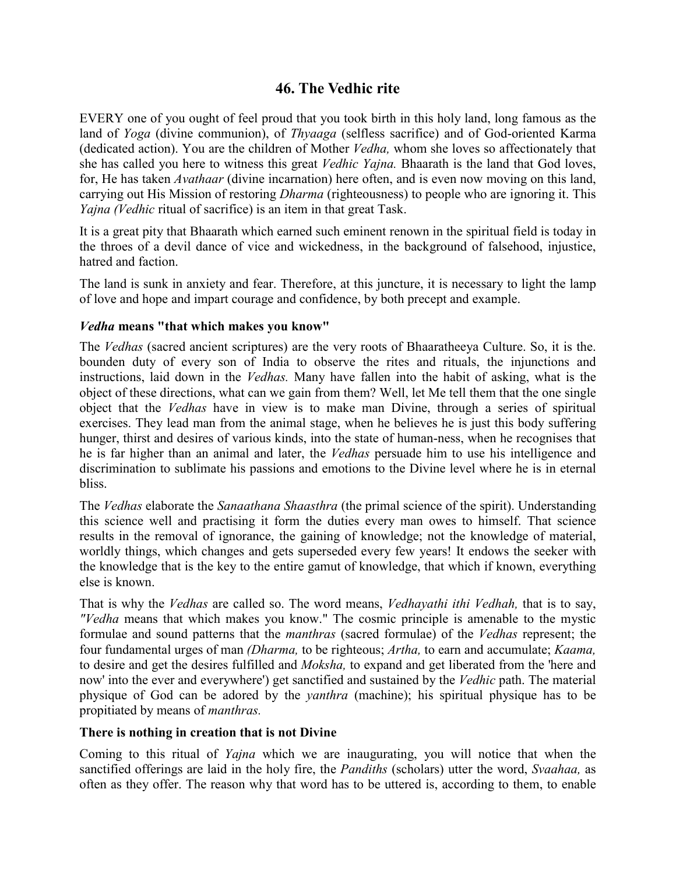# **46. The Vedhic rite**

EVERY one of you ought of feel proud that you took birth in this holy land, long famous as the land of *Yoga* (divine communion), of *Thyaaga* (selfless sacrifice) and of God-oriented Karma (dedicated action). You are the children of Mother *Vedha,* whom she loves so affectionately that she has called you here to witness this great *Vedhic Yajna.* Bhaarath is the land that God loves, for, He has taken *Avathaar* (divine incarnation) here often, and is even now moving on this land, carrying out His Mission of restoring *Dharma* (righteousness) to people who are ignoring it. This *Yajna (Vedhic* ritual of sacrifice) is an item in that great Task.

It is a great pity that Bhaarath which earned such eminent renown in the spiritual field is today in the throes of a devil dance of vice and wickedness, in the background of falsehood, injustice, hatred and faction.

The land is sunk in anxiety and fear. Therefore, at this juncture, it is necessary to light the lamp of love and hope and impart courage and confidence, by both precept and example.

### *Vedha* **means "that which makes you know"**

The *Vedhas* (sacred ancient scriptures) are the very roots of Bhaaratheeya Culture. So, it is the. bounden duty of every son of India to observe the rites and rituals, the injunctions and instructions, laid down in the *Vedhas.* Many have fallen into the habit of asking, what is the object of these directions, what can we gain from them? Well, let Me tell them that the one single object that the *Vedhas* have in view is to make man Divine, through a series of spiritual exercises. They lead man from the animal stage, when he believes he is just this body suffering hunger, thirst and desires of various kinds, into the state of human-ness, when he recognises that he is far higher than an animal and later, the *Vedhas* persuade him to use his intelligence and discrimination to sublimate his passions and emotions to the Divine level where he is in eternal bliss.

The *Vedhas* elaborate the *Sanaathana Shaasthra* (the primal science of the spirit). Understanding this science well and practising it form the duties every man owes to himself. That science results in the removal of ignorance, the gaining of knowledge; not the knowledge of material, worldly things, which changes and gets superseded every few years! It endows the seeker with the knowledge that is the key to the entire gamut of knowledge, that which if known, everything else is known.

That is why the *Vedhas* are called so. The word means, *Vedhayathi ithi Vedhah,* that is to say, *"Vedha* means that which makes you know." The cosmic principle is amenable to the mystic formulae and sound patterns that the *manthras* (sacred formulae) of the *Vedhas* represent; the four fundamental urges of man *(Dharma,* to be righteous; *Artha,* to earn and accumulate; *Kaama,* to desire and get the desires fulfilled and *Moksha,* to expand and get liberated from the 'here and now' into the ever and everywhere') get sanctified and sustained by the *Vedhic* path. The material physique of God can be adored by the *yanthra* (machine); his spiritual physique has to be propitiated by means of *manthras.*

#### **There is nothing in creation that is not Divine**

Coming to this ritual of *Yajna* which we are inaugurating, you will notice that when the sanctified offerings are laid in the holy fire, the *Pandiths* (scholars) utter the word, *Svaahaa,* as often as they offer. The reason why that word has to be uttered is, according to them, to enable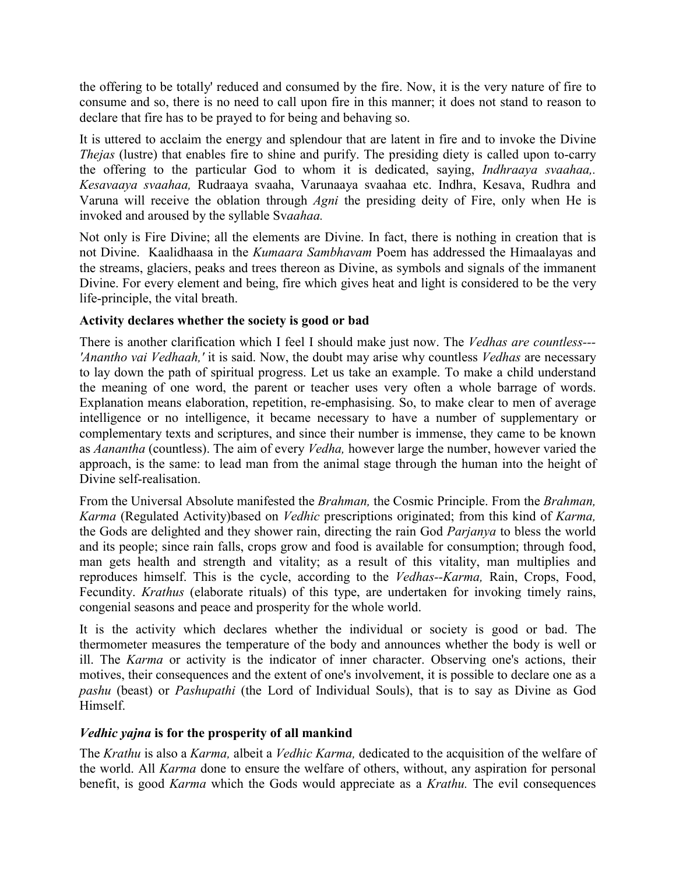the offering to be totally' reduced and consumed by the fire. Now, it is the very nature of fire to consume and so, there is no need to call upon fire in this manner; it does not stand to reason to declare that fire has to be prayed to for being and behaving so.

It is uttered to acclaim the energy and splendour that are latent in fire and to invoke the Divine *Thejas* (lustre) that enables fire to shine and purify. The presiding diety is called upon to-carry the offering to the particular God to whom it is dedicated, saying, *Indhraaya svaahaa,. Kesavaaya svaahaa,* Rudraaya svaaha, Varunaaya svaahaa etc. Indhra, Kesava, Rudhra and Varuna will receive the oblation through *Agni* the presiding deity of Fire, only when He is invoked and aroused by the syllable Sv*aahaa.*

Not only is Fire Divine; all the elements are Divine. In fact, there is nothing in creation that is not Divine. Kaalidhaasa in the *Kumaara Sambhavam* Poem has addressed the Himaalayas and the streams, glaciers, peaks and trees thereon as Divine, as symbols and signals of the immanent Divine. For every element and being, fire which gives heat and light is considered to be the very life-principle, the vital breath.

## **Activity declares whether the society is good or bad**

There is another clarification which I feel I should make just now. The *Vedhas are countless--- 'Anantho vai Vedhaah,'* it is said. Now, the doubt may arise why countless *Vedhas* are necessary to lay down the path of spiritual progress. Let us take an example. To make a child understand the meaning of one word, the parent or teacher uses very often a whole barrage of words. Explanation means elaboration, repetition, re-emphasising. So, to make clear to men of average intelligence or no intelligence, it became necessary to have a number of supplementary or complementary texts and scriptures, and since their number is immense, they came to be known as *Aanantha* (countless). The aim of every *Vedha,* however large the number, however varied the approach, is the same: to lead man from the animal stage through the human into the height of Divine self-realisation.

From the Universal Absolute manifested the *Brahman,* the Cosmic Principle. From the *Brahman, Karma* (Regulated Activity)based on *Vedhic* prescriptions originated; from this kind of *Karma,* the Gods are delighted and they shower rain, directing the rain God *Parjanya* to bless the world and its people; since rain falls, crops grow and food is available for consumption; through food, man gets health and strength and vitality; as a result of this vitality, man multiplies and reproduces himself. This is the cycle, according to the *Vedhas--Karma,* Rain, Crops, Food, Fecundity. *Krathus* (elaborate rituals) of this type, are undertaken for invoking timely rains, congenial seasons and peace and prosperity for the whole world.

It is the activity which declares whether the individual or society is good or bad. The thermometer measures the temperature of the body and announces whether the body is well or ill. The *Karma* or activity is the indicator of inner character. Observing one's actions, their motives, their consequences and the extent of one's involvement, it is possible to declare one as a *pashu* (beast) or *Pashupathi* (the Lord of Individual Souls), that is to say as Divine as God Himself.

## *Vedhic yajna* **is for the prosperity of all mankind**

The *Krathu* is also a *Karma,* albeit a *Vedhic Karma,* dedicated to the acquisition of the welfare of the world. All *Karma* done to ensure the welfare of others, without, any aspiration for personal benefit, is good *Karma* which the Gods would appreciate as a *Krathu.* The evil consequences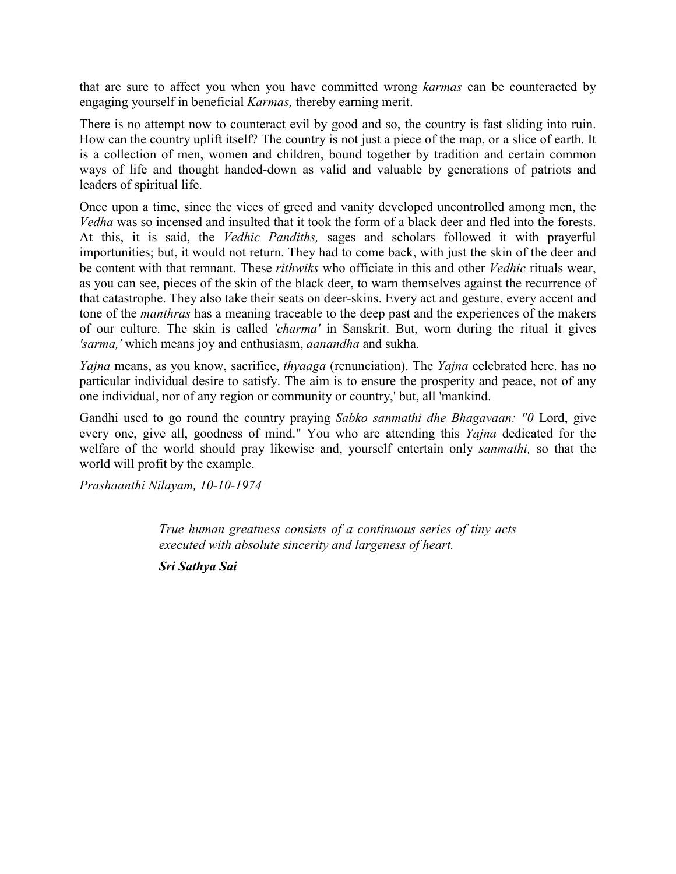that are sure to affect you when you have committed wrong *karmas* can be counteracted by engaging yourself in beneficial *Karmas,* thereby earning merit.

There is no attempt now to counteract evil by good and so, the country is fast sliding into ruin. How can the country uplift itself? The country is not just a piece of the map, or a slice of earth. It is a collection of men, women and children, bound together by tradition and certain common ways of life and thought handed-down as valid and valuable by generations of patriots and leaders of spiritual life.

Once upon a time, since the vices of greed and vanity developed uncontrolled among men, the *Vedha* was so incensed and insulted that it took the form of a black deer and fled into the forests. At this, it is said, the *Vedhic Pandiths,* sages and scholars followed it with prayerful importunities; but, it would not return. They had to come back, with just the skin of the deer and be content with that remnant. These *rithwiks* who officiate in this and other *Vedhic* rituals wear, as you can see, pieces of the skin of the black deer, to warn themselves against the recurrence of that catastrophe. They also take their seats on deer-skins. Every act and gesture, every accent and tone of the *manthras* has a meaning traceable to the deep past and the experiences of the makers of our culture. The skin is called *'charma'* in Sanskrit. But, worn during the ritual it gives *'sarma,'* which means joy and enthusiasm, *aanandha* and sukha.

*Yajna* means, as you know, sacrifice, *thyaaga* (renunciation). The *Yajna* celebrated here. has no particular individual desire to satisfy. The aim is to ensure the prosperity and peace, not of any one individual, nor of any region or community or country,' but, all 'mankind.

Gandhi used to go round the country praying *Sabko sanmathi dhe Bhagavaan: "0* Lord, give every one, give all, goodness of mind." You who are attending this *Yajna* dedicated for the welfare of the world should pray likewise and, yourself entertain only *sanmathi,* so that the world will profit by the example.

*Prashaanthi Nilayam, 10-10-1974*

*True human greatness consists of a continuous series of tiny acts executed with absolute sincerity and largeness of heart.*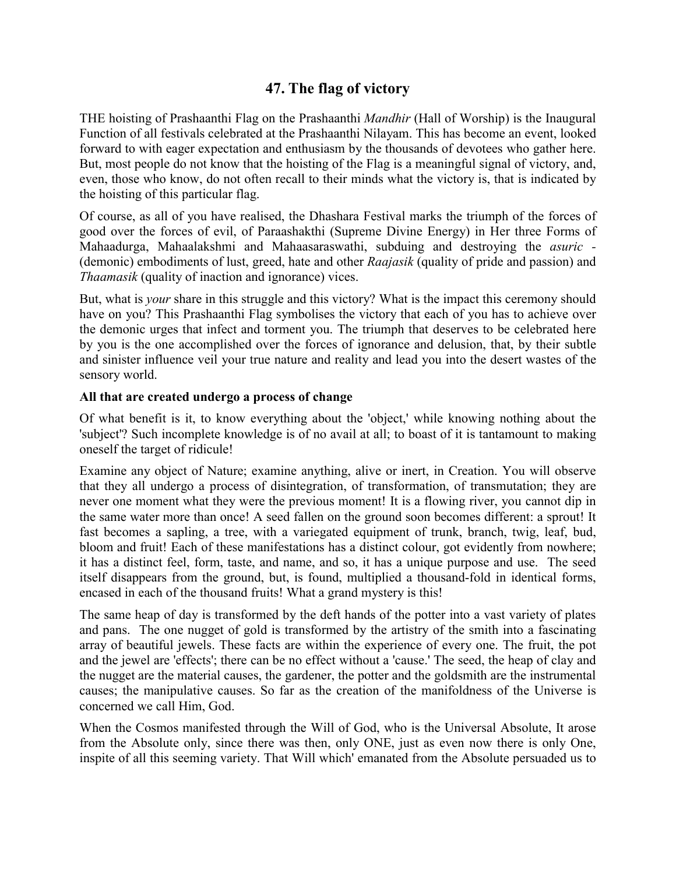# **47. The flag of victory**

THE hoisting of Prashaanthi Flag on the Prashaanthi *Mandhir* (Hall of Worship) is the Inaugural Function of all festivals celebrated at the Prashaanthi Nilayam. This has become an event, looked forward to with eager expectation and enthusiasm by the thousands of devotees who gather here. But, most people do not know that the hoisting of the Flag is a meaningful signal of victory, and, even, those who know, do not often recall to their minds what the victory is, that is indicated by the hoisting of this particular flag.

Of course, as all of you have realised, the Dhashara Festival marks the triumph of the forces of good over the forces of evil, of Paraashakthi (Supreme Divine Energy) in Her three Forms of Mahaadurga, Mahaalakshmi and Mahaasaraswathi, subduing and destroying the *asuric -* (demonic) embodiments of lust, greed, hate and other *Raajasik* (quality of pride and passion) and *Thaamasik* (quality of inaction and ignorance) vices.

But, what is *your* share in this struggle and this victory? What is the impact this ceremony should have on you? This Prashaanthi Flag symbolises the victory that each of you has to achieve over the demonic urges that infect and torment you. The triumph that deserves to be celebrated here by you is the one accomplished over the forces of ignorance and delusion, that, by their subtle and sinister influence veil your true nature and reality and lead you into the desert wastes of the sensory world.

### **All that are created undergo a process of change**

Of what benefit is it, to know everything about the 'object,' while knowing nothing about the 'subject'? Such incomplete knowledge is of no avail at all; to boast of it is tantamount to making oneself the target of ridicule!

Examine any object of Nature; examine anything, alive or inert, in Creation. You will observe that they all undergo a process of disintegration, of transformation, of transmutation; they are never one moment what they were the previous moment! It is a flowing river, you cannot dip in the same water more than once! A seed fallen on the ground soon becomes different: a sprout! It fast becomes a sapling, a tree, with a variegated equipment of trunk, branch, twig, leaf, bud, bloom and fruit! Each of these manifestations has a distinct colour, got evidently from nowhere; it has a distinct feel, form, taste, and name, and so, it has a unique purpose and use. The seed itself disappears from the ground, but, is found, multiplied a thousand-fold in identical forms, encased in each of the thousand fruits! What a grand mystery is this!

The same heap of day is transformed by the deft hands of the potter into a vast variety of plates and pans. The one nugget of gold is transformed by the artistry of the smith into a fascinating array of beautiful jewels. These facts are within the experience of every one. The fruit, the pot and the jewel are 'effects'; there can be no effect without a 'cause.' The seed, the heap of clay and the nugget are the material causes, the gardener, the potter and the goldsmith are the instrumental causes; the manipulative causes. So far as the creation of the manifoldness of the Universe is concerned we call Him, God.

When the Cosmos manifested through the Will of God, who is the Universal Absolute, It arose from the Absolute only, since there was then, only ONE, just as even now there is only One, inspite of all this seeming variety. That Will which' emanated from the Absolute persuaded us to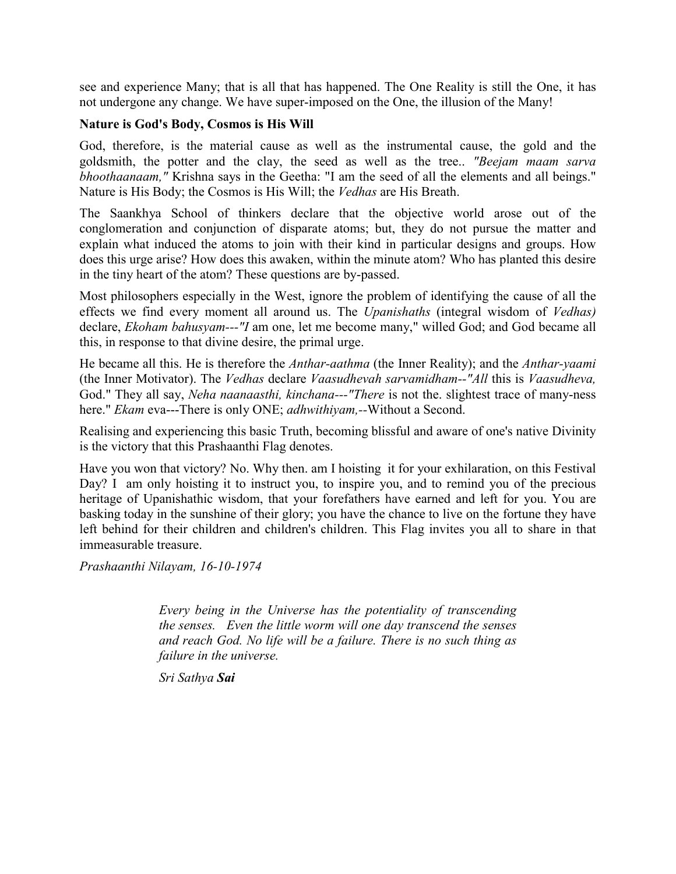see and experience Many; that is all that has happened. The One Reality is still the One, it has not undergone any change. We have super-imposed on the One, the illusion of the Many!

#### **Nature is God's Body, Cosmos is His Will**

God, therefore, is the material cause as well as the instrumental cause, the gold and the goldsmith, the potter and the clay, the seed as well as the tree.. *"Beejam maam sarva bhoothaanaam,"* Krishna says in the Geetha: "I am the seed of all the elements and all beings." Nature is His Body; the Cosmos is His Will; the *Vedhas* are His Breath.

The Saankhya School of thinkers declare that the objective world arose out of the conglomeration and conjunction of disparate atoms; but, they do not pursue the matter and explain what induced the atoms to join with their kind in particular designs and groups. How does this urge arise? How does this awaken, within the minute atom? Who has planted this desire in the tiny heart of the atom? These questions are by-passed.

Most philosophers especially in the West, ignore the problem of identifying the cause of all the effects we find every moment all around us. The *Upanishaths* (integral wisdom of *Vedhas)* declare, *Ekoham bahusyam---"I* am one, let me become many," willed God; and God became all this, in response to that divine desire, the primal urge.

He became all this. He is therefore the *Anthar-aathma* (the Inner Reality); and the *Anthar-yaami* (the Inner Motivator). The *Vedhas* declare *Vaasudhevah sarvamidham--"All* this is *Vaasudheva,* God." They all say, *Neha naanaasthi, kinchana---"There* is not the. slightest trace of many-ness here." *Ekam* eva---There is only ONE; *adhwithiyam,--*Without a Second.

Realising and experiencing this basic Truth, becoming blissful and aware of one's native Divinity is the victory that this Prashaanthi Flag denotes.

Have you won that victory? No. Why then. am I hoisting it for your exhilaration, on this Festival Day? I am only hoisting it to instruct you, to inspire you, and to remind you of the precious heritage of Upanishathic wisdom, that your forefathers have earned and left for you. You are basking today in the sunshine of their glory; you have the chance to live on the fortune they have left behind for their children and children's children. This Flag invites you all to share in that immeasurable treasure.

*Prashaanthi Nilayam, 16-10-1974*

*Every being in the Universe has the potentiality of transcending the senses. Even the little worm will one day transcend the senses and reach God. No life will be a failure. There is no such thing as failure in the universe.*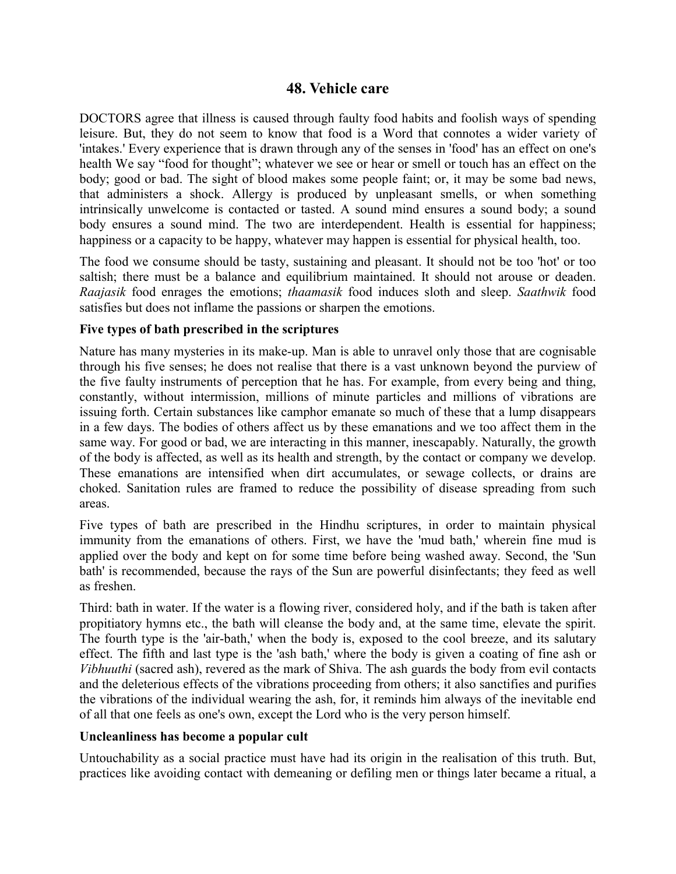## **48. Vehicle care**

DOCTORS agree that illness is caused through faulty food habits and foolish ways of spending leisure. But, they do not seem to know that food is a Word that connotes a wider variety of 'intakes.' Every experience that is drawn through any of the senses in 'food' has an effect on one's health We say "food for thought"; whatever we see or hear or smell or touch has an effect on the body; good or bad. The sight of blood makes some people faint; or, it may be some bad news, that administers a shock. Allergy is produced by unpleasant smells, or when something intrinsically unwelcome is contacted or tasted. A sound mind ensures a sound body; a sound body ensures a sound mind. The two are interdependent. Health is essential for happiness; happiness or a capacity to be happy, whatever may happen is essential for physical health, too.

The food we consume should be tasty, sustaining and pleasant. It should not be too 'hot' or too saltish; there must be a balance and equilibrium maintained. It should not arouse or deaden. *Raajasik* food enrages the emotions; *thaamasik* food induces sloth and sleep. *Saathwik* food satisfies but does not inflame the passions or sharpen the emotions.

#### **Five types of bath prescribed in the scriptures**

Nature has many mysteries in its make-up. Man is able to unravel only those that are cognisable through his five senses; he does not realise that there is a vast unknown beyond the purview of the five faulty instruments of perception that he has. For example, from every being and thing, constantly, without intermission, millions of minute particles and millions of vibrations are issuing forth. Certain substances like camphor emanate so much of these that a lump disappears in a few days. The bodies of others affect us by these emanations and we too affect them in the same way. For good or bad, we are interacting in this manner, inescapably. Naturally, the growth of the body is affected, as well as its health and strength, by the contact or company we develop. These emanations are intensified when dirt accumulates, or sewage collects, or drains are choked. Sanitation rules are framed to reduce the possibility of disease spreading from such areas.

Five types of bath are prescribed in the Hindhu scriptures, in order to maintain physical immunity from the emanations of others. First, we have the 'mud bath,' wherein fine mud is applied over the body and kept on for some time before being washed away. Second, the 'Sun bath' is recommended, because the rays of the Sun are powerful disinfectants; they feed as well as freshen.

Third: bath in water. If the water is a flowing river, considered holy, and if the bath is taken after propitiatory hymns etc., the bath will cleanse the body and, at the same time, elevate the spirit. The fourth type is the 'air-bath,' when the body is, exposed to the cool breeze, and its salutary effect. The fifth and last type is the 'ash bath,' where the body is given a coating of fine ash or *Vibhuuthi* (sacred ash), revered as the mark of Shiva. The ash guards the body from evil contacts and the deleterious effects of the vibrations proceeding from others; it also sanctifies and purifies the vibrations of the individual wearing the ash, for, it reminds him always of the inevitable end of all that one feels as one's own, except the Lord who is the very person himself.

#### **Uncleanliness has become a popular cult**

Untouchability as a social practice must have had its origin in the realisation of this truth. But, practices like avoiding contact with demeaning or defiling men or things later became a ritual, a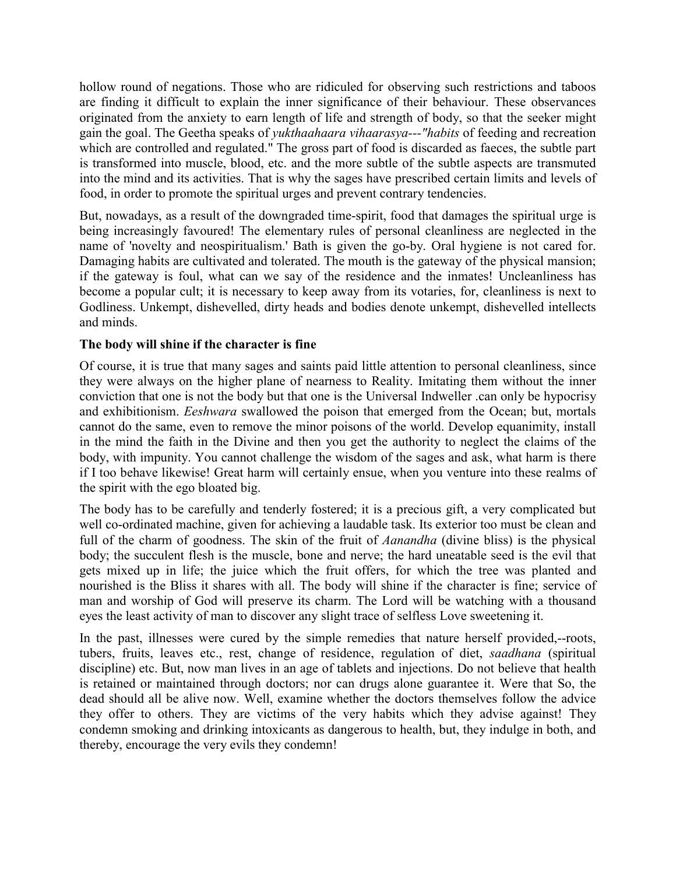hollow round of negations. Those who are ridiculed for observing such restrictions and taboos are finding it difficult to explain the inner significance of their behaviour. These observances originated from the anxiety to earn length of life and strength of body, so that the seeker might gain the goal. The Geetha speaks of *yukthaahaara vihaarasya---"habits* of feeding and recreation which are controlled and regulated." The gross part of food is discarded as faeces, the subtle part is transformed into muscle, blood, etc. and the more subtle of the subtle aspects are transmuted into the mind and its activities. That is why the sages have prescribed certain limits and levels of food, in order to promote the spiritual urges and prevent contrary tendencies.

But, nowadays, as a result of the downgraded time-spirit, food that damages the spiritual urge is being increasingly favoured! The elementary rules of personal cleanliness are neglected in the name of 'novelty and neospiritualism.' Bath is given the go-by. Oral hygiene is not cared for. Damaging habits are cultivated and tolerated. The mouth is the gateway of the physical mansion; if the gateway is foul, what can we say of the residence and the inmates! Uncleanliness has become a popular cult; it is necessary to keep away from its votaries, for, cleanliness is next to Godliness. Unkempt, dishevelled, dirty heads and bodies denote unkempt, dishevelled intellects and minds.

## **The body will shine if the character is fine**

Of course, it is true that many sages and saints paid little attention to personal cleanliness, since they were always on the higher plane of nearness to Reality. Imitating them without the inner conviction that one is not the body but that one is the Universal Indweller .can only be hypocrisy and exhibitionism. *Eeshwara* swallowed the poison that emerged from the Ocean; but, mortals cannot do the same, even to remove the minor poisons of the world. Develop equanimity, install in the mind the faith in the Divine and then you get the authority to neglect the claims of the body, with impunity. You cannot challenge the wisdom of the sages and ask, what harm is there if I too behave likewise! Great harm will certainly ensue, when you venture into these realms of the spirit with the ego bloated big.

The body has to be carefully and tenderly fostered; it is a precious gift, a very complicated but well co-ordinated machine, given for achieving a laudable task. Its exterior too must be clean and full of the charm of goodness. The skin of the fruit of *Aanandha* (divine bliss) is the physical body; the succulent flesh is the muscle, bone and nerve; the hard uneatable seed is the evil that gets mixed up in life; the juice which the fruit offers, for which the tree was planted and nourished is the Bliss it shares with all. The body will shine if the character is fine; service of man and worship of God will preserve its charm. The Lord will be watching with a thousand eyes the least activity of man to discover any slight trace of selfless Love sweetening it.

In the past, illnesses were cured by the simple remedies that nature herself provided,--roots, tubers, fruits, leaves etc., rest, change of residence, regulation of diet, *saadhana* (spiritual discipline) etc. But, now man lives in an age of tablets and injections. Do not believe that health is retained or maintained through doctors; nor can drugs alone guarantee it. Were that So, the dead should all be alive now. Well, examine whether the doctors themselves follow the advice they offer to others. They are victims of the very habits which they advise against! They condemn smoking and drinking intoxicants as dangerous to health, but, they indulge in both, and thereby, encourage the very evils they condemn!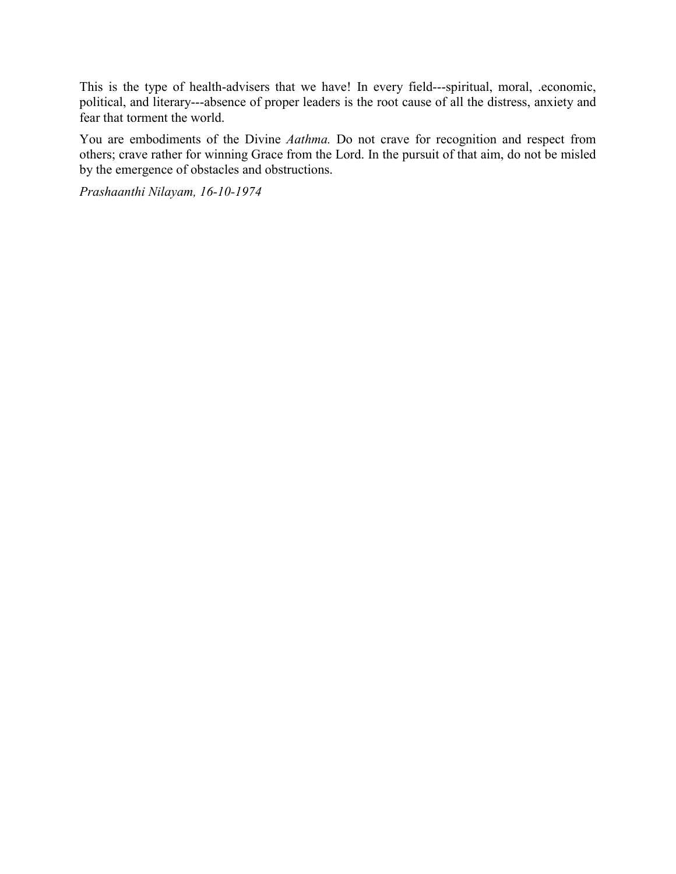This is the type of health-advisers that we have! In every field---spiritual, moral, .economic, political, and literary---absence of proper leaders is the root cause of all the distress, anxiety and fear that torment the world.

You are embodiments of the Divine *Aathma.* Do not crave for recognition and respect from others; crave rather for winning Grace from the Lord. In the pursuit of that aim, do not be misled by the emergence of obstacles and obstructions.

*Prashaanthi Nilayam, 16-10-1974*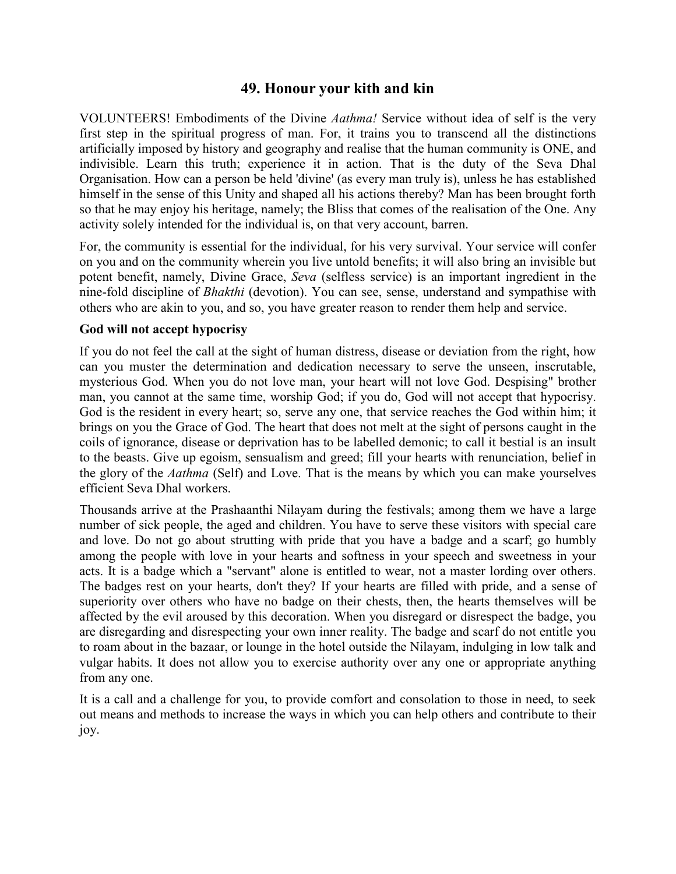# **49. Honour your kith and kin**

VOLUNTEERS! Embodiments of the Divine *Aathma!* Service without idea of self is the very first step in the spiritual progress of man. For, it trains you to transcend all the distinctions artificially imposed by history and geography and realise that the human community is ONE, and indivisible. Learn this truth; experience it in action. That is the duty of the Seva Dhal Organisation. How can a person be held 'divine' (as every man truly is), unless he has established himself in the sense of this Unity and shaped all his actions thereby? Man has been brought forth so that he may enjoy his heritage, namely; the Bliss that comes of the realisation of the One. Any activity solely intended for the individual is, on that very account, barren.

For, the community is essential for the individual, for his very survival. Your service will confer on you and on the community wherein you live untold benefits; it will also bring an invisible but potent benefit, namely, Divine Grace, *Seva* (selfless service) is an important ingredient in the nine-fold discipline of *Bhakthi* (devotion). You can see, sense, understand and sympathise with others who are akin to you, and so, you have greater reason to render them help and service.

#### **God will not accept hypocrisy**

If you do not feel the call at the sight of human distress, disease or deviation from the right, how can you muster the determination and dedication necessary to serve the unseen, inscrutable, mysterious God. When you do not love man, your heart will not love God. Despising" brother man, you cannot at the same time, worship God; if you do, God will not accept that hypocrisy. God is the resident in every heart; so, serve any one, that service reaches the God within him; it brings on you the Grace of God. The heart that does not melt at the sight of persons caught in the coils of ignorance, disease or deprivation has to be labelled demonic; to call it bestial is an insult to the beasts. Give up egoism, sensualism and greed; fill your hearts with renunciation, belief in the glory of the *Aathma* (Self) and Love. That is the means by which you can make yourselves efficient Seva Dhal workers.

Thousands arrive at the Prashaanthi Nilayam during the festivals; among them we have a large number of sick people, the aged and children. You have to serve these visitors with special care and love. Do not go about strutting with pride that you have a badge and a scarf; go humbly among the people with love in your hearts and softness in your speech and sweetness in your acts. It is a badge which a "servant" alone is entitled to wear, not a master lording over others. The badges rest on your hearts, don't they? If your hearts are filled with pride, and a sense of superiority over others who have no badge on their chests, then, the hearts themselves will be affected by the evil aroused by this decoration. When you disregard or disrespect the badge, you are disregarding and disrespecting your own inner reality. The badge and scarf do not entitle you to roam about in the bazaar, or lounge in the hotel outside the Nilayam, indulging in low talk and vulgar habits. It does not allow you to exercise authority over any one or appropriate anything from any one.

It is a call and a challenge for you, to provide comfort and consolation to those in need, to seek out means and methods to increase the ways in which you can help others and contribute to their joy.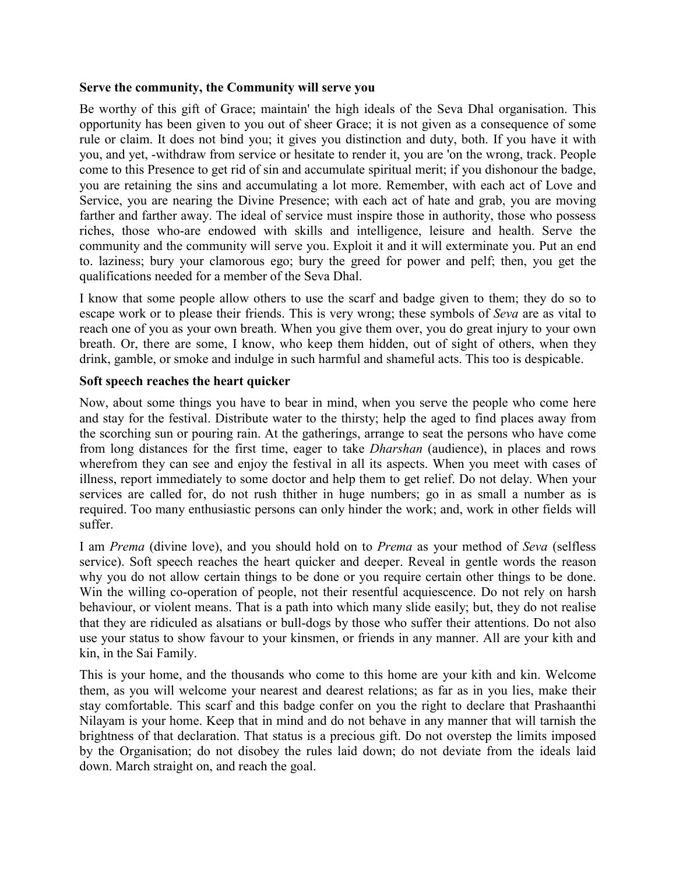#### **Serve the community, the Community will serve you**

Be worthy of this gift of Grace; maintain' the high ideals of the Seva Dhal organisation. This opportunity has been given to you out of sheer Grace; it is not given as a consequence of some rule or claim. It does not bind you; it gives you distinction and duty, both. If you have it with you, and yet, -withdraw from service or hesitate to render it, you are 'on the wrong, track. People come to this Presence to get rid of sin and accumulate spiritual merit; if you dishonour the badge, you are retaining the sins and accumulating a lot more. Remember, with each act of Love and Service, you are nearing the Divine Presence; with each act of hate and grab, you are moving farther and farther away. The ideal of service must inspire those in authority, those who possess riches, those who-are endowed with skills and intelligence, leisure and health. Serve the community and the community will serve you. Exploit it and it will exterminate you. Put an end to. laziness; bury your clamorous ego; bury the greed for power and pelf; then, you get the qualifications needed for a member of the Seva Dhal.

I know that some people allow others to use the scarf and badge given to them; they do so to escape work or to please their friends. This is very wrong; these symbols of *Seva* are as vital to reach one of you as your own breath. When you give them over, you do great injury to your own breath. Or, there are some, I know, who keep them hidden, out of sight of others, when they drink, gamble, or smoke and indulge in such harmful and shameful acts. This too is despicable.

### **Soft speech reaches the heart quicker**

Now, about some things you have to bear in mind, when you serve the people who come here and stay for the festival. Distribute water to the thirsty; help the aged to find places away from the scorching sun or pouring rain. At the gatherings, arrange to seat the persons who have come from long distances for the first time, eager to take *Dharshan* (audience), in places and rows wherefrom they can see and enjoy the festival in all its aspects. When you meet with cases of illness, report immediately to some doctor and help them to get relief. Do not delay. When your services are called for, do not rush thither in huge numbers; go in as small a number as is required. Too many enthusiastic persons can only hinder the work; and, work in other fields will suffer.

I am *Prema* (divine love), and you should hold on to *Prema* as your method of *Seva* (selfless service). Soft speech reaches the heart quicker and deeper. Reveal in gentle words the reason why you do not allow certain things to be done or you require certain other things to be done. Win the willing co-operation of people, not their resentful acquiescence. Do not rely on harsh behaviour, or violent means. That is a path into which many slide easily; but, they do not realise that they are ridiculed as alsatians or bull-dogs by those who suffer their attentions. Do not also use your status to show favour to your kinsmen, or friends in any manner. All are your kith and kin, in the Sai Family.

This is your home, and the thousands who come to this home are your kith and kin. Welcome them, as you will welcome your nearest and dearest relations; as far as in you lies, make their stay comfortable. This scarf and this badge confer on you the right to declare that Prashaanthi Nilayam is your home. Keep that in mind and do not behave in any manner that will tarnish the brightness of that declaration. That status is a precious gift. Do not overstep the limits imposed by the Organisation; do not disobey the rules laid down; do not deviate from the ideals laid down. March straight on, and reach the goal.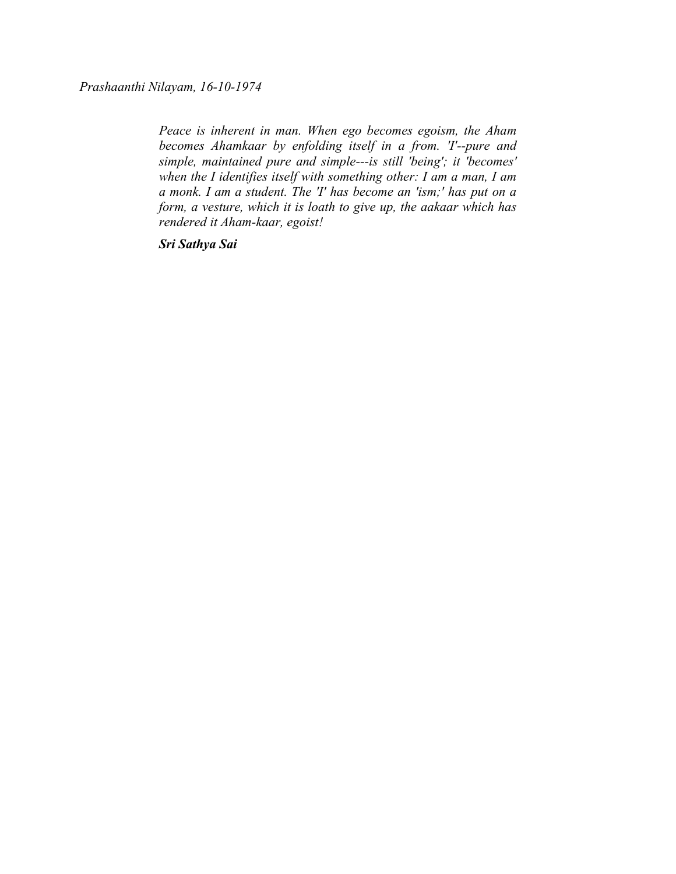*Prashaanthi Nilayam, 16-10-1974*

*Peace is inherent in man. When ego becomes egoism, the Aham becomes Ahamkaar by enfolding itself in a from. 'I'--pure and simple, maintained pure and simple---is still 'being'; it 'becomes' when the I identifies itself with something other: I am a man, I am a monk. I am a student. The 'I' has become an 'ism;' has put on a form, a vesture, which it is loath to give up, the aakaar which has rendered it Aham-kaar, egoist!*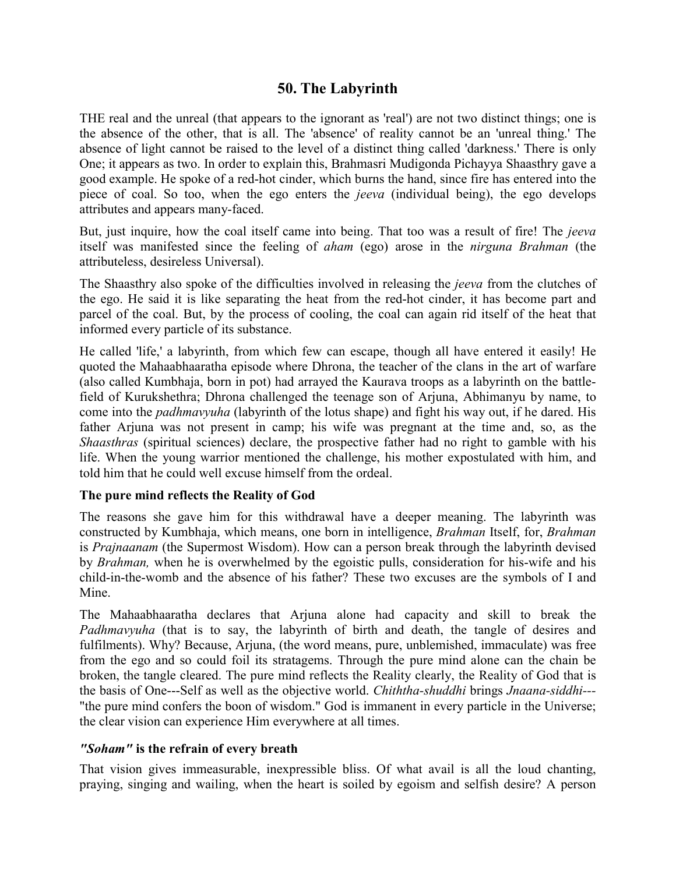# **50. The Labyrinth**

THE real and the unreal (that appears to the ignorant as 'real') are not two distinct things; one is the absence of the other, that is all. The 'absence' of reality cannot be an 'unreal thing.' The absence of light cannot be raised to the level of a distinct thing called 'darkness.' There is only One; it appears as two. In order to explain this, Brahmasri Mudigonda Pichayya Shaasthry gave a good example. He spoke of a red-hot cinder, which burns the hand, since fire has entered into the piece of coal. So too, when the ego enters the *jeeva* (individual being), the ego develops attributes and appears many-faced.

But, just inquire, how the coal itself came into being. That too was a result of fire! The *jeeva* itself was manifested since the feeling of *aham* (ego) arose in the *nirguna Brahman* (the attributeless, desireless Universal).

The Shaasthry also spoke of the difficulties involved in releasing the *jeeva* from the clutches of the ego. He said it is like separating the heat from the red-hot cinder, it has become part and parcel of the coal. But, by the process of cooling, the coal can again rid itself of the heat that informed every particle of its substance.

He called 'life,' a labyrinth, from which few can escape, though all have entered it easily! He quoted the Mahaabhaaratha episode where Dhrona, the teacher of the clans in the art of warfare (also called Kumbhaja, born in pot) had arrayed the Kaurava troops as a labyrinth on the battlefield of Kurukshethra; Dhrona challenged the teenage son of Arjuna, Abhimanyu by name, to come into the *padhmavyuha* (labyrinth of the lotus shape) and fight his way out, if he dared. His father Arjuna was not present in camp; his wife was pregnant at the time and, so, as the *Shaasthras* (spiritual sciences) declare, the prospective father had no right to gamble with his life. When the young warrior mentioned the challenge, his mother expostulated with him, and told him that he could well excuse himself from the ordeal.

## **The pure mind reflects the Reality of God**

The reasons she gave him for this withdrawal have a deeper meaning. The labyrinth was constructed by Kumbhaja, which means, one born in intelligence, *Brahman* Itself, for, *Brahman* is *Prajnaanam* (the Supermost Wisdom). How can a person break through the labyrinth devised by *Brahman,* when he is overwhelmed by the egoistic pulls, consideration for his-wife and his child-in-the-womb and the absence of his father? These two excuses are the symbols of I and Mine.

The Mahaabhaaratha declares that Arjuna alone had capacity and skill to break the *Padhmavyuha* (that is to say, the labyrinth of birth and death, the tangle of desires and fulfilments). Why? Because, Arjuna, (the word means, pure, unblemished, immaculate) was free from the ego and so could foil its stratagems. Through the pure mind alone can the chain be broken, the tangle cleared. The pure mind reflects the Reality clearly, the Reality of God that is the basis of One---Self as well as the objective world. *Chiththa-shuddhi* brings *Jnaana-siddhi---* "the pure mind confers the boon of wisdom." God is immanent in every particle in the Universe; the clear vision can experience Him everywhere at all times.

## *"Soham"* **is the refrain of every breath**

That vision gives immeasurable, inexpressible bliss. Of what avail is all the loud chanting, praying, singing and wailing, when the heart is soiled by egoism and selfish desire? A person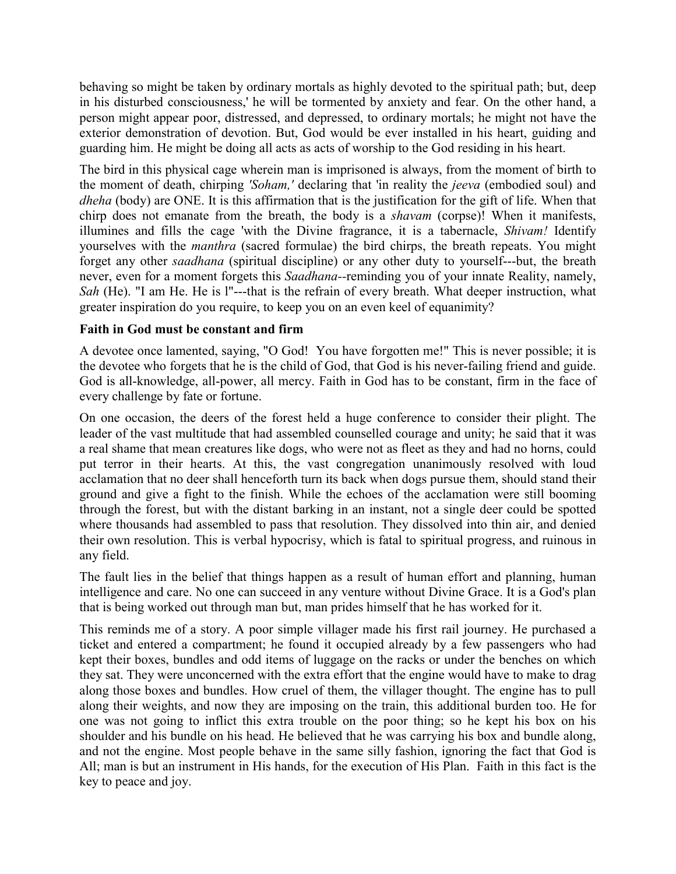behaving so might be taken by ordinary mortals as highly devoted to the spiritual path; but, deep in his disturbed consciousness,' he will be tormented by anxiety and fear. On the other hand, a person might appear poor, distressed, and depressed, to ordinary mortals; he might not have the exterior demonstration of devotion. But, God would be ever installed in his heart, guiding and guarding him. He might be doing all acts as acts of worship to the God residing in his heart.

The bird in this physical cage wherein man is imprisoned is always, from the moment of birth to the moment of death, chirping *'Soham,'* declaring that 'in reality the *jeeva* (embodied soul) and *dheha* (body) are ONE. It is this affirmation that is the justification for the gift of life. When that chirp does not emanate from the breath, the body is a *shavam* (corpse)! When it manifests, illumines and fills the cage 'with the Divine fragrance, it is a tabernacle, *Shivam!* Identify yourselves with the *manthra* (sacred formulae) the bird chirps, the breath repeats. You might forget any other *saadhana* (spiritual discipline) or any other duty to yourself---but, the breath never, even for a moment forgets this *Saadhana--*reminding you of your innate Reality, namely, *Sah* (He). "I am He. He is l"---that is the refrain of every breath. What deeper instruction, what greater inspiration do you require, to keep you on an even keel of equanimity?

## **Faith in God must be constant and firm**

A devotee once lamented, saying, "O God! You have forgotten me!" This is never possible; it is the devotee who forgets that he is the child of God, that God is his never-failing friend and guide. God is all-knowledge, all-power, all mercy. Faith in God has to be constant, firm in the face of every challenge by fate or fortune.

On one occasion, the deers of the forest held a huge conference to consider their plight. The leader of the vast multitude that had assembled counselled courage and unity; he said that it was a real shame that mean creatures like dogs, who were not as fleet as they and had no horns, could put terror in their hearts. At this, the vast congregation unanimously resolved with loud acclamation that no deer shall henceforth turn its back when dogs pursue them, should stand their ground and give a fight to the finish. While the echoes of the acclamation were still booming through the forest, but with the distant barking in an instant, not a single deer could be spotted where thousands had assembled to pass that resolution. They dissolved into thin air, and denied their own resolution. This is verbal hypocrisy, which is fatal to spiritual progress, and ruinous in any field.

The fault lies in the belief that things happen as a result of human effort and planning, human intelligence and care. No one can succeed in any venture without Divine Grace. It is a God's plan that is being worked out through man but, man prides himself that he has worked for it.

This reminds me of a story. A poor simple villager made his first rail journey. He purchased a ticket and entered a compartment; he found it occupied already by a few passengers who had kept their boxes, bundles and odd items of luggage on the racks or under the benches on which they sat. They were unconcerned with the extra effort that the engine would have to make to drag along those boxes and bundles. How cruel of them, the villager thought. The engine has to pull along their weights, and now they are imposing on the train, this additional burden too. He for one was not going to inflict this extra trouble on the poor thing; so he kept his box on his shoulder and his bundle on his head. He believed that he was carrying his box and bundle along, and not the engine. Most people behave in the same silly fashion, ignoring the fact that God is All; man is but an instrument in His hands, for the execution of His Plan. Faith in this fact is the key to peace and joy.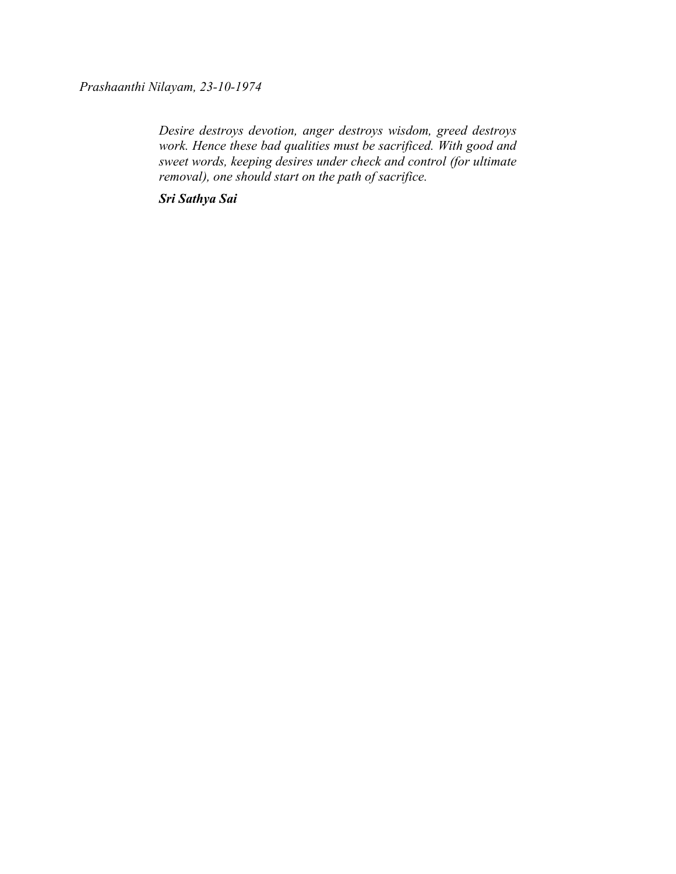*Prashaanthi Nilayam, 23-10-1974*

*Desire destroys devotion, anger destroys wisdom, greed destroys work. Hence these bad qualities must be sacrificed. With good and sweet words, keeping desires under check and control (for ultimate removal), one should start on the path of sacrifice.*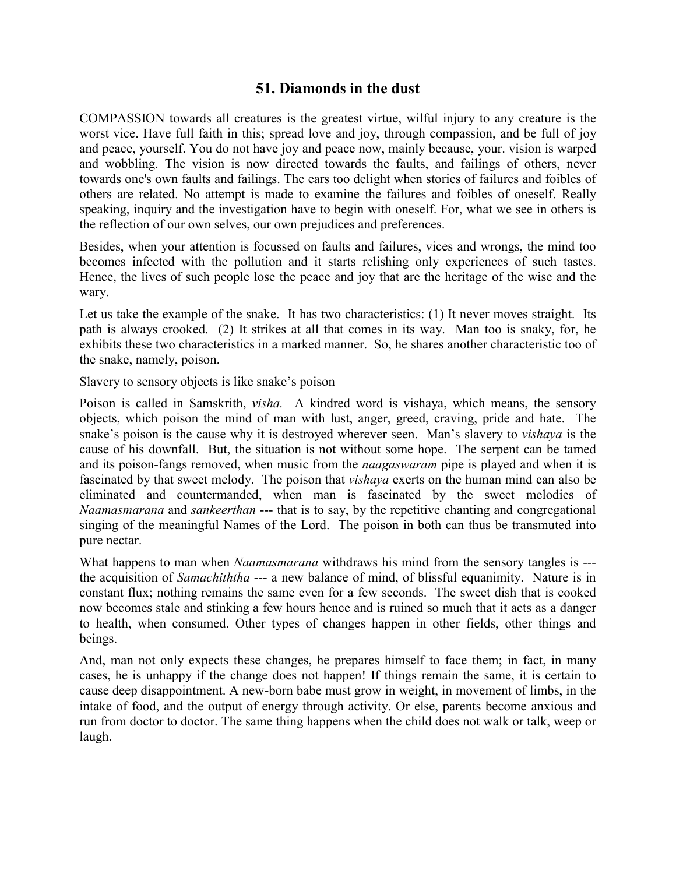# **51. Diamonds in the dust**

COMPASSION towards all creatures is the greatest virtue, wilful injury to any creature is the worst vice. Have full faith in this; spread love and joy, through compassion, and be full of joy and peace, yourself. You do not have joy and peace now, mainly because, your. vision is warped and wobbling. The vision is now directed towards the faults, and failings of others, never towards one's own faults and failings. The ears too delight when stories of failures and foibles of others are related. No attempt is made to examine the failures and foibles of oneself. Really speaking, inquiry and the investigation have to begin with oneself. For, what we see in others is the reflection of our own selves, our own prejudices and preferences.

Besides, when your attention is focussed on faults and failures, vices and wrongs, the mind too becomes infected with the pollution and it starts relishing only experiences of such tastes. Hence, the lives of such people lose the peace and joy that are the heritage of the wise and the wary.

Let us take the example of the snake. It has two characteristics: (1) It never moves straight. Its path is always crooked. (2) It strikes at all that comes in its way. Man too is snaky, for, he exhibits these two characteristics in a marked manner. So, he shares another characteristic too of the snake, namely, poison.

Slavery to sensory objects is like snake's poison

Poison is called in Samskrith, *visha.* A kindred word is vishaya, which means, the sensory objects, which poison the mind of man with lust, anger, greed, craving, pride and hate. The snake's poison is the cause why it is destroyed wherever seen. Man's slavery to *vishaya* is the cause of his downfall. But, the situation is not without some hope. The serpent can be tamed and its poison-fangs removed, when music from the *naagaswaram* pipe is played and when it is fascinated by that sweet melody. The poison that *vishaya* exerts on the human mind can also be eliminated and countermanded, when man is fascinated by the sweet melodies of *Naamasmarana* and *sankeerthan* --- that is to say, by the repetitive chanting and congregational singing of the meaningful Names of the Lord. The poison in both can thus be transmuted into pure nectar.

What happens to man when *Naamasmarana* withdraws his mind from the sensory tangles is -- the acquisition of *Samachiththa* --- a new balance of mind, of blissful equanimity. Nature is in constant flux; nothing remains the same even for a few seconds. The sweet dish that is cooked now becomes stale and stinking a few hours hence and is ruined so much that it acts as a danger to health, when consumed. Other types of changes happen in other fields, other things and beings.

And, man not only expects these changes, he prepares himself to face them; in fact, in many cases, he is unhappy if the change does not happen! If things remain the same, it is certain to cause deep disappointment. A new-born babe must grow in weight, in movement of limbs, in the intake of food, and the output of energy through activity. Or else, parents become anxious and run from doctor to doctor. The same thing happens when the child does not walk or talk, weep or laugh.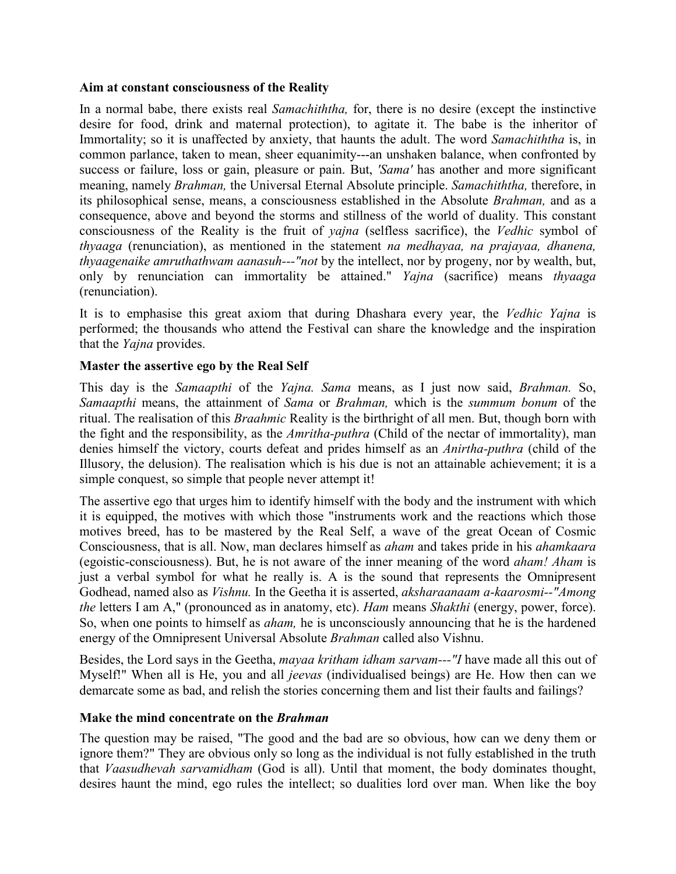#### **Aim at constant consciousness of the Reality**

In a normal babe, there exists real *Samachiththa,* for, there is no desire (except the instinctive desire for food, drink and maternal protection), to agitate it. The babe is the inheritor of Immortality; so it is unaffected by anxiety, that haunts the adult. The word *Samachiththa* is, in common parlance, taken to mean, sheer equanimity---an unshaken balance, when confronted by success or failure, loss or gain, pleasure or pain. But, *'Sama'* has another and more significant meaning, namely *Brahman,* the Universal Eternal Absolute principle. *Samachiththa,* therefore, in its philosophical sense, means, a consciousness established in the Absolute *Brahman,* and as a consequence, above and beyond the storms and stillness of the world of duality. This constant consciousness of the Reality is the fruit of *yajna* (selfless sacrifice), the *Vedhic* symbol of *thyaaga* (renunciation), as mentioned in the statement *na medhayaa, na prajayaa, dhanena, thyaagenaike amruthathwam aanasuh---"not* by the intellect, nor by progeny, nor by wealth, but, only by renunciation can immortality be attained." *Yajna* (sacrifice) means *thyaaga* (renunciation).

It is to emphasise this great axiom that during Dhashara every year, the *Vedhic Yajna* is performed; the thousands who attend the Festival can share the knowledge and the inspiration that the *Yajna* provides.

## **Master the assertive ego by the Real Self**

This day is the *Samaapthi* of the *Yajna. Sama* means, as I just now said, *Brahman.* So, *Samaapthi* means, the attainment of *Sama* or *Brahman,* which is the *summum bonum* of the ritual. The realisation of this *Braahmic* Reality is the birthright of all men. But, though born with the fight and the responsibility, as the *Amritha-puthra* (Child of the nectar of immortality), man denies himself the victory, courts defeat and prides himself as an *Anirtha-puthra* (child of the Illusory, the delusion). The realisation which is his due is not an attainable achievement; it is a simple conquest, so simple that people never attempt it!

The assertive ego that urges him to identify himself with the body and the instrument with which it is equipped, the motives with which those "instruments work and the reactions which those motives breed, has to be mastered by the Real Self, a wave of the great Ocean of Cosmic Consciousness, that is all. Now, man declares himself as *aham* and takes pride in his *ahamkaara* (egoistic-consciousness). But, he is not aware of the inner meaning of the word *aham! Aham* is just a verbal symbol for what he really is. A is the sound that represents the Omnipresent Godhead, named also as *Vishnu.* In the Geetha it is asserted, *aksharaanaam a-kaarosmi--"Among the* letters I am A," (pronounced as in anatomy, etc). *Ham* means *Shakthi* (energy, power, force). So, when one points to himself as *aham,* he is unconsciously announcing that he is the hardened energy of the Omnipresent Universal Absolute *Brahman* called also Vishnu.

Besides, the Lord says in the Geetha, *mayaa kritham idham sarvam---"I* have made all this out of Myself!" When all is He, you and all *jeevas* (individualised beings) are He. How then can we demarcate some as bad, and relish the stories concerning them and list their faults and failings?

## **Make the mind concentrate on the** *Brahman*

The question may be raised, "The good and the bad are so obvious, how can we deny them or ignore them?" They are obvious only so long as the individual is not fully established in the truth that *Vaasudhevah sarvamidham* (God is all). Until that moment, the body dominates thought, desires haunt the mind, ego rules the intellect; so dualities lord over man. When like the boy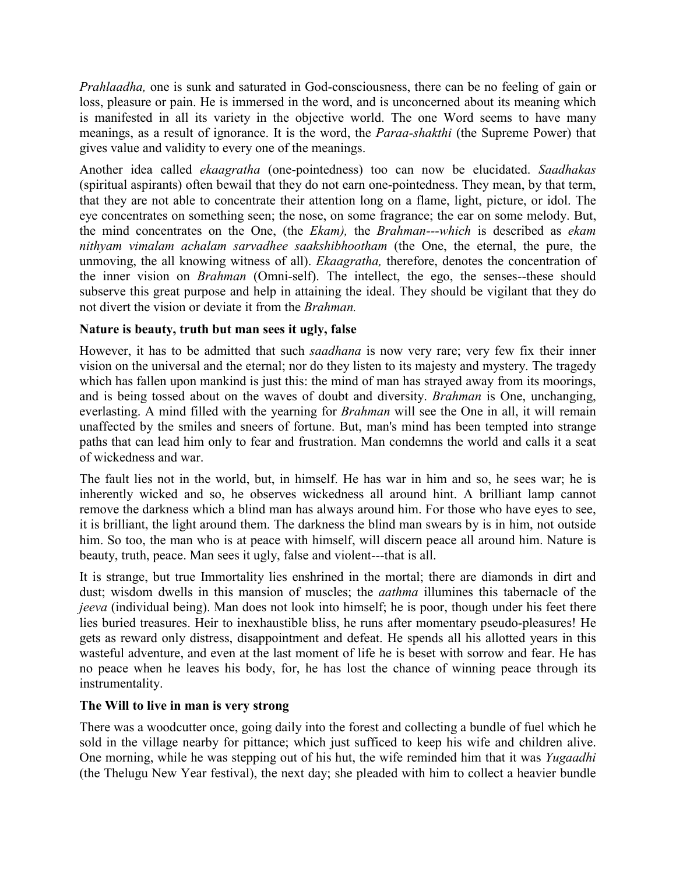*Prahlaadha,* one is sunk and saturated in God-consciousness, there can be no feeling of gain or loss, pleasure or pain. He is immersed in the word, and is unconcerned about its meaning which is manifested in all its variety in the objective world. The one Word seems to have many meanings, as a result of ignorance. It is the word, the *Paraa-shakthi* (the Supreme Power) that gives value and validity to every one of the meanings.

Another idea called *ekaagratha* (one-pointedness) too can now be elucidated. *Saadhakas* (spiritual aspirants) often bewail that they do not earn one-pointedness. They mean, by that term, that they are not able to concentrate their attention long on a flame, light, picture, or idol. The eye concentrates on something seen; the nose, on some fragrance; the ear on some melody. But, the mind concentrates on the One, (the *Ekam),* the *Brahman---which* is described as *ekam nithyam vimalam achalam sarvadhee saakshibhootham* (the One, the eternal, the pure, the unmoving, the all knowing witness of all). *Ekaagratha,* therefore, denotes the concentration of the inner vision on *Brahman* (Omni-self). The intellect, the ego, the senses--these should subserve this great purpose and help in attaining the ideal. They should be vigilant that they do not divert the vision or deviate it from the *Brahman.*

## **Nature is beauty, truth but man sees it ugly, false**

However, it has to be admitted that such *saadhana* is now very rare; very few fix their inner vision on the universal and the eternal; nor do they listen to its majesty and mystery. The tragedy which has fallen upon mankind is just this: the mind of man has strayed away from its moorings, and is being tossed about on the waves of doubt and diversity. *Brahman* is One, unchanging, everlasting. A mind filled with the yearning for *Brahman* will see the One in all, it will remain unaffected by the smiles and sneers of fortune. But, man's mind has been tempted into strange paths that can lead him only to fear and frustration. Man condemns the world and calls it a seat of wickedness and war.

The fault lies not in the world, but, in himself. He has war in him and so, he sees war; he is inherently wicked and so, he observes wickedness all around hint. A brilliant lamp cannot remove the darkness which a blind man has always around him. For those who have eyes to see, it is brilliant, the light around them. The darkness the blind man swears by is in him, not outside him. So too, the man who is at peace with himself, will discern peace all around him. Nature is beauty, truth, peace. Man sees it ugly, false and violent---that is all.

It is strange, but true Immortality lies enshrined in the mortal; there are diamonds in dirt and dust; wisdom dwells in this mansion of muscles; the *aathma* illumines this tabernacle of the *jeeva* (individual being). Man does not look into himself; he is poor, though under his feet there lies buried treasures. Heir to inexhaustible bliss, he runs after momentary pseudo-pleasures! He gets as reward only distress, disappointment and defeat. He spends all his allotted years in this wasteful adventure, and even at the last moment of life he is beset with sorrow and fear. He has no peace when he leaves his body, for, he has lost the chance of winning peace through its instrumentality.

#### **The Will to live in man is very strong**

There was a woodcutter once, going daily into the forest and collecting a bundle of fuel which he sold in the village nearby for pittance; which just sufficed to keep his wife and children alive. One morning, while he was stepping out of his hut, the wife reminded him that it was *Yugaadhi* (the Thelugu New Year festival), the next day; she pleaded with him to collect a heavier bundle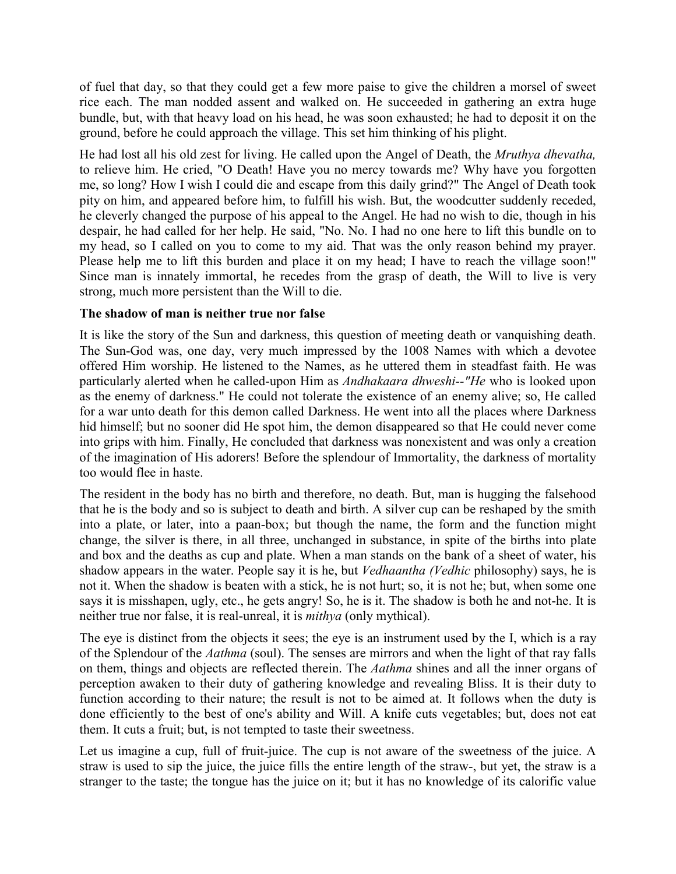of fuel that day, so that they could get a few more paise to give the children a morsel of sweet rice each. The man nodded assent and walked on. He succeeded in gathering an extra huge bundle, but, with that heavy load on his head, he was soon exhausted; he had to deposit it on the ground, before he could approach the village. This set him thinking of his plight.

He had lost all his old zest for living. He called upon the Angel of Death, the *Mruthya dhevatha,* to relieve him. He cried, "O Death! Have you no mercy towards me? Why have you forgotten me, so long? How I wish I could die and escape from this daily grind?" The Angel of Death took pity on him, and appeared before him, to fulfill his wish. But, the woodcutter suddenly receded, he cleverly changed the purpose of his appeal to the Angel. He had no wish to die, though in his despair, he had called for her help. He said, "No. No. I had no one here to lift this bundle on to my head, so I called on you to come to my aid. That was the only reason behind my prayer. Please help me to lift this burden and place it on my head; I have to reach the village soon!" Since man is innately immortal, he recedes from the grasp of death, the Will to live is very strong, much more persistent than the Will to die.

## **The shadow of man is neither true nor false**

It is like the story of the Sun and darkness, this question of meeting death or vanquishing death. The Sun-God was, one day, very much impressed by the 1008 Names with which a devotee offered Him worship. He listened to the Names, as he uttered them in steadfast faith. He was particularly alerted when he called-upon Him as *Andhakaara dhweshi--"He* who is looked upon as the enemy of darkness." He could not tolerate the existence of an enemy alive; so, He called for a war unto death for this demon called Darkness. He went into all the places where Darkness hid himself; but no sooner did He spot him, the demon disappeared so that He could never come into grips with him. Finally, He concluded that darkness was nonexistent and was only a creation of the imagination of His adorers! Before the splendour of Immortality, the darkness of mortality too would flee in haste.

The resident in the body has no birth and therefore, no death. But, man is hugging the falsehood that he is the body and so is subject to death and birth. A silver cup can be reshaped by the smith into a plate, or later, into a paan-box; but though the name, the form and the function might change, the silver is there, in all three, unchanged in substance, in spite of the births into plate and box and the deaths as cup and plate. When a man stands on the bank of a sheet of water, his shadow appears in the water. People say it is he, but *Vedhaantha (Vedhic* philosophy) says, he is not it. When the shadow is beaten with a stick, he is not hurt; so, it is not he; but, when some one says it is misshapen, ugly, etc., he gets angry! So, he is it. The shadow is both he and not-he. It is neither true nor false, it is real-unreal, it is *mithya* (only mythical).

The eye is distinct from the objects it sees; the eye is an instrument used by the I, which is a ray of the Splendour of the *Aathma* (soul). The senses are mirrors and when the light of that ray falls on them, things and objects are reflected therein. The *Aathma* shines and all the inner organs of perception awaken to their duty of gathering knowledge and revealing Bliss. It is their duty to function according to their nature; the result is not to be aimed at. It follows when the duty is done efficiently to the best of one's ability and Will. A knife cuts vegetables; but, does not eat them. It cuts a fruit; but, is not tempted to taste their sweetness.

Let us imagine a cup, full of fruit-juice. The cup is not aware of the sweetness of the juice. A straw is used to sip the juice, the juice fills the entire length of the straw-, but yet, the straw is a stranger to the taste; the tongue has the juice on it; but it has no knowledge of its calorific value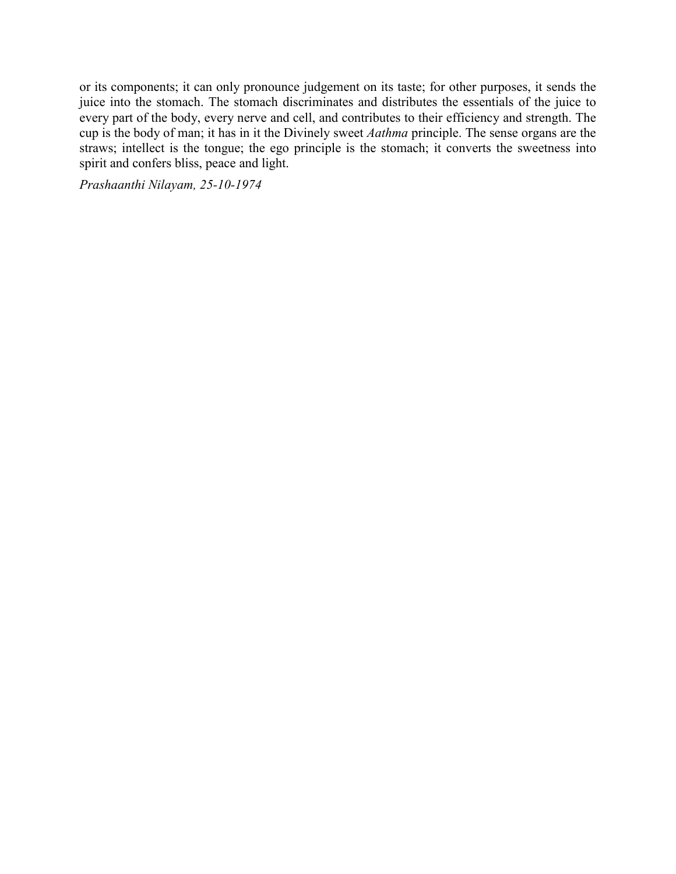or its components; it can only pronounce judgement on its taste; for other purposes, it sends the juice into the stomach. The stomach discriminates and distributes the essentials of the juice to every part of the body, every nerve and cell, and contributes to their efficiency and strength. The cup is the body of man; it has in it the Divinely sweet *Aathma* principle. The sense organs are the straws; intellect is the tongue; the ego principle is the stomach; it converts the sweetness into spirit and confers bliss, peace and light.

*Prashaanthi Nilayam, 25-10-1974*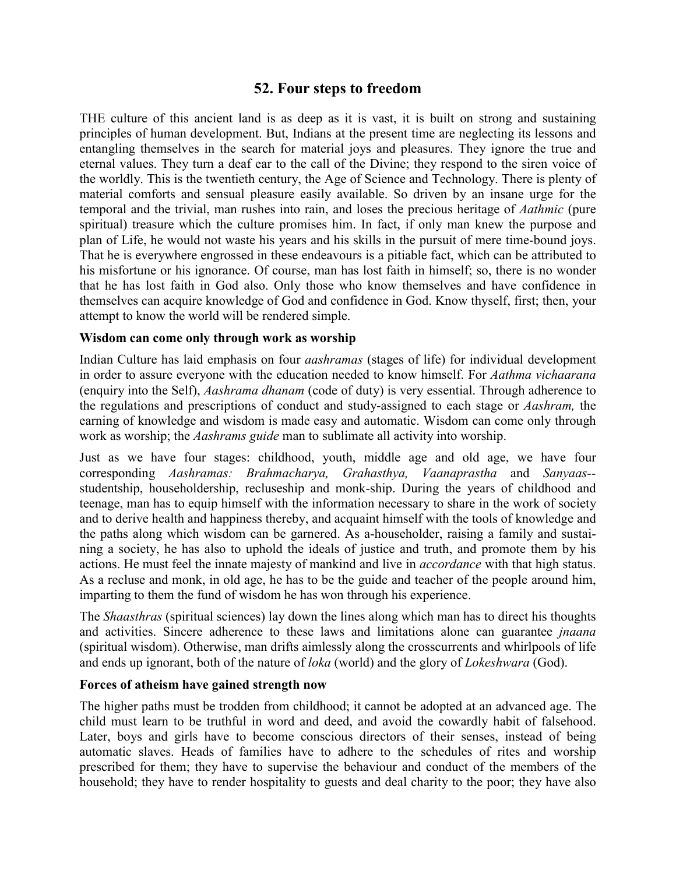# **52. Four steps to freedom**

THE culture of this ancient land is as deep as it is vast, it is built on strong and sustaining principles of human development. But, Indians at the present time are neglecting its lessons and entangling themselves in the search for material joys and pleasures. They ignore the true and eternal values. They turn a deaf ear to the call of the Divine; they respond to the siren voice of the worldly. This is the twentieth century, the Age of Science and Technology. There is plenty of material comforts and sensual pleasure easily available. So driven by an insane urge for the temporal and the trivial, man rushes into rain, and loses the precious heritage of *Aathmic* (pure spiritual) treasure which the culture promises him. In fact, if only man knew the purpose and plan of Life, he would not waste his years and his skills in the pursuit of mere time-bound joys. That he is everywhere engrossed in these endeavours is a pitiable fact, which can be attributed to his misfortune or his ignorance. Of course, man has lost faith in himself; so, there is no wonder that he has lost faith in God also. Only those who know themselves and have confidence in themselves can acquire knowledge of God and confidence in God. Know thyself, first; then, your attempt to know the world will be rendered simple.

### **Wisdom can come only through work as worship**

Indian Culture has laid emphasis on four *aashramas* (stages of life) for individual development in order to assure everyone with the education needed to know himself. For *Aathma vichaarana* (enquiry into the Self), *Aashrama dhanam* (code of duty) is very essential. Through adherence to the regulations and prescriptions of conduct and study-assigned to each stage or *Aashram,* the earning of knowledge and wisdom is made easy and automatic. Wisdom can come only through work as worship; the *Aashrams guide* man to sublimate all activity into worship.

Just as we have four stages: childhood, youth, middle age and old age, we have four corresponding *Aashramas: Brahmacharya, Grahasthya, Vaanaprastha* and *Sanyaas-* studentship, householdership, recluseship and monk-ship. During the years of childhood and teenage, man has to equip himself with the information necessary to share in the work of society and to derive health and happiness thereby, and acquaint himself with the tools of knowledge and the paths along which wisdom can be garnered. As a-householder, raising a family and sustaining a society, he has also to uphold the ideals of justice and truth, and promote them by his actions. He must feel the innate majesty of mankind and live in *accordance* with that high status. As a recluse and monk, in old age, he has to be the guide and teacher of the people around him, imparting to them the fund of wisdom he has won through his experience.

The *Shaasthras* (spiritual sciences) lay down the lines along which man has to direct his thoughts and activities. Sincere adherence to these laws and limitations alone can guarantee *jnaana* (spiritual wisdom). Otherwise, man drifts aimlessly along the crosscurrents and whirlpools of life and ends up ignorant, both of the nature of *loka* (world) and the glory of *Lokeshwara* (God).

#### **Forces of atheism have gained strength now**

The higher paths must be trodden from childhood; it cannot be adopted at an advanced age. The child must learn to be truthful in word and deed, and avoid the cowardly habit of falsehood. Later, boys and girls have to become conscious directors of their senses, instead of being automatic slaves. Heads of families have to adhere to the schedules of rites and worship prescribed for them; they have to supervise the behaviour and conduct of the members of the household; they have to render hospitality to guests and deal charity to the poor; they have also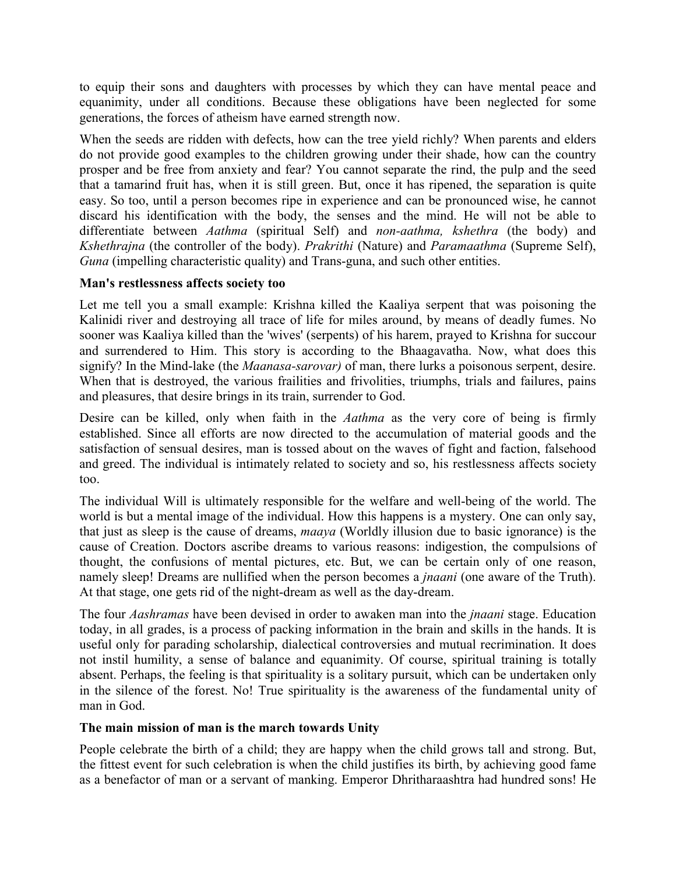to equip their sons and daughters with processes by which they can have mental peace and equanimity, under all conditions. Because these obligations have been neglected for some generations, the forces of atheism have earned strength now.

When the seeds are ridden with defects, how can the tree yield richly? When parents and elders do not provide good examples to the children growing under their shade, how can the country prosper and be free from anxiety and fear? You cannot separate the rind, the pulp and the seed that a tamarind fruit has, when it is still green. But, once it has ripened, the separation is quite easy. So too, until a person becomes ripe in experience and can be pronounced wise, he cannot discard his identification with the body, the senses and the mind. He will not be able to differentiate between *Aathma* (spiritual Self) and *non-aathma, kshethra* (the body) and *Kshethrajna* (the controller of the body). *Prakrithi* (Nature) and *Paramaathma* (Supreme Self), *Guna* (impelling characteristic quality) and Trans-guna, and such other entities.

## **Man's restlessness affects society too**

Let me tell you a small example: Krishna killed the Kaaliya serpent that was poisoning the Kalinidi river and destroying all trace of life for miles around, by means of deadly fumes. No sooner was Kaaliya killed than the 'wives' (serpents) of his harem, prayed to Krishna for succour and surrendered to Him. This story is according to the Bhaagavatha. Now, what does this signify? In the Mind-lake (the *Maanasa-sarovar)* of man, there lurks a poisonous serpent, desire. When that is destroyed, the various frailities and frivolities, triumphs, trials and failures, pains and pleasures, that desire brings in its train, surrender to God.

Desire can be killed, only when faith in the *Aathma* as the very core of being is firmly established. Since all efforts are now directed to the accumulation of material goods and the satisfaction of sensual desires, man is tossed about on the waves of fight and faction, falsehood and greed. The individual is intimately related to society and so, his restlessness affects society too.

The individual Will is ultimately responsible for the welfare and well-being of the world. The world is but a mental image of the individual. How this happens is a mystery. One can only say, that just as sleep is the cause of dreams, *maaya* (Worldly illusion due to basic ignorance) is the cause of Creation. Doctors ascribe dreams to various reasons: indigestion, the compulsions of thought, the confusions of mental pictures, etc. But, we can be certain only of one reason, namely sleep! Dreams are nullified when the person becomes a *jnaani* (one aware of the Truth). At that stage, one gets rid of the night-dream as well as the day-dream.

The four *Aashramas* have been devised in order to awaken man into the *jnaani* stage. Education today, in all grades, is a process of packing information in the brain and skills in the hands. It is useful only for parading scholarship, dialectical controversies and mutual recrimination. It does not instil humility, a sense of balance and equanimity. Of course, spiritual training is totally absent. Perhaps, the feeling is that spirituality is a solitary pursuit, which can be undertaken only in the silence of the forest. No! True spirituality is the awareness of the fundamental unity of man in God.

## **The main mission of man is the march towards Unity**

People celebrate the birth of a child; they are happy when the child grows tall and strong. But, the fittest event for such celebration is when the child justifies its birth, by achieving good fame as a benefactor of man or a servant of manking. Emperor Dhritharaashtra had hundred sons! He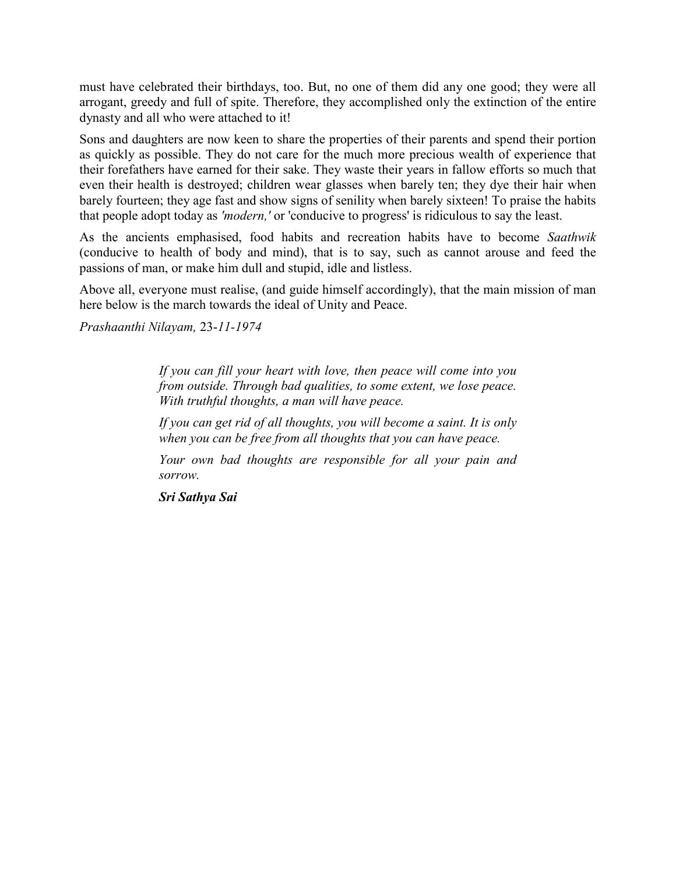must have celebrated their birthdays, too. But, no one of them did any one good; they were all arrogant, greedy and full of spite. Therefore, they accomplished only the extinction of the entire dynasty and all who were attached to it!

Sons and daughters are now keen to share the properties of their parents and spend their portion as quickly as possible. They do not care for the much more precious wealth of experience that their forefathers have earned for their sake. They waste their years in fallow efforts so much that even their health is destroyed; children wear glasses when barely ten; they dye their hair when barely fourteen; they age fast and show signs of senility when barely sixteen! To praise the habits that people adopt today as *'modern,'* or 'conducive to progress' is ridiculous to say the least.

As the ancients emphasised, food habits and recreation habits have to become *Saathwik* (conducive to health of body and mind), that is to say, such as cannot arouse and feed the passions of man, or make him dull and stupid, idle and listless.

Above all, everyone must realise, (and guide himself accordingly), that the main mission of man here below is the march towards the ideal of Unity and Peace.

*Prashaanthi Nilayam,* 23-*11-1974*

*If you can fill your heart with love, then peace will come into you from outside. Through bad qualities, to some extent, we lose peace. With truthful thoughts, a man will have peace.*

*If you can get rid of all thoughts, you will become a saint. It is only when you can be free from all thoughts that you can have peace.*

*Your own bad thoughts are responsible for all your pain and sorrow.*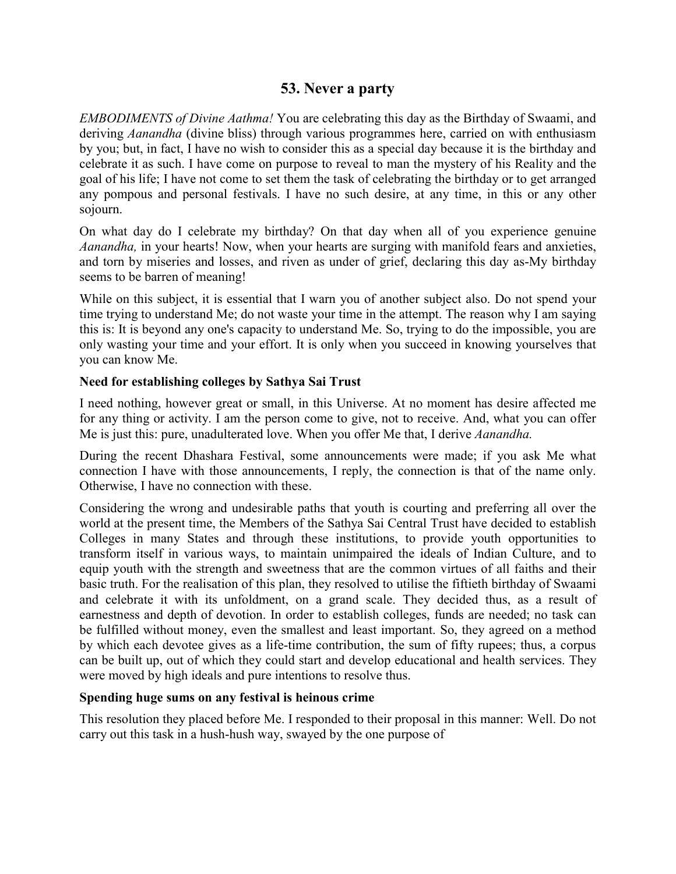# **53. Never a party**

*EMBODIMENTS of Divine Aathma!* You are celebrating this day as the Birthday of Swaami, and deriving *Aanandha* (divine bliss) through various programmes here, carried on with enthusiasm by you; but, in fact, I have no wish to consider this as a special day because it is the birthday and celebrate it as such. I have come on purpose to reveal to man the mystery of his Reality and the goal of his life; I have not come to set them the task of celebrating the birthday or to get arranged any pompous and personal festivals. I have no such desire, at any time, in this or any other sojourn.

On what day do I celebrate my birthday? On that day when all of you experience genuine *Aanandha,* in your hearts! Now, when your hearts are surging with manifold fears and anxieties, and torn by miseries and losses, and riven as under of grief, declaring this day as-My birthday seems to be barren of meaning!

While on this subject, it is essential that I warn you of another subject also. Do not spend your time trying to understand Me; do not waste your time in the attempt. The reason why I am saying this is: It is beyond any one's capacity to understand Me. So, trying to do the impossible, you are only wasting your time and your effort. It is only when you succeed in knowing yourselves that you can know Me.

### **Need for establishing colleges by Sathya Sai Trust**

I need nothing, however great or small, in this Universe. At no moment has desire affected me for any thing or activity. I am the person come to give, not to receive. And, what you can offer Me is just this: pure, unadulterated love. When you offer Me that, I derive *Aanandha.*

During the recent Dhashara Festival, some announcements were made; if you ask Me what connection I have with those announcements, I reply, the connection is that of the name only. Otherwise, I have no connection with these.

Considering the wrong and undesirable paths that youth is courting and preferring all over the world at the present time, the Members of the Sathya Sai Central Trust have decided to establish Colleges in many States and through these institutions, to provide youth opportunities to transform itself in various ways, to maintain unimpaired the ideals of Indian Culture, and to equip youth with the strength and sweetness that are the common virtues of all faiths and their basic truth. For the realisation of this plan, they resolved to utilise the fiftieth birthday of Swaami and celebrate it with its unfoldment, on a grand scale. They decided thus, as a result of earnestness and depth of devotion. In order to establish colleges, funds are needed; no task can be fulfilled without money, even the smallest and least important. So, they agreed on a method by which each devotee gives as a life-time contribution, the sum of fifty rupees; thus, a corpus can be built up, out of which they could start and develop educational and health services. They were moved by high ideals and pure intentions to resolve thus.

## **Spending huge sums on any festival is heinous crime**

This resolution they placed before Me. I responded to their proposal in this manner: Well. Do not carry out this task in a hush-hush way, swayed by the one purpose of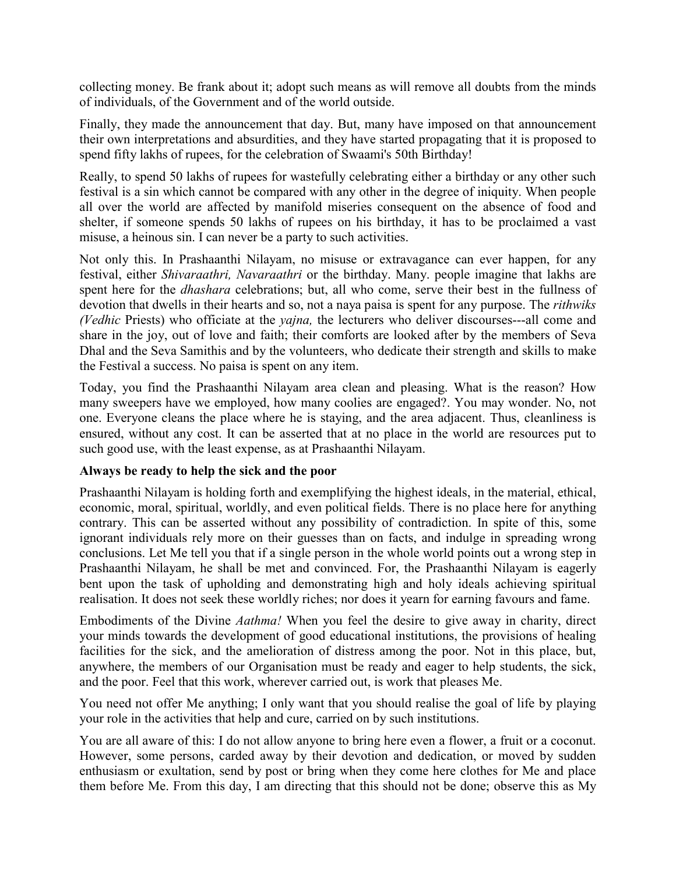collecting money. Be frank about it; adopt such means as will remove all doubts from the minds of individuals, of the Government and of the world outside.

Finally, they made the announcement that day. But, many have imposed on that announcement their own interpretations and absurdities, and they have started propagating that it is proposed to spend fifty lakhs of rupees, for the celebration of Swaami's 50th Birthday!

Really, to spend 50 lakhs of rupees for wastefully celebrating either a birthday or any other such festival is a sin which cannot be compared with any other in the degree of iniquity. When people all over the world are affected by manifold miseries consequent on the absence of food and shelter, if someone spends 50 lakhs of rupees on his birthday, it has to be proclaimed a vast misuse, a heinous sin. I can never be a party to such activities.

Not only this. In Prashaanthi Nilayam, no misuse or extravagance can ever happen, for any festival, either *Shivaraathri, Navaraathri* or the birthday. Many. people imagine that lakhs are spent here for the *dhashara* celebrations; but, all who come, serve their best in the fullness of devotion that dwells in their hearts and so, not a naya paisa is spent for any purpose. The *rithwiks (Vedhic* Priests) who officiate at the *yajna,* the lecturers who deliver discourses---all come and share in the joy, out of love and faith; their comforts are looked after by the members of Seva Dhal and the Seva Samithis and by the volunteers, who dedicate their strength and skills to make the Festival a success. No paisa is spent on any item.

Today, you find the Prashaanthi Nilayam area clean and pleasing. What is the reason? How many sweepers have we employed, how many coolies are engaged?. You may wonder. No, not one. Everyone cleans the place where he is staying, and the area adjacent. Thus, cleanliness is ensured, without any cost. It can be asserted that at no place in the world are resources put to such good use, with the least expense, as at Prashaanthi Nilayam.

## **Always be ready to help the sick and the poor**

Prashaanthi Nilayam is holding forth and exemplifying the highest ideals, in the material, ethical, economic, moral, spiritual, worldly, and even political fields. There is no place here for anything contrary. This can be asserted without any possibility of contradiction. In spite of this, some ignorant individuals rely more on their guesses than on facts, and indulge in spreading wrong conclusions. Let Me tell you that if a single person in the whole world points out a wrong step in Prashaanthi Nilayam, he shall be met and convinced. For, the Prashaanthi Nilayam is eagerly bent upon the task of upholding and demonstrating high and holy ideals achieving spiritual realisation. It does not seek these worldly riches; nor does it yearn for earning favours and fame.

Embodiments of the Divine *Aathma!* When you feel the desire to give away in charity, direct your minds towards the development of good educational institutions, the provisions of healing facilities for the sick, and the amelioration of distress among the poor. Not in this place, but, anywhere, the members of our Organisation must be ready and eager to help students, the sick, and the poor. Feel that this work, wherever carried out, is work that pleases Me.

You need not offer Me anything; I only want that you should realise the goal of life by playing your role in the activities that help and cure, carried on by such institutions.

You are all aware of this: I do not allow anyone to bring here even a flower, a fruit or a coconut. However, some persons, carded away by their devotion and dedication, or moved by sudden enthusiasm or exultation, send by post or bring when they come here clothes for Me and place them before Me. From this day, I am directing that this should not be done; observe this as My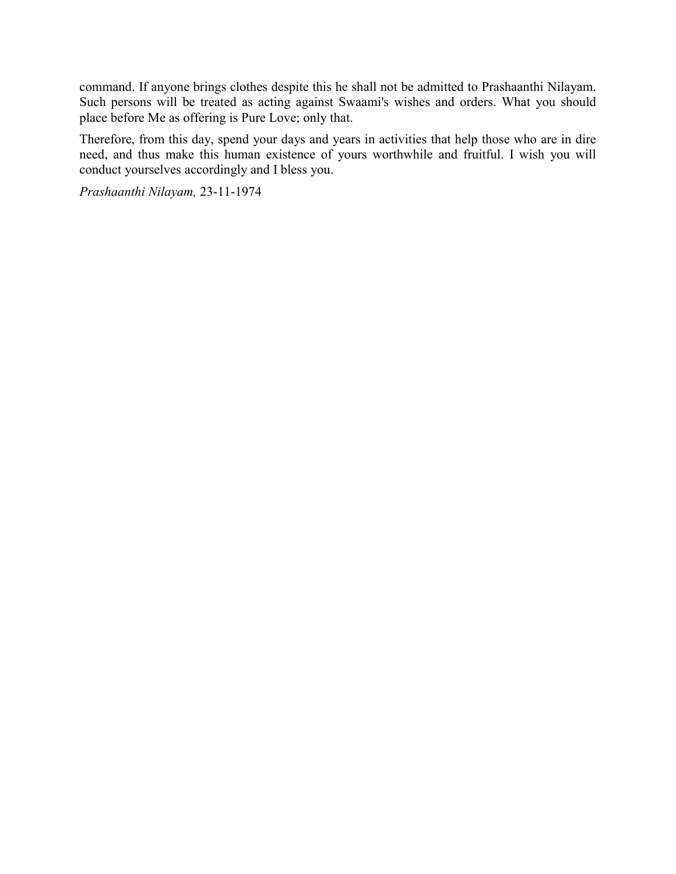command. If anyone brings clothes despite this he shall not be admitted to Prashaanthi Nilayam. Such persons will be treated as acting against Swaami's wishes and orders. What you should place before Me as offering is Pure Love; only that.

Therefore, from this day, spend your days and years in activities that help those who are in dire need, and thus make this human existence of yours worthwhile and fruitful. I wish you will conduct yourselves accordingly and I bless you.

*Prashaanthi Nilayam,* 23-11-1974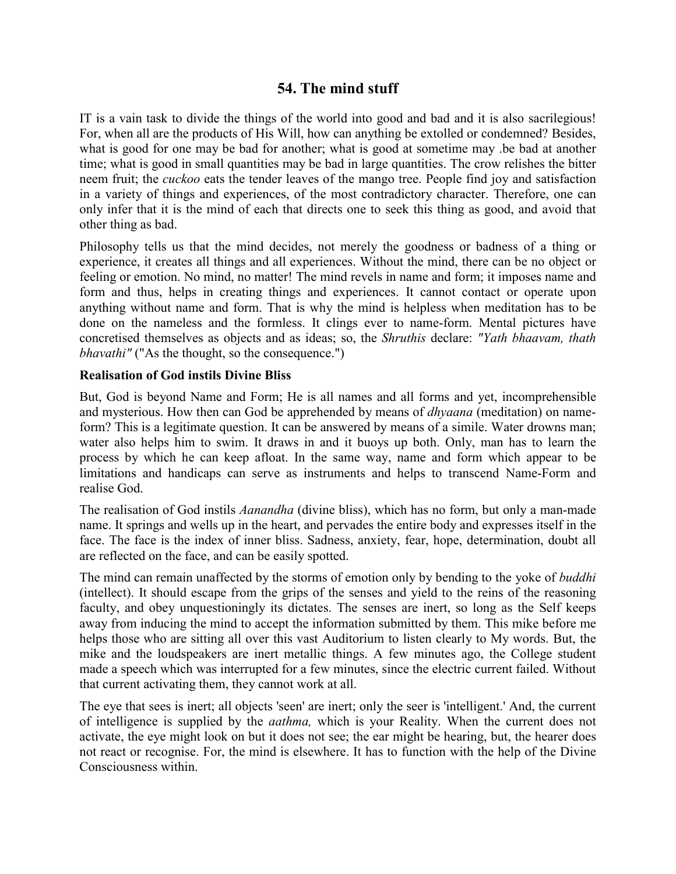# **54. The mind stuff**

IT is a vain task to divide the things of the world into good and bad and it is also sacrilegious! For, when all are the products of His Will, how can anything be extolled or condemned? Besides, what is good for one may be bad for another; what is good at sometime may .be bad at another time; what is good in small quantities may be bad in large quantities. The crow relishes the bitter neem fruit; the *cuckoo* eats the tender leaves of the mango tree. People find joy and satisfaction in a variety of things and experiences, of the most contradictory character. Therefore, one can only infer that it is the mind of each that directs one to seek this thing as good, and avoid that other thing as bad.

Philosophy tells us that the mind decides, not merely the goodness or badness of a thing or experience, it creates all things and all experiences. Without the mind, there can be no object or feeling or emotion. No mind, no matter! The mind revels in name and form; it imposes name and form and thus, helps in creating things and experiences. It cannot contact or operate upon anything without name and form. That is why the mind is helpless when meditation has to be done on the nameless and the formless. It clings ever to name-form. Mental pictures have concretised themselves as objects and as ideas; so, the *Shruthis* declare: *"Yath bhaavam, thath bhavathi*" ("As the thought, so the consequence.")

### **Realisation of God instils Divine Bliss**

But, God is beyond Name and Form; He is all names and all forms and yet, incomprehensible and mysterious. How then can God be apprehended by means of *dhyaana* (meditation) on nameform? This is a legitimate question. It can be answered by means of a simile. Water drowns man; water also helps him to swim. It draws in and it buoys up both. Only, man has to learn the process by which he can keep afloat. In the same way, name and form which appear to be limitations and handicaps can serve as instruments and helps to transcend Name-Form and realise God.

The realisation of God instils *Aanandha* (divine bliss), which has no form, but only a man-made name. It springs and wells up in the heart, and pervades the entire body and expresses itself in the face. The face is the index of inner bliss. Sadness, anxiety, fear, hope, determination, doubt all are reflected on the face, and can be easily spotted.

The mind can remain unaffected by the storms of emotion only by bending to the yoke of *buddhi* (intellect). It should escape from the grips of the senses and yield to the reins of the reasoning faculty, and obey unquestioningly its dictates. The senses are inert, so long as the Self keeps away from inducing the mind to accept the information submitted by them. This mike before me helps those who are sitting all over this vast Auditorium to listen clearly to My words. But, the mike and the loudspeakers are inert metallic things. A few minutes ago, the College student made a speech which was interrupted for a few minutes, since the electric current failed. Without that current activating them, they cannot work at all.

The eye that sees is inert; all objects 'seen' are inert; only the seer is 'intelligent.' And, the current of intelligence is supplied by the *aathma,* which is your Reality. When the current does not activate, the eye might look on but it does not see; the ear might be hearing, but, the hearer does not react or recognise. For, the mind is elsewhere. It has to function with the help of the Divine Consciousness within.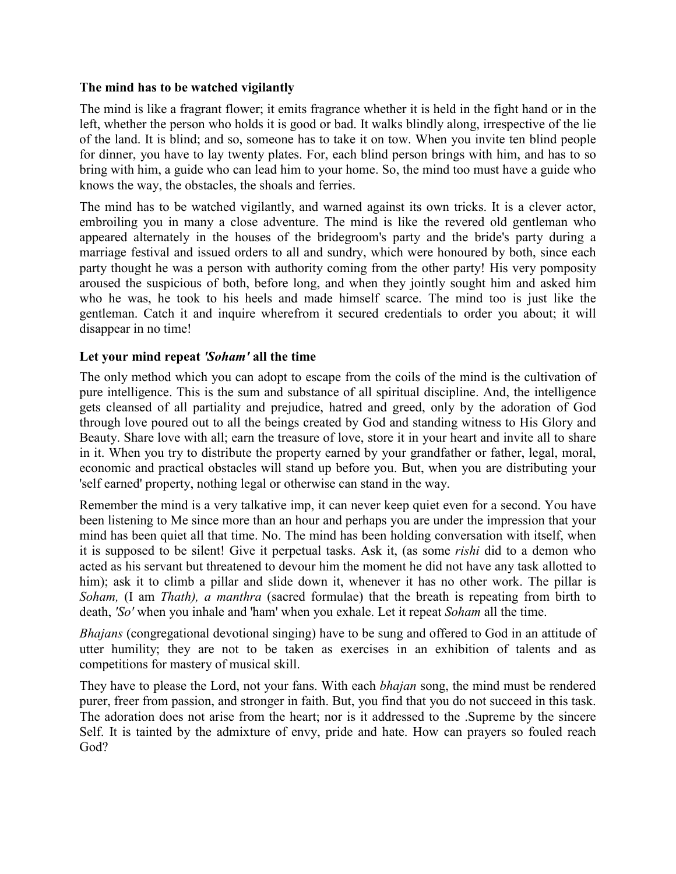#### **The mind has to be watched vigilantly**

The mind is like a fragrant flower; it emits fragrance whether it is held in the fight hand or in the left, whether the person who holds it is good or bad. It walks blindly along, irrespective of the lie of the land. It is blind; and so, someone has to take it on tow. When you invite ten blind people for dinner, you have to lay twenty plates. For, each blind person brings with him, and has to so bring with him, a guide who can lead him to your home. So, the mind too must have a guide who knows the way, the obstacles, the shoals and ferries.

The mind has to be watched vigilantly, and warned against its own tricks. It is a clever actor, embroiling you in many a close adventure. The mind is like the revered old gentleman who appeared alternately in the houses of the bridegroom's party and the bride's party during a marriage festival and issued orders to all and sundry, which were honoured by both, since each party thought he was a person with authority coming from the other party! His very pomposity aroused the suspicious of both, before long, and when they jointly sought him and asked him who he was, he took to his heels and made himself scarce. The mind too is just like the gentleman. Catch it and inquire wherefrom it secured credentials to order you about; it will disappear in no time!

### **Let your mind repeat** *'Soham'* **all the time**

The only method which you can adopt to escape from the coils of the mind is the cultivation of pure intelligence. This is the sum and substance of all spiritual discipline. And, the intelligence gets cleansed of all partiality and prejudice, hatred and greed, only by the adoration of God through love poured out to all the beings created by God and standing witness to His Glory and Beauty. Share love with all; earn the treasure of love, store it in your heart and invite all to share in it. When you try to distribute the property earned by your grandfather or father, legal, moral, economic and practical obstacles will stand up before you. But, when you are distributing your 'self earned' property, nothing legal or otherwise can stand in the way.

Remember the mind is a very talkative imp, it can never keep quiet even for a second. You have been listening to Me since more than an hour and perhaps you are under the impression that your mind has been quiet all that time. No. The mind has been holding conversation with itself, when it is supposed to be silent! Give it perpetual tasks. Ask it, (as some *rishi* did to a demon who acted as his servant but threatened to devour him the moment he did not have any task allotted to him); ask it to climb a pillar and slide down it, whenever it has no other work. The pillar is *Soham,* (I am *Thath), a manthra* (sacred formulae) that the breath is repeating from birth to death, *'So'* when you inhale and 'ham' when you exhale. Let it repeat *Soham* all the time.

*Bhajans* (congregational devotional singing) have to be sung and offered to God in an attitude of utter humility; they are not to be taken as exercises in an exhibition of talents and as competitions for mastery of musical skill.

They have to please the Lord, not your fans. With each *bhajan* song, the mind must be rendered purer, freer from passion, and stronger in faith. But, you find that you do not succeed in this task. The adoration does not arise from the heart; nor is it addressed to the .Supreme by the sincere Self. It is tainted by the admixture of envy, pride and hate. How can prayers so fouled reach God?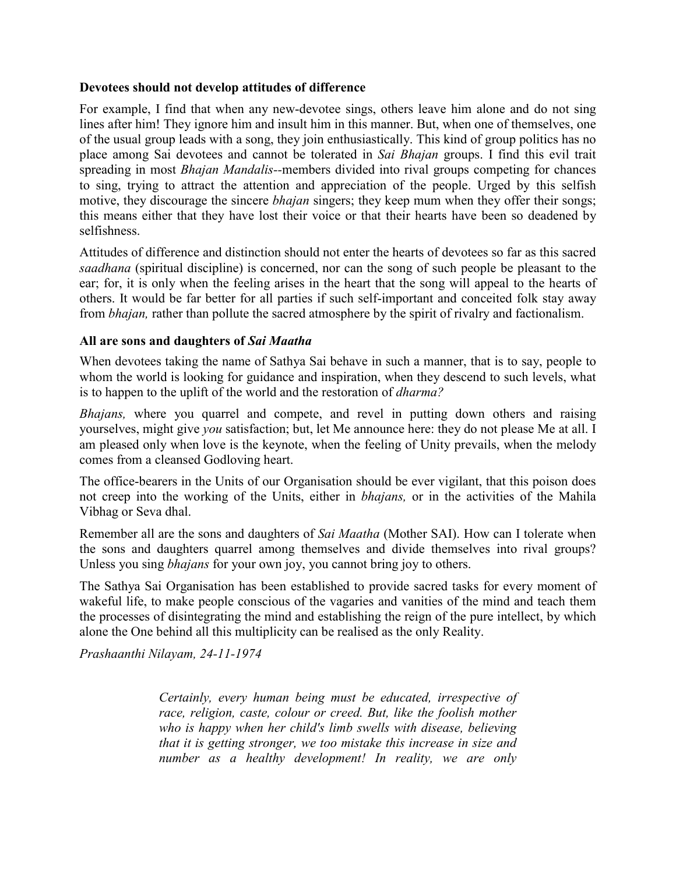#### **Devotees should not develop attitudes of difference**

For example, I find that when any new-devotee sings, others leave him alone and do not sing lines after him! They ignore him and insult him in this manner. But, when one of themselves, one of the usual group leads with a song, they join enthusiastically. This kind of group politics has no place among Sai devotees and cannot be tolerated in *Sai Bhajan* groups. I find this evil trait spreading in most *Bhajan Mandalis--*members divided into rival groups competing for chances to sing, trying to attract the attention and appreciation of the people. Urged by this selfish motive, they discourage the sincere *bhajan* singers; they keep mum when they offer their songs; this means either that they have lost their voice or that their hearts have been so deadened by selfishness.

Attitudes of difference and distinction should not enter the hearts of devotees so far as this sacred *saadhana* (spiritual discipline) is concerned, nor can the song of such people be pleasant to the ear; for, it is only when the feeling arises in the heart that the song will appeal to the hearts of others. It would be far better for all parties if such self-important and conceited folk stay away from *bhajan,* rather than pollute the sacred atmosphere by the spirit of rivalry and factionalism.

### **All are sons and daughters of** *Sai Maatha*

When devotees taking the name of Sathya Sai behave in such a manner, that is to say, people to whom the world is looking for guidance and inspiration, when they descend to such levels, what is to happen to the uplift of the world and the restoration of *dharma?*

*Bhajans,* where you quarrel and compete, and revel in putting down others and raising yourselves, might give *you* satisfaction; but, let Me announce here: they do not please Me at all. I am pleased only when love is the keynote, when the feeling of Unity prevails, when the melody comes from a cleansed Godloving heart.

The office-bearers in the Units of our Organisation should be ever vigilant, that this poison does not creep into the working of the Units, either in *bhajans,* or in the activities of the Mahila Vibhag or Seva dhal.

Remember all are the sons and daughters of *Sai Maatha* (Mother SAI). How can I tolerate when the sons and daughters quarrel among themselves and divide themselves into rival groups? Unless you sing *bhajans* for your own joy, you cannot bring joy to others.

The Sathya Sai Organisation has been established to provide sacred tasks for every moment of wakeful life, to make people conscious of the vagaries and vanities of the mind and teach them the processes of disintegrating the mind and establishing the reign of the pure intellect, by which alone the One behind all this multiplicity can be realised as the only Reality.

*Prashaanthi Nilayam, 24-11-1974*

*Certainly, every human being must be educated, irrespective of race, religion, caste, colour or creed. But, like the foolish mother who is happy when her child's limb swells with disease, believing that it is getting stronger, we too mistake this increase in size and number as a healthy development! In reality, we are only*